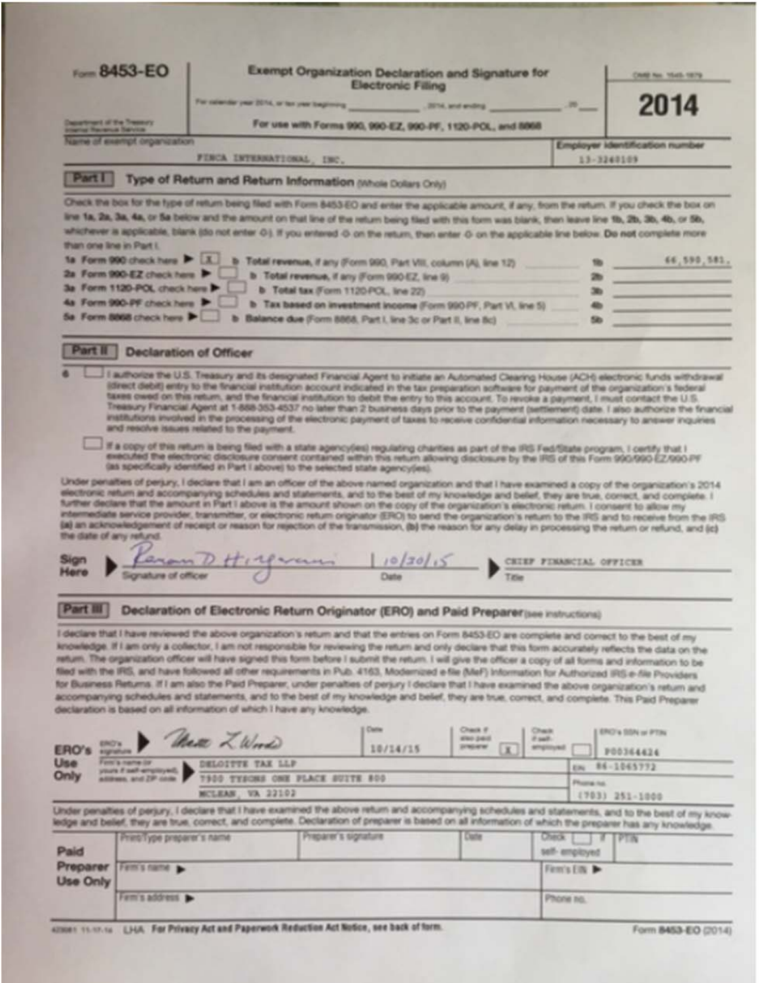|                                                                            | From 8453-EO                                   |                                                                                                                                                                                                                                                                                                                                                                                                                                                                                                                                                                                                                                                                                                                                                                                                                                                                                                                                                                                                                              |                                     | <b>Exempt Organization Declaration and Signature for</b><br><b>Electronic Filing</b>                                                  |                                                |                                    |               |                                       | CANE No. 15x65, 1879.          |
|----------------------------------------------------------------------------|------------------------------------------------|------------------------------------------------------------------------------------------------------------------------------------------------------------------------------------------------------------------------------------------------------------------------------------------------------------------------------------------------------------------------------------------------------------------------------------------------------------------------------------------------------------------------------------------------------------------------------------------------------------------------------------------------------------------------------------------------------------------------------------------------------------------------------------------------------------------------------------------------------------------------------------------------------------------------------------------------------------------------------------------------------------------------------|-------------------------------------|---------------------------------------------------------------------------------------------------------------------------------------|------------------------------------------------|------------------------------------|---------------|---------------------------------------|--------------------------------|
|                                                                            |                                                | For colorator year 2014, or ton year beginning                                                                                                                                                                                                                                                                                                                                                                                                                                                                                                                                                                                                                                                                                                                                                                                                                                                                                                                                                                               |                                     | <b>CONTA, and ending</b>                                                                                                              |                                                |                                    | $ \sim$       |                                       | 2014                           |
| <b>Insurance of the Treasury</b><br>or Haranca Service                     |                                                |                                                                                                                                                                                                                                                                                                                                                                                                                                                                                                                                                                                                                                                                                                                                                                                                                                                                                                                                                                                                                              |                                     | For use with Forms 990, 990-EZ, 990-PF, 1120-PCL, and 8098                                                                            |                                                |                                    |               |                                       |                                |
|                                                                            | recitations of engineering his en              | FINCA INTERNATIONAL, INC.                                                                                                                                                                                                                                                                                                                                                                                                                                                                                                                                                                                                                                                                                                                                                                                                                                                                                                                                                                                                    |                                     |                                                                                                                                       |                                                |                                    |               | 13-3240109                            | Employer Identification number |
|                                                                            |                                                | Type of Return and Return Information (Whole Dollars Only)                                                                                                                                                                                                                                                                                                                                                                                                                                                                                                                                                                                                                                                                                                                                                                                                                                                                                                                                                                   |                                     |                                                                                                                                       |                                                |                                    |               |                                       |                                |
|                                                                            |                                                | Check the box for the fype of return being filed with Form 8453 EO and enter the applicable amount, if any, from the return. If you check the box on                                                                                                                                                                                                                                                                                                                                                                                                                                                                                                                                                                                                                                                                                                                                                                                                                                                                         |                                     |                                                                                                                                       |                                                |                                    |               |                                       |                                |
|                                                                            |                                                | line 1a, 2a, 3a, 4a, or 5a below and the amount on that line of the return being filed with this form was blank, then leave line 1b, 2b, 3b, 4b, or 5b,                                                                                                                                                                                                                                                                                                                                                                                                                                                                                                                                                                                                                                                                                                                                                                                                                                                                      |                                     |                                                                                                                                       |                                                |                                    |               |                                       |                                |
| than one line in Part I.                                                   |                                                | whichever is applicable, blank (do not enter O.). If you entered O on the return, then enter O on the applicable line below. Do not complete more                                                                                                                                                                                                                                                                                                                                                                                                                                                                                                                                                                                                                                                                                                                                                                                                                                                                            |                                     |                                                                                                                                       |                                                |                                    |               |                                       |                                |
|                                                                            | 1a Form 990 check hara > [X]                   |                                                                                                                                                                                                                                                                                                                                                                                                                                                                                                                                                                                                                                                                                                                                                                                                                                                                                                                                                                                                                              |                                     | Total revenue, if any (Form 990, Part VIII, column (A), line 12)                                                                      |                                                |                                    |               |                                       | 66,590,581.                    |
|                                                                            | 2a Form 990-EZ check hara                      |                                                                                                                                                                                                                                                                                                                                                                                                                                                                                                                                                                                                                                                                                                                                                                                                                                                                                                                                                                                                                              |                                     | b Total revenue, if any (Form 990-52, line 9)                                                                                         |                                                |                                    |               |                                       |                                |
|                                                                            | 3a Form 1120-POL check here >                  |                                                                                                                                                                                                                                                                                                                                                                                                                                                                                                                                                                                                                                                                                                                                                                                                                                                                                                                                                                                                                              | b Total tax (Form 1120-PCL, Ine 22) |                                                                                                                                       |                                                |                                    |               |                                       |                                |
|                                                                            | 4a Form 990-PF check here >                    |                                                                                                                                                                                                                                                                                                                                                                                                                                                                                                                                                                                                                                                                                                                                                                                                                                                                                                                                                                                                                              |                                     | b Tax based on investment income (Form 990 PF, Part VI, line 5)                                                                       |                                                |                                    |               |                                       |                                |
|                                                                            | 5a Form 8868 check here >                      |                                                                                                                                                                                                                                                                                                                                                                                                                                                                                                                                                                                                                                                                                                                                                                                                                                                                                                                                                                                                                              |                                     | Balance due (Form 8868, Part I, line 3c or Part II, line Bc)                                                                          |                                                |                                    |               |                                       |                                |
| art II                                                                     | <b>Declaration of Officer</b>                  |                                                                                                                                                                                                                                                                                                                                                                                                                                                                                                                                                                                                                                                                                                                                                                                                                                                                                                                                                                                                                              |                                     |                                                                                                                                       |                                                |                                    |               |                                       |                                |
|                                                                            |                                                | Treasury Financial Agent at 1-888-353-4537 no later than 2 business days prior to the payment (settlement) date. I also authorize the financial<br>institutions involved in the processing of the electronic payment of taxes to receive confidential information necessary to answer inquiries<br>and resolve issues related to the payment.<br>If a copy of this return is being fied with a state agencyles) requlating charities as part of the IRS Fed/State program, I certify that I                                                                                                                                                                                                                                                                                                                                                                                                                                                                                                                                  |                                     |                                                                                                                                       |                                                |                                    |               |                                       |                                |
|                                                                            |                                                | (as specifically identified in Part I above) to the selected state agency(es).<br>Under penalties of perjury, I declare that I am an officer of the above named organization and that I have examined a copy of the organization's 2014<br>electronic return and accompanying schedules and statements, and to the best of my knowledge and belief, they are true, correct, and complete. I<br>further declare that the amount in Flart I above is the amount shown on the copy of the organization's electronic return. I consent to allow my<br>intermediate service provider, transmitter, or electronic return originator (ERO) to send the organization's return to the IRS and to receive from the IRS.<br>(a) an acknowledgement of receipt or reason for rejection of the transmission, (b) the reason for any delay in processing the return or refund, and (c)                                                                                                                                                     |                                     | executed the electronic disclosure consent contained within this return allowing disclosure by the IRS of this Form 990/990-EZ/990-PF |                                                |                                    |               |                                       |                                |
|                                                                            |                                                | Higgeran                                                                                                                                                                                                                                                                                                                                                                                                                                                                                                                                                                                                                                                                                                                                                                                                                                                                                                                                                                                                                     |                                     | 1022015                                                                                                                               |                                                | CEIEF FINANCIAL OFFICER            |               |                                       |                                |
|                                                                            |                                                |                                                                                                                                                                                                                                                                                                                                                                                                                                                                                                                                                                                                                                                                                                                                                                                                                                                                                                                                                                                                                              |                                     |                                                                                                                                       | Tatle                                          |                                    |               |                                       |                                |
|                                                                            |                                                |                                                                                                                                                                                                                                                                                                                                                                                                                                                                                                                                                                                                                                                                                                                                                                                                                                                                                                                                                                                                                              |                                     |                                                                                                                                       |                                                |                                    |               |                                       |                                |
|                                                                            |                                                | Declaration of Electronic Return Originator (ERO) and Paid Preparer (see instructions)                                                                                                                                                                                                                                                                                                                                                                                                                                                                                                                                                                                                                                                                                                                                                                                                                                                                                                                                       |                                     |                                                                                                                                       |                                                |                                    |               |                                       |                                |
| the date of any refund.<br>Part III<br><b>ERO's</b><br>ERO's<br>significan |                                                | I declare that I have reviewed the above organization's return and that the entries on Form 8453-EO are complete and correct to the best of my<br>knowledge. If I am only a collector, I am not responsible for reviewing the return and only declare that this form accurately reflects the data on the<br>return. The organization officer will have signed this form before I submit the return. I will give the officer a copy of all forms and information to be<br>filed with the IRS, and have followed all other requirements in Pub. 4163, Modernized e-file (MeF) Information for Authorized IRS e-file Providers<br>for Business Returns. If I am also the Paid Preparer, under penalties of perjury I declare that I have examined the above organization's return and<br>accompanying schedules and statements, and to the best of my knowledge and belief, they are true, correct, and complete. This Paid Preparer<br>declaration is based on all information of which I have any knowledge.<br>there L. Wood |                                     | Carlos<br>10/14/15                                                                                                                    | Chara IF<br>4740-2440<br>preparer.<br><b>K</b> | <b>Chack</b><br>Pault.<br>smployed |               | <b>ERG's SSN or PTIN</b><br>P00364424 |                                |
|                                                                            | Forty's name for<br>Die colored Assn. 5 stores | DELOITTE TAX LLP                                                                                                                                                                                                                                                                                                                                                                                                                                                                                                                                                                                                                                                                                                                                                                                                                                                                                                                                                                                                             |                                     |                                                                                                                                       |                                                |                                    | EINE          | 86-1065772                            |                                |
|                                                                            | an. and ZIP come                               | 7900 TYSONS ONE PLACE SUITE 800                                                                                                                                                                                                                                                                                                                                                                                                                                                                                                                                                                                                                                                                                                                                                                                                                                                                                                                                                                                              |                                     |                                                                                                                                       |                                                |                                    | Phone ha      |                                       |                                |
|                                                                            |                                                | MCLEAN, VA 22102<br>Under penalties of perjury, I declare that I have examined the above return and accompanying schedules and statements, and to the best of my know-                                                                                                                                                                                                                                                                                                                                                                                                                                                                                                                                                                                                                                                                                                                                                                                                                                                       |                                     |                                                                                                                                       |                                                |                                    |               | (703) 251-1000                        |                                |
|                                                                            |                                                | edge and belief, they are true, correct, and complete. Declaration of preparer is based on all information of which the preparer has any knowledge.                                                                                                                                                                                                                                                                                                                                                                                                                                                                                                                                                                                                                                                                                                                                                                                                                                                                          | Preparer's signature                |                                                                                                                                       | Date                                           | <b>Check</b>                       |               | т                                     |                                |
|                                                                            | Princillype preparer's name                    |                                                                                                                                                                                                                                                                                                                                                                                                                                                                                                                                                                                                                                                                                                                                                                                                                                                                                                                                                                                                                              |                                     |                                                                                                                                       |                                                | self- employed                     |               | <b>IPTIN</b>                          |                                |
|                                                                            | Fem's name >                                   |                                                                                                                                                                                                                                                                                                                                                                                                                                                                                                                                                                                                                                                                                                                                                                                                                                                                                                                                                                                                                              |                                     |                                                                                                                                       |                                                |                                    | Fent's Eite P |                                       |                                |
| Use<br>Only<br>Paid<br>Preparer<br><b>Use Only</b>                         | Fem's address >                                |                                                                                                                                                                                                                                                                                                                                                                                                                                                                                                                                                                                                                                                                                                                                                                                                                                                                                                                                                                                                                              |                                     |                                                                                                                                       |                                                | Phone no.                          |               |                                       |                                |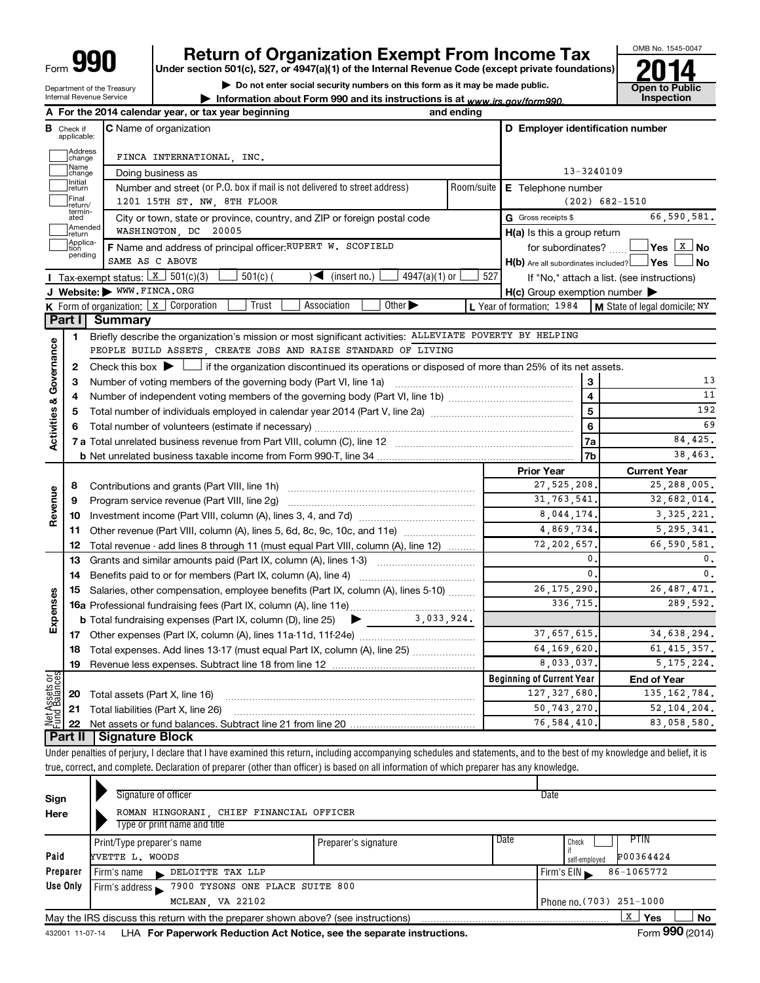# **990 Return of Organization Exempt From Income Tax 1990 2014**<br>
Under section 501(c), 527, or 4947(a)(1) of the Internal Revenue Code (except private foundations) **2014**

**Under section 501(c), 527, or 4947(a)(1) of the Internal Revenue Code (except private foundations)**

**| Do not enter social security numbers on this form as it may be made public. | Information about Form 990 and its instructions is at www.irs.gov/form990.** | Inspection



Department of the Treasury Internal Revenue Service

| A                                                            |                             | For the 2014 calendar year, or tax year beginning                                                                                                                                                  | and ending |                                                     |                                                           |
|--------------------------------------------------------------|-----------------------------|----------------------------------------------------------------------------------------------------------------------------------------------------------------------------------------------------|------------|-----------------------------------------------------|-----------------------------------------------------------|
| в                                                            | Check if<br>applicable:     | <b>C</b> Name of organization                                                                                                                                                                      |            | D Employer identification number                    |                                                           |
|                                                              | Address<br> change          | FINCA INTERNATIONAL, INC.                                                                                                                                                                          |            |                                                     |                                                           |
|                                                              | Name<br>change              | Doing business as                                                                                                                                                                                  |            | 13-3240109                                          |                                                           |
|                                                              | Initial<br>return           | Number and street (or P.O. box if mail is not delivered to street address)                                                                                                                         | Room/suite | E Telephone number                                  |                                                           |
|                                                              | Final<br>return/            | 1201 15TH ST. NW, 8TH FLOOR                                                                                                                                                                        |            |                                                     | $(202)$ 682-1510                                          |
|                                                              | termin-<br>ated             | City or town, state or province, country, and ZIP or foreign postal code                                                                                                                           |            | G Gross receipts \$                                 | 66,590,581.                                               |
|                                                              | Amended<br>Ireturn          | WASHINGTON, DC 20005                                                                                                                                                                               |            | $H(a)$ is this a group return                       |                                                           |
|                                                              | Applica-<br>tion<br>pending | F Name and address of principal officer: RUPERT W. SCOFIELD                                                                                                                                        |            | for subordinates?                                   | $\sqrt{}$ Yes $\left\lfloor \frac{X}{X} \right\rfloor$ No |
|                                                              |                             | SAME AS C ABOVE                                                                                                                                                                                    |            | $H(b)$ Are all subordinates included? $\Box$ Yes    | <b>No</b>                                                 |
|                                                              |                             | Tax-exempt status: $x \mid 301(c)(3)$<br>$4947(a)(1)$ or<br>$501(c)$ (<br>$\sqrt{\phantom{a}}$ (insert no.)                                                                                        | 527        |                                                     | If "No," attach a list. (see instructions)                |
|                                                              |                             | J Website: WWW.FINCA.ORG                                                                                                                                                                           |            | $H(c)$ Group exemption number $\blacktriangleright$ |                                                           |
|                                                              |                             | Other $\blacktriangleright$<br><b>K</b> Form of organization: $\boxed{x}$ Corporation<br>Trust<br>Association                                                                                      |            | L Year of formation: 1984                           | $\mathsf{M}$ State of legal domicile: NY                  |
|                                                              | Part II                     | Summary                                                                                                                                                                                            |            |                                                     |                                                           |
|                                                              | 1                           | Briefly describe the organization's mission or most significant activities: ALLEVIATE POVERTY BY HELPING                                                                                           |            |                                                     |                                                           |
|                                                              |                             | PEOPLE BUILD ASSETS, CREATE JOBS AND RAISE STANDARD OF LIVING                                                                                                                                      |            |                                                     |                                                           |
|                                                              | 2                           | Check this box $\blacktriangleright \Box$ if the organization discontinued its operations or disposed of more than 25% of its net assets.                                                          |            |                                                     |                                                           |
|                                                              | з                           | Number of voting members of the governing body (Part VI, line 1a)                                                                                                                                  |            | 3                                                   | 13<br>11                                                  |
|                                                              | 4                           |                                                                                                                                                                                                    |            | 4<br>5                                              | 192                                                       |
|                                                              | 5                           |                                                                                                                                                                                                    |            | 6                                                   | 69                                                        |
|                                                              |                             |                                                                                                                                                                                                    |            | 7a                                                  | 84,425.                                                   |
|                                                              |                             |                                                                                                                                                                                                    |            | 7b                                                  | 38.463.                                                   |
|                                                              |                             |                                                                                                                                                                                                    |            | <b>Prior Year</b>                                   | <b>Current Year</b>                                       |
|                                                              |                             |                                                                                                                                                                                                    |            | 27,525,208,                                         | 25,288,005.                                               |
| <b>Activities &amp; Governance</b><br>6<br>8<br>Revenue<br>9 |                             | Program service revenue (Part VIII, line 2g)                                                                                                                                                       |            | 31, 763, 541,                                       | 32,682,014.                                               |
|                                                              | 10                          |                                                                                                                                                                                                    |            | 8,044,174.                                          | 3, 325, 221.                                              |
|                                                              | 11                          | Other revenue (Part VIII, column (A), lines 5, 6d, 8c, 9c, 10c, and 11e)                                                                                                                           |            | 4,869,734                                           | 5, 295, 341.                                              |
|                                                              | 12                          | Total revenue - add lines 8 through 11 (must equal Part VIII, column (A), line 12)                                                                                                                 |            | 72, 202, 657                                        | 66,590,581.                                               |
|                                                              | 13                          | Grants and similar amounts paid (Part IX, column (A), lines 1-3)                                                                                                                                   |            | $\mathbf{0}$ .                                      | 0.                                                        |
|                                                              | 14                          |                                                                                                                                                                                                    |            | $\mathbf{0}$ .                                      | $\mathfrak o$ .                                           |
|                                                              | 15                          | Salaries, other compensation, employee benefits (Part IX, column (A), lines 5-10)                                                                                                                  |            | 26, 175, 290,                                       | 26, 487, 471.                                             |
|                                                              |                             |                                                                                                                                                                                                    |            | 336,715                                             | 289,592.                                                  |
| Expenses                                                     |                             | 3,033,924.<br><b>b</b> Total fundraising expenses (Part IX, column (D), line 25)<br>$\blacktriangleright$ and $\blacktriangleright$                                                                |            |                                                     |                                                           |
|                                                              |                             |                                                                                                                                                                                                    |            | 37,657,615.                                         | 34,638,294.                                               |
|                                                              | 18                          | Total expenses. Add lines 13-17 (must equal Part IX, column (A), line 25)                                                                                                                          |            | 64, 169, 620.                                       | 61, 415, 357.                                             |
|                                                              | 19                          |                                                                                                                                                                                                    |            | 8,033,037,                                          | 5.175.224.                                                |
| 등<br>이                                                       |                             |                                                                                                                                                                                                    |            | <b>Beginning of Current Year</b>                    | <b>End of Year</b>                                        |
| Net Assets<br>Fund Balanc                                    | 20                          | Total assets (Part X, line 16)                                                                                                                                                                     |            | 127, 327, 680,                                      | 135, 162, 784.                                            |
|                                                              | 21                          | Total liabilities (Part X, line 26)                                                                                                                                                                |            | 50, 743, 270,                                       | 52,104,204.                                               |
|                                                              | 22                          |                                                                                                                                                                                                    |            | 76,584,410.                                         | 83,058,580.                                               |
|                                                              |                             | Part II   Signature Block<br>Under negotion of nerius Udeolers that Unave avemined this return, including eccompanying sehedules and etatements, and to the best of my knowledge and belief, it is |            |                                                     |                                                           |

Under penalties of perjury, I declare that I have examined this return, including accompanying schedules and statements, and to the best of my knowledge and belief, it is true, correct, and complete. Declaration of preparer (other than officer) is based on all information of which preparer has any knowledge.

| Sign            | Signature of officer                                                              |                      |                          | Date                       |  |
|-----------------|-----------------------------------------------------------------------------------|----------------------|--------------------------|----------------------------|--|
| Here            | ROMAN HINGORANI, CHIEF FINANCIAL OFFICER                                          |                      |                          |                            |  |
|                 | Type or print name and title                                                      |                      |                          |                            |  |
|                 | Print/Type preparer's name                                                        | Preparer's signature | Date                     | PTIN<br>Check              |  |
| Paid            | YVETTE L. WOODS                                                                   |                      |                          | P00364424<br>self-emploved |  |
| Preparer        | DELOITTE TAX LLP<br>Firm's name<br>$\mathbf{r}$                                   |                      |                          | 86-1065772<br>Firm's $EIN$ |  |
| Use Only        | 7900 TYSONS ONE PLACE SUITE 800<br>Firm's address $\blacktriangleright$           |                      |                          |                            |  |
|                 | MCLEAN, VA 22102                                                                  |                      | Phone no. (703) 251-1000 |                            |  |
|                 | May the IRS discuss this return with the preparer shown above? (see instructions) |                      |                          | х<br><b>No</b><br>Yes      |  |
| 432001 11-07-14 | LHA For Paperwork Reduction Act Notice, see the separate instructions.            |                      |                          | Form 990 (2014)            |  |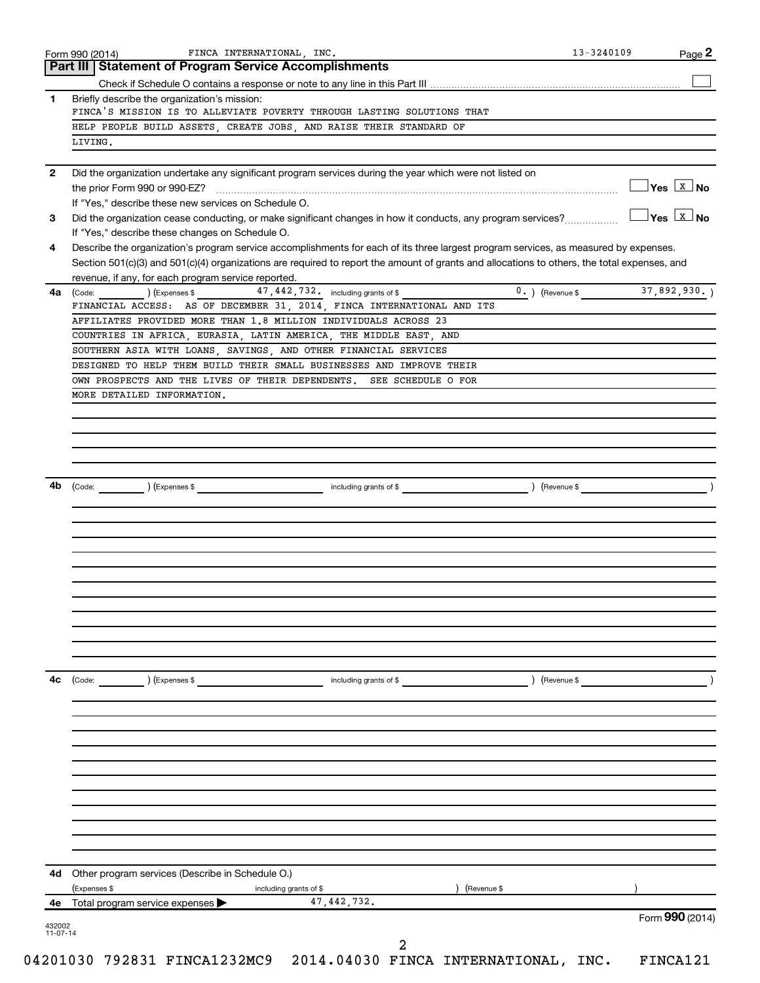|                                                                        | FINCA INTERNATIONAL, INC.<br><b>Part III   Statement of Program Service Accomplishments</b>                                                  | 13-3240109 | Page 2                           |
|------------------------------------------------------------------------|----------------------------------------------------------------------------------------------------------------------------------------------|------------|----------------------------------|
|                                                                        |                                                                                                                                              |            |                                  |
|                                                                        | Briefly describe the organization's mission:                                                                                                 |            |                                  |
|                                                                        | FINCA'S MISSION IS TO ALLEVIATE POVERTY THROUGH LASTING SOLUTIONS THAT                                                                       |            |                                  |
|                                                                        | HELP PEOPLE BUILD ASSETS, CREATE JOBS, AND RAISE THEIR STANDARD OF                                                                           |            |                                  |
|                                                                        | LIVING.                                                                                                                                      |            |                                  |
|                                                                        | Did the organization undertake any significant program services during the year which were not listed on                                     |            |                                  |
|                                                                        | If "Yes." describe these new services on Schedule O.                                                                                         |            | $\Box$ Yes $\boxed{\text{x}}$ No |
|                                                                        | Did the organization cease conducting, or make significant changes in how it conducts, any program services?                                 |            | $\Box$ Yes $\boxed{\text{x}}$ No |
|                                                                        | If "Yes," describe these changes on Schedule O.                                                                                              |            |                                  |
|                                                                        | Describe the organization's program service accomplishments for each of its three largest program services, as measured by expenses.         |            |                                  |
|                                                                        | Section 501(c)(3) and 501(c)(4) organizations are required to report the amount of grants and allocations to others, the total expenses, and |            |                                  |
|                                                                        | revenue, if any, for each program service reported.<br>47, 442, 732. including grants of \$<br>(Express \$                                   |            |                                  |
|                                                                        | (Code:<br>FINANCIAL ACCESS: AS OF DECEMBER 31, 2014, FINCA INTERNATIONAL AND ITS                                                             |            |                                  |
|                                                                        | AFFILIATES PROVIDED MORE THAN 1.8 MILLION INDIVIDUALS ACROSS 23                                                                              |            |                                  |
|                                                                        | COUNTRIES IN AFRICA, EURASIA, LATIN AMERICA, THE MIDDLE EAST, AND                                                                            |            |                                  |
|                                                                        | SOUTHERN ASIA WITH LOANS, SAVINGS, AND OTHER FINANCIAL SERVICES                                                                              |            |                                  |
| Form 990 (2014)<br>1<br>$\mathbf{2}$<br>3<br>4<br>4a<br>4b<br>4с<br>4е | DESIGNED TO HELP THEM BUILD THEIR SMALL BUSINESSES AND IMPROVE THEIR                                                                         |            |                                  |
|                                                                        | OWN PROSPECTS AND THE LIVES OF THEIR DEPENDENTS. SEE SCHEDULE O FOR                                                                          |            |                                  |
|                                                                        | MORE DETAILED INFORMATION.                                                                                                                   |            |                                  |
|                                                                        |                                                                                                                                              |            |                                  |
|                                                                        |                                                                                                                                              |            |                                  |
|                                                                        |                                                                                                                                              |            |                                  |
|                                                                        |                                                                                                                                              |            |                                  |
|                                                                        |                                                                                                                                              |            |                                  |
|                                                                        |                                                                                                                                              |            |                                  |
|                                                                        |                                                                                                                                              |            |                                  |
|                                                                        |                                                                                                                                              |            |                                  |
|                                                                        |                                                                                                                                              |            |                                  |
|                                                                        |                                                                                                                                              |            |                                  |
|                                                                        |                                                                                                                                              |            |                                  |
|                                                                        |                                                                                                                                              |            |                                  |
|                                                                        |                                                                                                                                              |            |                                  |
|                                                                        |                                                                                                                                              |            |                                  |
|                                                                        |                                                                                                                                              |            |                                  |
|                                                                        |                                                                                                                                              |            |                                  |
|                                                                        |                                                                                                                                              |            |                                  |
|                                                                        | $\left(\text{Code:} \right) \left(\text{Expenses } \$\right)$<br>$\left( \text{Revenue } \$<br>including grants of \$                        |            |                                  |
|                                                                        |                                                                                                                                              |            |                                  |
|                                                                        |                                                                                                                                              |            |                                  |
|                                                                        |                                                                                                                                              |            |                                  |
|                                                                        |                                                                                                                                              |            |                                  |
|                                                                        |                                                                                                                                              |            |                                  |
|                                                                        |                                                                                                                                              |            |                                  |
|                                                                        |                                                                                                                                              |            |                                  |
|                                                                        |                                                                                                                                              |            |                                  |
|                                                                        |                                                                                                                                              |            |                                  |
|                                                                        |                                                                                                                                              |            |                                  |
|                                                                        | 4d Other program services (Describe in Schedule O.)                                                                                          |            |                                  |
|                                                                        | (Expenses \$<br>) (Revenue \$<br>including grants of \$                                                                                      |            |                                  |
|                                                                        | 47, 442, 732.<br>Total program service expenses                                                                                              |            |                                  |
|                                                                        |                                                                                                                                              |            |                                  |
| 432002                                                                 |                                                                                                                                              |            | Form 990 (2014)                  |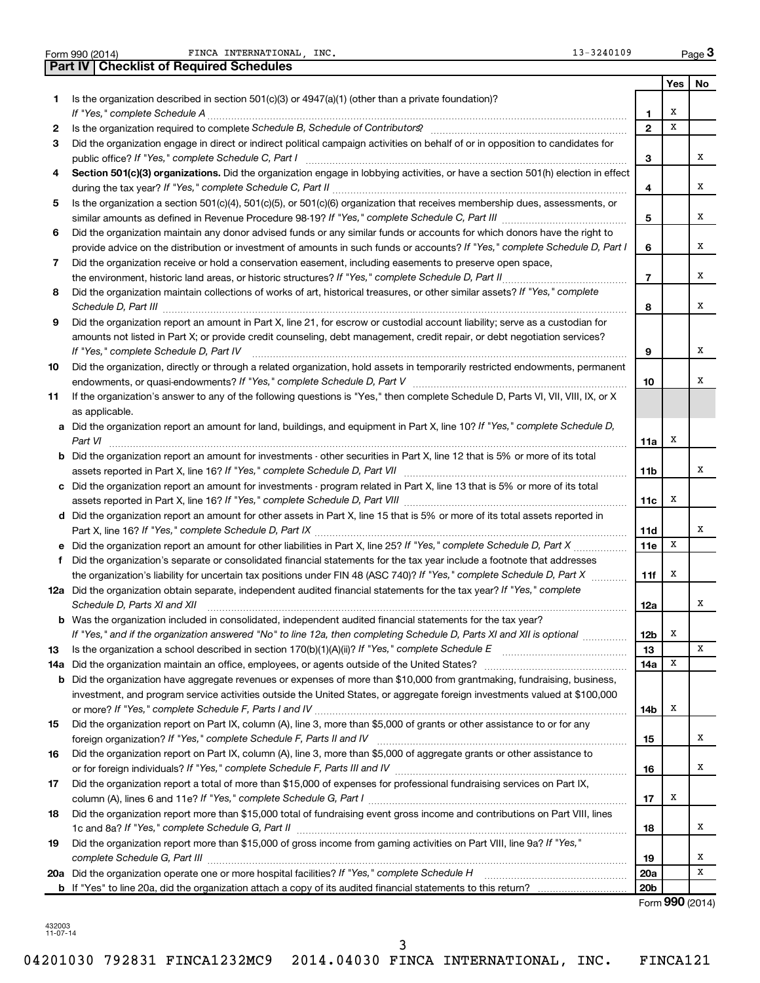Form 990 (2014) **PERICA INTERNATIONAL, INC.** Port 13-3240109 Page

|     | <b>Part IV   Checklist of Required Schedules</b>                                                                                                                                                                                    |                         |     |     |
|-----|-------------------------------------------------------------------------------------------------------------------------------------------------------------------------------------------------------------------------------------|-------------------------|-----|-----|
|     |                                                                                                                                                                                                                                     |                         | Yes | No. |
| 1   | Is the organization described in section 501(c)(3) or 4947(a)(1) (other than a private foundation)?                                                                                                                                 |                         |     |     |
|     |                                                                                                                                                                                                                                     | 1                       | х   |     |
| 2   | Is the organization required to complete Schedule B, Schedule of Contributors? [11] the organization required to complete Schedule B, Schedule of Contributors?                                                                     | $\mathbf{2}$            | x   |     |
| 3   | Did the organization engage in direct or indirect political campaign activities on behalf of or in opposition to candidates for                                                                                                     |                         |     |     |
|     |                                                                                                                                                                                                                                     | 3                       |     | x   |
|     |                                                                                                                                                                                                                                     |                         |     |     |
| 4   | Section 501(c)(3) organizations. Did the organization engage in lobbying activities, or have a section 501(h) election in effect                                                                                                    |                         |     | x   |
|     |                                                                                                                                                                                                                                     | 4                       |     |     |
| 5   | Is the organization a section 501(c)(4), 501(c)(5), or 501(c)(6) organization that receives membership dues, assessments, or                                                                                                        |                         |     |     |
|     |                                                                                                                                                                                                                                     | 5                       |     | x   |
| 6   | Did the organization maintain any donor advised funds or any similar funds or accounts for which donors have the right to                                                                                                           |                         |     |     |
|     | provide advice on the distribution or investment of amounts in such funds or accounts? If "Yes," complete Schedule D, Part I                                                                                                        | 6                       |     | x   |
| 7   | Did the organization receive or hold a conservation easement, including easements to preserve open space,                                                                                                                           |                         |     |     |
|     |                                                                                                                                                                                                                                     | $\overline{\mathbf{r}}$ |     | x   |
| 8   | Did the organization maintain collections of works of art, historical treasures, or other similar assets? If "Yes," complete                                                                                                        |                         |     |     |
|     | Schedule D, Part III <b>Process Construction Construction Construction</b> Construction Construction Construction Construction Construction Construction Construction Construction Construction Construction Construction Construct | 8                       |     | x   |
| 9   | Did the organization report an amount in Part X, line 21, for escrow or custodial account liability; serve as a custodian for                                                                                                       |                         |     |     |
|     | amounts not listed in Part X; or provide credit counseling, debt management, credit repair, or debt negotiation services?                                                                                                           |                         |     |     |
|     | If "Yes," complete Schedule D, Part IV                                                                                                                                                                                              | 9                       |     | x   |
| 10  | Did the organization, directly or through a related organization, hold assets in temporarily restricted endowments, permanent                                                                                                       |                         |     |     |
|     |                                                                                                                                                                                                                                     | 10                      |     | х   |
| 11  | If the organization's answer to any of the following questions is "Yes," then complete Schedule D, Parts VI, VII, VIII, IX, or X                                                                                                    |                         |     |     |
|     | as applicable.                                                                                                                                                                                                                      |                         |     |     |
|     | a Did the organization report an amount for land, buildings, and equipment in Part X, line 10? If "Yes," complete Schedule D,                                                                                                       |                         |     |     |
|     | Part VI                                                                                                                                                                                                                             | 11a                     | x   |     |
|     | <b>b</b> Did the organization report an amount for investments - other securities in Part X, line 12 that is 5% or more of its total                                                                                                |                         |     |     |
|     | assets reported in Part X, line 16? If "Yes," complete Schedule D, Part VII [[[[[[[[[[[[[[[[[[[[[[[[[[[[[[[[[                                                                                                                       | 11b                     |     | x   |
|     | c Did the organization report an amount for investments - program related in Part X, line 13 that is 5% or more of its total                                                                                                        |                         |     |     |
|     |                                                                                                                                                                                                                                     | 11c                     | x   |     |
|     |                                                                                                                                                                                                                                     |                         |     |     |
|     | d Did the organization report an amount for other assets in Part X, line 15 that is 5% or more of its total assets reported in                                                                                                      |                         |     | х   |
|     |                                                                                                                                                                                                                                     | <b>11d</b>              | X   |     |
|     | e Did the organization report an amount for other liabilities in Part X, line 25? If "Yes," complete Schedule D, Part X                                                                                                             | 11e                     |     |     |
|     | f Did the organization's separate or consolidated financial statements for the tax year include a footnote that addresses                                                                                                           |                         |     |     |
|     | the organization's liability for uncertain tax positions under FIN 48 (ASC 740)? If "Yes," complete Schedule D, Part X                                                                                                              | 11f                     | x   |     |
|     | 12a Did the organization obtain separate, independent audited financial statements for the tax year? If "Yes," complete                                                                                                             |                         |     |     |
|     | Schedule D, Parts XI and XII                                                                                                                                                                                                        | 12a                     |     | x   |
|     | <b>b</b> Was the organization included in consolidated, independent audited financial statements for the tax year?                                                                                                                  |                         |     |     |
|     | If "Yes," and if the organization answered "No" to line 12a, then completing Schedule D, Parts XI and XII is optional <i></i>                                                                                                       | 12b                     | х   |     |
| 13  |                                                                                                                                                                                                                                     | 13                      |     | x   |
| 14a |                                                                                                                                                                                                                                     | 14a                     | х   |     |
|     | <b>b</b> Did the organization have aggregate revenues or expenses of more than \$10,000 from grantmaking, fundraising, business,                                                                                                    |                         |     |     |
|     | investment, and program service activities outside the United States, or aggregate foreign investments valued at \$100,000                                                                                                          |                         |     |     |
|     |                                                                                                                                                                                                                                     | 14b                     | х   |     |
| 15  | Did the organization report on Part IX, column (A), line 3, more than \$5,000 of grants or other assistance to or for any                                                                                                           |                         |     |     |
|     |                                                                                                                                                                                                                                     | 15                      |     | х   |
| 16  | Did the organization report on Part IX, column (A), line 3, more than \$5,000 of aggregate grants or other assistance to                                                                                                            |                         |     |     |
|     |                                                                                                                                                                                                                                     | 16                      |     | x   |
| 17  | Did the organization report a total of more than \$15,000 of expenses for professional fundraising services on Part IX,                                                                                                             |                         |     |     |
|     |                                                                                                                                                                                                                                     | 17                      | х   |     |
| 18  | Did the organization report more than \$15,000 total of fundraising event gross income and contributions on Part VIII, lines                                                                                                        |                         |     |     |
|     |                                                                                                                                                                                                                                     | 18                      |     | х   |
| 19  | Did the organization report more than \$15,000 of gross income from gaming activities on Part VIII, line 9a? If "Yes,"                                                                                                              |                         |     |     |
|     |                                                                                                                                                                                                                                     | 19                      |     | х   |
|     |                                                                                                                                                                                                                                     | 20a                     |     | x   |
|     |                                                                                                                                                                                                                                     | 20 <sub>b</sub>         |     |     |
|     |                                                                                                                                                                                                                                     |                         |     |     |

Form (2014) **990**

<sup>432003</sup> 11-07-14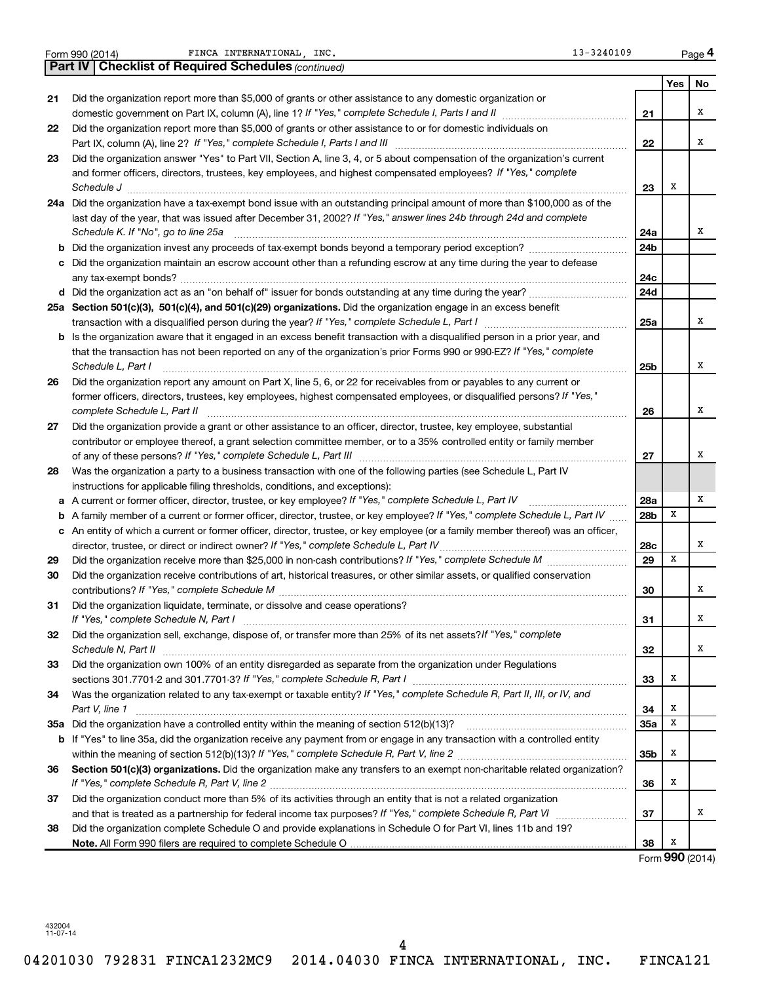| Form 990 (2014) |  |  |
|-----------------|--|--|
|                 |  |  |

FINCA INTERNATIONAL, INC.

| Form 990 (2014) | FINCA<br>INTERNATIONAL<br>INC.                     | -3240109<br>$\mathbf{v}$ | Page |
|-----------------|----------------------------------------------------|--------------------------|------|
| <b>Part IV</b>  | <b>Checklist of Required Schedules (continued)</b> |                          |      |

|  | 13-3240109 |  |  |  |
|--|------------|--|--|--|
|  |            |  |  |  |

**4**

|    |                                                                                                                                                                                          |     | Yes | No |
|----|------------------------------------------------------------------------------------------------------------------------------------------------------------------------------------------|-----|-----|----|
| 21 | Did the organization report more than \$5,000 of grants or other assistance to any domestic organization or                                                                              |     |     |    |
|    |                                                                                                                                                                                          | 21  |     | х  |
| 22 | Did the organization report more than \$5,000 of grants or other assistance to or for domestic individuals on                                                                            |     |     |    |
|    |                                                                                                                                                                                          | 22  |     | х  |
| 23 | Did the organization answer "Yes" to Part VII, Section A, line 3, 4, or 5 about compensation of the organization's current                                                               |     |     |    |
|    | and former officers, directors, trustees, key employees, and highest compensated employees? If "Yes," complete                                                                           |     |     |    |
|    |                                                                                                                                                                                          | 23  | х   |    |
|    | 24a Did the organization have a tax-exempt bond issue with an outstanding principal amount of more than \$100,000 as of the                                                              |     |     |    |
|    | last day of the year, that was issued after December 31, 2002? If "Yes," answer lines 24b through 24d and complete                                                                       |     |     |    |
|    | Schedule K. If "No", go to line 25a                                                                                                                                                      | 24a |     | х  |
|    |                                                                                                                                                                                          | 24b |     |    |
|    | c Did the organization maintain an escrow account other than a refunding escrow at any time during the year to defease                                                                   |     |     |    |
|    |                                                                                                                                                                                          | 24c |     |    |
|    |                                                                                                                                                                                          | 24d |     |    |
|    | 25a Section 501(c)(3), 501(c)(4), and 501(c)(29) organizations. Did the organization engage in an excess benefit                                                                         |     |     |    |
|    |                                                                                                                                                                                          | 25a |     | х  |
|    | <b>b</b> Is the organization aware that it engaged in an excess benefit transaction with a disqualified person in a prior year, and                                                      |     |     |    |
|    | that the transaction has not been reported on any of the organization's prior Forms 990 or 990-EZ? If "Yes," complete                                                                    |     |     |    |
|    | Schedule L, Part I                                                                                                                                                                       | 25b |     | х  |
| 26 | Did the organization report any amount on Part X, line 5, 6, or 22 for receivables from or payables to any current or                                                                    |     |     |    |
|    | former officers, directors, trustees, key employees, highest compensated employees, or disqualified persons? If "Yes,"                                                                   |     |     |    |
|    | complete Schedule L, Part II                                                                                                                                                             | 26  |     | х  |
| 27 | Did the organization provide a grant or other assistance to an officer, director, trustee, key employee, substantial                                                                     |     |     |    |
|    | contributor or employee thereof, a grant selection committee member, or to a 35% controlled entity or family member                                                                      |     |     | х  |
|    |                                                                                                                                                                                          | 27  |     |    |
| 28 | Was the organization a party to a business transaction with one of the following parties (see Schedule L, Part IV                                                                        |     |     |    |
|    | instructions for applicable filing thresholds, conditions, and exceptions):<br>a A current or former officer, director, trustee, or key employee? If "Yes," complete Schedule L, Part IV | 28a |     | х  |
|    | <b>b</b> A family member of a current or former officer, director, trustee, or key employee? If "Yes," complete Schedule L, Part IV                                                      | 28b | X   |    |
|    | c An entity of which a current or former officer, director, trustee, or key employee (or a family member thereof) was an officer,                                                        |     |     |    |
|    |                                                                                                                                                                                          | 28c |     | х  |
| 29 |                                                                                                                                                                                          | 29  | X   |    |
| 30 | Did the organization receive contributions of art, historical treasures, or other similar assets, or qualified conservation                                                              |     |     |    |
|    |                                                                                                                                                                                          | 30  |     | х  |
| 31 | Did the organization liquidate, terminate, or dissolve and cease operations?                                                                                                             |     |     |    |
|    |                                                                                                                                                                                          | 31  |     | X  |
| 32 | Did the organization sell, exchange, dispose of, or transfer more than 25% of its net assets? If "Yes," complete                                                                         |     |     |    |
|    | Schedule N, Part II                                                                                                                                                                      | 32  |     | X  |
| 33 | Did the organization own 100% of an entity disregarded as separate from the organization under Regulations                                                                               |     |     |    |
|    |                                                                                                                                                                                          | 33  | X   |    |
| 34 | Was the organization related to any tax-exempt or taxable entity? If "Yes," complete Schedule R, Part II, III, or IV, and                                                                |     |     |    |
|    | Part V, line 1                                                                                                                                                                           | 34  | X   |    |
|    |                                                                                                                                                                                          | 35a | X   |    |
|    | b If "Yes" to line 35a, did the organization receive any payment from or engage in any transaction with a controlled entity                                                              |     |     |    |
|    |                                                                                                                                                                                          | 35b | X   |    |
| 36 | Section 501(c)(3) organizations. Did the organization make any transfers to an exempt non-charitable related organization?                                                               |     |     |    |
|    |                                                                                                                                                                                          | 36  | X   |    |
| 37 | Did the organization conduct more than 5% of its activities through an entity that is not a related organization                                                                         |     |     |    |
|    | and that is treated as a partnership for federal income tax purposes? If "Yes," complete Schedule R, Part VI                                                                             | 37  |     | х  |
| 38 | Did the organization complete Schedule O and provide explanations in Schedule O for Part VI, lines 11b and 19?                                                                           |     |     |    |
|    |                                                                                                                                                                                          | 38  | х   |    |

Form (2014) **990**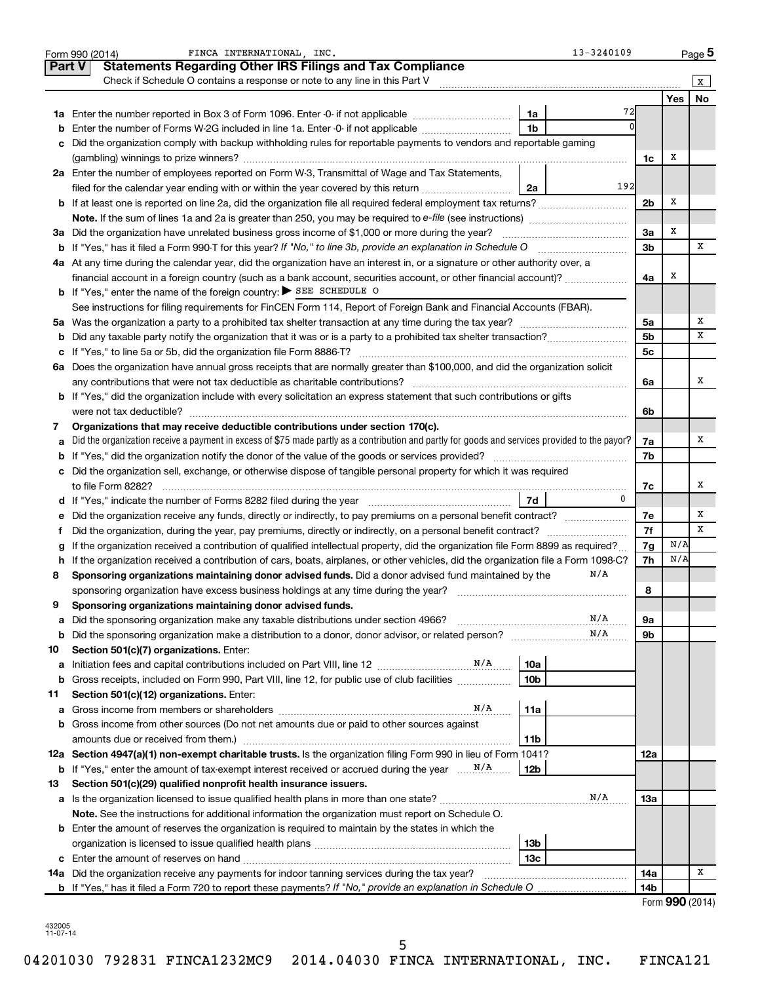|               | FINCA INTERNATIONAL . INC.<br>13-3240109<br>Form 990 (2014)                                                                                     |                |            | Page 5          |
|---------------|-------------------------------------------------------------------------------------------------------------------------------------------------|----------------|------------|-----------------|
| <b>Part V</b> | <b>Statements Regarding Other IRS Filings and Tax Compliance</b>                                                                                |                |            |                 |
|               | Check if Schedule O contains a response or note to any line in this Part V                                                                      |                |            | X               |
|               |                                                                                                                                                 |                | <b>Yes</b> | <b>No</b>       |
|               | 72<br>1a                                                                                                                                        |                |            |                 |
| b             | 1 <sub>b</sub><br>Enter the number of Forms W-2G included in line 1a. Enter -0- if not applicable                                               |                |            |                 |
| с             | Did the organization comply with backup withholding rules for reportable payments to vendors and reportable gaming                              |                |            |                 |
|               |                                                                                                                                                 | 1c             | х          |                 |
|               | 2a Enter the number of employees reported on Form W-3, Transmittal of Wage and Tax Statements,                                                  |                |            |                 |
|               | 192<br>filed for the calendar year ending with or within the year covered by this return<br>2a                                                  |                |            |                 |
|               |                                                                                                                                                 | 2 <sub>b</sub> | х          |                 |
|               |                                                                                                                                                 |                |            |                 |
|               | 3a Did the organization have unrelated business gross income of \$1,000 or more during the year?                                                | За             | Х          |                 |
| b             | If "Yes," has it filed a Form 990 T for this year? If "No," to line 3b, provide an explanation in Schedule O manumerrous                        | 3 <sub>b</sub> |            | х               |
|               | 4a At any time during the calendar year, did the organization have an interest in, or a signature or other authority over, a                    |                |            |                 |
|               | financial account in a foreign country (such as a bank account, securities account, or other financial account)?                                | 4a             | х          |                 |
|               | <b>b</b> If "Yes," enter the name of the foreign country: SEE SCHEDULE O                                                                        |                |            |                 |
|               | See instructions for filing requirements for FinCEN Form 114, Report of Foreign Bank and Financial Accounts (FBAR).                             |                |            |                 |
|               |                                                                                                                                                 | 5a             |            | х               |
| b             |                                                                                                                                                 | 5 <sub>b</sub> |            | x               |
| с             |                                                                                                                                                 | 5 <sub>c</sub> |            |                 |
| 6а            | Does the organization have annual gross receipts that are normally greater than \$100,000, and did the organization solicit                     |                |            |                 |
|               | any contributions that were not tax deductible as charitable contributions?                                                                     | 6a             |            | х               |
|               | b If "Yes," did the organization include with every solicitation an express statement that such contributions or gifts                          |                |            |                 |
|               | were not tax deductible?                                                                                                                        | 6b             |            |                 |
| 7             | Organizations that may receive deductible contributions under section 170(c).                                                                   |                |            | х               |
| а             | Did the organization receive a payment in excess of \$75 made partly as a contribution and partly for goods and services provided to the payor? | 7a<br>7b       |            |                 |
|               | c Did the organization sell, exchange, or otherwise dispose of tangible personal property for which it was required                             |                |            |                 |
|               |                                                                                                                                                 | 7c             |            | х               |
|               | $\Omega$<br>7d<br>d If "Yes," indicate the number of Forms 8282 filed during the year manufacture intervent in the set of the number            |                |            |                 |
| е             | Did the organization receive any funds, directly or indirectly, to pay premiums on a personal benefit contract?                                 | 7е             |            | x               |
| f.            | Did the organization, during the year, pay premiums, directly or indirectly, on a personal benefit contract?                                    | 7f             |            | x               |
| g             | If the organization received a contribution of qualified intellectual property, did the organization file Form 8899 as required?                | 7g             | N/A        |                 |
| h             | If the organization received a contribution of cars, boats, airplanes, or other vehicles, did the organization file a Form 1098-C?              | 7h             | N/A        |                 |
| 8             | N/A<br>Sponsoring organizations maintaining donor advised funds. Did a donor advised fund maintained by the                                     |                |            |                 |
|               | sponsoring organization have excess business holdings at any time during the year?                                                              | 8              |            |                 |
| 9             | Sponsoring organizations maintaining donor advised funds.                                                                                       |                |            |                 |
| а             | N/A<br>Did the sponsoring organization make any taxable distributions under section 4966?                                                       | 9а             |            |                 |
| b             | N/A                                                                                                                                             | 9b             |            |                 |
| 10            | Section 501(c)(7) organizations. Enter:                                                                                                         |                |            |                 |
| а             | 10a                                                                                                                                             |                |            |                 |
| b             | 10 <sub>b</sub><br>Gross receipts, included on Form 990, Part VIII, line 12, for public use of club facilities                                  |                |            |                 |
| 11            | Section 501(c)(12) organizations. Enter:                                                                                                        |                |            |                 |
| а             | N/A<br>11a                                                                                                                                      |                |            |                 |
| b             | Gross income from other sources (Do not net amounts due or paid to other sources against                                                        |                |            |                 |
|               | amounts due or received from them.)<br>11b                                                                                                      |                |            |                 |
|               | 12a Section 4947(a)(1) non-exempt charitable trusts. Is the organization filing Form 990 in lieu of Form 1041?                                  | 12a            |            |                 |
| b             | 12 <sub>b</sub>                                                                                                                                 |                |            |                 |
| 13            | Section 501(c)(29) qualified nonprofit health insurance issuers.                                                                                |                |            |                 |
| а             | N/A<br>Is the organization licensed to issue qualified health plans in more than one state?                                                     | 13a            |            |                 |
|               | Note. See the instructions for additional information the organization must report on Schedule O.                                               |                |            |                 |
|               | <b>b</b> Enter the amount of reserves the organization is required to maintain by the states in which the                                       |                |            |                 |
|               | 13 <sub>b</sub>                                                                                                                                 |                |            |                 |
| с             | 13 <sub>c</sub>                                                                                                                                 |                |            |                 |
|               | 14a Did the organization receive any payments for indoor tanning services during the tax year?                                                  | 14a            |            | х               |
|               | <b>b</b> If "Yes," has it filed a Form 720 to report these payments? If "No," provide an explanation in Schedule O                              | 14b            |            |                 |
|               |                                                                                                                                                 |                |            | Form 990 (2014) |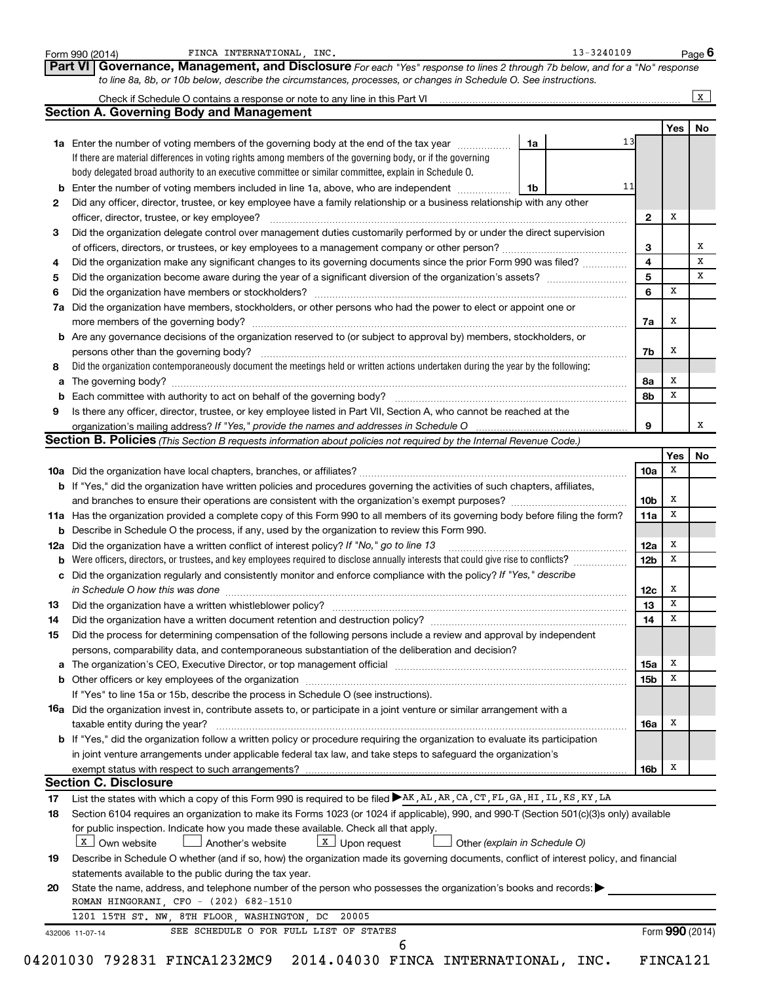|        | FINCA INTERNATIONAL, INC.<br>Form 990 (2014)                                                                                                                                                                                                       |    | 13-3240109 |                         |                 | Page 6 |
|--------|----------------------------------------------------------------------------------------------------------------------------------------------------------------------------------------------------------------------------------------------------|----|------------|-------------------------|-----------------|--------|
|        | Governance, Management, and Disclosure For each "Yes" response to lines 2 through 7b below, and for a "No" response<br>Part VI<br>to line 8a, 8b, or 10b below, describe the circumstances, processes, or changes in Schedule O. See instructions. |    |            |                         |                 |        |
|        |                                                                                                                                                                                                                                                    |    |            |                         |                 | X      |
|        | <b>Section A. Governing Body and Management</b>                                                                                                                                                                                                    |    |            |                         |                 |        |
|        |                                                                                                                                                                                                                                                    |    |            |                         | Yes             | No     |
|        | <b>1a</b> Enter the number of voting members of the governing body at the end of the tax year <i>manumum</i>                                                                                                                                       | 1a | 13         |                         |                 |        |
|        | If there are material differences in voting rights among members of the governing body, or if the governing                                                                                                                                        |    |            |                         |                 |        |
|        | body delegated broad authority to an executive committee or similar committee, explain in Schedule O.                                                                                                                                              |    |            |                         |                 |        |
| b      | Enter the number of voting members included in line 1a, above, who are independent                                                                                                                                                                 | 1b | 11         |                         |                 |        |
| 2      | Did any officer, director, trustee, or key employee have a family relationship or a business relationship with any other                                                                                                                           |    |            |                         |                 |        |
|        | officer, director, trustee, or key employee?                                                                                                                                                                                                       |    |            | $\mathbf{2}$            | х               |        |
| 3      | Did the organization delegate control over management duties customarily performed by or under the direct supervision                                                                                                                              |    |            |                         |                 |        |
|        |                                                                                                                                                                                                                                                    |    |            | 3                       |                 | х      |
| 4      | Did the organization make any significant changes to its governing documents since the prior Form 990 was filed?                                                                                                                                   |    |            | $\overline{\mathbf{4}}$ |                 | x      |
| 5      |                                                                                                                                                                                                                                                    |    |            | 5                       |                 | x      |
| 6      |                                                                                                                                                                                                                                                    |    |            | 6                       | X               |        |
| 7a     | Did the organization have members, stockholders, or other persons who had the power to elect or appoint one or                                                                                                                                     |    |            |                         |                 |        |
|        |                                                                                                                                                                                                                                                    |    |            | 7a                      | x               |        |
| b      | Are any governance decisions of the organization reserved to (or subject to approval by) members, stockholders, or                                                                                                                                 |    |            |                         |                 |        |
|        | persons other than the governing body?                                                                                                                                                                                                             |    |            | 7b                      | x               |        |
| 8      | Did the organization contemporaneously document the meetings held or written actions undertaken during the year by the following:                                                                                                                  |    |            |                         |                 |        |
| а      |                                                                                                                                                                                                                                                    |    |            | 8а                      | x               |        |
| b      |                                                                                                                                                                                                                                                    |    |            | 8b                      | x               |        |
| 9      | Is there any officer, director, trustee, or key employee listed in Part VII, Section A, who cannot be reached at the                                                                                                                               |    |            |                         |                 | х      |
|        |                                                                                                                                                                                                                                                    |    |            | 9                       |                 |        |
|        | <b>Section B. Policies</b> (This Section B requests information about policies not required by the Internal Revenue Code.)                                                                                                                         |    |            |                         |                 |        |
|        |                                                                                                                                                                                                                                                    |    |            | 10a                     | Yes<br>х        | No     |
|        |                                                                                                                                                                                                                                                    |    |            |                         |                 |        |
|        | b If "Yes," did the organization have written policies and procedures governing the activities of such chapters, affiliates,                                                                                                                       |    |            | 10 <sub>b</sub>         | x               |        |
|        |                                                                                                                                                                                                                                                    |    |            | 11a                     | x               |        |
|        | 11a Has the organization provided a complete copy of this Form 990 to all members of its governing body before filing the form?<br><b>b</b> Describe in Schedule O the process, if any, used by the organization to review this Form 990.          |    |            |                         |                 |        |
| 12a    | Did the organization have a written conflict of interest policy? If "No," go to line 13                                                                                                                                                            |    |            | 12a                     | x               |        |
| b      | Were officers, directors, or trustees, and key employees required to disclose annually interests that could give rise to conflicts?                                                                                                                |    |            | 12 <sub>b</sub>         | x               |        |
|        | c Did the organization regularly and consistently monitor and enforce compliance with the policy? If "Yes," describe                                                                                                                               |    |            |                         |                 |        |
|        |                                                                                                                                                                                                                                                    |    |            | 12c                     | x               |        |
| 13     | in Schedule O how this was done encourance and an according to the state of the state of the state of the state of the state of the state of the state of the state of the state of the state of the state of the state of the                     |    |            | 13 <sup>13</sup>        | $\mathbf x$     |        |
| 14     | Did the organization have a written document retention and destruction policy? [11] manufaction in the organization have a written document retention and destruction policy?                                                                      |    |            | 14                      | х               |        |
| 15     | Did the process for determining compensation of the following persons include a review and approval by independent                                                                                                                                 |    |            |                         |                 |        |
|        | persons, comparability data, and contemporaneous substantiation of the deliberation and decision?                                                                                                                                                  |    |            |                         |                 |        |
|        | The organization's CEO, Executive Director, or top management official manufactured content of the organization's CEO, Executive Director, or top management official manufactured content of the organization's CEO, Executiv                     |    |            | 15a                     | х               |        |
| a<br>b |                                                                                                                                                                                                                                                    |    |            | 15 <sub>b</sub>         | X               |        |
|        | If "Yes" to line 15a or 15b, describe the process in Schedule O (see instructions).                                                                                                                                                                |    |            |                         |                 |        |
|        | <b>16a</b> Did the organization invest in, contribute assets to, or participate in a joint venture or similar arrangement with a                                                                                                                   |    |            |                         |                 |        |
|        | taxable entity during the year?                                                                                                                                                                                                                    |    |            | 16a                     | Х               |        |
|        | b If "Yes," did the organization follow a written policy or procedure requiring the organization to evaluate its participation                                                                                                                     |    |            |                         |                 |        |
|        | in joint venture arrangements under applicable federal tax law, and take steps to safeguard the organization's                                                                                                                                     |    |            |                         |                 |        |
|        | exempt status with respect to such arrangements?                                                                                                                                                                                                   |    |            | 16b                     | x               |        |
|        | <b>Section C. Disclosure</b>                                                                                                                                                                                                                       |    |            |                         |                 |        |
| 17     | List the states with which a copy of this Form 990 is required to be filed >AK, AL, AR, CA, CT, FL, GA, HI, IL, KS, KY, LA                                                                                                                         |    |            |                         |                 |        |
| 18     | Section 6104 requires an organization to make its Forms 1023 (or 1024 if applicable), 990, and 990-T (Section 501(c)(3)s only) available                                                                                                           |    |            |                         |                 |        |
|        | for public inspection. Indicate how you made these available. Check all that apply.                                                                                                                                                                |    |            |                         |                 |        |
|        | $X$ Own website<br>Another's website<br>$\lfloor x \rfloor$ Upon request<br>Other (explain in Schedule O)                                                                                                                                          |    |            |                         |                 |        |
| 19     | Describe in Schedule O whether (and if so, how) the organization made its governing documents, conflict of interest policy, and financial                                                                                                          |    |            |                         |                 |        |
|        |                                                                                                                                                                                                                                                    |    |            |                         |                 |        |
| 20     | statements available to the public during the tax year.<br>State the name, address, and telephone number of the person who possesses the organization's books and records:                                                                         |    |            |                         |                 |        |
|        | ROMAN HINGORANI, CFO - (202) 682-1510                                                                                                                                                                                                              |    |            |                         |                 |        |
|        | 1201 15TH ST. NW, 8TH FLOOR, WASHINGTON, DC<br>20005                                                                                                                                                                                               |    |            |                         |                 |        |
|        | SEE SCHEDULE O FOR FULL LIST OF STATES                                                                                                                                                                                                             |    |            |                         | Form 990 (2014) |        |
|        | 432006 11-07-14<br>6                                                                                                                                                                                                                               |    |            |                         |                 |        |
|        | 04201030 792831 FINCA1232MC9 2014.04030 FINCA INTERNATIONAL, INC.                                                                                                                                                                                  |    |            |                         | FINCA121        |        |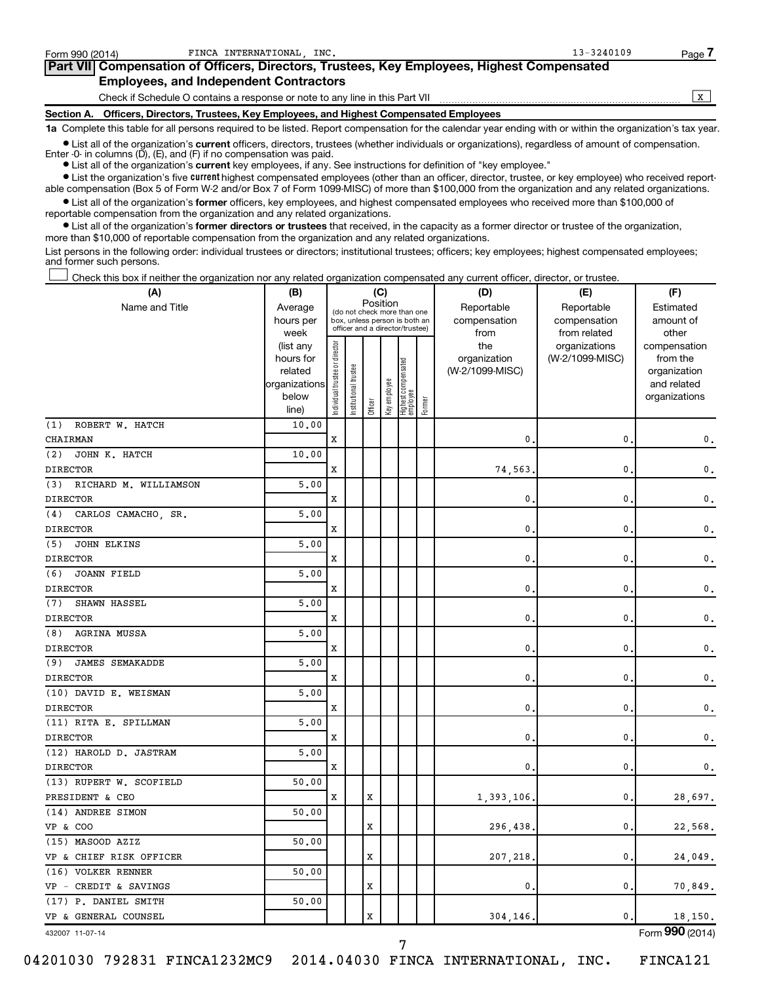| Form 990 (2014) | FINCA INTERNATIONAL INC.                                                                   | $13 - 3240109$ | Page. |  |  |  |  |
|-----------------|--------------------------------------------------------------------------------------------|----------------|-------|--|--|--|--|
|                 | Part VII Compensation of Officers, Directors, Trustees, Key Employees, Highest Compensated |                |       |  |  |  |  |
|                 | <b>Employees, and Independent Contractors</b>                                              |                |       |  |  |  |  |
|                 | Check if Schedule O contains a response or note to any line in this Part VII               |                |       |  |  |  |  |
|                 | Section A. Officers, Directors, Trustees, Key Employees, and Highest Compensated Employees |                |       |  |  |  |  |

**1a**  Complete this table for all persons required to be listed. Report compensation for the calendar year ending with or within the organization's tax year.

**•** List all of the organization's current officers, directors, trustees (whether individuals or organizations), regardless of amount of compensation. Enter -0- in columns (D), (E), and (F) if no compensation was paid.

**•** List all of the organization's **current** key employees, if any. See instructions for definition of "key employee."

**•** List the organization's five current highest compensated employees (other than an officer, director, trustee, or key employee) who received reportable compensation (Box 5 of Form W-2 and/or Box 7 of Form 1099-MISC) of more than \$100,000 from the organization and any related organizations.

**•** List all of the organization's former officers, key employees, and highest compensated employees who received more than \$100,000 of reportable compensation from the organization and any related organizations.

**•** List all of the organization's former directors or trustees that received, in the capacity as a former director or trustee of the organization, more than \$10,000 of reportable compensation from the organization and any related organizations.

List persons in the following order: individual trustees or directors; institutional trustees; officers; key employees; highest compensated employees; and former such persons.

Check this box if neither the organization nor any related organization compensated any current officer, director, or trustee. †

| (A)                           | (B)                                                                 | (C)                                                                                                         |                       |                            |                            |                                 |        | (D)                                            | (E)                                              | (F)                                                                               |
|-------------------------------|---------------------------------------------------------------------|-------------------------------------------------------------------------------------------------------------|-----------------------|----------------------------|----------------------------|---------------------------------|--------|------------------------------------------------|--------------------------------------------------|-----------------------------------------------------------------------------------|
| Name and Title                | Average<br>hours per                                                | Position<br>(do not check more than one<br>box, unless person is both an<br>officer and a director/trustee) |                       | Reportable<br>compensation | Reportable<br>compensation | Estimated<br>amount of          |        |                                                |                                                  |                                                                                   |
|                               | week<br>(list any<br>hours for<br>related<br>organizations<br>below | Individual trustee or director                                                                              | Institutional trustee |                            | Key employee               | Highest compensated<br>employee |        | from<br>the<br>organization<br>(W-2/1099-MISC) | from related<br>organizations<br>(W-2/1099-MISC) | other<br>compensation<br>from the<br>organization<br>and related<br>organizations |
|                               | line)                                                               |                                                                                                             |                       | Officer                    |                            |                                 | Former |                                                |                                                  |                                                                                   |
| (1)<br>ROBERT W. HATCH        | 10.00                                                               |                                                                                                             |                       |                            |                            |                                 |        |                                                |                                                  |                                                                                   |
| CHAIRMAN                      |                                                                     | X                                                                                                           |                       |                            |                            |                                 |        | $\mathbf{0}$ .                                 | 0                                                | 0.                                                                                |
| (2)<br>JOHN K. HATCH          | 10.00                                                               |                                                                                                             |                       |                            |                            |                                 |        |                                                |                                                  |                                                                                   |
| <b>DIRECTOR</b>               |                                                                     | X                                                                                                           |                       |                            |                            |                                 |        | 74,563                                         | 0                                                | $\mathbf{0}$ .                                                                    |
| (3)<br>RICHARD M. WILLIAMSON  | 5,00                                                                |                                                                                                             |                       |                            |                            |                                 |        |                                                |                                                  |                                                                                   |
| <b>DIRECTOR</b>               |                                                                     | X                                                                                                           |                       |                            |                            |                                 |        | 0                                              | 0                                                | 0.                                                                                |
| CARLOS CAMACHO, SR.<br>(4)    | 5.00                                                                |                                                                                                             |                       |                            |                            |                                 |        |                                                |                                                  |                                                                                   |
| <b>DIRECTOR</b>               |                                                                     | X                                                                                                           |                       |                            |                            |                                 |        | 0                                              | 0                                                | 0.                                                                                |
| (5)<br><b>JOHN ELKINS</b>     | 5,00                                                                |                                                                                                             |                       |                            |                            |                                 |        |                                                |                                                  |                                                                                   |
| <b>DIRECTOR</b>               |                                                                     | X                                                                                                           |                       |                            |                            |                                 |        | 0                                              | 0                                                | 0.                                                                                |
| (6)<br><b>JOANN FIELD</b>     | 5,00                                                                |                                                                                                             |                       |                            |                            |                                 |        |                                                |                                                  |                                                                                   |
| <b>DIRECTOR</b>               |                                                                     | X                                                                                                           |                       |                            |                            |                                 |        | 0                                              | 0                                                | $\mathbf{0}$ .                                                                    |
| (7)<br>SHAWN HASSEL           | 5,00                                                                |                                                                                                             |                       |                            |                            |                                 |        |                                                |                                                  |                                                                                   |
| <b>DIRECTOR</b>               |                                                                     | X                                                                                                           |                       |                            |                            |                                 |        | 0                                              | 0                                                | 0.                                                                                |
| (8)<br>AGRINA MUSSA           | 5,00                                                                |                                                                                                             |                       |                            |                            |                                 |        |                                                |                                                  |                                                                                   |
| <b>DIRECTOR</b>               |                                                                     | $\mathbf x$                                                                                                 |                       |                            |                            |                                 |        | 0                                              | 0                                                | 0.                                                                                |
| (9)<br><b>JAMES SEMAKADDE</b> | 5,00                                                                |                                                                                                             |                       |                            |                            |                                 |        |                                                |                                                  |                                                                                   |
| <b>DIRECTOR</b>               |                                                                     | $\mathbf x$                                                                                                 |                       |                            |                            |                                 |        | 0                                              | 0                                                | 0.                                                                                |
| (10) DAVID E. WEISMAN         | 5,00                                                                |                                                                                                             |                       |                            |                            |                                 |        |                                                |                                                  |                                                                                   |
| <b>DIRECTOR</b>               |                                                                     | X                                                                                                           |                       |                            |                            |                                 |        | 0                                              | 0                                                | $\mathbf{0}$ .                                                                    |
| (11) RITA E. SPILLMAN         | 5,00                                                                |                                                                                                             |                       |                            |                            |                                 |        |                                                |                                                  |                                                                                   |
| <b>DIRECTOR</b>               |                                                                     | X                                                                                                           |                       |                            |                            |                                 |        | 0                                              | 0                                                | $\mathbf{0}$ .                                                                    |
| (12) HAROLD D. JASTRAM        | 5,00                                                                |                                                                                                             |                       |                            |                            |                                 |        |                                                |                                                  |                                                                                   |
| <b>DIRECTOR</b>               |                                                                     | $\mathbf x$                                                                                                 |                       |                            |                            |                                 |        | 0                                              | 0                                                | $\mathsf{0}\,.$                                                                   |
| (13) RUPERT W. SCOFIELD       | 50.00                                                               |                                                                                                             |                       |                            |                            |                                 |        |                                                |                                                  |                                                                                   |
| PRESIDENT & CEO               |                                                                     | X                                                                                                           |                       | X                          |                            |                                 |        | 1,393,106.                                     | 0                                                | 28,697.                                                                           |
| (14) ANDREE SIMON             | 50.00                                                               |                                                                                                             |                       |                            |                            |                                 |        |                                                |                                                  |                                                                                   |
| <b>VP &amp; COO</b>           |                                                                     |                                                                                                             |                       | X                          |                            |                                 |        | 296,438                                        | 0                                                | 22,568.                                                                           |
| (15) MASOOD AZIZ              | 50.00                                                               |                                                                                                             |                       |                            |                            |                                 |        |                                                |                                                  |                                                                                   |
| VP & CHIEF RISK OFFICER       |                                                                     |                                                                                                             |                       | X                          |                            |                                 |        | 207,218                                        | 0                                                | 24,049.                                                                           |
| (16) VOLKER RENNER            | 50.00                                                               |                                                                                                             |                       |                            |                            |                                 |        |                                                |                                                  |                                                                                   |
| VP - CREDIT & SAVINGS         |                                                                     |                                                                                                             |                       | X                          |                            |                                 |        | 0                                              | 0                                                | 70,849.                                                                           |
| (17) P. DANIEL SMITH          | 50.00                                                               |                                                                                                             |                       |                            |                            |                                 |        |                                                |                                                  |                                                                                   |
| VP & GENERAL COUNSEL          |                                                                     |                                                                                                             |                       | $\mathbf x$                |                            |                                 |        | 304,146.                                       | 0                                                | 18,150.                                                                           |
|                               |                                                                     |                                                                                                             |                       |                            |                            |                                 |        |                                                |                                                  | 000                                                                               |

432007 11-07-14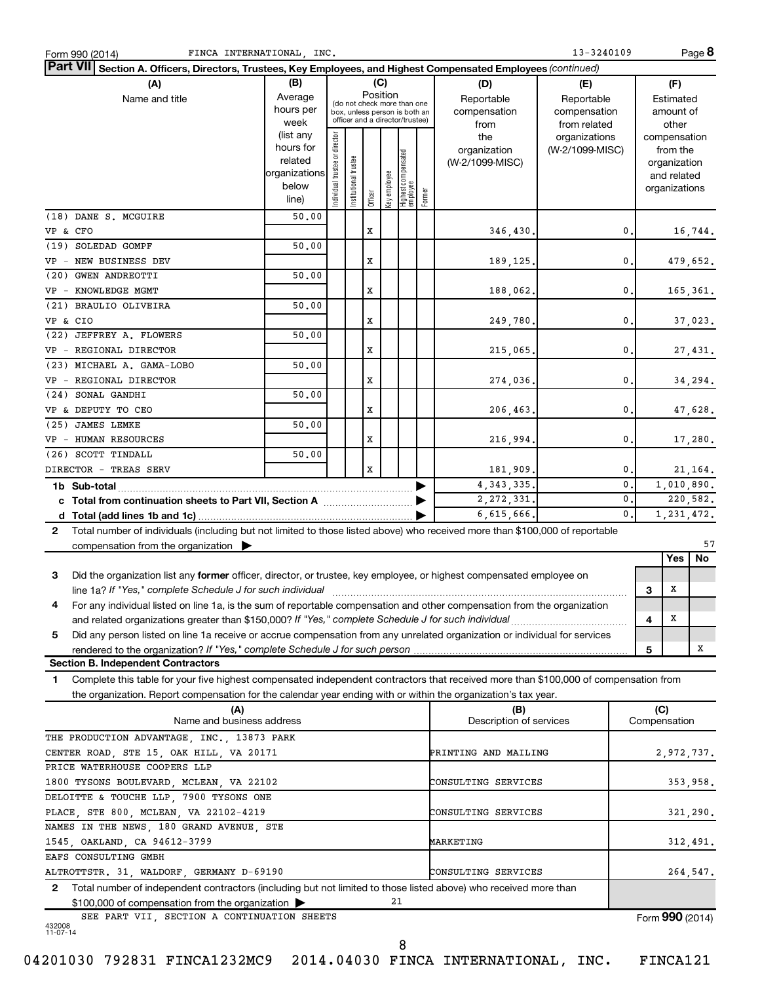| FINCA INTERNATIONAL, INC.<br>Form 990 (2014)                                                                                                                                                                                   |                |                                |                       |          |              |                                                              |        |                                | $13 - 3240109$  |    |                     | Page 8     |
|--------------------------------------------------------------------------------------------------------------------------------------------------------------------------------------------------------------------------------|----------------|--------------------------------|-----------------------|----------|--------------|--------------------------------------------------------------|--------|--------------------------------|-----------------|----|---------------------|------------|
| Part VII Section A. Officers, Directors, Trustees, Key Employees, and Highest Compensated Employees (continued)                                                                                                                |                |                                |                       |          |              |                                                              |        |                                |                 |    |                     |            |
| (A)                                                                                                                                                                                                                            | (B)            |                                |                       |          | (C)          |                                                              |        | (D)                            | (E)             |    | (F)                 |            |
| Name and title                                                                                                                                                                                                                 | Average        |                                |                       | Position |              |                                                              |        | Reportable                     | Reportable      |    | Estimated           |            |
|                                                                                                                                                                                                                                | hours per      |                                |                       |          |              | (do not check more than one<br>box, unless person is both an |        | compensation                   | compensation    |    | amount of           |            |
|                                                                                                                                                                                                                                | week           |                                |                       |          |              | officer and a director/trustee)                              |        | from                           | from related    |    | other               |            |
|                                                                                                                                                                                                                                | (list any      |                                |                       |          |              |                                                              |        | the                            | organizations   |    | compensation        |            |
|                                                                                                                                                                                                                                | hours for      |                                |                       |          |              |                                                              |        | organization                   | (W-2/1099-MISC) |    | from the            |            |
|                                                                                                                                                                                                                                | related        |                                |                       |          |              |                                                              |        | (W-2/1099-MISC)                |                 |    | organization        |            |
|                                                                                                                                                                                                                                | organizations  |                                |                       |          |              |                                                              |        |                                |                 |    | and related         |            |
|                                                                                                                                                                                                                                | below<br>line) | Individual trustee or director | Institutional trustee | Officer  | Key employee | Highest compensated<br>  employee                            | Former |                                |                 |    | organizations       |            |
|                                                                                                                                                                                                                                |                |                                |                       |          |              |                                                              |        |                                |                 |    |                     |            |
| (18) DANE S. MCGUIRE                                                                                                                                                                                                           | 50.00          |                                |                       |          |              |                                                              |        |                                |                 |    |                     |            |
| VP & CFO                                                                                                                                                                                                                       |                |                                |                       | X        |              |                                                              |        | 346,430.                       |                 | 0. |                     | 16,744.    |
| (19) SOLEDAD GOMPF                                                                                                                                                                                                             | 50.00          |                                |                       |          |              |                                                              |        |                                |                 |    |                     |            |
| VP - NEW BUSINESS DEV                                                                                                                                                                                                          |                |                                |                       | x        |              |                                                              |        | 189, 125.                      |                 | 0. |                     | 479,652.   |
| (20) GWEN ANDREOTTI                                                                                                                                                                                                            | 50.00          |                                |                       |          |              |                                                              |        |                                |                 |    |                     |            |
| VP - KNOWLEDGE MGMT                                                                                                                                                                                                            |                |                                |                       | X        |              |                                                              |        | 188,062.                       |                 | 0. |                     | 165,361.   |
| (21) BRAULIO OLIVEIRA                                                                                                                                                                                                          | 50.00          |                                |                       |          |              |                                                              |        |                                |                 |    |                     |            |
| VP & CIO                                                                                                                                                                                                                       |                |                                |                       | X        |              |                                                              |        | 249,780.                       |                 | 0. |                     | 37,023.    |
| (22) JEFFREY A. FLOWERS                                                                                                                                                                                                        | 50.00          |                                |                       |          |              |                                                              |        |                                |                 |    |                     |            |
| VP - REGIONAL DIRECTOR                                                                                                                                                                                                         |                |                                |                       | x        |              |                                                              |        | 215,065.                       |                 | 0. |                     | 27,431.    |
| (23) MICHAEL A. GAMA-LOBO                                                                                                                                                                                                      | 50.00          |                                |                       |          |              |                                                              |        |                                |                 |    |                     |            |
| VP - REGIONAL DIRECTOR                                                                                                                                                                                                         |                |                                |                       | X        |              |                                                              |        | 274,036.                       |                 | 0. |                     | 34,294.    |
| (24) SONAL GANDHI                                                                                                                                                                                                              | 50.00          |                                |                       |          |              |                                                              |        |                                |                 |    |                     |            |
| VP & DEPUTY TO CEO                                                                                                                                                                                                             |                |                                |                       | x        |              |                                                              |        |                                |                 | 0. |                     |            |
|                                                                                                                                                                                                                                |                |                                |                       |          |              |                                                              |        | 206,463.                       |                 |    |                     | 47,628.    |
| (25) JAMES LEMKE                                                                                                                                                                                                               | 50.00          |                                |                       |          |              |                                                              |        |                                |                 |    |                     |            |
| VP - HUMAN RESOURCES                                                                                                                                                                                                           |                |                                |                       | x        |              |                                                              |        | 216,994.                       |                 | 0. |                     | 17,280.    |
| (26) SCOTT TINDALL                                                                                                                                                                                                             | 50.00          |                                |                       |          |              |                                                              |        |                                |                 |    |                     |            |
| DIRECTOR - TREAS SERV                                                                                                                                                                                                          |                |                                |                       | X        |              |                                                              |        | 181,909.                       |                 | 0. |                     | 21, 164.   |
|                                                                                                                                                                                                                                |                |                                |                       |          |              |                                                              |        | 4, 343, 335.                   |                 | 0. |                     | 1,010,890. |
|                                                                                                                                                                                                                                |                |                                |                       |          |              |                                                              |        | 2, 272, 331.                   |                 | 0. |                     | 220,582.   |
| 6,615,666.                                                                                                                                                                                                                     |                |                                |                       |          |              |                                                              |        |                                | 0.              |    | 1,231,472.          |            |
| Total number of individuals (including but not limited to those listed above) who received more than \$100,000 of reportable<br>$\mathbf{2}^-$                                                                                 |                |                                |                       |          |              |                                                              |        |                                |                 |    |                     |            |
| compensation from the organization $\blacktriangleright$                                                                                                                                                                       |                |                                |                       |          |              |                                                              |        |                                |                 |    |                     | 57         |
|                                                                                                                                                                                                                                |                |                                |                       |          |              |                                                              |        |                                |                 |    | Yes                 | No         |
| 3<br>Did the organization list any former officer, director, or trustee, key employee, or highest compensated employee on                                                                                                      |                |                                |                       |          |              |                                                              |        |                                |                 |    |                     |            |
| line 1a? If "Yes," complete Schedule J for such individual [11] manufacture manufacture in the set of the set of the set of the set of the set of the set of the set of the set of the set of the set of the set of the set of |                |                                |                       |          |              |                                                              |        |                                |                 |    | X<br>З              |            |
| For any individual listed on line 1a, is the sum of reportable compensation and other compensation from the organization                                                                                                       |                |                                |                       |          |              |                                                              |        |                                |                 |    |                     |            |
| and related organizations greater than \$150,000? If "Yes," complete Schedule J for such individual                                                                                                                            |                |                                |                       |          |              |                                                              |        |                                |                 |    | X<br>4              |            |
| Did any person listed on line 1a receive or accrue compensation from any unrelated organization or individual for services<br>5                                                                                                |                |                                |                       |          |              |                                                              |        |                                |                 |    |                     |            |
| rendered to the organization? If "Yes," complete Schedule J for such person.                                                                                                                                                   |                |                                |                       |          |              |                                                              |        |                                |                 |    | 5                   | х          |
| <b>Section B. Independent Contractors</b>                                                                                                                                                                                      |                |                                |                       |          |              |                                                              |        |                                |                 |    |                     |            |
| Complete this table for your five highest compensated independent contractors that received more than \$100,000 of compensation from<br>1                                                                                      |                |                                |                       |          |              |                                                              |        |                                |                 |    |                     |            |
| the organization. Report compensation for the calendar year ending with or within the organization's tax year.                                                                                                                 |                |                                |                       |          |              |                                                              |        |                                |                 |    |                     |            |
|                                                                                                                                                                                                                                |                |                                |                       |          |              |                                                              |        |                                |                 |    |                     |            |
| (A)<br>Name and business address                                                                                                                                                                                               |                |                                |                       |          |              |                                                              |        | (B)<br>Description of services |                 |    | (C)<br>Compensation |            |
|                                                                                                                                                                                                                                |                |                                |                       |          |              |                                                              |        |                                |                 |    |                     |            |
| THE PRODUCTION ADVANTAGE, INC., 13873 PARK                                                                                                                                                                                     |                |                                |                       |          |              |                                                              |        |                                |                 |    |                     |            |
| CENTER ROAD, STE 15, OAK HILL, VA 20171                                                                                                                                                                                        |                |                                |                       |          |              |                                                              |        | PRINTING AND MAILING           |                 |    |                     | 2,972,737. |
| PRICE WATERHOUSE COOPERS LLP                                                                                                                                                                                                   |                |                                |                       |          |              |                                                              |        |                                |                 |    |                     |            |
| 1800 TYSONS BOULEVARD, MCLEAN, VA 22102                                                                                                                                                                                        |                |                                |                       |          |              |                                                              |        | CONSULTING SERVICES            |                 |    |                     | 353,958.   |
| DELOITTE & TOUCHE LLP, 7900 TYSONS ONE                                                                                                                                                                                         |                |                                |                       |          |              |                                                              |        |                                |                 |    |                     |            |
| PLACE, STE 800, MCLEAN, VA 22102-4219                                                                                                                                                                                          |                |                                |                       |          |              |                                                              |        | CONSULTING SERVICES            |                 |    |                     | 321,290.   |
| NAMES IN THE NEWS, 180 GRAND AVENUE, STE                                                                                                                                                                                       |                |                                |                       |          |              |                                                              |        |                                |                 |    |                     |            |
| 1545, OAKLAND, CA 94612-3799<br>MARKETING                                                                                                                                                                                      |                |                                |                       |          |              |                                                              |        |                                |                 |    | 312,491.            |            |
| EAFS CONSULTING GMBH                                                                                                                                                                                                           |                |                                |                       |          |              |                                                              |        |                                |                 |    |                     |            |
| ALTROTTSTR. 31, WALDORF, GERMANY D-69190                                                                                                                                                                                       |                |                                |                       |          |              |                                                              |        | CONSULTING SERVICES            |                 |    |                     | 264,547.   |
| Total number of independent contractors (including but not limited to those listed above) who received more than<br>$\mathbf{2}$                                                                                               |                |                                |                       |          |              |                                                              |        |                                |                 |    |                     |            |
| \$100,000 of compensation from the organization                                                                                                                                                                                |                |                                |                       |          | 21           |                                                              |        |                                |                 |    |                     |            |
| SEE PART VII, SECTION A CONTINUATION SHEETS                                                                                                                                                                                    |                |                                |                       |          |              |                                                              |        |                                |                 |    | Form 990 (2014)     |            |
| 432008<br>11-07-14                                                                                                                                                                                                             |                |                                |                       |          |              |                                                              |        |                                |                 |    |                     |            |
|                                                                                                                                                                                                                                |                |                                |                       |          |              | 8                                                            |        |                                |                 |    |                     |            |
|                                                                                                                                                                                                                                |                |                                |                       |          |              |                                                              |        |                                |                 |    |                     |            |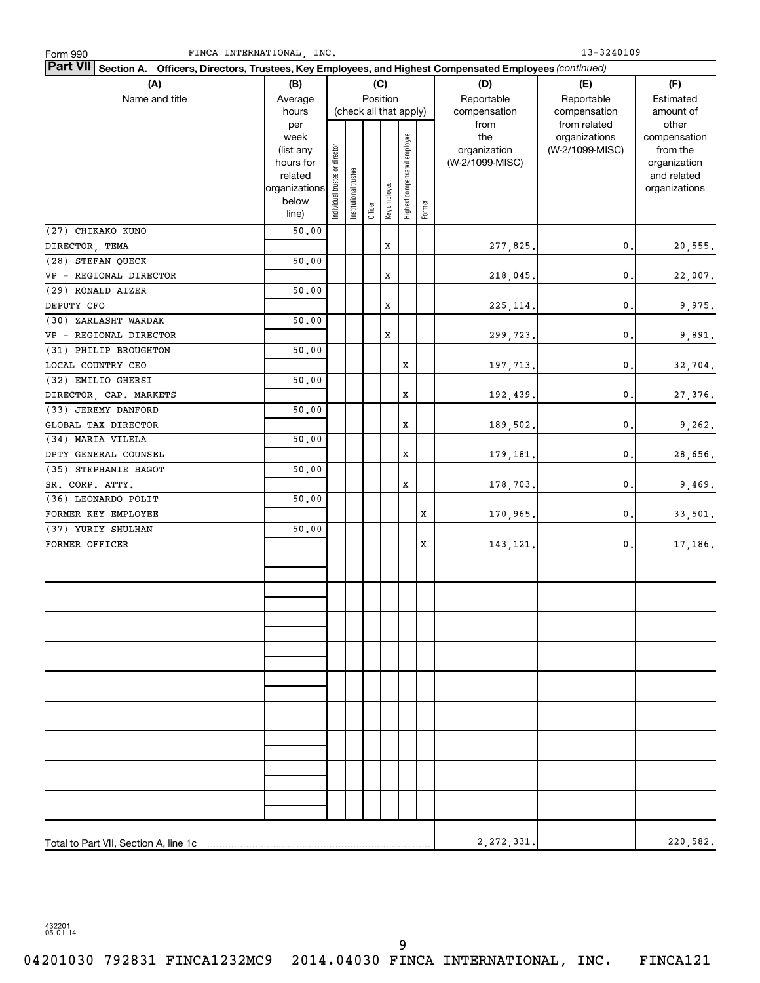| FINCA INTERNATIONAL INC.<br>Form 990                                                                                      |                   | 13-3240109                     |                       |         |              |                              |        |                     |                                  |                          |
|---------------------------------------------------------------------------------------------------------------------------|-------------------|--------------------------------|-----------------------|---------|--------------|------------------------------|--------|---------------------|----------------------------------|--------------------------|
| <b>Part VII</b><br>Section A. Officers, Directors, Trustees, Key Employees, and Highest Compensated Employees (continued) |                   |                                |                       |         |              |                              |        |                     |                                  |                          |
| (A)                                                                                                                       | (B)               |                                |                       |         | (C)          |                              |        | (D)                 | (E)                              | (F)                      |
| Name and title                                                                                                            | Average           |                                |                       |         | Position     |                              |        | Reportable          | Reportable                       | Estimated                |
|                                                                                                                           | hours             |                                |                       |         |              | (check all that apply)       |        | compensation        | compensation                     | amount of                |
|                                                                                                                           | per               |                                |                       |         |              |                              |        | from                | from related                     | other                    |
|                                                                                                                           | week<br>(list any |                                |                       |         |              |                              |        | the<br>organization | organizations<br>(W-2/1099-MISC) | compensation<br>from the |
|                                                                                                                           | hours for         |                                |                       |         |              |                              |        | (W-2/1099-MISC)     |                                  | organization             |
|                                                                                                                           | related           |                                |                       |         |              |                              |        |                     |                                  | and related              |
|                                                                                                                           | organizations     | Individual trustee or director | Institutional trustee |         |              | Highest compensated employee |        |                     |                                  | organizations            |
|                                                                                                                           | below             |                                |                       | Officer | Key employee |                              | Former |                     |                                  |                          |
|                                                                                                                           | line)             |                                |                       |         |              |                              |        |                     |                                  |                          |
| (27) CHIKAKO KUNO                                                                                                         | 50.00             |                                |                       |         |              |                              |        |                     |                                  |                          |
| DIRECTOR, TEMA                                                                                                            |                   |                                |                       |         | x            |                              |        | 277,825.            | 0.                               | 20,555.                  |
| (28) STEFAN QUECK                                                                                                         | 50.00             |                                |                       |         |              |                              |        |                     |                                  |                          |
| VP - REGIONAL DIRECTOR                                                                                                    |                   |                                |                       |         | x            |                              |        | 218,045.            | 0.                               | 22,007.                  |
| (29) RONALD AIZER                                                                                                         | 50.00             |                                |                       |         |              |                              |        |                     |                                  |                          |
| DEPUTY CFO                                                                                                                |                   |                                |                       |         | x            |                              |        | 225, 114.           | 0.                               | 9,975.                   |
| (30) ZARLASHT WARDAK                                                                                                      | 50.00             |                                |                       |         |              |                              |        |                     |                                  |                          |
| VP - REGIONAL DIRECTOR                                                                                                    |                   |                                |                       |         | x            |                              |        | 299,723.            | 0.                               | 9,891.                   |
| (31) PHILIP BROUGHTON                                                                                                     | 50.00             |                                |                       |         |              |                              |        |                     |                                  |                          |
| LOCAL COUNTRY CEO<br>(32) EMILIO GHERSI                                                                                   | 50.00             |                                |                       |         |              | x                            |        | 197,713.            | 0.                               | 32,704.                  |
| DIRECTOR, CAP. MARKETS                                                                                                    |                   |                                |                       |         |              | x                            |        | 192,439.            | 0.                               | 27,376.                  |
| (33) JEREMY DANFORD                                                                                                       | 50.00             |                                |                       |         |              |                              |        |                     |                                  |                          |
| GLOBAL TAX DIRECTOR                                                                                                       |                   |                                |                       |         |              | x                            |        | 189,502.            | 0.                               | 9,262.                   |
| (34) MARIA VILELA                                                                                                         | 50.00             |                                |                       |         |              |                              |        |                     |                                  |                          |
| DPTY GENERAL COUNSEL                                                                                                      |                   |                                |                       |         |              | Х                            |        | 179,181.            | 0.                               | 28,656.                  |
| (35) STEPHANIE BAGOT                                                                                                      | 50.00             |                                |                       |         |              |                              |        |                     |                                  |                          |
| SR. CORP. ATTY.                                                                                                           |                   |                                |                       |         |              | Х                            |        | 178,703.            | 0.                               | 9,469.                   |
| (36) LEONARDO POLIT                                                                                                       | 50.00             |                                |                       |         |              |                              |        |                     |                                  |                          |
| FORMER KEY EMPLOYEE                                                                                                       |                   |                                |                       |         |              |                              | X      | 170,965.            | 0.                               | 33,501.                  |
| (37) YURIY SHULHAN                                                                                                        | 50.00             |                                |                       |         |              |                              |        |                     |                                  |                          |
| FORMER OFFICER                                                                                                            |                   |                                |                       |         |              |                              | X      | 143, 121.           | 0.                               | 17,186.                  |
|                                                                                                                           |                   |                                |                       |         |              |                              |        |                     |                                  |                          |
|                                                                                                                           |                   |                                |                       |         |              |                              |        |                     |                                  |                          |
|                                                                                                                           |                   |                                |                       |         |              |                              |        |                     |                                  |                          |
|                                                                                                                           |                   |                                |                       |         |              |                              |        |                     |                                  |                          |
|                                                                                                                           |                   |                                |                       |         |              |                              |        |                     |                                  |                          |
|                                                                                                                           |                   |                                |                       |         |              |                              |        |                     |                                  |                          |
|                                                                                                                           |                   |                                |                       |         |              |                              |        |                     |                                  |                          |
|                                                                                                                           |                   |                                |                       |         |              |                              |        |                     |                                  |                          |
|                                                                                                                           |                   |                                |                       |         |              |                              |        |                     |                                  |                          |
|                                                                                                                           |                   |                                |                       |         |              |                              |        |                     |                                  |                          |
|                                                                                                                           |                   |                                |                       |         |              |                              |        |                     |                                  |                          |
|                                                                                                                           |                   |                                |                       |         |              |                              |        |                     |                                  |                          |
|                                                                                                                           |                   |                                |                       |         |              |                              |        |                     |                                  |                          |
|                                                                                                                           |                   |                                |                       |         |              |                              |        |                     |                                  |                          |
|                                                                                                                           |                   |                                |                       |         |              |                              |        |                     |                                  |                          |
|                                                                                                                           |                   |                                |                       |         |              |                              |        |                     |                                  |                          |
|                                                                                                                           |                   |                                |                       |         |              |                              |        |                     |                                  |                          |
|                                                                                                                           |                   |                                |                       |         |              |                              |        |                     |                                  |                          |
| Total to Part VII, Section A, line 1c                                                                                     |                   |                                |                       |         |              |                              |        | 2, 272, 331.        |                                  | 220,582.                 |

432201 05-01-14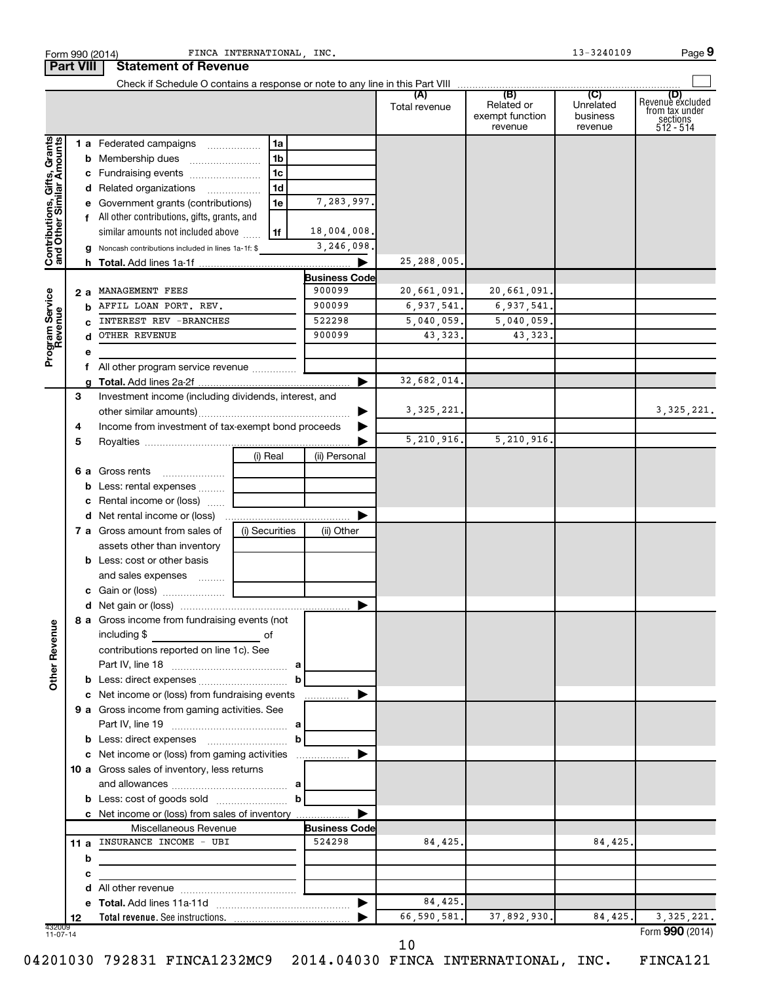|                                                           |                  |   | Form 990 (2014)                                                                           | FINCA INTERNATIONAL, INC. |              |                      |                        |                               | 13-3240109            | Page 9                                                             |
|-----------------------------------------------------------|------------------|---|-------------------------------------------------------------------------------------------|---------------------------|--------------|----------------------|------------------------|-------------------------------|-----------------------|--------------------------------------------------------------------|
|                                                           | <b>Part VIII</b> |   | <b>Statement of Revenue</b>                                                               |                           |              |                      |                        |                               |                       |                                                                    |
|                                                           |                  |   |                                                                                           |                           |              |                      | Total revenue          | Related or<br>exempt function | Unrelated<br>business | (D)<br>Revenue excluded<br>trom tax under<br>sections<br>512 - 514 |
|                                                           |                  |   | 1 a Federated campaigns                                                                   | 1a                        |              |                      |                        | revenue                       | revenue               |                                                                    |
|                                                           |                  |   |                                                                                           | 1b                        |              |                      |                        |                               |                       |                                                                    |
|                                                           |                  |   | c Fundraising events                                                                      | 1c                        |              |                      |                        |                               |                       |                                                                    |
|                                                           |                  |   | d Related organizations                                                                   | 1 <sub>d</sub>            |              |                      |                        |                               |                       |                                                                    |
|                                                           |                  |   | e Government grants (contributions)                                                       | 1e                        |              | 7,283,997.           |                        |                               |                       |                                                                    |
|                                                           |                  |   | f All other contributions, gifts, grants, and                                             |                           |              |                      |                        |                               |                       |                                                                    |
|                                                           |                  |   | similar amounts not included above                                                        | 1f                        |              | 18,004,008.          |                        |                               |                       |                                                                    |
|                                                           |                  |   | g Noncash contributions included in lines 1a-1f: \$                                       |                           |              | 3, 246, 098.         |                        |                               |                       |                                                                    |
| Contributions, Gifts, Grants<br>and Other Similar Amounts |                  |   |                                                                                           |                           |              |                      | 25, 288, 005.          |                               |                       |                                                                    |
|                                                           |                  |   |                                                                                           |                           |              | <b>Business Code</b> |                        |                               |                       |                                                                    |
|                                                           | 2а               |   | MANAGEMENT FEES                                                                           |                           |              | 900099               | 20,661,091.            | 20,661,091.                   |                       |                                                                    |
|                                                           |                  | b | AFFIL LOAN PORT. REV.                                                                     |                           |              | 900099               | 6,937,541.             | 6,937,541.                    |                       |                                                                    |
|                                                           |                  | C | <b>INTEREST REV -BRANCHES</b>                                                             |                           |              | 522298               | 5,040,059.             | 5,040,059.                    |                       |                                                                    |
|                                                           |                  | d | OTHER REVENUE                                                                             |                           |              | 900099               | 43,323.                | 43,323.                       |                       |                                                                    |
| Program Service<br>Revenue                                |                  | е |                                                                                           |                           |              |                      |                        |                               |                       |                                                                    |
|                                                           |                  | f |                                                                                           |                           |              |                      |                        |                               |                       |                                                                    |
|                                                           |                  |   |                                                                                           |                           |              |                      | 32,682,014.            |                               |                       |                                                                    |
|                                                           | З                |   | Investment income (including dividends, interest, and                                     |                           |              |                      |                        |                               |                       |                                                                    |
|                                                           |                  |   |                                                                                           |                           |              |                      | 3, 325, 221.           |                               |                       | 3, 325, 221.                                                       |
|                                                           | 4                |   | Income from investment of tax-exempt bond proceeds                                        |                           |              |                      |                        |                               |                       |                                                                    |
|                                                           | 5                |   |                                                                                           |                           |              |                      | 5,210,916.             | 5,210,916.                    |                       |                                                                    |
|                                                           |                  |   |                                                                                           | (i) Real                  |              | (ii) Personal        |                        |                               |                       |                                                                    |
|                                                           |                  |   | <b>6 a</b> Gross rents                                                                    |                           |              |                      |                        |                               |                       |                                                                    |
|                                                           |                  | b | Less: rental expenses                                                                     |                           |              |                      |                        |                               |                       |                                                                    |
|                                                           |                  | c | Rental income or (loss)                                                                   |                           |              |                      |                        |                               |                       |                                                                    |
|                                                           |                  |   |                                                                                           |                           |              |                      |                        |                               |                       |                                                                    |
|                                                           |                  |   | 7 a Gross amount from sales of                                                            | (i) Securities            |              | (ii) Other           |                        |                               |                       |                                                                    |
|                                                           |                  |   | assets other than inventory                                                               |                           |              |                      |                        |                               |                       |                                                                    |
|                                                           |                  |   | <b>b</b> Less: cost or other basis                                                        |                           |              |                      |                        |                               |                       |                                                                    |
|                                                           |                  |   | and sales expenses                                                                        |                           |              |                      |                        |                               |                       |                                                                    |
|                                                           |                  |   |                                                                                           |                           |              |                      |                        |                               |                       |                                                                    |
|                                                           |                  |   | 8 a Gross income from fundraising events (not                                             |                           |              |                      |                        |                               |                       |                                                                    |
| <b>Other Revenue</b>                                      |                  |   | including $$$                                                                             | of                        |              |                      |                        |                               |                       |                                                                    |
|                                                           |                  |   | contributions reported on line 1c). See                                                   |                           |              |                      |                        |                               |                       |                                                                    |
|                                                           |                  |   |                                                                                           |                           |              |                      |                        |                               |                       |                                                                    |
|                                                           |                  |   |                                                                                           |                           | b            |                      |                        |                               |                       |                                                                    |
|                                                           |                  |   | c Net income or (loss) from fundraising events                                            |                           |              | .                    |                        |                               |                       |                                                                    |
|                                                           |                  |   | 9 a Gross income from gaming activities. See                                              |                           |              |                      |                        |                               |                       |                                                                    |
|                                                           |                  |   |                                                                                           |                           |              |                      |                        |                               |                       |                                                                    |
|                                                           |                  |   |                                                                                           |                           | $\mathbf{b}$ |                      |                        |                               |                       |                                                                    |
|                                                           |                  |   | c Net income or (loss) from gaming activities                                             |                           |              |                      |                        |                               |                       |                                                                    |
|                                                           |                  |   | 10 a Gross sales of inventory, less returns                                               |                           |              |                      |                        |                               |                       |                                                                    |
|                                                           |                  |   | and allowances $\ldots$ , $\ldots$ , $\ldots$ , $\ldots$ , $\ldots$ , $\ldots$ , $\ldots$ |                           |              |                      |                        |                               |                       |                                                                    |
|                                                           |                  |   |                                                                                           |                           | $\mathbf b$  |                      |                        |                               |                       |                                                                    |
|                                                           |                  |   | c Net income or (loss) from sales of inventory                                            |                           |              |                      |                        |                               |                       |                                                                    |
|                                                           |                  |   | Miscellaneous Revenue                                                                     |                           |              | <b>Business Code</b> |                        |                               |                       |                                                                    |
|                                                           |                  |   | 11 a INSURANCE INCOME - UBI                                                               |                           |              | 524298               | 84,425.                |                               | 84,425.               |                                                                    |
|                                                           |                  | b | the control of the control of the control of the                                          |                           |              |                      |                        |                               |                       |                                                                    |
|                                                           |                  | с |                                                                                           |                           |              |                      |                        |                               |                       |                                                                    |
|                                                           |                  | d |                                                                                           |                           |              |                      |                        |                               |                       |                                                                    |
|                                                           |                  | е |                                                                                           |                           |              |                      | 84,425.<br>66,590,581. | 37,892,930.                   | 84,425.               | 3, 325, 221.                                                       |
|                                                           | 12               |   |                                                                                           |                           |              |                      |                        |                               |                       | Form 990 (2014)                                                    |

04201030 792831 FINCA1232MC9 2014.04030 FINCA INTERNATIONAL, INC. FINCA121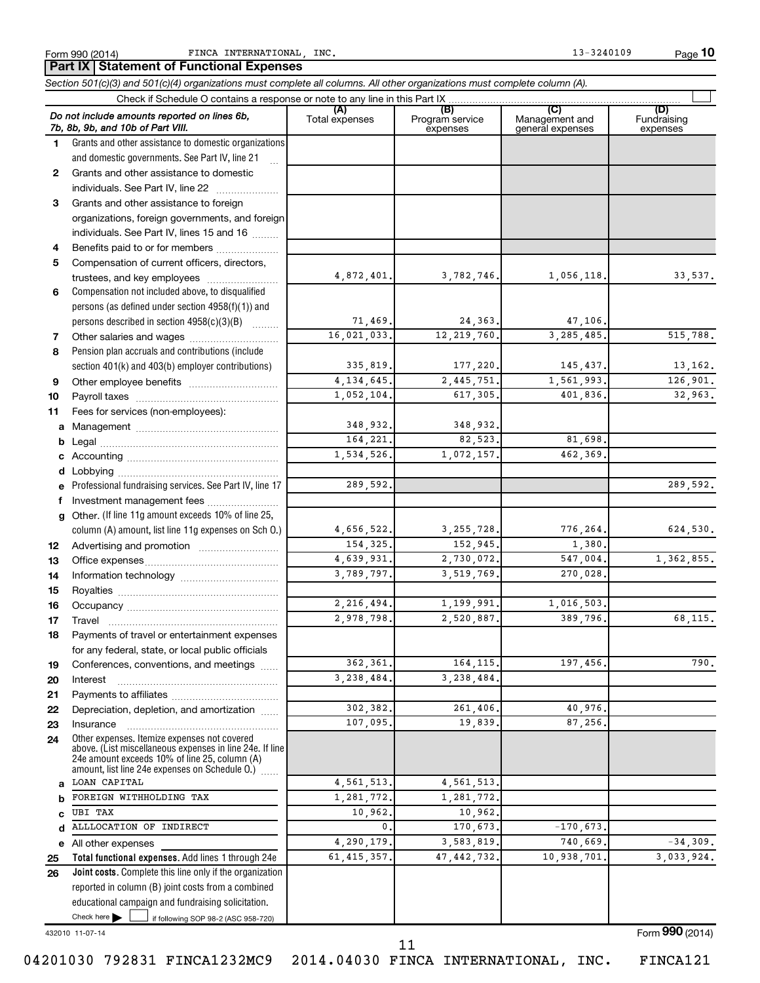**10**

|          | Part IX Statement of Functional Expenses                                                                                                                      |                       |                                    |                                           |                                |
|----------|---------------------------------------------------------------------------------------------------------------------------------------------------------------|-----------------------|------------------------------------|-------------------------------------------|--------------------------------|
|          | Section 501(c)(3) and 501(c)(4) organizations must complete all columns. All other organizations must complete column (A).                                    |                       |                                    |                                           |                                |
|          | Check if Schedule O contains a response or note to any line in this Part IX                                                                                   |                       |                                    |                                           |                                |
|          | Do not include amounts reported on lines 6b,<br>7b, 8b, 9b, and 10b of Part VIII.                                                                             | (A)<br>Total expenses | (B)<br>Program service<br>expenses | (C)<br>Management and<br>general expenses | (D)<br>Fundraising<br>expenses |
| 1.       | Grants and other assistance to domestic organizations                                                                                                         |                       |                                    |                                           |                                |
|          | and domestic governments. See Part IV, line 21                                                                                                                |                       |                                    |                                           |                                |
| 2        | Grants and other assistance to domestic                                                                                                                       |                       |                                    |                                           |                                |
|          | individuals. See Part IV, line 22                                                                                                                             |                       |                                    |                                           |                                |
| 3        | Grants and other assistance to foreign                                                                                                                        |                       |                                    |                                           |                                |
|          | organizations, foreign governments, and foreign                                                                                                               |                       |                                    |                                           |                                |
|          | individuals. See Part IV, lines 15 and 16                                                                                                                     |                       |                                    |                                           |                                |
| 4        | Benefits paid to or for members                                                                                                                               |                       |                                    |                                           |                                |
| 5        | Compensation of current officers, directors,                                                                                                                  | 4,872,401.            |                                    |                                           |                                |
| 6        | trustees, and key employees<br>Compensation not included above, to disqualified                                                                               |                       | 3,782,746.                         | 1,056,118.                                | 33,537.                        |
|          | persons (as defined under section 4958(f)(1)) and                                                                                                             |                       |                                    |                                           |                                |
|          | persons described in section 4958(c)(3)(B)                                                                                                                    | 71,469.               | 24,363.                            | 47,106.                                   |                                |
| 7        | Other salaries and wages                                                                                                                                      | 16,021,033.           | 12, 219, 760.                      | 3, 285, 485.                              | 515,788.                       |
| 8        | Pension plan accruals and contributions (include                                                                                                              |                       |                                    |                                           |                                |
|          | section 401(k) and 403(b) employer contributions)                                                                                                             | 335,819.              | 177,220.                           | 145,437.                                  | 13,162.                        |
| 9        |                                                                                                                                                               | 4, 134, 645.          | 2,445,751.                         | 1,561,993.                                | 126,901.                       |
| 10       |                                                                                                                                                               | 1,052,104.            | 617,305.                           | 401,836.                                  | 32,963.                        |
| 11       | Fees for services (non-employees):                                                                                                                            |                       |                                    |                                           |                                |
| a        |                                                                                                                                                               | 348,932.              | 348,932.                           |                                           |                                |
|          |                                                                                                                                                               | 164,221.              | 82,523.                            | 81,698.                                   |                                |
|          |                                                                                                                                                               | 1,534,526.            | 1,072,157.                         | 462,369.                                  |                                |
|          |                                                                                                                                                               |                       |                                    |                                           |                                |
|          | Professional fundraising services. See Part IV, line 17                                                                                                       | 289,592.              |                                    |                                           | 289,592.                       |
|          | f Investment management fees                                                                                                                                  |                       |                                    |                                           |                                |
| a        | Other. (If line 11g amount exceeds 10% of line 25,                                                                                                            |                       |                                    |                                           |                                |
|          | column (A) amount, list line 11g expenses on Sch O.)                                                                                                          | 4,656,522.            | 3, 255, 728.                       | 776,264.                                  | 624,530.                       |
| 12       |                                                                                                                                                               | 154,325.              | 152,945.                           | 1,380.                                    |                                |
| 13       |                                                                                                                                                               | 4,639,931.            | 2,730,072.                         | 547,004.                                  | 1,362,855.                     |
| 14       |                                                                                                                                                               | 3,789,797.            | 3,519,769.                         | 270,028.                                  |                                |
| 15       |                                                                                                                                                               |                       |                                    |                                           |                                |
| 16       |                                                                                                                                                               | 2,216,494.            | 1,199,991.                         | 1,016,503.                                |                                |
| 17       | Travel                                                                                                                                                        | 2,978,798.            | 2,520,887.                         | 389,796.                                  | 68,115.                        |
| 18       | Payments of travel or entertainment expenses                                                                                                                  |                       |                                    |                                           |                                |
|          | for any federal, state, or local public officials                                                                                                             |                       |                                    |                                           |                                |
| 19       | Conferences, conventions, and meetings                                                                                                                        | 362,361.              | 164, 115.                          | 197,456.                                  | 790.                           |
| 20       | Interest                                                                                                                                                      | 3,238,484.            | 3,238,484.                         |                                           |                                |
| 21<br>22 | Depreciation, depletion, and amortization                                                                                                                     | 302,382.              | 261,406.                           | 40,976.                                   |                                |
| 23       | Insurance                                                                                                                                                     | 107,095.              | 19,839.                            | 87,256.                                   |                                |
| 24       | Other expenses. Itemize expenses not covered                                                                                                                  |                       |                                    |                                           |                                |
|          | above. (List miscellaneous expenses in line 24e. If line<br>24e amount exceeds 10% of line 25, column (A)<br>amount, list line 24e expenses on Schedule O.) [ |                       |                                    |                                           |                                |
| a        | LOAN CAPITAL                                                                                                                                                  | 4, 561, 513.          | 4, 561, 513.                       |                                           |                                |
| b        | FOREIGN WITHHOLDING TAX                                                                                                                                       | 1,281,772.            | 1,281,772.                         |                                           |                                |
| C        | <b>UBI TAX</b>                                                                                                                                                | 10,962.               | 10,962.                            |                                           |                                |
| d        | ALLLOCATION OF INDIRECT                                                                                                                                       | 0.                    | 170,673.                           | $-170,673.$                               |                                |
|          | e All other expenses                                                                                                                                          | 4,290,179.            | 3,583,819.                         | 740,669.                                  | $-34,309.$                     |
| 25       | Total functional expenses. Add lines 1 through 24e                                                                                                            | 61, 415, 357.         | 47, 442, 732.                      | 10,938,701.                               | 3,033,924.                     |
| 26       | Joint costs. Complete this line only if the organization                                                                                                      |                       |                                    |                                           |                                |
|          | reported in column (B) joint costs from a combined                                                                                                            |                       |                                    |                                           |                                |
|          | educational campaign and fundraising solicitation.                                                                                                            |                       |                                    |                                           |                                |
|          | Check here $\blacktriangleright$<br>$\vert$ if following SOP 98-2 (ASC 958-720)                                                                               |                       |                                    |                                           |                                |

432010 11-07-14

Form (2014) **990**

04201030 792831 FINCA1232MC9 2014.04030 FINCA INTERNATIONAL, INC. FINCA121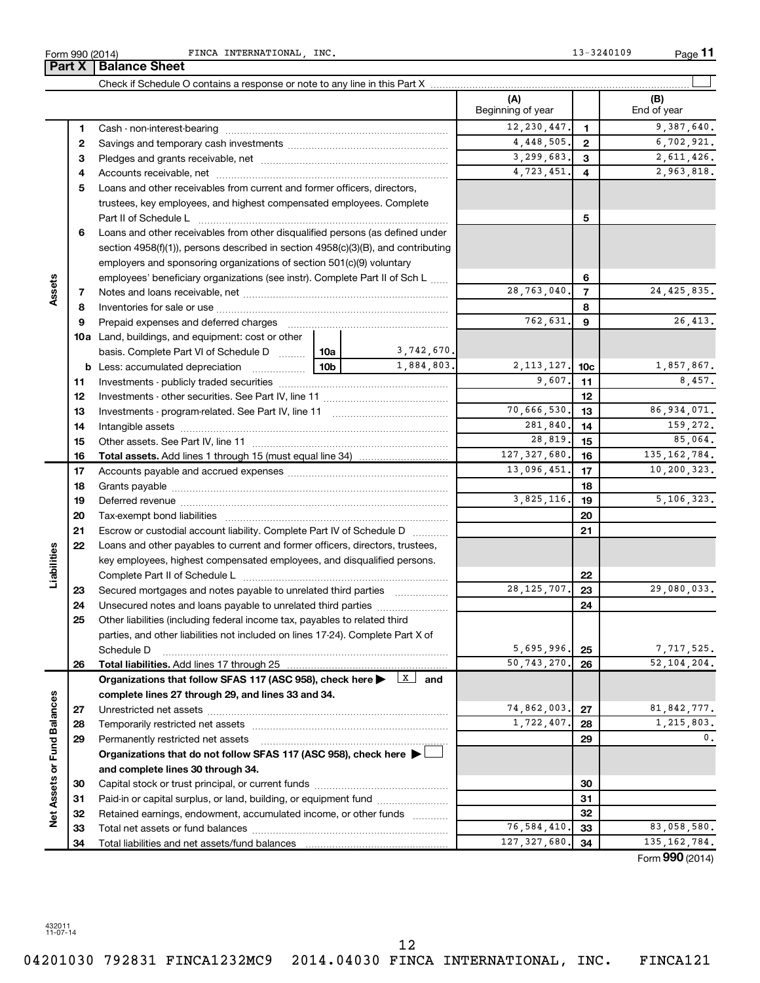432011 11-07-14

Form 990 (2014) **PINCA INTERNATIONAL, INC.** Port 13-3240109 Page **Part X** | Balance Sheet

|                             |    |                                                                                                         |                 |             | (A)<br>Beginning of year |                 | (B)<br>End of year                     |
|-----------------------------|----|---------------------------------------------------------------------------------------------------------|-----------------|-------------|--------------------------|-----------------|----------------------------------------|
|                             | 1  |                                                                                                         |                 |             | 12, 230, 447.            | $\mathbf{1}$    | 9,387,640.                             |
|                             | 2  |                                                                                                         |                 |             | 4,448,505.               | $\mathbf{2}$    | 6,702,921.                             |
|                             | З  |                                                                                                         |                 |             | 3, 299, 683.             | 3               | 2,611,426.                             |
|                             | 4  |                                                                                                         |                 |             | 4,723,451.               | 4               | 2,963,818.                             |
|                             | 5  | Loans and other receivables from current and former officers, directors,                                |                 |             |                          |                 |                                        |
|                             |    | trustees, key employees, and highest compensated employees. Complete                                    |                 |             |                          |                 |                                        |
|                             |    | Part II of Schedule L                                                                                   |                 |             |                          | 5               |                                        |
|                             | 6  | Loans and other receivables from other disqualified persons (as defined under                           |                 |             |                          |                 |                                        |
|                             |    | section 4958(f)(1)), persons described in section 4958(c)(3)(B), and contributing                       |                 |             |                          |                 |                                        |
|                             |    | employers and sponsoring organizations of section 501(c)(9) voluntary                                   |                 |             |                          |                 |                                        |
| Assets                      |    | employees' beneficiary organizations (see instr). Complete Part II of Sch L                             |                 |             | 6                        |                 |                                        |
|                             | 7  |                                                                                                         |                 |             | 28,763,040.              | $\overline{7}$  | 24, 425, 835.                          |
|                             | 8  |                                                                                                         |                 |             |                          | 8               |                                        |
|                             | 9  |                                                                                                         |                 |             | 762,631.                 | 9               | 26, 413.                               |
|                             |    | 10a Land, buildings, and equipment: cost or other                                                       |                 |             |                          |                 |                                        |
|                             |    | basis. Complete Part VI of Schedule D                                                                   | 10a             | 3,742,670.  |                          |                 |                                        |
|                             |    | <b>b</b> Less: accumulated depreciation                                                                 | 10 <sub>b</sub> | 1,884,803.  | 2, 113, 127.             | 10 <sub>c</sub> | 1,857,867.                             |
|                             | 11 |                                                                                                         |                 | 9,607.      | 11                       | 8,457.          |                                        |
|                             | 12 |                                                                                                         |                 |             | 12                       |                 |                                        |
|                             | 13 |                                                                                                         |                 | 70,666,530. | 13                       | 86,934,071.     |                                        |
|                             | 14 |                                                                                                         |                 |             | 281,840.                 | 14              | 159,272.                               |
|                             | 15 |                                                                                                         |                 |             | 28,819.                  | 15              | 85,064.                                |
|                             | 16 |                                                                                                         |                 |             | 127, 327, 680.           | 16              | 135, 162, 784.                         |
|                             | 17 |                                                                                                         |                 |             | 13,096,451.              | 17              | 10,200,323.                            |
|                             | 18 |                                                                                                         |                 | 18          |                          |                 |                                        |
|                             | 19 |                                                                                                         | 3,825,116.      | 19          | 5,106,323.               |                 |                                        |
|                             | 20 |                                                                                                         |                 |             |                          | 20              |                                        |
|                             | 21 | Escrow or custodial account liability. Complete Part IV of Schedule D                                   |                 |             |                          | 21              |                                        |
|                             | 22 | Loans and other payables to current and former officers, directors, trustees,                           |                 |             |                          |                 |                                        |
| Liabilities                 |    | key employees, highest compensated employees, and disqualified persons.                                 |                 |             |                          |                 |                                        |
|                             |    |                                                                                                         |                 |             |                          | 22              |                                        |
|                             | 23 | Secured mortgages and notes payable to unrelated third parties                                          |                 |             | 28, 125, 707.            | 23              | 29,080,033.                            |
|                             | 24 | Unsecured notes and loans payable to unrelated third parties                                            |                 |             |                          | 24              |                                        |
|                             | 25 | Other liabilities (including federal income tax, payables to related third                              |                 |             |                          |                 |                                        |
|                             |    | parties, and other liabilities not included on lines 17-24). Complete Part X of                         |                 |             |                          |                 |                                        |
|                             |    | Schedule D                                                                                              |                 |             | 5,695,996.               | 25              | 7,717,525.                             |
|                             | 26 |                                                                                                         |                 |             | 50, 743, 270.            | 26              | 52, 104, 204.                          |
|                             |    | Organizations that follow SFAS 117 (ASC 958), check here $\blacktriangleright$ $\boxed{\mathbf{x}}$ and |                 |             |                          |                 |                                        |
|                             |    | complete lines 27 through 29, and lines 33 and 34.                                                      |                 |             |                          |                 |                                        |
|                             | 27 |                                                                                                         |                 |             | 74,862,003.              | 27              | 81, 842, 777.                          |
|                             | 28 |                                                                                                         |                 |             | 1,722,407.               | 28              | 1,215,803.                             |
|                             | 29 | Permanently restricted net assets                                                                       |                 |             |                          | 29              | $\mathbf{0}$ .                         |
|                             |    | Organizations that do not follow SFAS 117 (ASC 958), check here >                                       |                 |             |                          |                 |                                        |
| Net Assets or Fund Balances |    | and complete lines 30 through 34.                                                                       |                 |             |                          |                 |                                        |
|                             | 30 |                                                                                                         |                 |             | 30                       |                 |                                        |
|                             | 31 | Paid-in or capital surplus, or land, building, or equipment fund                                        |                 |             |                          | 31              |                                        |
|                             | 32 | Retained earnings, endowment, accumulated income, or other funds                                        |                 |             |                          | 32              |                                        |
|                             | 33 |                                                                                                         |                 | 76,584,410. | 33                       | 83,058,580.     |                                        |
|                             | 34 |                                                                                                         |                 |             | 127, 327, 680.           | 34              | 135, 162, 784.<br>$T_{2}$ (000 (001 4) |

**11**

Form (2014) **990**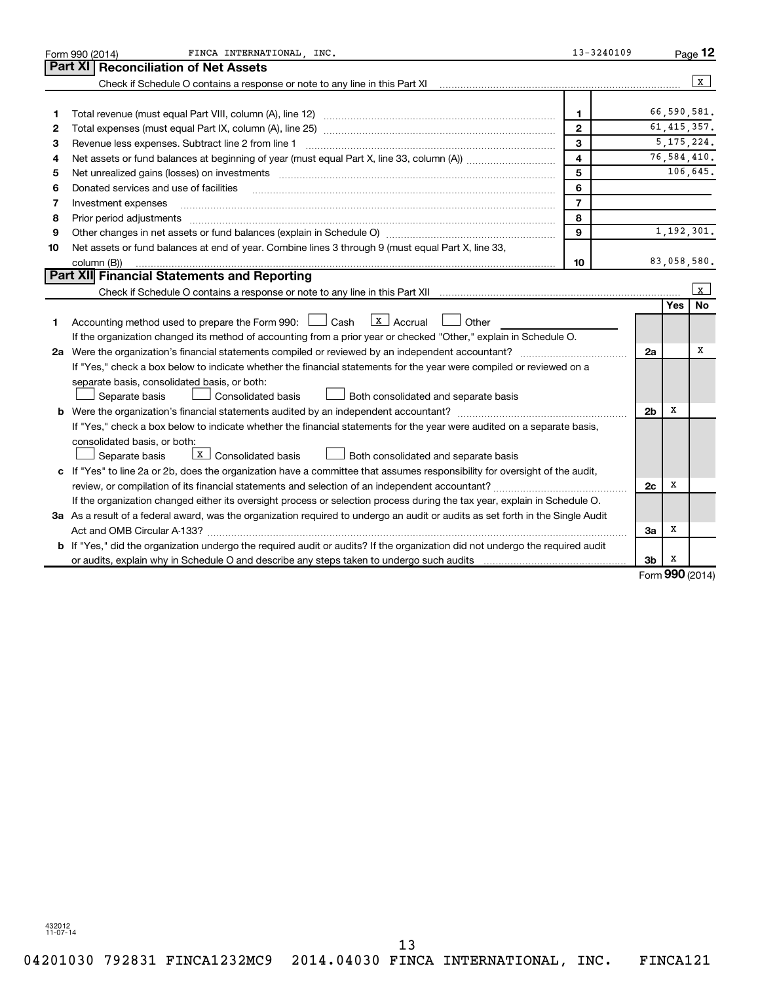|                                                                                                                                 | FINCA INTERNATIONAL INC.<br>Form 990 (2014)                                                                                                                                                                                    | 13-3240109     |                |                        | Page 12      |  |  |  |
|---------------------------------------------------------------------------------------------------------------------------------|--------------------------------------------------------------------------------------------------------------------------------------------------------------------------------------------------------------------------------|----------------|----------------|------------------------|--------------|--|--|--|
|                                                                                                                                 | Part XI   Reconciliation of Net Assets                                                                                                                                                                                         |                |                |                        |              |  |  |  |
|                                                                                                                                 | Check if Schedule O contains a response or note to any line in this Part XI                                                                                                                                                    |                |                |                        | $\mathbf{x}$ |  |  |  |
|                                                                                                                                 |                                                                                                                                                                                                                                |                |                |                        |              |  |  |  |
| 1                                                                                                                               |                                                                                                                                                                                                                                | $\mathbf{1}$   |                |                        | 66,590,581.  |  |  |  |
| 2                                                                                                                               | $\mathbf{2}$                                                                                                                                                                                                                   |                |                |                        |              |  |  |  |
| 3                                                                                                                               | Revenue less expenses. Subtract line 2 from line 1                                                                                                                                                                             | 3              |                |                        | 5, 175, 224. |  |  |  |
| 4                                                                                                                               | $\overline{\mathbf{4}}$                                                                                                                                                                                                        |                |                |                        |              |  |  |  |
| 5                                                                                                                               | Net unrealized gains (losses) on investments [11] matter in the contract of the state of the state of the state of the state of the state of the state of the state of the state of the state of the state of the state of the | 5              |                |                        | 106,645.     |  |  |  |
| 6                                                                                                                               | Donated services and use of facilities                                                                                                                                                                                         | 6              |                |                        |              |  |  |  |
| 7                                                                                                                               | Investment expenses                                                                                                                                                                                                            | $\overline{7}$ |                |                        |              |  |  |  |
| 8                                                                                                                               |                                                                                                                                                                                                                                | 8              |                |                        |              |  |  |  |
| 9                                                                                                                               |                                                                                                                                                                                                                                | 9              |                |                        | 1,192,301.   |  |  |  |
| 10                                                                                                                              | Net assets or fund balances at end of year. Combine lines 3 through 9 (must equal Part X, line 33,                                                                                                                             |                |                |                        |              |  |  |  |
|                                                                                                                                 | column (B))                                                                                                                                                                                                                    | 10             |                |                        | 83,058,580.  |  |  |  |
|                                                                                                                                 | Part XII Financial Statements and Reporting                                                                                                                                                                                    |                |                |                        |              |  |  |  |
|                                                                                                                                 |                                                                                                                                                                                                                                |                |                |                        | l x          |  |  |  |
|                                                                                                                                 |                                                                                                                                                                                                                                |                |                | <b>Yes</b>             | <b>No</b>    |  |  |  |
| 1                                                                                                                               | $\lfloor x \rfloor$ Accrual<br>Accounting method used to prepare the Form 990: [130] Cash<br>Other                                                                                                                             |                |                |                        |              |  |  |  |
|                                                                                                                                 | If the organization changed its method of accounting from a prior year or checked "Other," explain in Schedule O.                                                                                                              |                |                |                        |              |  |  |  |
|                                                                                                                                 | 2a Were the organization's financial statements compiled or reviewed by an independent accountant?                                                                                                                             |                | 2a             |                        | х            |  |  |  |
|                                                                                                                                 | If "Yes," check a box below to indicate whether the financial statements for the year were compiled or reviewed on a                                                                                                           |                |                |                        |              |  |  |  |
|                                                                                                                                 | separate basis, consolidated basis, or both:                                                                                                                                                                                   |                |                |                        |              |  |  |  |
|                                                                                                                                 | Consolidated basis<br>$\Box$ Both consolidated and separate basis<br>Separate basis                                                                                                                                            |                |                |                        |              |  |  |  |
|                                                                                                                                 |                                                                                                                                                                                                                                |                | 2 <sub>b</sub> | х                      |              |  |  |  |
|                                                                                                                                 | If "Yes," check a box below to indicate whether the financial statements for the year were audited on a separate basis,                                                                                                        |                |                |                        |              |  |  |  |
|                                                                                                                                 | consolidated basis, or both:                                                                                                                                                                                                   |                |                |                        |              |  |  |  |
|                                                                                                                                 | X Consolidated basis<br>$\perp$ Both consolidated and separate basis<br>Separate basis                                                                                                                                         |                |                |                        |              |  |  |  |
|                                                                                                                                 | c If "Yes" to line 2a or 2b, does the organization have a committee that assumes responsibility for oversight of the audit,                                                                                                    |                |                |                        |              |  |  |  |
|                                                                                                                                 | review, or compilation of its financial statements and selection of an independent accountant?                                                                                                                                 |                | 2c             | х                      |              |  |  |  |
|                                                                                                                                 | If the organization changed either its oversight process or selection process during the tax year, explain in Schedule O.                                                                                                      |                |                |                        |              |  |  |  |
| 3a As a result of a federal award, was the organization required to undergo an audit or audits as set forth in the Single Audit |                                                                                                                                                                                                                                |                |                |                        |              |  |  |  |
|                                                                                                                                 |                                                                                                                                                                                                                                |                | За             | х                      |              |  |  |  |
|                                                                                                                                 | <b>b</b> If "Yes," did the organization undergo the required audit or audits? If the organization did not undergo the required audit                                                                                           |                |                |                        |              |  |  |  |
|                                                                                                                                 |                                                                                                                                                                                                                                |                | 3b             | x<br>$000 \, \text{m}$ |              |  |  |  |

Form (2014) **990**

432012 11-07-14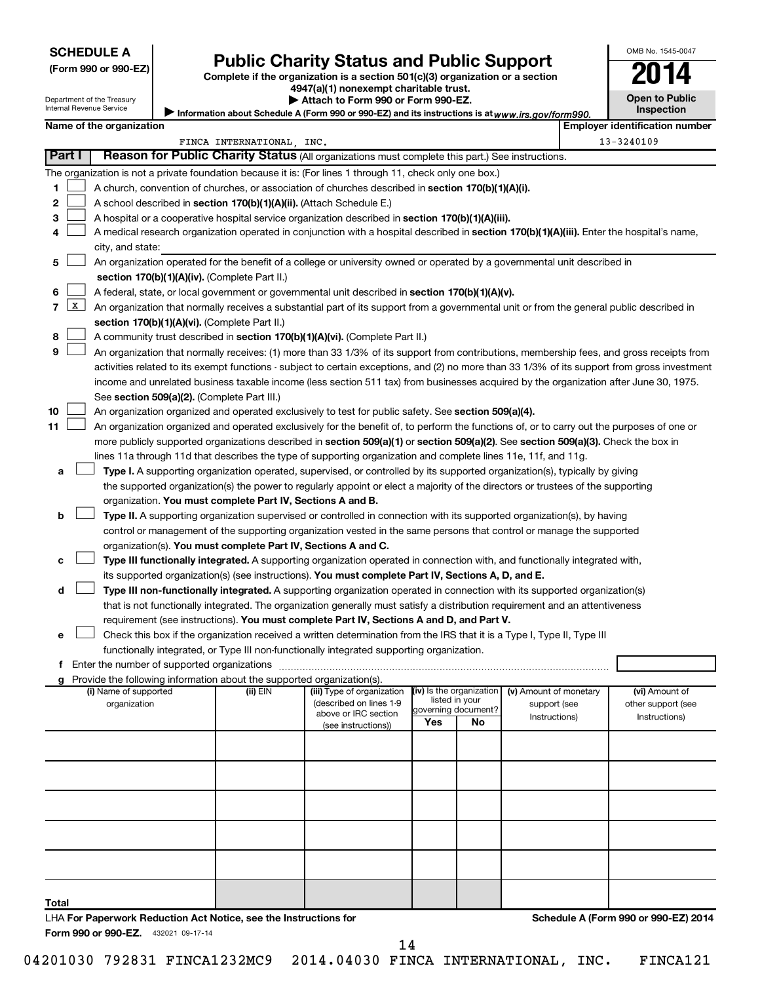Department of the Treasury Internal Revenue Service

| (Form 990 or 990-EZ |  |  |  |  |
|---------------------|--|--|--|--|
|---------------------|--|--|--|--|

## Form 990 or 990-EZ) **Public Charity Status and Public Support**<br>
Complete if the organization is a section 501(c)(3) organization or a section<br> **2014**

Information about Schedule A (Form 990 or 990-EZ) and its instructions is at www.irs.gov/form990.

**4947(a)(1) nonexempt charitable trust. | Attach to Form 990 or Form 990-EZ.** 

| OMB No. 1545-0047                   |
|-------------------------------------|
| 14                                  |
| <b>Open to Public</b><br>Inspection |
|                                     |

|        |                 | Name of the organization                                                                                                                                                                                                                                                                                   |                           |                            |                          |                           |                        |  | <b>Employer identification number</b> |  |
|--------|-----------------|------------------------------------------------------------------------------------------------------------------------------------------------------------------------------------------------------------------------------------------------------------------------------------------------------------|---------------------------|----------------------------|--------------------------|---------------------------|------------------------|--|---------------------------------------|--|
|        |                 |                                                                                                                                                                                                                                                                                                            | FINCA INTERNATIONAL, INC. |                            |                          |                           |                        |  | 13-3240109                            |  |
| Part I |                 | Reason for Public Charity Status (All organizations must complete this part.) See instructions.                                                                                                                                                                                                            |                           |                            |                          |                           |                        |  |                                       |  |
|        |                 | The organization is not a private foundation because it is: (For lines 1 through 11, check only one box.)                                                                                                                                                                                                  |                           |                            |                          |                           |                        |  |                                       |  |
| 1      |                 | A church, convention of churches, or association of churches described in section 170(b)(1)(A)(i).                                                                                                                                                                                                         |                           |                            |                          |                           |                        |  |                                       |  |
| 2      |                 | A school described in section 170(b)(1)(A)(ii). (Attach Schedule E.)                                                                                                                                                                                                                                       |                           |                            |                          |                           |                        |  |                                       |  |
| з      |                 | A hospital or a cooperative hospital service organization described in section 170(b)(1)(A)(iii).                                                                                                                                                                                                          |                           |                            |                          |                           |                        |  |                                       |  |
| 4      |                 | A medical research organization operated in conjunction with a hospital described in section 170(b)(1)(A)(iii). Enter the hospital's name,                                                                                                                                                                 |                           |                            |                          |                           |                        |  |                                       |  |
|        |                 | city, and state:                                                                                                                                                                                                                                                                                           |                           |                            |                          |                           |                        |  |                                       |  |
| 5      |                 | An organization operated for the benefit of a college or university owned or operated by a governmental unit described in                                                                                                                                                                                  |                           |                            |                          |                           |                        |  |                                       |  |
|        |                 | section 170(b)(1)(A)(iv). (Complete Part II.)                                                                                                                                                                                                                                                              |                           |                            |                          |                           |                        |  |                                       |  |
| 6      |                 | A federal, state, or local government or governmental unit described in section 170(b)(1)(A)(v).                                                                                                                                                                                                           |                           |                            |                          |                           |                        |  |                                       |  |
| 7      | $\vert x \vert$ |                                                                                                                                                                                                                                                                                                            |                           |                            |                          |                           |                        |  |                                       |  |
|        |                 | An organization that normally receives a substantial part of its support from a governmental unit or from the general public described in<br>section 170(b)(1)(A)(vi). (Complete Part II.)                                                                                                                 |                           |                            |                          |                           |                        |  |                                       |  |
| 8      |                 | A community trust described in section 170(b)(1)(A)(vi). (Complete Part II.)                                                                                                                                                                                                                               |                           |                            |                          |                           |                        |  |                                       |  |
| 9      |                 | An organization that normally receives: (1) more than 33 1/3% of its support from contributions, membership fees, and gross receipts from                                                                                                                                                                  |                           |                            |                          |                           |                        |  |                                       |  |
|        |                 | activities related to its exempt functions - subject to certain exceptions, and (2) no more than 33 1/3% of its support from gross investment                                                                                                                                                              |                           |                            |                          |                           |                        |  |                                       |  |
|        |                 | income and unrelated business taxable income (less section 511 tax) from businesses acquired by the organization after June 30, 1975.                                                                                                                                                                      |                           |                            |                          |                           |                        |  |                                       |  |
|        |                 | See section 509(a)(2). (Complete Part III.)                                                                                                                                                                                                                                                                |                           |                            |                          |                           |                        |  |                                       |  |
| 10     |                 | An organization organized and operated exclusively to test for public safety. See section 509(a)(4).                                                                                                                                                                                                       |                           |                            |                          |                           |                        |  |                                       |  |
| 11     |                 | An organization organized and operated exclusively for the benefit of, to perform the functions of, or to carry out the purposes of one or                                                                                                                                                                 |                           |                            |                          |                           |                        |  |                                       |  |
|        |                 | more publicly supported organizations described in section 509(a)(1) or section 509(a)(2). See section 509(a)(3). Check the box in                                                                                                                                                                         |                           |                            |                          |                           |                        |  |                                       |  |
|        |                 | lines 11a through 11d that describes the type of supporting organization and complete lines 11e, 11f, and 11g.                                                                                                                                                                                             |                           |                            |                          |                           |                        |  |                                       |  |
| а      |                 | Type I. A supporting organization operated, supervised, or controlled by its supported organization(s), typically by giving                                                                                                                                                                                |                           |                            |                          |                           |                        |  |                                       |  |
|        |                 | the supported organization(s) the power to regularly appoint or elect a majority of the directors or trustees of the supporting                                                                                                                                                                            |                           |                            |                          |                           |                        |  |                                       |  |
|        |                 | organization. You must complete Part IV, Sections A and B.                                                                                                                                                                                                                                                 |                           |                            |                          |                           |                        |  |                                       |  |
| b      |                 | Type II. A supporting organization supervised or controlled in connection with its supported organization(s), by having                                                                                                                                                                                    |                           |                            |                          |                           |                        |  |                                       |  |
|        |                 | control or management of the supporting organization vested in the same persons that control or manage the supported                                                                                                                                                                                       |                           |                            |                          |                           |                        |  |                                       |  |
|        |                 | organization(s). You must complete Part IV, Sections A and C.                                                                                                                                                                                                                                              |                           |                            |                          |                           |                        |  |                                       |  |
| с      |                 | Type III functionally integrated. A supporting organization operated in connection with, and functionally integrated with,                                                                                                                                                                                 |                           |                            |                          |                           |                        |  |                                       |  |
|        |                 | its supported organization(s) (see instructions). You must complete Part IV, Sections A, D, and E.                                                                                                                                                                                                         |                           |                            |                          |                           |                        |  |                                       |  |
| d      |                 | Type III non-functionally integrated. A supporting organization operated in connection with its supported organization(s)                                                                                                                                                                                  |                           |                            |                          |                           |                        |  |                                       |  |
|        |                 | that is not functionally integrated. The organization generally must satisfy a distribution requirement and an attentiveness                                                                                                                                                                               |                           |                            |                          |                           |                        |  |                                       |  |
|        |                 | requirement (see instructions). You must complete Part IV, Sections A and D, and Part V.                                                                                                                                                                                                                   |                           |                            |                          |                           |                        |  |                                       |  |
| е      |                 | Check this box if the organization received a written determination from the IRS that it is a Type I, Type II, Type III                                                                                                                                                                                    |                           |                            |                          |                           |                        |  |                                       |  |
|        |                 | functionally integrated, or Type III non-functionally integrated supporting organization.                                                                                                                                                                                                                  |                           |                            |                          |                           |                        |  |                                       |  |
|        |                 |                                                                                                                                                                                                                                                                                                            |                           |                            |                          |                           |                        |  |                                       |  |
|        |                 | f Enter the number of supported organizations [11] matter contracts and the number of supported organizations [11] matter contracts and the number of supported organizations [11] matter contracts and the number of supporte<br>g Provide the following information about the supported organization(s). |                           |                            |                          |                           |                        |  |                                       |  |
|        |                 | (i) Name of supported                                                                                                                                                                                                                                                                                      | (ii) EIN                  | (iii) Type of organization | (iv) Is the organization |                           | (v) Amount of monetary |  | (vi) Amount of                        |  |
|        |                 | organization                                                                                                                                                                                                                                                                                               |                           | (described on lines 1-9    |                          | listed in your            | support (see           |  | other support (see                    |  |
|        |                 |                                                                                                                                                                                                                                                                                                            |                           | above or IRC section       | Yes                      | governing document?<br>No | Instructions)          |  | Instructions)                         |  |
|        |                 |                                                                                                                                                                                                                                                                                                            |                           | (see instructions))        |                          |                           |                        |  |                                       |  |
|        |                 |                                                                                                                                                                                                                                                                                                            |                           |                            |                          |                           |                        |  |                                       |  |
|        |                 |                                                                                                                                                                                                                                                                                                            |                           |                            |                          |                           |                        |  |                                       |  |
|        |                 |                                                                                                                                                                                                                                                                                                            |                           |                            |                          |                           |                        |  |                                       |  |
|        |                 |                                                                                                                                                                                                                                                                                                            |                           |                            |                          |                           |                        |  |                                       |  |
|        |                 |                                                                                                                                                                                                                                                                                                            |                           |                            |                          |                           |                        |  |                                       |  |
|        |                 |                                                                                                                                                                                                                                                                                                            |                           |                            |                          |                           |                        |  |                                       |  |
|        |                 |                                                                                                                                                                                                                                                                                                            |                           |                            |                          |                           |                        |  |                                       |  |
|        |                 |                                                                                                                                                                                                                                                                                                            |                           |                            |                          |                           |                        |  |                                       |  |
|        |                 |                                                                                                                                                                                                                                                                                                            |                           |                            |                          |                           |                        |  |                                       |  |
|        |                 |                                                                                                                                                                                                                                                                                                            |                           |                            |                          |                           |                        |  |                                       |  |
|        |                 |                                                                                                                                                                                                                                                                                                            |                           |                            |                          |                           |                        |  |                                       |  |
| Total  |                 |                                                                                                                                                                                                                                                                                                            |                           |                            |                          |                           |                        |  |                                       |  |
|        |                 | LHA For Paperwork Reduction Act Notice, see the Instructions for<br>Form 990 or 990-EZ. 432021 09-17-14                                                                                                                                                                                                    |                           |                            |                          |                           |                        |  | Schedule A (Form 990 or 990-EZ) 2014  |  |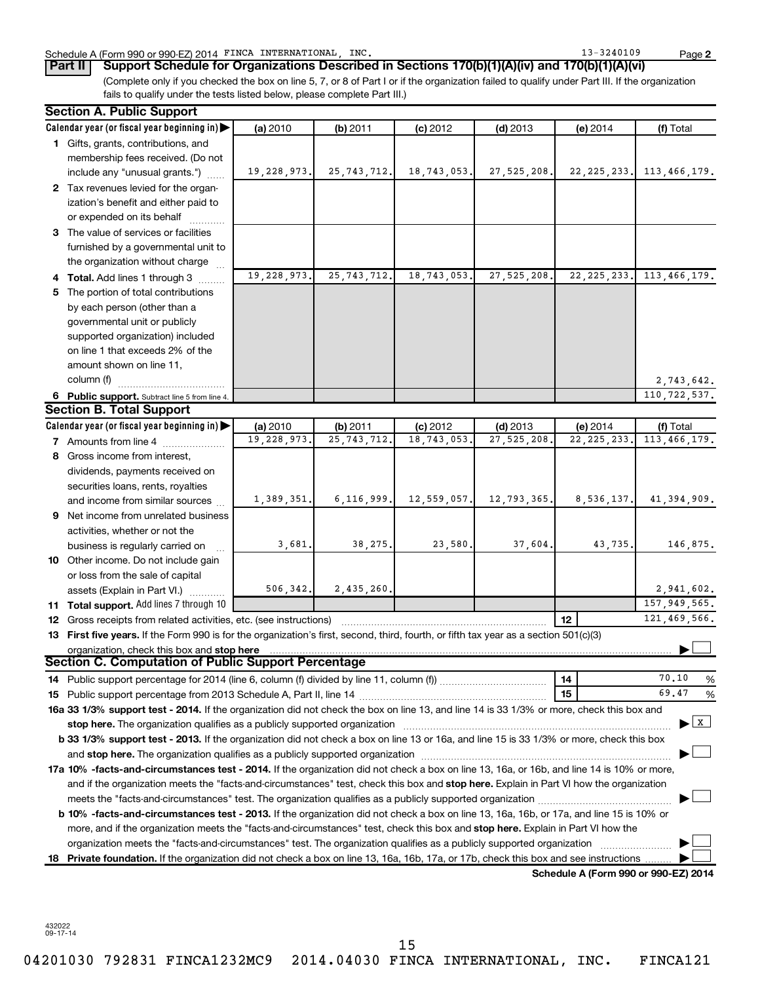### Schedule A (Form 990 or 990-EZ) 2014 FINCA INTERNATIONAL, INC. 13 = 13-3240109 Page

**2**

(Complete only if you checked the box on line 5, 7, or 8 of Part I or if the organization failed to qualify under Part III. If the organization fails to qualify under the tests listed below, please complete Part III.) **Part II Support Schedule for Organizations Described in Sections 170(b)(1)(A)(iv) and 170(b)(1)(A)(vi)**

|    | <b>Section A. Public Support</b>                                                                                                                                                    |               |               |             |               |                                             |                                           |
|----|-------------------------------------------------------------------------------------------------------------------------------------------------------------------------------------|---------------|---------------|-------------|---------------|---------------------------------------------|-------------------------------------------|
|    | Calendar year (or fiscal year beginning in)                                                                                                                                         | (a) 2010      | (b) 2011      | $(c)$ 2012  | $(d)$ 2013    | (e) 2014                                    | (f) Total                                 |
|    | 1 Gifts, grants, contributions, and                                                                                                                                                 |               |               |             |               |                                             |                                           |
|    | membership fees received. (Do not                                                                                                                                                   |               |               |             |               |                                             |                                           |
|    | include any "unusual grants.")                                                                                                                                                      | 19, 228, 973. | 25, 743, 712. | 18,743,053. | 27, 525, 208. |                                             | 22, 225, 233. 113, 466, 179.              |
|    | 2 Tax revenues levied for the organ-                                                                                                                                                |               |               |             |               |                                             |                                           |
|    | ization's benefit and either paid to                                                                                                                                                |               |               |             |               |                                             |                                           |
|    | or expended on its behalf                                                                                                                                                           |               |               |             |               |                                             |                                           |
|    | 3 The value of services or facilities                                                                                                                                               |               |               |             |               |                                             |                                           |
|    | furnished by a governmental unit to                                                                                                                                                 |               |               |             |               |                                             |                                           |
|    | the organization without charge                                                                                                                                                     |               |               |             |               |                                             |                                           |
|    | 4 Total. Add lines 1 through 3                                                                                                                                                      | 19,228,973.   | 25, 743, 712. | 18,743,053. | 27, 525, 208. | 22, 225, 233.                               | 113,466,179.                              |
| 5. | The portion of total contributions                                                                                                                                                  |               |               |             |               |                                             |                                           |
|    | by each person (other than a                                                                                                                                                        |               |               |             |               |                                             |                                           |
|    | governmental unit or publicly                                                                                                                                                       |               |               |             |               |                                             |                                           |
|    | supported organization) included                                                                                                                                                    |               |               |             |               |                                             |                                           |
|    | on line 1 that exceeds 2% of the                                                                                                                                                    |               |               |             |               |                                             |                                           |
|    | amount shown on line 11,                                                                                                                                                            |               |               |             |               |                                             |                                           |
|    | column (f)                                                                                                                                                                          |               |               |             |               |                                             | 2,743,642.                                |
|    | 6 Public support. Subtract line 5 from line 4.                                                                                                                                      |               |               |             |               |                                             | 110, 722, 537.                            |
|    | <b>Section B. Total Support</b>                                                                                                                                                     |               |               |             |               |                                             |                                           |
|    | Calendar year (or fiscal year beginning in)                                                                                                                                         | (a) 2010      | (b) 2011      | $(c)$ 2012  | $(d)$ 2013    | (e) 2014                                    | (f) Total                                 |
|    | 7 Amounts from line 4                                                                                                                                                               | 19,228,973.   | 25, 743, 712  | 18,743,053  | 27,525,208    | 22, 225, 233.                               | 113, 466, 179.                            |
|    | 8 Gross income from interest,                                                                                                                                                       |               |               |             |               |                                             |                                           |
|    | dividends, payments received on                                                                                                                                                     |               |               |             |               |                                             |                                           |
|    | securities loans, rents, royalties                                                                                                                                                  |               |               |             |               |                                             |                                           |
|    | and income from similar sources                                                                                                                                                     | 1,389,351.    | 6, 116, 999.  | 12,559,057. | 12,793,365.   | 8,536,137.                                  | 41,394,909.                               |
|    | <b>9</b> Net income from unrelated business                                                                                                                                         |               |               |             |               |                                             |                                           |
|    | activities, whether or not the                                                                                                                                                      |               |               |             |               |                                             |                                           |
|    |                                                                                                                                                                                     | 3,681.        | 38, 275.      | 23,580.     | 37,604.       | 43,735.                                     | 146,875.                                  |
|    | business is regularly carried on<br>10 Other income. Do not include gain                                                                                                            |               |               |             |               |                                             |                                           |
|    |                                                                                                                                                                                     |               |               |             |               |                                             |                                           |
|    | or loss from the sale of capital                                                                                                                                                    | 506, 342.     | 2,435,260.    |             |               |                                             | 2,941,602.                                |
|    | assets (Explain in Part VI.)                                                                                                                                                        |               |               |             |               |                                             | 157, 949, 565.                            |
|    | 11 Total support. Add lines 7 through 10                                                                                                                                            |               |               |             |               | 12                                          | 121,469,566.                              |
|    | 12 Gross receipts from related activities, etc. (see instructions)                                                                                                                  |               |               |             |               |                                             |                                           |
|    | 13 First five years. If the Form 990 is for the organization's first, second, third, fourth, or fifth tax year as a section 501(c)(3)<br>organization, check this box and stop here |               |               |             |               |                                             |                                           |
|    | Section C. Computation of Public Support Percentage                                                                                                                                 |               |               |             |               |                                             |                                           |
|    |                                                                                                                                                                                     |               |               |             |               | 14                                          | 70.10<br>%                                |
|    |                                                                                                                                                                                     |               |               |             |               | 15                                          | 69.47<br>%                                |
|    | 16a 33 1/3% support test - 2014. If the organization did not check the box on line 13, and line 14 is 33 1/3% or more, check this box and                                           |               |               |             |               |                                             |                                           |
|    | stop here. The organization qualifies as a publicly supported organization manufaction manufacture or the organization                                                              |               |               |             |               |                                             | $\blacktriangleright$ $\lfloor x \rfloor$ |
|    | b 33 1/3% support test - 2013. If the organization did not check a box on line 13 or 16a, and line 15 is 33 1/3% or more, check this box                                            |               |               |             |               |                                             |                                           |
|    |                                                                                                                                                                                     |               |               |             |               |                                             |                                           |
|    |                                                                                                                                                                                     |               |               |             |               |                                             |                                           |
|    | <b>17a 10% -facts-and-circumstances test - 2014.</b> If the organization did not check a box on line 13, 16a, or 16b, and line 14 is 10% or more,                                   |               |               |             |               |                                             |                                           |
|    | and if the organization meets the "facts-and-circumstances" test, check this box and stop here. Explain in Part VI how the organization                                             |               |               |             |               |                                             |                                           |
|    |                                                                                                                                                                                     |               |               |             |               |                                             |                                           |
|    | <b>b 10%</b> -facts-and-circumstances test - 2013. If the organization did not check a box on line 13, 16a, 16b, or 17a, and line 15 is 10% or                                      |               |               |             |               |                                             |                                           |
|    | more, and if the organization meets the "facts-and-circumstances" test, check this box and stop here. Explain in Part VI how the                                                    |               |               |             |               |                                             |                                           |
|    | organization meets the "facts-and-circumstances" test. The organization qualifies as a publicly supported organization                                                              |               |               |             |               |                                             |                                           |
|    | 18 Private foundation. If the organization did not check a box on line 13, 16a, 16b, 17a, or 17b, check this box and see instructions                                               |               |               |             |               | <b>Cohodulo A (Form 000 or 000 F7) 2014</b> |                                           |

**Schedule A (Form 990 or 990-EZ) 2014**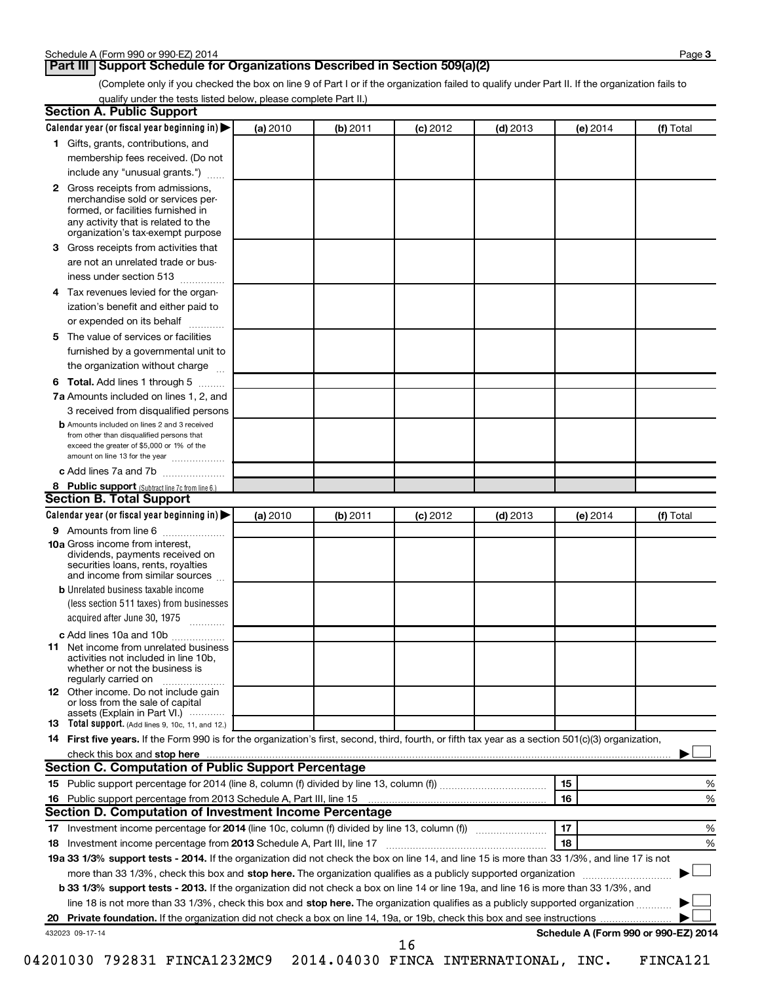### **Part III Support Schedule for Organizations Described in Section 509(a)(2)**

(Complete only if you checked the box on line 9 of Part I or if the organization failed to qualify under Part II. If the organization fails to qualify under the tests listed below, please complete Part II.)

|    | Calendar year (or fiscal year beginning in)                                                                                                                                                                                                               | (a) 2010 | (b) 2011 | (c) 2012   | $(d)$ 2013 | (e) 2014 | (f) Total                            |
|----|-----------------------------------------------------------------------------------------------------------------------------------------------------------------------------------------------------------------------------------------------------------|----------|----------|------------|------------|----------|--------------------------------------|
|    | 1 Gifts, grants, contributions, and                                                                                                                                                                                                                       |          |          |            |            |          |                                      |
|    | membership fees received. (Do not                                                                                                                                                                                                                         |          |          |            |            |          |                                      |
|    | include any "unusual grants.")                                                                                                                                                                                                                            |          |          |            |            |          |                                      |
|    | 2 Gross receipts from admissions,<br>merchandise sold or services per-<br>formed, or facilities furnished in<br>any activity that is related to the                                                                                                       |          |          |            |            |          |                                      |
|    | organization's tax-exempt purpose                                                                                                                                                                                                                         |          |          |            |            |          |                                      |
| 3  | Gross receipts from activities that                                                                                                                                                                                                                       |          |          |            |            |          |                                      |
|    | are not an unrelated trade or bus-<br>iness under section 513                                                                                                                                                                                             |          |          |            |            |          |                                      |
| 4  | Tax revenues levied for the organ-                                                                                                                                                                                                                        |          |          |            |            |          |                                      |
|    | ization's benefit and either paid to<br>or expended on its behalf                                                                                                                                                                                         |          |          |            |            |          |                                      |
| 5. | The value of services or facilities                                                                                                                                                                                                                       |          |          |            |            |          |                                      |
|    | furnished by a governmental unit to<br>the organization without charge                                                                                                                                                                                    |          |          |            |            |          |                                      |
| 6  | Total. Add lines 1 through 5                                                                                                                                                                                                                              |          |          |            |            |          |                                      |
|    | 7a Amounts included on lines 1, 2, and                                                                                                                                                                                                                    |          |          |            |            |          |                                      |
|    | 3 received from disqualified persons                                                                                                                                                                                                                      |          |          |            |            |          |                                      |
|    | <b>b</b> Amounts included on lines 2 and 3 received                                                                                                                                                                                                       |          |          |            |            |          |                                      |
|    | from other than disqualified persons that<br>exceed the greater of \$5,000 or 1% of the<br>amount on line 13 for the year                                                                                                                                 |          |          |            |            |          |                                      |
|    | c Add lines 7a and 7b                                                                                                                                                                                                                                     |          |          |            |            |          |                                      |
|    | 8 Public support (Subtract line 7c from line 6.)                                                                                                                                                                                                          |          |          |            |            |          |                                      |
|    | <b>Section B. Total Support</b>                                                                                                                                                                                                                           |          |          |            |            |          |                                      |
|    | Calendar year (or fiscal year beginning in)                                                                                                                                                                                                               | (a) 2010 | (b) 2011 | $(c)$ 2012 | $(d)$ 2013 | (e) 2014 | (f) Total                            |
|    | <b>9</b> Amounts from line 6                                                                                                                                                                                                                              |          |          |            |            |          |                                      |
|    | <b>10a</b> Gross income from interest,<br>dividends, payments received on<br>securities loans, rents, royalties<br>and income from similar sources                                                                                                        |          |          |            |            |          |                                      |
|    | <b>b</b> Unrelated business taxable income                                                                                                                                                                                                                |          |          |            |            |          |                                      |
|    | (less section 511 taxes) from businesses<br>acquired after June 30, 1975                                                                                                                                                                                  |          |          |            |            |          |                                      |
|    | c Add lines 10a and 10b                                                                                                                                                                                                                                   |          |          |            |            |          |                                      |
| 11 | Net income from unrelated business<br>activities not included in line 10b.<br>whether or not the business is<br>regularly carried on                                                                                                                      |          |          |            |            |          |                                      |
|    | <b>12</b> Other income. Do not include gain<br>or loss from the sale of capital<br>assets (Explain in Part VI.)                                                                                                                                           |          |          |            |            |          |                                      |
|    | 13 Total support. (Add lines 9, 10c, 11, and 12.)                                                                                                                                                                                                         |          |          |            |            |          |                                      |
|    | 14 First five years. If the Form 990 is for the organization's first, second, third, fourth, or fifth tax year as a section 501(c)(3) organization,                                                                                                       |          |          |            |            |          |                                      |
|    | check this box and stop here manufactured and the context of the state of the context of the state of the context of the context of the context of the context of the context of the context of the context of the context of                             |          |          |            |            |          |                                      |
|    |                                                                                                                                                                                                                                                           |          |          |            |            |          |                                      |
|    | <b>Section C. Computation of Public Support Percentage</b>                                                                                                                                                                                                |          |          |            |            |          |                                      |
|    |                                                                                                                                                                                                                                                           |          |          |            |            | 15       |                                      |
|    |                                                                                                                                                                                                                                                           |          |          |            |            | 16       |                                      |
|    | Section D. Computation of Investment Income Percentage                                                                                                                                                                                                    |          |          |            |            |          |                                      |
|    |                                                                                                                                                                                                                                                           |          |          |            |            | 17       |                                      |
|    |                                                                                                                                                                                                                                                           |          |          |            |            | 18       |                                      |
|    |                                                                                                                                                                                                                                                           |          |          |            |            |          |                                      |
|    | 19a 33 1/3% support tests - 2014. If the organization did not check the box on line 14, and line 15 is more than 33 1/3%, and line 17 is not                                                                                                              |          |          |            |            |          |                                      |
|    | more than 33 1/3%, check this box and stop here. The organization qualifies as a publicly supported organization<br>b 33 1/3% support tests - 2013. If the organization did not check a box on line 14 or line 19a, and line 16 is more than 33 1/3%, and |          |          |            |            |          |                                      |
|    | line 18 is not more than 33 1/3%, check this box and stop here. The organization qualifies as a publicly supported organization                                                                                                                           |          |          |            |            |          | %<br>%<br>%<br>%                     |
|    | 432023 09-17-14                                                                                                                                                                                                                                           |          |          |            |            |          | Schedule A (Form 990 or 990-EZ) 2014 |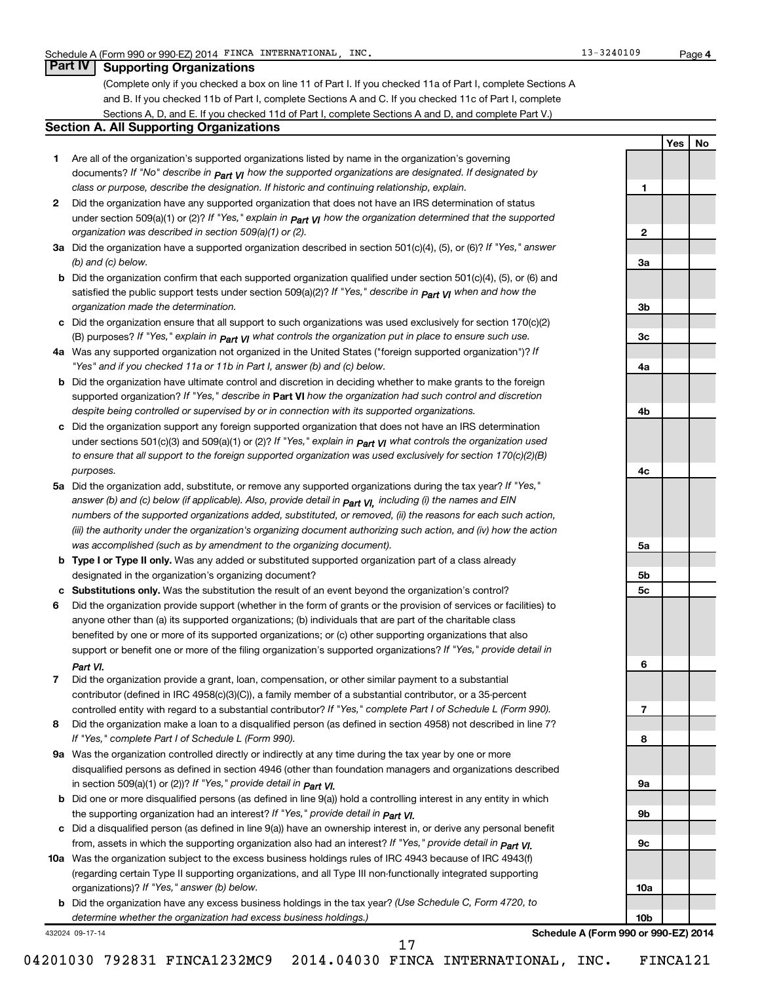### **Part IV Supporting Organizations**

(Complete only if you checked a box on line 11 of Part I. If you checked 11a of Part I, complete Sections A and B. If you checked 11b of Part I, complete Sections A and C. If you checked 11c of Part I, complete Sections A, D, and E. If you checked 11d of Part I, complete Sections A and D, and complete Part V.)

### **Section A. All Supporting Organizations**

- **1** Are all of the organization's supported organizations listed by name in the organization's governing documents? If "No" describe in  $_{\mathsf{Part}}$   $_{\mathsf{V}}$  how the supported organizations are designated. If designated by *class or purpose, describe the designation. If historic and continuing relationship, explain.*
- **2** Did the organization have any supported organization that does not have an IRS determination of status under section 509(a)(1) or (2)? If "Yes," explain in  $_{\sf Part}$   $_{\sf VI}$  how the organization determined that the supported *organization was described in section 509(a)(1) or (2).*
- **3a** Did the organization have a supported organization described in section 501(c)(4), (5), or (6)? If "Yes," answer *(b) and (c) below.*
- **b** Did the organization confirm that each supported organization qualified under section 501(c)(4), (5), or (6) and satisfied the public support tests under section 509(a)(2)? If "Yes," describe in  $_{\rm Part}$   $_{\rm VI}$  when and how the *organization made the determination.*
- **c** Did the organization ensure that all support to such organizations was used exclusively for section 170(c)(2) (B) purposes? If "Yes," explain in  $_{\mathsf{Part}}$   $_{\mathsf{V}}$  what controls the organization put in place to ensure such use.
- **4 a** *If* Was any supported organization not organized in the United States ("foreign supported organization")? *"Yes" and if you checked 11a or 11b in Part I, answer (b) and (c) below.*
- **b** Did the organization have ultimate control and discretion in deciding whether to make grants to the foreign supported organization? If "Yes," describe in Part VI how the organization had such control and discretion *despite being controlled or supervised by or in connection with its supported organizations.*
- **c** Did the organization support any foreign supported organization that does not have an IRS determination under sections 501(c)(3) and 509(a)(1) or (2)? If "Yes," ex*plain in*  $_{\sf Part}$  *v*J what controls the organization used *to ensure that all support to the foreign supported organization was used exclusively for section 170(c)(2)(B) purposes.*
- **5a** Did the organization add, substitute, or remove any supported organizations during the tax year? If "Yes," answer (b) and (c) below (if applicable). Also, provide detail in  $_{\mathsf{Part}}$   $_{\mathsf{V{\mathsf{I}}}}$ , including (i) the names and EIN *numbers of the supported organizations added, substituted, or removed, (ii) the reasons for each such action, (iii) the authority under the organization's organizing document authorizing such action, and (iv) how the action was accomplished (such as by amendment to the organizing document).*
- **b** Type I or Type II only. Was any added or substituted supported organization part of a class already designated in the organization's organizing document?
- **c Substitutions only.**  Was the substitution the result of an event beyond the organization's control?
- **6** Did the organization provide support (whether in the form of grants or the provision of services or facilities) to support or benefit one or more of the filing organization's supported organizations? If "Yes," provide detail in anyone other than (a) its supported organizations; (b) individuals that are part of the charitable class benefited by one or more of its supported organizations; or (c) other supporting organizations that also *Part VI.*
- **7** Did the organization provide a grant, loan, compensation, or other similar payment to a substantial controlled entity with regard to a substantial contributor? If "Yes," complete Part I of Schedule L (Form 990). contributor (defined in IRC 4958(c)(3)(C)), a family member of a substantial contributor, or a 35-percent
- **8** Did the organization make a loan to a disqualified person (as defined in section 4958) not described in line 7? *If "Yes," complete Part I of Schedule L (Form 990).*
- **9 a** Was the organization controlled directly or indirectly at any time during the tax year by one or more *If "Yes," provide detail in*  in section 509(a)(1) or (2))? *Part VI.* disqualified persons as defined in section 4946 (other than foundation managers and organizations described
- **b** Did one or more disqualified persons (as defined in line 9(a)) hold a controlling interest in any entity in which  *If "Yes," provide detail in*  the supporting organization had an interest? *Part VI.*
- **c** Did a disqualified person (as defined in line 9(a)) have an ownership interest in, or derive any personal benefit from, assets in which the supporting organization also had an interest? If "Yes," *provide detail in Part VI.*
- **10 a** Was the organization subject to the excess business holdings rules of IRC 4943 because of IRC 4943(f)  *If "Yes," answer (b) below.* organizations)? (regarding certain Type II supporting organizations, and all Type III non-functionally integrated supporting
	- **b** Did the organization have any excess business holdings in the tax year? (Use Schedule C, Form 4720, to *determine whether the organization had excess business holdings.)*

17

432024 09-17-14

**Schedule A (Form 990 or 990-EZ) 2014**

04201030 792831 FINCA1232MC9 2014.04030 FINCA INTERNATIONAL, INC. FINCA121

**1 2 3a 3b 3c 4a 4b 4c 5a 5b 5c 6 7 8 9a 9b 9c 10a 10b**

**Yes No**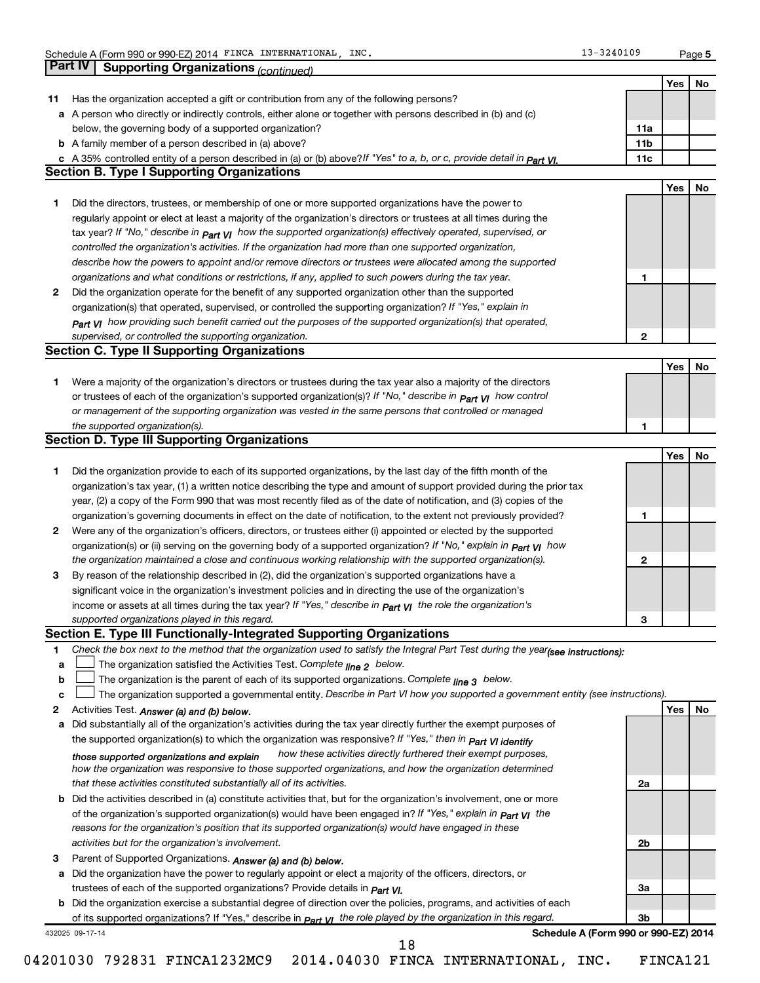|              | Part IV Supporting Organizations (continued)                                                                                     |                 |            |     |
|--------------|----------------------------------------------------------------------------------------------------------------------------------|-----------------|------------|-----|
|              |                                                                                                                                  |                 | Yes        | No  |
| 11           | Has the organization accepted a gift or contribution from any of the following persons?                                          |                 |            |     |
|              | a A person who directly or indirectly controls, either alone or together with persons described in (b) and (c)                   |                 |            |     |
|              | below, the governing body of a supported organization?                                                                           | 11a             |            |     |
|              | <b>b</b> A family member of a person described in (a) above?                                                                     | 11 <sub>b</sub> |            |     |
|              | c A 35% controlled entity of a person described in (a) or (b) above?If "Yes" to a, b, or c, provide detail in Part VI.           | 11c             |            |     |
|              | <b>Section B. Type I Supporting Organizations</b>                                                                                |                 |            |     |
|              |                                                                                                                                  |                 | <b>Yes</b> | No  |
| 1            | Did the directors, trustees, or membership of one or more supported organizations have the power to                              |                 |            |     |
|              | regularly appoint or elect at least a majority of the organization's directors or trustees at all times during the               |                 |            |     |
|              | tax year? If "No," describe in $p_{art}$ VI how the supported organization(s) effectively operated, supervised, or               |                 |            |     |
|              | controlled the organization's activities. If the organization had more than one supported organization,                          |                 |            |     |
|              | describe how the powers to appoint and/or remove directors or trustees were allocated among the supported                        |                 |            |     |
|              | organizations and what conditions or restrictions, if any, applied to such powers during the tax year.                           | 1               |            |     |
| 2            | Did the organization operate for the benefit of any supported organization other than the supported                              |                 |            |     |
|              | organization(s) that operated, supervised, or controlled the supporting organization? If "Yes," explain in                       |                 |            |     |
|              | $_{Part}$ v <sub>I</sub> how providing such benefit carried out the purposes of the supported organization(s) that operated,     |                 |            |     |
|              | supervised, or controlled the supporting organization.                                                                           | 2               |            |     |
|              | <b>Section C. Type II Supporting Organizations</b>                                                                               |                 |            |     |
|              |                                                                                                                                  |                 | Yes        | No  |
| 1.           | Were a majority of the organization's directors or trustees during the tax year also a majority of the directors                 |                 |            |     |
|              | or trustees of each of the organization's supported organization(s)? If "No," describe in <b>Part VI</b> how control             |                 |            |     |
|              | or management of the supporting organization was vested in the same persons that controlled or managed                           |                 |            |     |
|              | the supported organization(s).                                                                                                   | 1               |            |     |
|              | <b>Section D. Type III Supporting Organizations</b>                                                                              |                 |            |     |
|              |                                                                                                                                  |                 | Yes        | No  |
| 1            | Did the organization provide to each of its supported organizations, by the last day of the fifth month of the                   |                 |            |     |
|              | organization's tax year, (1) a written notice describing the type and amount of support provided during the prior tax            |                 |            |     |
|              | year, (2) a copy of the Form 990 that was most recently filed as of the date of notification, and (3) copies of the              |                 |            |     |
|              | organization's governing documents in effect on the date of notification, to the extent not previously provided?                 | 1               |            |     |
| 2            | Were any of the organization's officers, directors, or trustees either (i) appointed or elected by the supported                 |                 |            |     |
|              | organization(s) or (ii) serving on the governing body of a supported organization? If "No," explain in part VI how               |                 |            |     |
|              | the organization maintained a close and continuous working relationship with the supported organization(s).                      | 2               |            |     |
| 3            | By reason of the relationship described in (2), did the organization's supported organizations have a                            |                 |            |     |
|              | significant voice in the organization's investment policies and in directing the use of the organization's                       |                 |            |     |
|              | income or assets at all times during the tax year? If "Yes," describe in $P_{\text{art } VI}$ the role the organization's        |                 |            |     |
|              | supported organizations played in this regard.                                                                                   |                 |            |     |
|              | Section E. Type III Functionally-Integrated Supporting Organizations                                                             | з               |            |     |
| 1            | Check the box next to the method that the organization used to satisfy the Integral Part Test during the year(see instructions): |                 |            |     |
| a            | The organization satisfied the Activities Test. Complete line 2 below.                                                           |                 |            |     |
| b            | The organization is the parent of each of its supported organizations. Complete $_{\text{line 3}}$ below.                        |                 |            |     |
| C            | The organization supported a governmental entity. Describe in Part VI how you supported a government entity (see instructions).  |                 |            |     |
| $\mathbf{2}$ |                                                                                                                                  |                 | Yes        | No. |
|              | Activities Test. Answer (a) and (b) below.                                                                                       |                 |            |     |
| а            | Did substantially all of the organization's activities during the tax year directly further the exempt purposes of               |                 |            |     |
|              | the supported organization(s) to which the organization was responsive? If "Yes," then in Part VI identify                       |                 |            |     |
|              | how these activities directly furthered their exempt purposes,<br>those supported organizations and explain                      |                 |            |     |
|              | how the organization was responsive to those supported organizations, and how the organization determined                        |                 |            |     |
|              | that these activities constituted substantially all of its activities.                                                           | 2a              |            |     |
|              | <b>b</b> Did the activities described in (a) constitute activities that, but for the organization's involvement, one or more     |                 |            |     |
|              | of the organization's supported organization(s) would have been engaged in? If "Yes," explain in <b>Part VI</b> the              |                 |            |     |
|              | reasons for the organization's position that its supported organization(s) would have engaged in these                           |                 |            |     |
|              | activities but for the organization's involvement.                                                                               | 2b              |            |     |
|              |                                                                                                                                  |                 |            |     |
|              | Parent of Supported Organizations. Answer (a) and (b) below.                                                                     |                 |            |     |
| а            | Did the organization have the power to regularly appoint or elect a majority of the officers, directors, or                      |                 |            |     |
|              | trustees of each of the supported organizations? Provide details in <i>Part VI.</i>                                              | За              |            |     |
| 3            | <b>b</b> Did the organization exercise a substantial degree of direction over the policies, programs, and activities of each     |                 |            |     |
|              | of its supported organizations? If "Yes," describe in $P_{\text{art}}$ VI the role played by the organization in this regard.    | 3b              |            |     |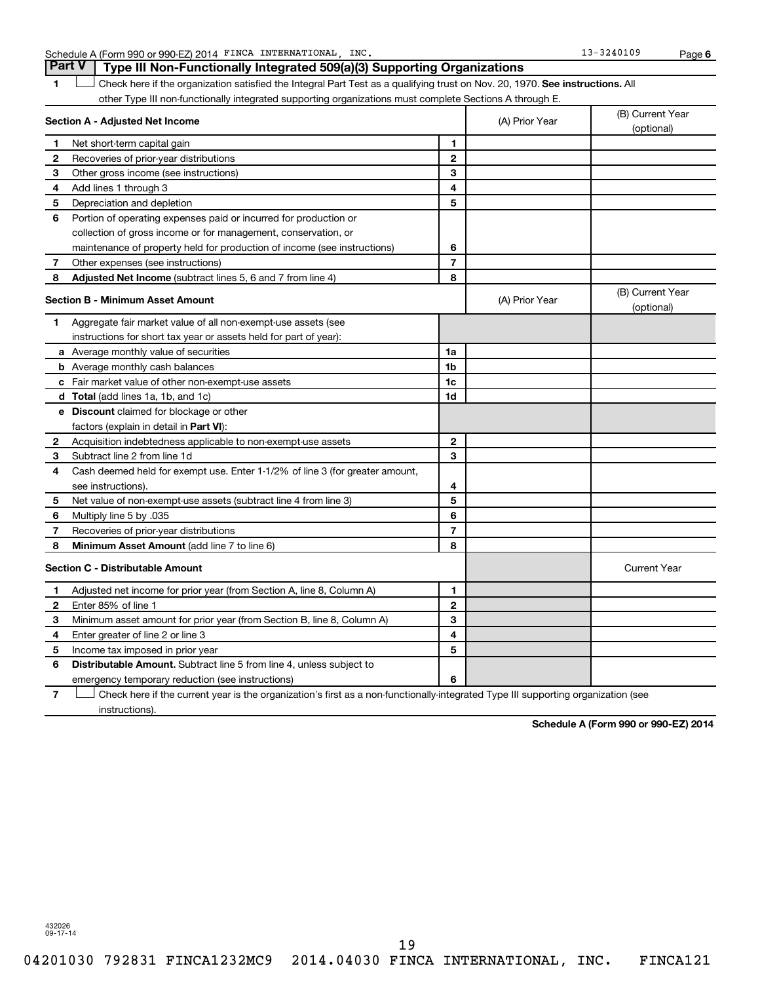Schedule A (Form 990 or 990-EZ) 2014 FINCA INTERNATIONAL, INC. 13 = 13-3240109 Page

**6**

1  $\Box$  Check here if the organization satisfied the Integral Part Test as a qualifying trust on Nov. 20, 1970. See instructions. All **Section A - Adjusted Net Income** other Type III non-functionally integrated supporting organizations must complete Sections A through E. (B) Current Year (A) Prior Year **Part V Type III Non-Functionally Integrated 509(a)(3) Supporting Organizations**   $\Box$ 

|              |                                                                              |                |                | (optional)                     |
|--------------|------------------------------------------------------------------------------|----------------|----------------|--------------------------------|
| 1            | Net short-term capital gain                                                  | 1              |                |                                |
| $\mathbf{2}$ | Recoveries of prior-year distributions                                       | $\mathbf{2}$   |                |                                |
| З            | Other gross income (see instructions)                                        | 3              |                |                                |
| 4            | Add lines 1 through 3                                                        | 4              |                |                                |
| 5            | Depreciation and depletion                                                   | 5              |                |                                |
| 6            | Portion of operating expenses paid or incurred for production or             |                |                |                                |
|              | collection of gross income or for management, conservation, or               |                |                |                                |
|              | maintenance of property held for production of income (see instructions)     | 6              |                |                                |
| 7            | Other expenses (see instructions)                                            | $\overline{7}$ |                |                                |
| 8            | Adjusted Net Income (subtract lines 5, 6 and 7 from line 4)                  | 8              |                |                                |
|              | <b>Section B - Minimum Asset Amount</b>                                      |                | (A) Prior Year | (B) Current Year<br>(optional) |
| 1            | Aggregate fair market value of all non-exempt-use assets (see                |                |                |                                |
|              | instructions for short tax year or assets held for part of year):            |                |                |                                |
|              | a Average monthly value of securities                                        | 1a             |                |                                |
|              | <b>b</b> Average monthly cash balances                                       | 1 <sub>b</sub> |                |                                |
|              | c Fair market value of other non-exempt-use assets                           | 1c             |                |                                |
|              | d Total (add lines 1a, 1b, and 1c)                                           | 1d             |                |                                |
|              | e Discount claimed for blockage or other                                     |                |                |                                |
|              | factors (explain in detail in Part VI):                                      |                |                |                                |
| $\mathbf{2}$ | Acquisition indebtedness applicable to non-exempt-use assets                 | $\mathbf{2}$   |                |                                |
| 3            | Subtract line 2 from line 1d                                                 | 3              |                |                                |
| 4            | Cash deemed held for exempt use. Enter 1-1/2% of line 3 (for greater amount, |                |                |                                |
|              | see instructions).                                                           | 4              |                |                                |
| 5            | Net value of non-exempt-use assets (subtract line 4 from line 3)             | 5              |                |                                |
| 6            | 035. Multiply line 5 by                                                      | 6              |                |                                |
| 7            | Recoveries of prior-year distributions                                       | $\overline{7}$ |                |                                |
| 8            | Minimum Asset Amount (add line 7 to line 6)                                  | 8              |                |                                |
|              | <b>Section C - Distributable Amount</b>                                      |                |                | <b>Current Year</b>            |
| $\mathbf 1$  | Adjusted net income for prior year (from Section A, line 8, Column A)        | 1              |                |                                |
| $\mathbf{2}$ | Enter 85% of line 1                                                          | $\mathbf{2}$   |                |                                |
| 3            | Minimum asset amount for prior year (from Section B, line 8, Column A)       | 3              |                |                                |
| 4            | Enter greater of line 2 or line 3                                            | 4              |                |                                |
| 5            | Income tax imposed in prior year                                             | 5              |                |                                |
| 6            | <b>Distributable Amount.</b> Subtract line 5 from line 4, unless subject to  |                |                |                                |
|              | emergency temporary reduction (see instructions)                             | 6              |                |                                |
|              |                                                                              |                |                |                                |

**7** Check here if the current year is the organization's first as a non-functionally-integrated Type III supporting organization (see † instructions).

**Schedule A (Form 990 or 990-EZ) 2014**

432026 09-17-14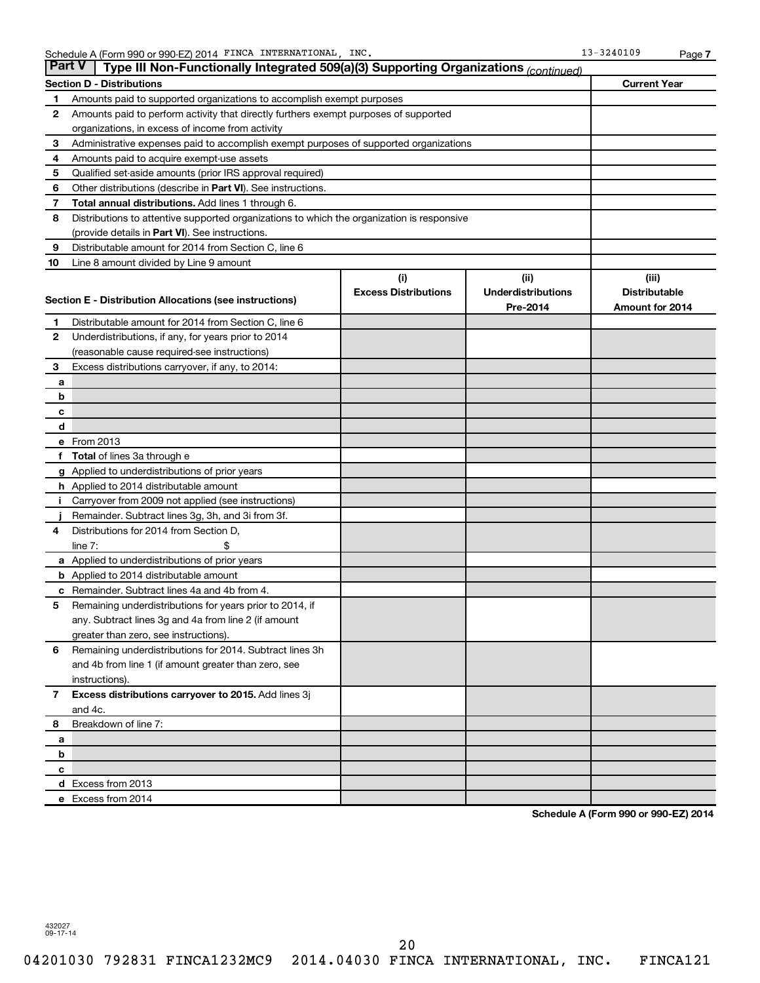|              | <b>Part V</b><br>Type III Non-Functionally Integrated 509(a)(3) Supporting Organizations (continued)             |                                    |                                               |                                                  |  |
|--------------|------------------------------------------------------------------------------------------------------------------|------------------------------------|-----------------------------------------------|--------------------------------------------------|--|
|              | <b>Section D - Distributions</b>                                                                                 |                                    |                                               | <b>Current Year</b>                              |  |
| 1            | Amounts paid to supported organizations to accomplish exempt purposes                                            |                                    |                                               |                                                  |  |
| 2            | Amounts paid to perform activity that directly furthers exempt purposes of supported                             |                                    |                                               |                                                  |  |
|              | organizations, in excess of income from activity                                                                 |                                    |                                               |                                                  |  |
| 3            | Administrative expenses paid to accomplish exempt purposes of supported organizations                            |                                    |                                               |                                                  |  |
| 4            | Amounts paid to acquire exempt-use assets                                                                        |                                    |                                               |                                                  |  |
| 5            | Qualified set-aside amounts (prior IRS approval required)                                                        |                                    |                                               |                                                  |  |
| 6            | Other distributions (describe in <b>Part VI</b> ). See instructions.                                             |                                    |                                               |                                                  |  |
| 7            | Total annual distributions. Add lines 1 through 6.                                                               |                                    |                                               |                                                  |  |
| 8            | Distributions to attentive supported organizations to which the organization is responsive                       |                                    |                                               |                                                  |  |
|              | (provide details in Part VI). See instructions.                                                                  |                                    |                                               |                                                  |  |
| 9            | Distributable amount for 2014 from Section C, line 6                                                             |                                    |                                               |                                                  |  |
| 10           | Line 8 amount divided by Line 9 amount                                                                           |                                    |                                               |                                                  |  |
|              | Section E - Distribution Allocations (see instructions)                                                          | (i)<br><b>Excess Distributions</b> | (ii)<br><b>Underdistributions</b><br>Pre-2014 | (iii)<br><b>Distributable</b><br>Amount for 2014 |  |
| 1            | Distributable amount for 2014 from Section C, line 6                                                             |                                    |                                               |                                                  |  |
| 2            | Underdistributions, if any, for years prior to 2014                                                              |                                    |                                               |                                                  |  |
|              | (reasonable cause required-see instructions)                                                                     |                                    |                                               |                                                  |  |
| З            | Excess distributions carryover, if any, to 2014:                                                                 |                                    |                                               |                                                  |  |
| а            |                                                                                                                  |                                    |                                               |                                                  |  |
| b            |                                                                                                                  |                                    |                                               |                                                  |  |
| с            |                                                                                                                  |                                    |                                               |                                                  |  |
| d            |                                                                                                                  |                                    |                                               |                                                  |  |
|              | e From 2013                                                                                                      |                                    |                                               |                                                  |  |
| f.           | <b>Total</b> of lines 3a through e                                                                               |                                    |                                               |                                                  |  |
|              | g Applied to underdistributions of prior years                                                                   |                                    |                                               |                                                  |  |
|              | <b>h</b> Applied to 2014 distributable amount                                                                    |                                    |                                               |                                                  |  |
| Ť            | Carryover from 2009 not applied (see instructions)                                                               |                                    |                                               |                                                  |  |
|              | Remainder. Subtract lines 3g, 3h, and 3i from 3f.                                                                |                                    |                                               |                                                  |  |
| 4            | Distributions for 2014 from Section D,                                                                           |                                    |                                               |                                                  |  |
|              | line $7:$                                                                                                        |                                    |                                               |                                                  |  |
|              | a Applied to underdistributions of prior years                                                                   |                                    |                                               |                                                  |  |
|              | <b>b</b> Applied to 2014 distributable amount                                                                    |                                    |                                               |                                                  |  |
| с            | Remainder. Subtract lines 4a and 4b from 4.                                                                      |                                    |                                               |                                                  |  |
| 5            | Remaining underdistributions for years prior to 2014, if<br>any. Subtract lines 3g and 4a from line 2 (if amount |                                    |                                               |                                                  |  |
|              | greater than zero, see instructions).                                                                            |                                    |                                               |                                                  |  |
| 6            | Remaining underdistributions for 2014. Subtract lines 3h                                                         |                                    |                                               |                                                  |  |
|              | and 4b from line 1 (if amount greater than zero, see                                                             |                                    |                                               |                                                  |  |
|              | instructions).                                                                                                   |                                    |                                               |                                                  |  |
| $\mathbf{7}$ | Excess distributions carryover to 2015. Add lines 3j                                                             |                                    |                                               |                                                  |  |
|              | and 4c.                                                                                                          |                                    |                                               |                                                  |  |
| 8            | Breakdown of line 7:                                                                                             |                                    |                                               |                                                  |  |
| a            |                                                                                                                  |                                    |                                               |                                                  |  |
| b            |                                                                                                                  |                                    |                                               |                                                  |  |
| c            |                                                                                                                  |                                    |                                               |                                                  |  |
|              | d Excess from 2013                                                                                               |                                    |                                               |                                                  |  |
|              |                                                                                                                  |                                    |                                               |                                                  |  |

**Schedule A (Form 990 or 990-EZ) 2014**

432027 09-17-14

**e** Excess from 2014

20

04201030 792831 FINCA1232MC9 2014.04030 FINCA INTERNATIONAL, INC. FINCA121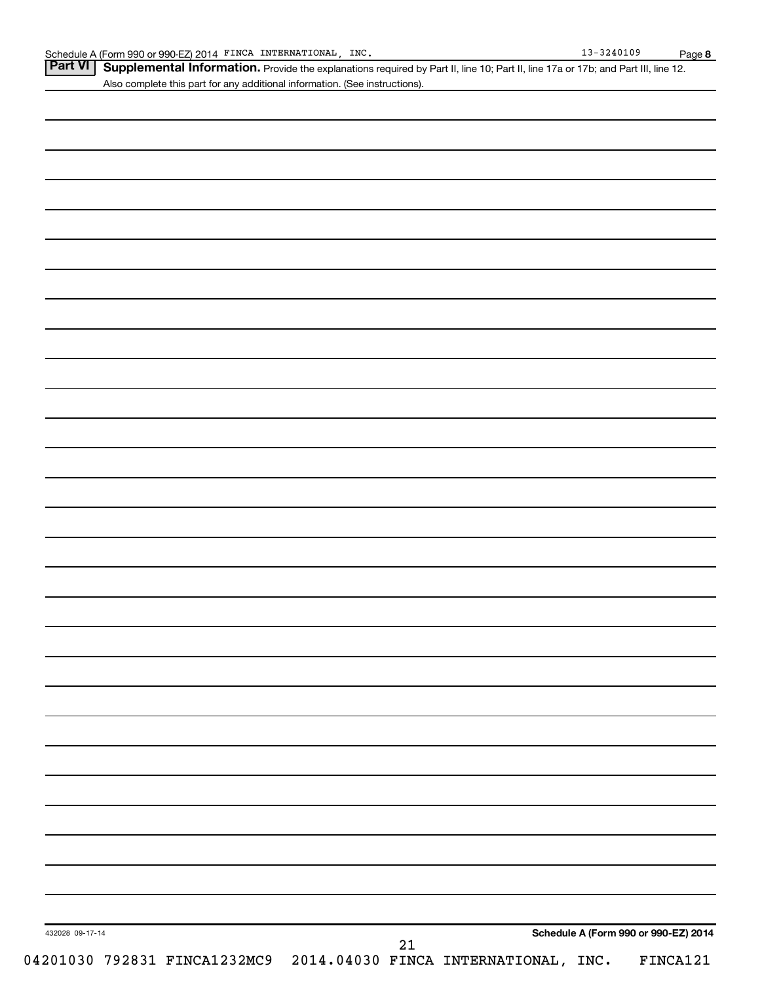| Part VI   Supplemental Information. Provide the explanations required by Part II, line 10; Part II, line 17a or 17b; and Part III, line 12. |
|---------------------------------------------------------------------------------------------------------------------------------------------|
| Also complete this part for any additional information. (See instructions).                                                                 |
|                                                                                                                                             |

| 432028 09-17-14 | Schedule A (Form 990 or 990-EZ) 2014                                    |
|-----------------|-------------------------------------------------------------------------|
|                 | 21<br>04201030 792831 FINCA1232MC9 2014.04030 FINCA INTERNATIONAL, INC. |
|                 | FINCA121                                                                |
|                 |                                                                         |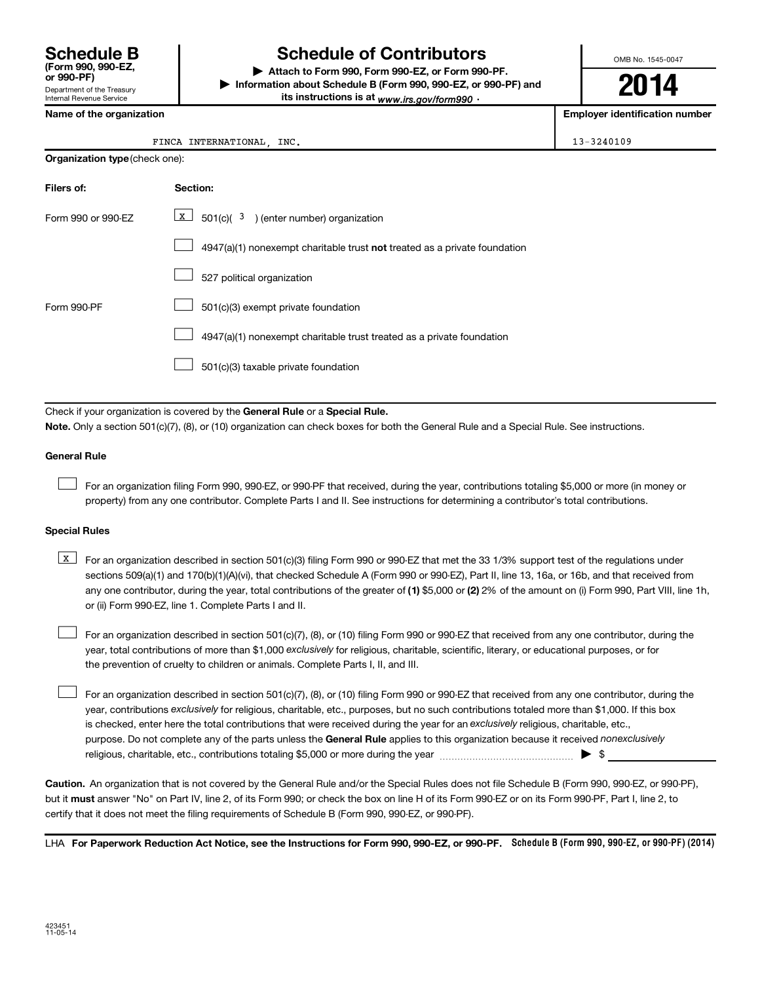Department of the Treasury Internal Revenue Service **(Form 990, 990-EZ,**

### **Schedule B Schedule of Contributors**

**or 990-PF) | Attach to Form 990, Form 990-EZ, or Form 990-PF. | Information about Schedule B (Form 990, 990-EZ, or 990-PF) and** its instructions is at <sub>www.irs.gov/form990  $\cdot$ </sub>

OMB No. 1545-0047

**2014**

**Employer identification number** 

|  | Name of the organization |
|--|--------------------------|
|--|--------------------------|

### FINCA INTERNATIONAL, INC. 13-3240109

| <b>Organization type (check one):</b> |                                                                           |  |  |  |  |  |
|---------------------------------------|---------------------------------------------------------------------------|--|--|--|--|--|
| Filers of:                            | Section:                                                                  |  |  |  |  |  |
| Form 990 or 990-EZ                    | X  <br>$501(c)$ ( $3$ ) (enter number) organization                       |  |  |  |  |  |
|                                       | 4947(a)(1) nonexempt charitable trust not treated as a private foundation |  |  |  |  |  |
|                                       | 527 political organization                                                |  |  |  |  |  |
| Form 990-PF                           | 501(c)(3) exempt private foundation                                       |  |  |  |  |  |
|                                       | 4947(a)(1) nonexempt charitable trust treated as a private foundation     |  |  |  |  |  |
|                                       | 501(c)(3) taxable private foundation                                      |  |  |  |  |  |

Check if your organization is covered by the General Rule or a Special Rule.

**Note.**  Only a section 501(c)(7), (8), or (10) organization can check boxes for both the General Rule and a Special Rule. See instructions.

### **General Rule**

 $\Box$ 

For an organization filing Form 990, 990-EZ, or 990-PF that received, during the year, contributions totaling \$5,000 or more (in money or property) from any one contributor. Complete Parts I and II. See instructions for determining a contributor's total contributions.

### **Special Rules**

any one contributor, during the year, total contributions of the greater of **(1)** \$5,000 or **(2)** 2% of the amount on (i) Form 990, Part VIII, line 1h, **K** For an organization described in section 501(c)(3) filing Form 990 or 990-EZ that met the 33 1/3% support test of the regulations under sections 509(a)(1) and 170(b)(1)(A)(vi), that checked Schedule A (Form 990 or 990-EZ), Part II, line 13, 16a, or 16b, and that received from or (ii) Form 990-EZ, line 1. Complete Parts I and II.

year, total contributions of more than \$1,000 *exclusively* for religious, charitable, scientific, literary, or educational purposes, or for For an organization described in section 501(c)(7), (8), or (10) filing Form 990 or 990-EZ that received from any one contributor, during the the prevention of cruelty to children or animals. Complete Parts I, II, and III.  $\Box$ 

purpose. Do not complete any of the parts unless the General Rule applies to this organization because it received nonexclusively year, contributions exclusively for religious, charitable, etc., purposes, but no such contributions totaled more than \$1,000. If this box is checked, enter here the total contributions that were received during the year for an exclusively religious, charitable, etc., For an organization described in section 501(c)(7), (8), or (10) filing Form 990 or 990-EZ that received from any one contributor, during the religious, charitable, etc., contributions totaling \$5,000 or more during the year  $\ldots$  $\ldots$  $\ldots$  $\ldots$  $\ldots$  $\ldots$  $\Box$ 

**Caution.** An organization that is not covered by the General Rule and/or the Special Rules does not file Schedule B (Form 990, 990-EZ, or 990-PF),  **must** but it answer "No" on Part IV, line 2, of its Form 990; or check the box on line H of its Form 990-EZ or on its Form 990-PF, Part I, line 2, to certify that it does not meet the filing requirements of Schedule B (Form 990, 990-EZ, or 990-PF).

LHA For Paperwork Reduction Act Notice, see the Instructions for Form 990, 990-EZ, or 990-PF. Schedule B (Form 990, 990-EZ, or 990-PF) (2014)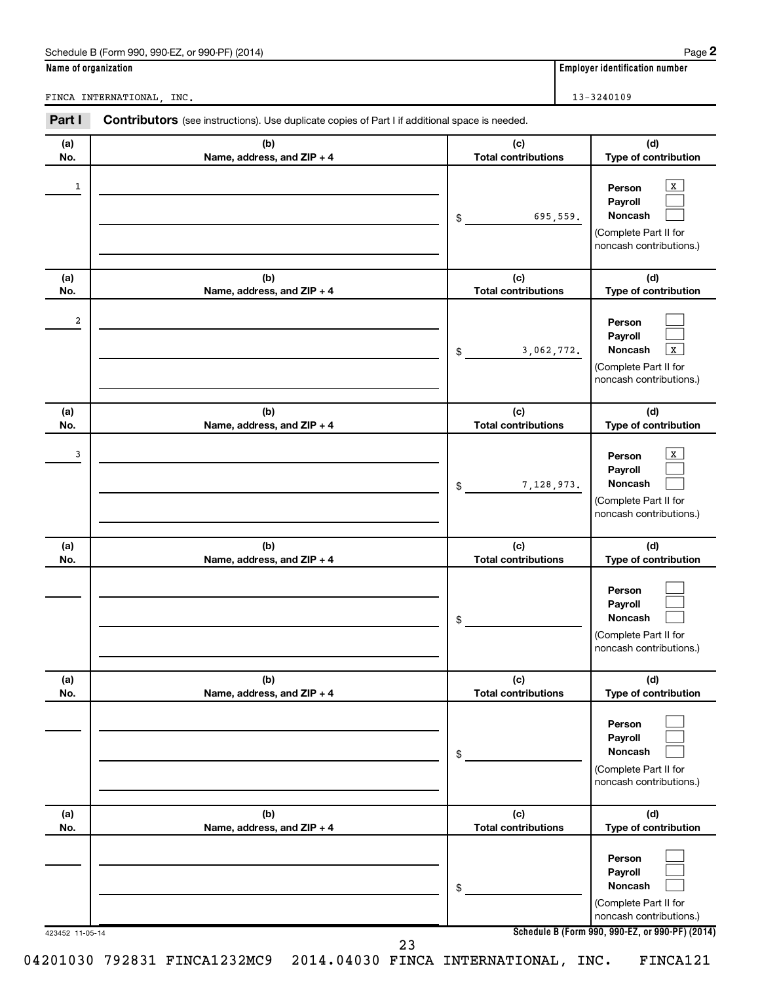|                      | Schedule B (Form 990, 990-EZ, or 990-PF) (2014)                                                |                                   | Page 2                                                                                       |
|----------------------|------------------------------------------------------------------------------------------------|-----------------------------------|----------------------------------------------------------------------------------------------|
| Name of organization |                                                                                                |                                   | <b>Employer identification number</b>                                                        |
|                      | FINCA INTERNATIONAL, INC.                                                                      |                                   | 13-3240109                                                                                   |
| Part I               | Contributors (see instructions). Use duplicate copies of Part I if additional space is needed. |                                   |                                                                                              |
| (a)<br>No.           | (b)<br>Name, address, and ZIP + 4                                                              | (c)<br><b>Total contributions</b> | (d)<br>Type of contribution                                                                  |
| 1                    |                                                                                                | 695,559.<br>\$                    | х<br>Person<br>Payroll<br>Noncash<br>(Complete Part II for<br>noncash contributions.)        |
| (a)<br>No.           | (b)<br>Name, address, and ZIP + 4                                                              | (c)<br><b>Total contributions</b> | (d)<br>Type of contribution                                                                  |
| 2                    |                                                                                                | 3,062,772.<br>\$                  | Person<br>Payroll<br>Noncash<br>х<br>(Complete Part II for<br>noncash contributions.)        |
| (a)<br>No.           | (b)<br>Name, address, and ZIP + 4                                                              | (c)<br><b>Total contributions</b> | (d)<br>Type of contribution                                                                  |
| 3                    |                                                                                                | 7,128,973.<br>\$                  | х<br>Person<br>Payroll<br><b>Noncash</b><br>(Complete Part II for<br>noncash contributions.) |
| (a)<br>No.           | (b)<br>Name, address, and ZIP + 4                                                              | (c)<br><b>Total contributions</b> | (d)<br>Type of contribution                                                                  |
|                      |                                                                                                | \$                                | Person<br>Payroll<br>Noncash<br>(Complete Part II for<br>noncash contributions.)             |
| (a)<br>No.           | (b)<br>Name, address, and ZIP + 4                                                              | (c)<br><b>Total contributions</b> | (d)<br>Type of contribution                                                                  |
|                      |                                                                                                | \$                                | Person<br>Payroll<br><b>Noncash</b><br>(Complete Part II for<br>noncash contributions.)      |
| (a)<br>No.           | (b)<br>Name, address, and ZIP + 4                                                              | (c)<br><b>Total contributions</b> | (d)<br>Type of contribution                                                                  |
|                      |                                                                                                |                                   | Person<br>Payroll                                                                            |

23

**Schedule B (Form 990, 990-EZ, or 990-PF) (2014)**

**Noncash**

(Complete Part II for noncash contributions.)

 $\mathcal{L}^{\text{eff}}$ 

423452 11-05-14

04201030 792831 FINCA1232MC9 2014.04030 FINCA INTERNATIONAL, INC. FINCA121

\$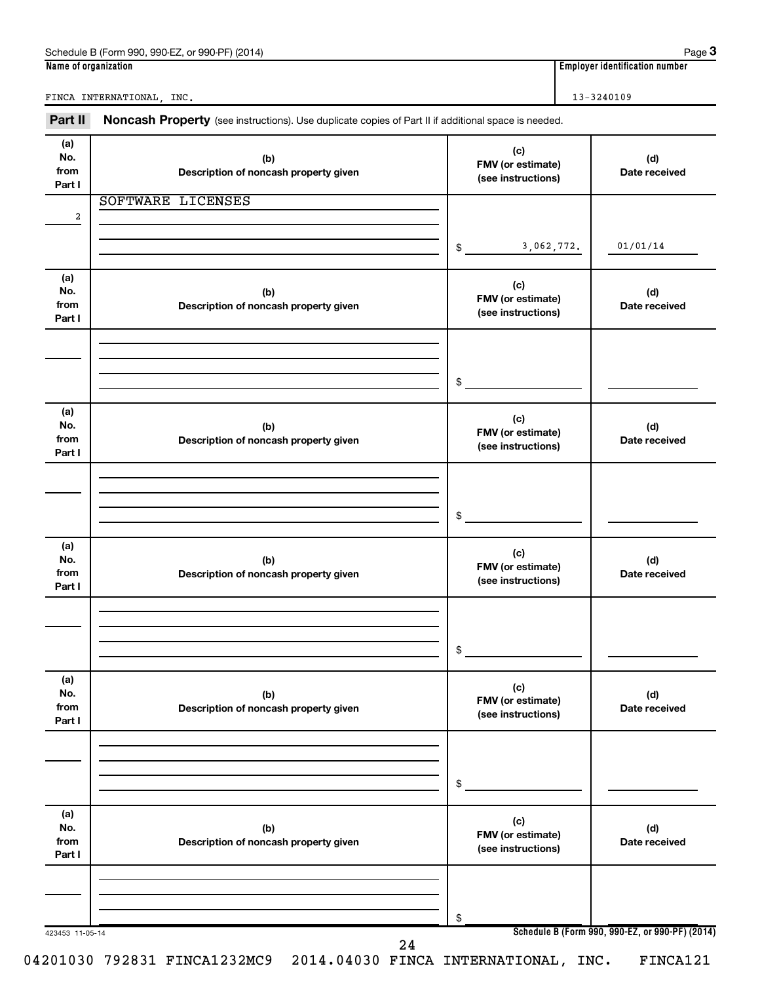| Part II                      | Noncash Property (see instructions). Use duplicate copies of Part II if additional space is needed. |                                                |                      |
|------------------------------|-----------------------------------------------------------------------------------------------------|------------------------------------------------|----------------------|
| (a)<br>No.<br>from<br>Part I | (b)<br>Description of noncash property given                                                        | (c)<br>FMV (or estimate)<br>(see instructions) | (d)<br>Date received |
|                              | SOFTWARE LICENSES                                                                                   |                                                |                      |
| 2                            |                                                                                                     | 3,062,772.<br>$\frac{1}{2}$                    | 01/01/14             |
| (a)<br>No.<br>from<br>Part I | (b)<br>Description of noncash property given                                                        | (c)<br>FMV (or estimate)<br>(see instructions) | (d)<br>Date received |
|                              |                                                                                                     | \$                                             |                      |
| (a)<br>No.<br>from<br>Part I | (b)<br>Description of noncash property given                                                        | (c)<br>FMV (or estimate)<br>(see instructions) | (d)<br>Date received |
|                              |                                                                                                     | \$                                             |                      |
| (a)<br>No.<br>from<br>Part I | (b)<br>Description of noncash property given                                                        | (c)<br>FMV (or estimate)<br>(see instructions) | (d)<br>Date received |
|                              |                                                                                                     | \$                                             |                      |
| (a)<br>No.<br>from<br>Part I | (b)<br>Description of noncash property given                                                        | (c)<br>FMV (or estimate)<br>(see instructions) | (d)<br>Date received |
|                              |                                                                                                     | \$                                             |                      |
| (a)<br>No.<br>from<br>Part I | (b)<br>Description of noncash property given                                                        | (c)<br>FMV (or estimate)<br>(see instructions) | (d)<br>Date received |
|                              |                                                                                                     | \$                                             |                      |

**Name of organization Employer identification number** Schedule B (Form 990, 990-EZ, or 990-PF) (2014)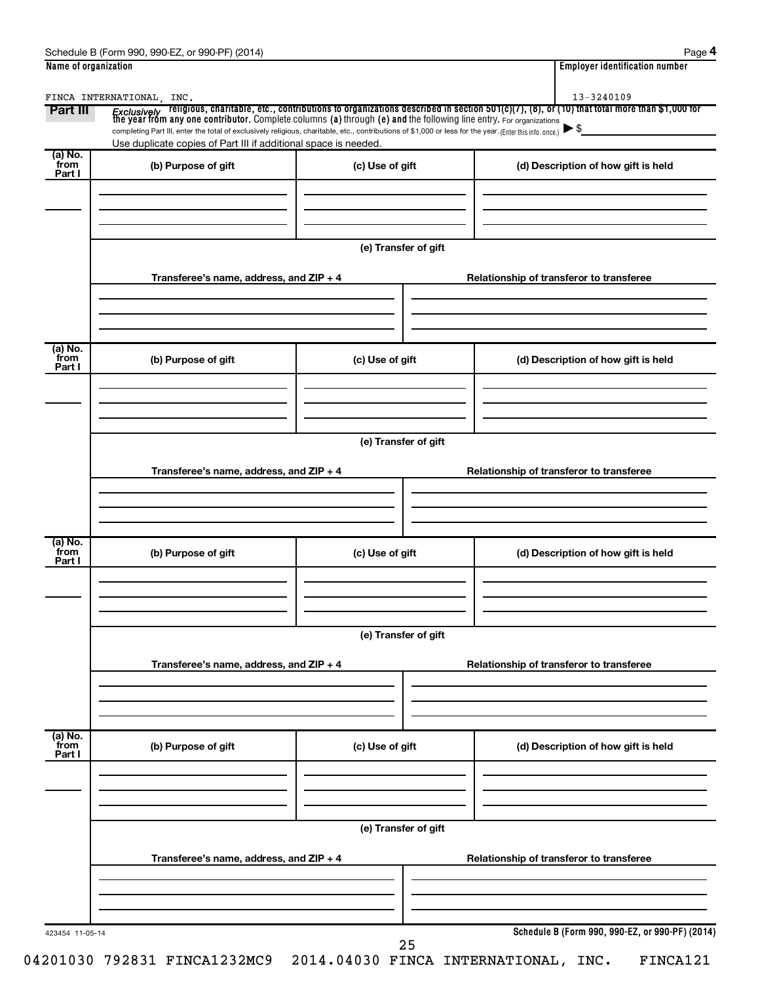| Schedule B<br>990-EZ<br>(2014)<br>. or 990-PF<br>(Form 990) | Paɑe                               |
|-------------------------------------------------------------|------------------------------------|
| Name of organization                                        | <br>Emplover identification number |

|--|--|

| Part III                  | FINCA INTERNATIONAL, INC.                                                                                                                                |                      | <i>Exclusively</i> religious, charitable, etc., contributions to organizations described in section 501(c)(7), (8), or (10) that total more than \$1,000 for<br>the year from any one contributor. Complete columns (a) through (e) and |
|---------------------------|----------------------------------------------------------------------------------------------------------------------------------------------------------|----------------------|-----------------------------------------------------------------------------------------------------------------------------------------------------------------------------------------------------------------------------------------|
|                           | completing Part III, enter the total of exclusively religious, charitable, etc., contributions of \$1,000 or less for the year. (Enter this info. once.) |                      | $\blacktriangleright$ \$                                                                                                                                                                                                                |
| (a) No.                   | Use duplicate copies of Part III if additional space is needed.                                                                                          |                      |                                                                                                                                                                                                                                         |
| from<br>Part I            | (b) Purpose of gift                                                                                                                                      | (c) Use of gift      | (d) Description of how gift is held                                                                                                                                                                                                     |
|                           |                                                                                                                                                          |                      |                                                                                                                                                                                                                                         |
|                           |                                                                                                                                                          |                      |                                                                                                                                                                                                                                         |
|                           |                                                                                                                                                          | (e) Transfer of gift |                                                                                                                                                                                                                                         |
|                           | Transferee's name, address, and ZIP + 4                                                                                                                  |                      | Relationship of transferor to transferee                                                                                                                                                                                                |
|                           |                                                                                                                                                          |                      |                                                                                                                                                                                                                                         |
| (a) No.<br>from<br>Part I | (b) Purpose of gift                                                                                                                                      | (c) Use of gift      | (d) Description of how gift is held                                                                                                                                                                                                     |
|                           |                                                                                                                                                          |                      |                                                                                                                                                                                                                                         |
|                           |                                                                                                                                                          | (e) Transfer of gift |                                                                                                                                                                                                                                         |
|                           | Transferee's name, address, and ZIP + 4                                                                                                                  |                      | Relationship of transferor to transferee                                                                                                                                                                                                |
|                           |                                                                                                                                                          |                      |                                                                                                                                                                                                                                         |
| (a) No.                   |                                                                                                                                                          |                      |                                                                                                                                                                                                                                         |
| from<br>Part I            | (b) Purpose of gift                                                                                                                                      | (c) Use of gift      | (d) Description of how gift is held                                                                                                                                                                                                     |
|                           |                                                                                                                                                          |                      |                                                                                                                                                                                                                                         |
|                           |                                                                                                                                                          | (e) Transfer of gift |                                                                                                                                                                                                                                         |
|                           | Transferee's name, address, and ZIP + 4                                                                                                                  |                      | Relationship of transferor to transferee                                                                                                                                                                                                |
|                           |                                                                                                                                                          |                      |                                                                                                                                                                                                                                         |
| (a) No.                   |                                                                                                                                                          |                      |                                                                                                                                                                                                                                         |
| from<br>Part I            | (b) Purpose of gift                                                                                                                                      | (c) Use of gift      | (d) Description of how gift is held                                                                                                                                                                                                     |
|                           |                                                                                                                                                          |                      |                                                                                                                                                                                                                                         |
|                           |                                                                                                                                                          | (e) Transfer of gift |                                                                                                                                                                                                                                         |
|                           | Transferee's name, address, and ZIP + 4                                                                                                                  |                      | Relationship of transferor to transferee                                                                                                                                                                                                |
|                           |                                                                                                                                                          |                      |                                                                                                                                                                                                                                         |
|                           |                                                                                                                                                          |                      |                                                                                                                                                                                                                                         |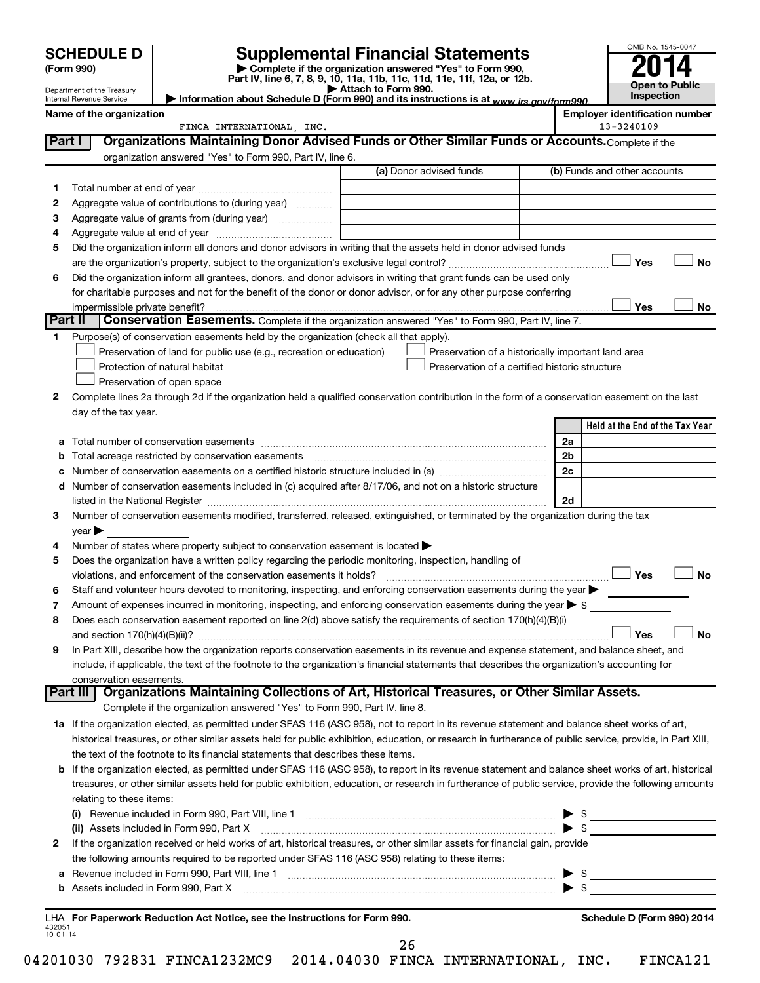|                    |                                                        |                                                                                                                                                                                         |                                                                                                                                                                                                                               |    | OMB No. 1545-0047                                   |
|--------------------|--------------------------------------------------------|-----------------------------------------------------------------------------------------------------------------------------------------------------------------------------------------|-------------------------------------------------------------------------------------------------------------------------------------------------------------------------------------------------------------------------------|----|-----------------------------------------------------|
|                    | <b>SCHEDULE D</b><br>(Form 990)                        |                                                                                                                                                                                         | <b>Supplemental Financial Statements</b><br>Complete if the organization answered "Yes" to Form 990,                                                                                                                          |    |                                                     |
|                    |                                                        |                                                                                                                                                                                         | Part IV, line 6, 7, 8, 9, 10, 11a, 11b, 11c, 11d, 11e, 11f, 12a, or 12b.<br>Attach to Form 990.                                                                                                                               |    | <b>Open to Public</b>                               |
|                    | Department of the Treasury<br>Internal Revenue Service | Information about Schedule D (Form 990) and its instructions is at www.irs.gov/form990.                                                                                                 | Inspection                                                                                                                                                                                                                    |    |                                                     |
|                    | Name of the organization                               | FINCA INTERNATIONAL, INC.                                                                                                                                                               |                                                                                                                                                                                                                               |    | <b>Employer identification number</b><br>13-3240109 |
| Part I             |                                                        |                                                                                                                                                                                         | Organizations Maintaining Donor Advised Funds or Other Similar Funds or Accounts. Complete if the                                                                                                                             |    |                                                     |
|                    |                                                        | organization answered "Yes" to Form 990, Part IV, line 6.                                                                                                                               |                                                                                                                                                                                                                               |    |                                                     |
|                    |                                                        |                                                                                                                                                                                         | (a) Donor advised funds                                                                                                                                                                                                       |    | (b) Funds and other accounts                        |
| 1                  |                                                        |                                                                                                                                                                                         |                                                                                                                                                                                                                               |    |                                                     |
| 2                  |                                                        | Aggregate value of contributions to (during year)                                                                                                                                       |                                                                                                                                                                                                                               |    |                                                     |
| з                  |                                                        | Aggregate value of grants from (during year)                                                                                                                                            |                                                                                                                                                                                                                               |    |                                                     |
| 4                  |                                                        |                                                                                                                                                                                         |                                                                                                                                                                                                                               |    |                                                     |
| 5                  |                                                        |                                                                                                                                                                                         | Did the organization inform all donors and donor advisors in writing that the assets held in donor advised funds                                                                                                              |    |                                                     |
|                    |                                                        |                                                                                                                                                                                         |                                                                                                                                                                                                                               |    | Yes<br><b>No</b>                                    |
| 6                  |                                                        |                                                                                                                                                                                         | Did the organization inform all grantees, donors, and donor advisors in writing that grant funds can be used only                                                                                                             |    |                                                     |
|                    |                                                        |                                                                                                                                                                                         | for charitable purposes and not for the benefit of the donor or donor advisor, or for any other purpose conferring                                                                                                            |    | Yes                                                 |
| Part II            | impermissible private benefit?                         |                                                                                                                                                                                         | Conservation Easements. Complete if the organization answered "Yes" to Form 990, Part IV, line 7.                                                                                                                             |    | No                                                  |
| 1.                 |                                                        | Purpose(s) of conservation easements held by the organization (check all that apply).                                                                                                   |                                                                                                                                                                                                                               |    |                                                     |
|                    |                                                        | Preservation of land for public use (e.g., recreation or education)                                                                                                                     | Preservation of a historically important land area                                                                                                                                                                            |    |                                                     |
|                    |                                                        | Protection of natural habitat                                                                                                                                                           | Preservation of a certified historic structure                                                                                                                                                                                |    |                                                     |
|                    |                                                        | Preservation of open space                                                                                                                                                              |                                                                                                                                                                                                                               |    |                                                     |
| 2                  |                                                        |                                                                                                                                                                                         | Complete lines 2a through 2d if the organization held a qualified conservation contribution in the form of a conservation easement on the last                                                                                |    |                                                     |
|                    | day of the tax year.                                   |                                                                                                                                                                                         |                                                                                                                                                                                                                               |    |                                                     |
|                    |                                                        |                                                                                                                                                                                         |                                                                                                                                                                                                                               |    | Held at the End of the Tax Year                     |
| a                  |                                                        |                                                                                                                                                                                         |                                                                                                                                                                                                                               | 2a |                                                     |
| b                  |                                                        | Total acreage restricted by conservation easements                                                                                                                                      |                                                                                                                                                                                                                               | 2b |                                                     |
| с                  |                                                        |                                                                                                                                                                                         | Number of conservation easements on a certified historic structure included in (a) manufacture included in (a)                                                                                                                | 2c |                                                     |
| d                  |                                                        |                                                                                                                                                                                         | Number of conservation easements included in (c) acquired after 8/17/06, and not on a historic structure                                                                                                                      |    |                                                     |
|                    |                                                        |                                                                                                                                                                                         | listed in the National Register [111] Marshall Register [11] Marshall Register [11] Marshall Register [11] Marshall Register [11] Marshall Register [11] Marshall Register [11] Marshall Register [11] Marshall Register [11] | 2d |                                                     |
| 3                  |                                                        |                                                                                                                                                                                         | Number of conservation easements modified, transferred, released, extinguished, or terminated by the organization during the tax                                                                                              |    |                                                     |
|                    | year                                                   |                                                                                                                                                                                         |                                                                                                                                                                                                                               |    |                                                     |
| 4                  |                                                        | Number of states where property subject to conservation easement is located ><br>Does the organization have a written policy regarding the periodic monitoring, inspection, handling of |                                                                                                                                                                                                                               |    |                                                     |
| 5                  |                                                        | violations, and enforcement of the conservation easements it holds?                                                                                                                     |                                                                                                                                                                                                                               |    | Yes<br><b>No</b>                                    |
| 6                  |                                                        |                                                                                                                                                                                         | Staff and volunteer hours devoted to monitoring, inspecting, and enforcing conservation easements during the year $\blacktriangleright$                                                                                       |    |                                                     |
| 7                  |                                                        |                                                                                                                                                                                         | Amount of expenses incurred in monitoring, inspecting, and enforcing conservation easements during the year > \$                                                                                                              |    |                                                     |
| 8                  |                                                        |                                                                                                                                                                                         | Does each conservation easement reported on line 2(d) above satisfy the requirements of section 170(h)(4)(B)(i)                                                                                                               |    |                                                     |
|                    |                                                        |                                                                                                                                                                                         |                                                                                                                                                                                                                               |    | Yes<br><b>No</b>                                    |
| 9                  |                                                        |                                                                                                                                                                                         | In Part XIII, describe how the organization reports conservation easements in its revenue and expense statement, and balance sheet, and                                                                                       |    |                                                     |
|                    |                                                        |                                                                                                                                                                                         | include, if applicable, the text of the footnote to the organization's financial statements that describes the organization's accounting for                                                                                  |    |                                                     |
|                    | conservation easements.                                |                                                                                                                                                                                         |                                                                                                                                                                                                                               |    |                                                     |
|                    |                                                        |                                                                                                                                                                                         | Part III   Organizations Maintaining Collections of Art, Historical Treasures, or Other Similar Assets.                                                                                                                       |    |                                                     |
|                    |                                                        | Complete if the organization answered "Yes" to Form 990, Part IV, line 8.                                                                                                               |                                                                                                                                                                                                                               |    |                                                     |
|                    |                                                        |                                                                                                                                                                                         | 1a If the organization elected, as permitted under SFAS 116 (ASC 958), not to report in its revenue statement and balance sheet works of art,                                                                                 |    |                                                     |
|                    |                                                        |                                                                                                                                                                                         | historical treasures, or other similar assets held for public exhibition, education, or research in furtherance of public service, provide, in Part XIII,                                                                     |    |                                                     |
|                    |                                                        | the text of the footnote to its financial statements that describes these items.                                                                                                        |                                                                                                                                                                                                                               |    |                                                     |
|                    |                                                        |                                                                                                                                                                                         | b If the organization elected, as permitted under SFAS 116 (ASC 958), to report in its revenue statement and balance sheet works of art, historical                                                                           |    |                                                     |
|                    |                                                        |                                                                                                                                                                                         | treasures, or other similar assets held for public exhibition, education, or research in furtherance of public service, provide the following amounts                                                                         |    |                                                     |
|                    | relating to these items:                               |                                                                                                                                                                                         |                                                                                                                                                                                                                               |    | $\frac{1}{2}$                                       |
|                    |                                                        |                                                                                                                                                                                         |                                                                                                                                                                                                                               |    | $\blacktriangleright$ \$                            |
| 2                  |                                                        |                                                                                                                                                                                         | If the organization received or held works of art, historical treasures, or other similar assets for financial gain, provide                                                                                                  |    |                                                     |
|                    |                                                        | the following amounts required to be reported under SFAS 116 (ASC 958) relating to these items:                                                                                         |                                                                                                                                                                                                                               |    |                                                     |
| а                  |                                                        |                                                                                                                                                                                         |                                                                                                                                                                                                                               |    | $\triangleright$ \$                                 |
| b                  |                                                        |                                                                                                                                                                                         |                                                                                                                                                                                                                               |    |                                                     |
|                    |                                                        |                                                                                                                                                                                         |                                                                                                                                                                                                                               |    |                                                     |
| 432051<br>10-01-14 |                                                        | LHA For Paperwork Reduction Act Notice, see the Instructions for Form 990.                                                                                                              |                                                                                                                                                                                                                               |    | Schedule D (Form 990) 2014                          |

26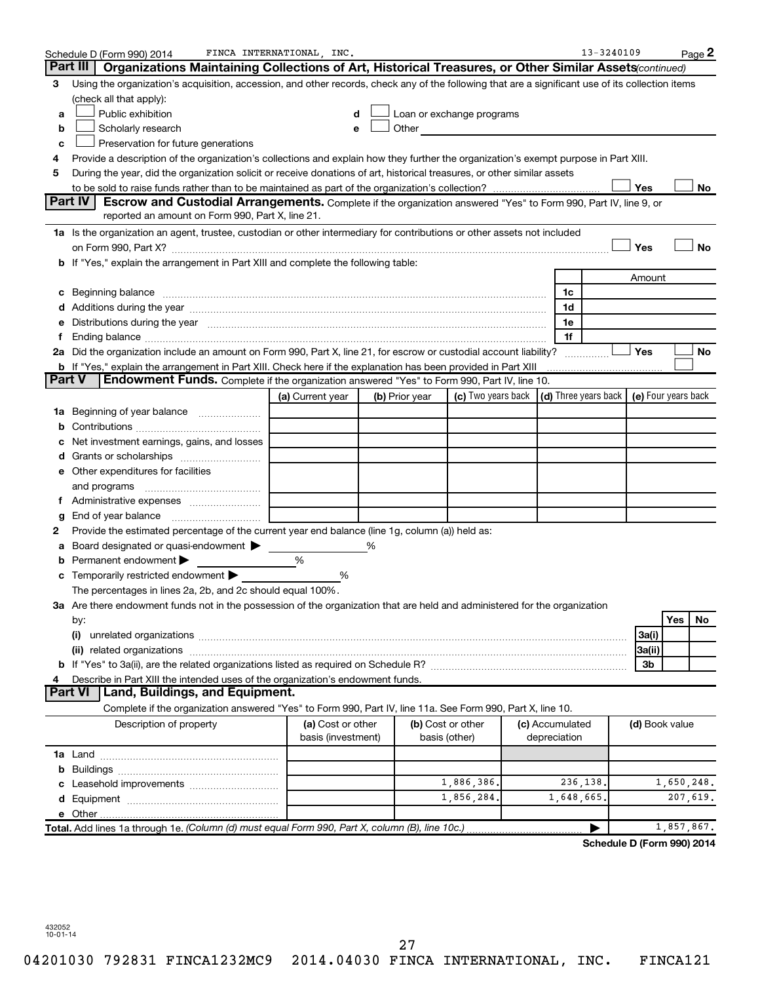|               | Schedule D (Form 990) 2014                                                                                                                                                                                                     | FINCA INTERNATIONAL, INC.               |                |                                                                                                                                                                                                                               |                                 | 13-3240109                  |                     |            | Page 2 |
|---------------|--------------------------------------------------------------------------------------------------------------------------------------------------------------------------------------------------------------------------------|-----------------------------------------|----------------|-------------------------------------------------------------------------------------------------------------------------------------------------------------------------------------------------------------------------------|---------------------------------|-----------------------------|---------------------|------------|--------|
|               | Part III<br>Organizations Maintaining Collections of Art, Historical Treasures, or Other Similar Assets (continued)                                                                                                            |                                         |                |                                                                                                                                                                                                                               |                                 |                             |                     |            |        |
| З             | Using the organization's acquisition, accession, and other records, check any of the following that are a significant use of its collection items                                                                              |                                         |                |                                                                                                                                                                                                                               |                                 |                             |                     |            |        |
|               | (check all that apply):                                                                                                                                                                                                        |                                         |                |                                                                                                                                                                                                                               |                                 |                             |                     |            |        |
| a             | Public exhibition                                                                                                                                                                                                              | d                                       |                | Loan or exchange programs                                                                                                                                                                                                     |                                 |                             |                     |            |        |
| b             | Scholarly research                                                                                                                                                                                                             | е                                       |                | Other and the contract of the contract of the contract of the contract of the contract of the contract of the contract of the contract of the contract of the contract of the contract of the contract of the contract of the |                                 |                             |                     |            |        |
| с             | Preservation for future generations                                                                                                                                                                                            |                                         |                |                                                                                                                                                                                                                               |                                 |                             |                     |            |        |
| 4             | Provide a description of the organization's collections and explain how they further the organization's exempt purpose in Part XIII.                                                                                           |                                         |                |                                                                                                                                                                                                                               |                                 |                             |                     |            |        |
| 5             | During the year, did the organization solicit or receive donations of art, historical treasures, or other similar assets                                                                                                       |                                         |                |                                                                                                                                                                                                                               |                                 |                             |                     |            |        |
|               |                                                                                                                                                                                                                                |                                         |                |                                                                                                                                                                                                                               |                                 |                             | Yes                 |            | No     |
|               | Part IV<br><b>Escrow and Custodial Arrangements.</b> Complete if the organization answered "Yes" to Form 990, Part IV, line 9, or                                                                                              |                                         |                |                                                                                                                                                                                                                               |                                 |                             |                     |            |        |
|               | reported an amount on Form 990, Part X, line 21.                                                                                                                                                                               |                                         |                |                                                                                                                                                                                                                               |                                 |                             |                     |            |        |
|               | 1a Is the organization an agent, trustee, custodian or other intermediary for contributions or other assets not included                                                                                                       |                                         |                |                                                                                                                                                                                                                               |                                 |                             |                     |            |        |
|               |                                                                                                                                                                                                                                |                                         |                |                                                                                                                                                                                                                               |                                 |                             | Yes                 |            | No     |
|               | b If "Yes," explain the arrangement in Part XIII and complete the following table:                                                                                                                                             |                                         |                |                                                                                                                                                                                                                               |                                 |                             |                     |            |        |
|               |                                                                                                                                                                                                                                |                                         |                |                                                                                                                                                                                                                               |                                 |                             | Amount              |            |        |
| с             |                                                                                                                                                                                                                                |                                         |                |                                                                                                                                                                                                                               | 1c                              |                             |                     |            |        |
|               |                                                                                                                                                                                                                                |                                         |                |                                                                                                                                                                                                                               | 1d                              |                             |                     |            |        |
|               | Distributions during the year measurement contains and all the year measurement of the state of the state of the state of the state of the state of the state of the state of the state of the state of the state of the state |                                         |                |                                                                                                                                                                                                                               | 1e                              |                             |                     |            |        |
| Ť.            | Ending balance measurements are all the contract of the contract of the contract of the contract of the contract of the contract of the contract of the contract of the contract of the contract of the contract of the contra |                                         |                |                                                                                                                                                                                                                               | 1f                              |                             |                     |            |        |
|               | 2a Did the organization include an amount on Form 990, Part X, line 21, for escrow or custodial account liability?                                                                                                             |                                         |                |                                                                                                                                                                                                                               |                                 | .                           | Yes                 |            | No     |
| <b>Part V</b> | <b>b</b> If "Yes," explain the arrangement in Part XIII. Check here if the explanation has been provided in Part XIII<br><b>Endowment Funds.</b> Complete if the organization answered "Yes" to Form 990, Part IV, line 10.    |                                         |                |                                                                                                                                                                                                                               |                                 |                             |                     |            |        |
|               |                                                                                                                                                                                                                                |                                         |                |                                                                                                                                                                                                                               |                                 |                             |                     |            |        |
|               |                                                                                                                                                                                                                                | (a) Current year                        | (b) Prior year | (c) Two years back                                                                                                                                                                                                            | (d) Three years back            |                             | (e) Four years back |            |        |
|               | <b>1a</b> Beginning of year balance                                                                                                                                                                                            |                                         |                |                                                                                                                                                                                                                               |                                 |                             |                     |            |        |
|               |                                                                                                                                                                                                                                |                                         |                |                                                                                                                                                                                                                               |                                 |                             |                     |            |        |
|               | Net investment earnings, gains, and losses                                                                                                                                                                                     |                                         |                |                                                                                                                                                                                                                               |                                 |                             |                     |            |        |
|               |                                                                                                                                                                                                                                |                                         |                |                                                                                                                                                                                                                               |                                 |                             |                     |            |        |
|               | e Other expenditures for facilities                                                                                                                                                                                            |                                         |                |                                                                                                                                                                                                                               |                                 |                             |                     |            |        |
|               | and programs                                                                                                                                                                                                                   |                                         |                |                                                                                                                                                                                                                               |                                 |                             |                     |            |        |
|               |                                                                                                                                                                                                                                |                                         |                |                                                                                                                                                                                                                               |                                 |                             |                     |            |        |
|               | Provide the estimated percentage of the current year end balance (line 1g, column (a)) held as:                                                                                                                                |                                         |                |                                                                                                                                                                                                                               |                                 |                             |                     |            |        |
|               | Board designated or quasi-endowment                                                                                                                                                                                            |                                         | %              |                                                                                                                                                                                                                               |                                 |                             |                     |            |        |
| а             | Permanent endowment                                                                                                                                                                                                            | %                                       |                |                                                                                                                                                                                                                               |                                 |                             |                     |            |        |
|               | <b>c</b> Temporarily restricted endowment $\blacktriangleright$                                                                                                                                                                | %                                       |                |                                                                                                                                                                                                                               |                                 |                             |                     |            |        |
|               | The percentages in lines 2a, 2b, and 2c should equal 100%.                                                                                                                                                                     |                                         |                |                                                                                                                                                                                                                               |                                 |                             |                     |            |        |
|               | 3a Are there endowment funds not in the possession of the organization that are held and administered for the organization                                                                                                     |                                         |                |                                                                                                                                                                                                                               |                                 |                             |                     |            |        |
|               | by:                                                                                                                                                                                                                            |                                         |                |                                                                                                                                                                                                                               |                                 |                             |                     | Yes        | No     |
|               | (i)                                                                                                                                                                                                                            |                                         |                |                                                                                                                                                                                                                               |                                 |                             | 3a(i)               |            |        |
|               |                                                                                                                                                                                                                                |                                         |                |                                                                                                                                                                                                                               |                                 |                             | 3a(ii)              |            |        |
|               |                                                                                                                                                                                                                                |                                         |                |                                                                                                                                                                                                                               |                                 |                             | 3b                  |            |        |
|               | Describe in Part XIII the intended uses of the organization's endowment funds.                                                                                                                                                 |                                         |                |                                                                                                                                                                                                                               |                                 |                             |                     |            |        |
|               | Land, Buildings, and Equipment.<br>Part VI                                                                                                                                                                                     |                                         |                |                                                                                                                                                                                                                               |                                 |                             |                     |            |        |
|               | Complete if the organization answered "Yes" to Form 990, Part IV, line 11a. See Form 990, Part X, line 10.                                                                                                                     |                                         |                |                                                                                                                                                                                                                               |                                 |                             |                     |            |        |
|               | Description of property                                                                                                                                                                                                        | (a) Cost or other<br>basis (investment) |                | (b) Cost or other<br>basis (other)                                                                                                                                                                                            | (c) Accumulated<br>depreciation |                             | (d) Book value      |            |        |
|               |                                                                                                                                                                                                                                |                                         |                |                                                                                                                                                                                                                               |                                 |                             |                     |            |        |
| b             |                                                                                                                                                                                                                                |                                         |                |                                                                                                                                                                                                                               |                                 |                             |                     |            |        |
|               |                                                                                                                                                                                                                                |                                         |                | 1,886,386.                                                                                                                                                                                                                    | 236,138.                        |                             |                     | 1,650,248. |        |
|               |                                                                                                                                                                                                                                |                                         |                | 1,856,284                                                                                                                                                                                                                     | 1,648,665                       |                             |                     | 207,619.   |        |
|               |                                                                                                                                                                                                                                |                                         |                |                                                                                                                                                                                                                               |                                 |                             |                     |            |        |
|               | Total. Add lines 1a through 1e. (Column (d) must equal Form 990, Part X, column (B), line 10c.)                                                                                                                                |                                         |                |                                                                                                                                                                                                                               |                                 |                             |                     | 1,857,867. |        |
|               |                                                                                                                                                                                                                                |                                         |                |                                                                                                                                                                                                                               |                                 | Cahadula D (Fauna 000) 0014 |                     |            |        |

**Schedule D (Form 990) 2014**

432052 10-01-14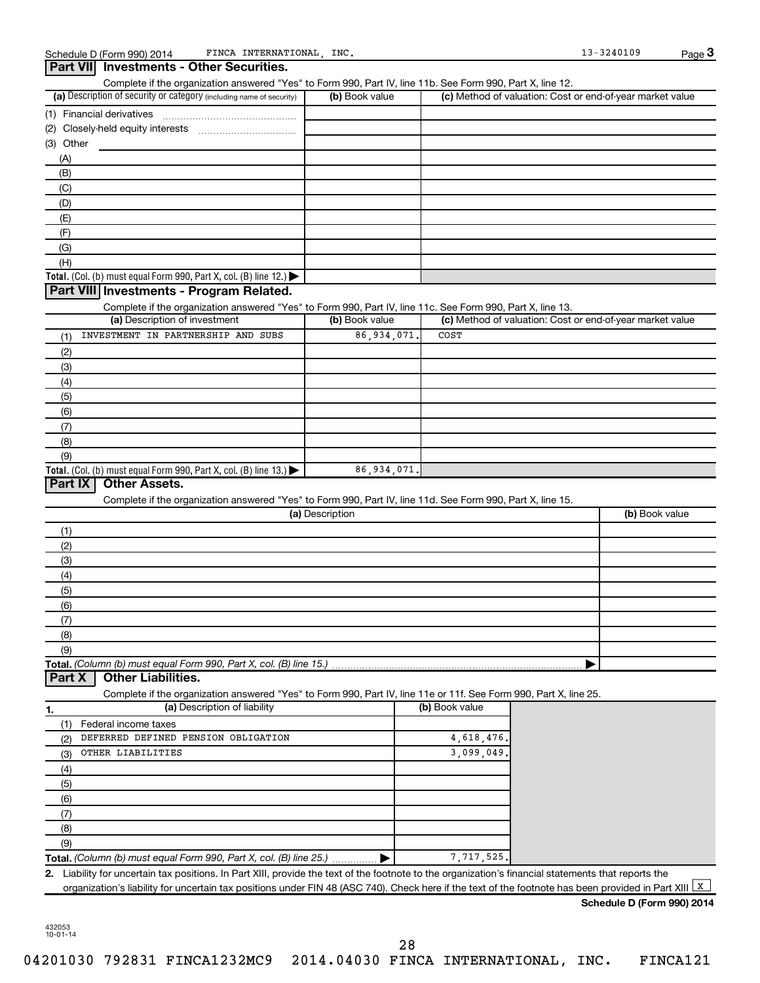| Part VII Investments - Other Securities.                                                                                                                                           |                 |                |            |                                                           |
|------------------------------------------------------------------------------------------------------------------------------------------------------------------------------------|-----------------|----------------|------------|-----------------------------------------------------------|
| Complete if the organization answered "Yes" to Form 990, Part IV, line 11b. See Form 990, Part X, line 12.<br>(a) Description of security or category (including name of security) | (b) Book value  |                |            | (c) Method of valuation: Cost or end-of-year market value |
| (1) Financial derivatives                                                                                                                                                          |                 |                |            |                                                           |
|                                                                                                                                                                                    |                 |                |            |                                                           |
|                                                                                                                                                                                    |                 |                |            |                                                           |
| (3) Other                                                                                                                                                                          |                 |                |            |                                                           |
| (A)                                                                                                                                                                                |                 |                |            |                                                           |
| (B)                                                                                                                                                                                |                 |                |            |                                                           |
| (C)                                                                                                                                                                                |                 |                |            |                                                           |
| (D)                                                                                                                                                                                |                 |                |            |                                                           |
| (E)                                                                                                                                                                                |                 |                |            |                                                           |
| (F)                                                                                                                                                                                |                 |                |            |                                                           |
| (G)                                                                                                                                                                                |                 |                |            |                                                           |
| (H)                                                                                                                                                                                |                 |                |            |                                                           |
| Total. (Col. (b) must equal Form 990, Part X, col. (B) line 12.) $\blacktriangleright$                                                                                             |                 |                |            |                                                           |
| Part VIII Investments - Program Related.                                                                                                                                           |                 |                |            |                                                           |
|                                                                                                                                                                                    |                 |                |            |                                                           |
| Complete if the organization answered "Yes" to Form 990, Part IV, line 11c. See Form 990, Part X, line 13.                                                                         |                 |                |            |                                                           |
| (a) Description of investment                                                                                                                                                      | (b) Book value  |                |            | (c) Method of valuation: Cost or end-of-year market value |
| INVESTMENT IN PARTNERSHIP AND SUBS<br>(1)                                                                                                                                          | 86,934,071      | COST           |            |                                                           |
| (2)                                                                                                                                                                                |                 |                |            |                                                           |
| (3)                                                                                                                                                                                |                 |                |            |                                                           |
| (4)                                                                                                                                                                                |                 |                |            |                                                           |
| (5)                                                                                                                                                                                |                 |                |            |                                                           |
| (6)                                                                                                                                                                                |                 |                |            |                                                           |
|                                                                                                                                                                                    |                 |                |            |                                                           |
| (7)                                                                                                                                                                                |                 |                |            |                                                           |
|                                                                                                                                                                                    |                 |                |            |                                                           |
| (8)                                                                                                                                                                                |                 |                |            |                                                           |
| (9)                                                                                                                                                                                |                 |                |            |                                                           |
| Total. (Col. (b) must equal Form 990, Part X, col. (B) line $13.$ )                                                                                                                | 86,934,071      |                |            |                                                           |
| Part IX<br><b>Other Assets.</b>                                                                                                                                                    |                 |                |            |                                                           |
| Complete if the organization answered "Yes" to Form 990, Part IV, line 11d. See Form 990, Part X, line 15.                                                                         |                 |                |            |                                                           |
|                                                                                                                                                                                    | (a) Description |                |            | (b) Book value                                            |
| (1)                                                                                                                                                                                |                 |                |            |                                                           |
| (2)                                                                                                                                                                                |                 |                |            |                                                           |
|                                                                                                                                                                                    |                 |                |            |                                                           |
| (3)                                                                                                                                                                                |                 |                |            |                                                           |
| (4)                                                                                                                                                                                |                 |                |            |                                                           |
| (5)                                                                                                                                                                                |                 |                |            |                                                           |
| (6)                                                                                                                                                                                |                 |                |            |                                                           |
| (7)                                                                                                                                                                                |                 |                |            |                                                           |
| (8)                                                                                                                                                                                |                 |                |            |                                                           |
| (9)                                                                                                                                                                                |                 |                |            |                                                           |
| <b>Other Liabilities.</b>                                                                                                                                                          |                 |                |            |                                                           |
| Complete if the organization answered "Yes" to Form 990, Part IV, line 11e or 11f. See Form 990, Part X, line 25.                                                                  |                 |                |            |                                                           |
| (a) Description of liability                                                                                                                                                       |                 | (b) Book value |            |                                                           |
| Federal income taxes<br>(1)                                                                                                                                                        |                 |                |            |                                                           |
| DEFERRED DEFINED PENSION OBLIGATION<br>(2)                                                                                                                                         |                 |                | 4,618,476. |                                                           |
| OTHER LIABILITIES                                                                                                                                                                  |                 |                |            |                                                           |
| (3)                                                                                                                                                                                |                 | 3,099,049      |            |                                                           |
| (4)                                                                                                                                                                                |                 |                |            |                                                           |
| (5)                                                                                                                                                                                |                 |                |            |                                                           |
| (6)                                                                                                                                                                                |                 |                |            |                                                           |
| (7)                                                                                                                                                                                |                 |                |            |                                                           |
| (8)                                                                                                                                                                                |                 |                |            |                                                           |
| Total. (Column (b) must equal Form 990, Part X, col. (B) line 15.)<br>Part X<br>1.<br>(9)                                                                                          |                 |                |            |                                                           |
| Total. (Column (b) must equal Form 990, Part X, col. (B) line 25.)                                                                                                                 |                 |                | 7,717,525. |                                                           |

**Schedule D (Form 990) 2014**

432053 10-01-14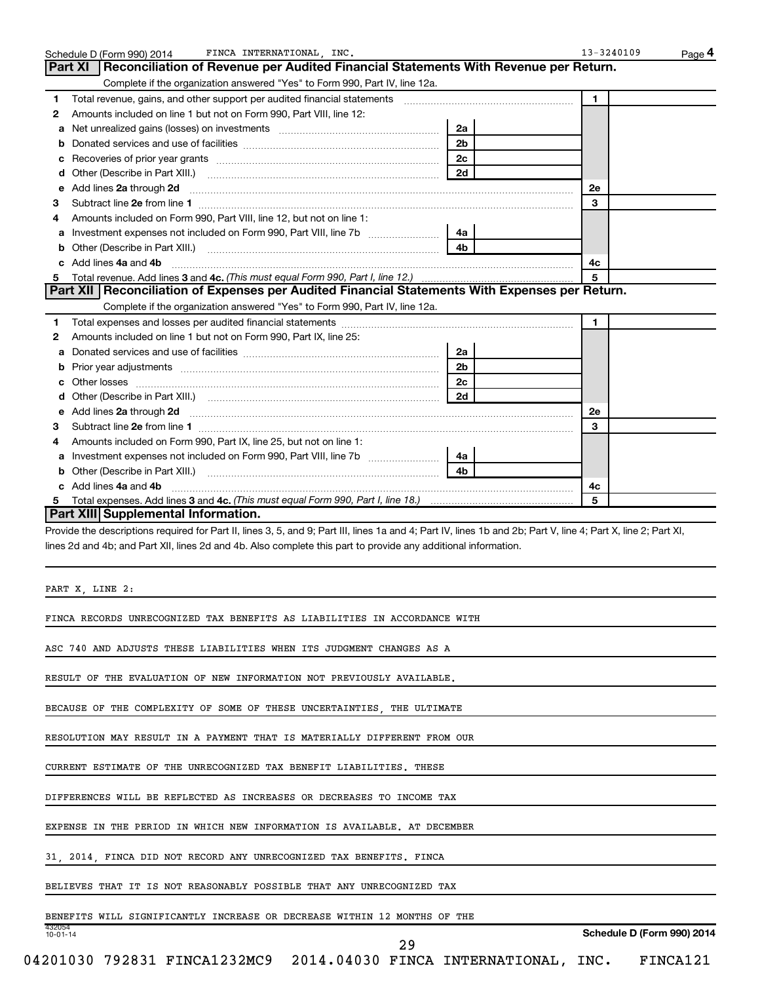| Complete if the organization answered "Yes" to Form 990, Part IV, line 12a.                                                                                                                                                                                                                                                                                                                                                                                                                                                                                                                                                                                                                                                                                                                                                                                                             |                |         |                            |
|-----------------------------------------------------------------------------------------------------------------------------------------------------------------------------------------------------------------------------------------------------------------------------------------------------------------------------------------------------------------------------------------------------------------------------------------------------------------------------------------------------------------------------------------------------------------------------------------------------------------------------------------------------------------------------------------------------------------------------------------------------------------------------------------------------------------------------------------------------------------------------------------|----------------|---------|----------------------------|
| 1                                                                                                                                                                                                                                                                                                                                                                                                                                                                                                                                                                                                                                                                                                                                                                                                                                                                                       |                | 1       |                            |
| Amounts included on line 1 but not on Form 990, Part VIII, line 12:<br>2                                                                                                                                                                                                                                                                                                                                                                                                                                                                                                                                                                                                                                                                                                                                                                                                                |                |         |                            |
| а                                                                                                                                                                                                                                                                                                                                                                                                                                                                                                                                                                                                                                                                                                                                                                                                                                                                                       | 2a             |         |                            |
| b                                                                                                                                                                                                                                                                                                                                                                                                                                                                                                                                                                                                                                                                                                                                                                                                                                                                                       | 2 <sub>b</sub> |         |                            |
| с                                                                                                                                                                                                                                                                                                                                                                                                                                                                                                                                                                                                                                                                                                                                                                                                                                                                                       | 2 <sub>c</sub> |         |                            |
| d                                                                                                                                                                                                                                                                                                                                                                                                                                                                                                                                                                                                                                                                                                                                                                                                                                                                                       | 2d             |         |                            |
| Add lines 2a through 2d <b>continuum continuum contract and continuum contract a</b> through 2d continuum contract and continuum contract a term of the contract of the contract and contract a term of the contract of the contrac<br>е                                                                                                                                                                                                                                                                                                                                                                                                                                                                                                                                                                                                                                                |                | 2e      |                            |
| з                                                                                                                                                                                                                                                                                                                                                                                                                                                                                                                                                                                                                                                                                                                                                                                                                                                                                       |                | 3       |                            |
| Amounts included on Form 990, Part VIII, line 12, but not on line 1:<br>4                                                                                                                                                                                                                                                                                                                                                                                                                                                                                                                                                                                                                                                                                                                                                                                                               |                |         |                            |
| а                                                                                                                                                                                                                                                                                                                                                                                                                                                                                                                                                                                                                                                                                                                                                                                                                                                                                       | 4a             |         |                            |
| b                                                                                                                                                                                                                                                                                                                                                                                                                                                                                                                                                                                                                                                                                                                                                                                                                                                                                       | 4b             |         |                            |
| c Add lines 4a and 4b                                                                                                                                                                                                                                                                                                                                                                                                                                                                                                                                                                                                                                                                                                                                                                                                                                                                   |                | 4с      |                            |
| 5                                                                                                                                                                                                                                                                                                                                                                                                                                                                                                                                                                                                                                                                                                                                                                                                                                                                                       |                | 5       |                            |
| Part XII   Reconciliation of Expenses per Audited Financial Statements With Expenses per Return.                                                                                                                                                                                                                                                                                                                                                                                                                                                                                                                                                                                                                                                                                                                                                                                        |                |         |                            |
| Complete if the organization answered "Yes" to Form 990, Part IV, line 12a.                                                                                                                                                                                                                                                                                                                                                                                                                                                                                                                                                                                                                                                                                                                                                                                                             |                |         |                            |
| 1                                                                                                                                                                                                                                                                                                                                                                                                                                                                                                                                                                                                                                                                                                                                                                                                                                                                                       |                | 1       |                            |
| Amounts included on line 1 but not on Form 990, Part IX, line 25:<br>2                                                                                                                                                                                                                                                                                                                                                                                                                                                                                                                                                                                                                                                                                                                                                                                                                  |                |         |                            |
| a                                                                                                                                                                                                                                                                                                                                                                                                                                                                                                                                                                                                                                                                                                                                                                                                                                                                                       | 2a             |         |                            |
| b                                                                                                                                                                                                                                                                                                                                                                                                                                                                                                                                                                                                                                                                                                                                                                                                                                                                                       | 2 <sub>b</sub> |         |                            |
| c                                                                                                                                                                                                                                                                                                                                                                                                                                                                                                                                                                                                                                                                                                                                                                                                                                                                                       | 2c             |         |                            |
| d                                                                                                                                                                                                                                                                                                                                                                                                                                                                                                                                                                                                                                                                                                                                                                                                                                                                                       | 2d             |         |                            |
| e Add lines 2a through 2d <b>[10]</b> [10] <b>All and Prime and Prime 20 All and Prime 20 Add lines 2a through 2d</b>                                                                                                                                                                                                                                                                                                                                                                                                                                                                                                                                                                                                                                                                                                                                                                   |                | 2e      |                            |
|                                                                                                                                                                                                                                                                                                                                                                                                                                                                                                                                                                                                                                                                                                                                                                                                                                                                                         |                | 3       |                            |
| з<br>Amounts included on Form 990, Part IX, line 25, but not on line 1:<br>4                                                                                                                                                                                                                                                                                                                                                                                                                                                                                                                                                                                                                                                                                                                                                                                                            |                |         |                            |
|                                                                                                                                                                                                                                                                                                                                                                                                                                                                                                                                                                                                                                                                                                                                                                                                                                                                                         |                |         |                            |
| Investment expenses not included on Form 990, Part VIII, line 7b [11, 11, 11, 11, 11]<br>а                                                                                                                                                                                                                                                                                                                                                                                                                                                                                                                                                                                                                                                                                                                                                                                              | 4a<br>4b       |         |                            |
|                                                                                                                                                                                                                                                                                                                                                                                                                                                                                                                                                                                                                                                                                                                                                                                                                                                                                         |                |         |                            |
|                                                                                                                                                                                                                                                                                                                                                                                                                                                                                                                                                                                                                                                                                                                                                                                                                                                                                         |                |         |                            |
| c Add lines 4a and 4b<br>5                                                                                                                                                                                                                                                                                                                                                                                                                                                                                                                                                                                                                                                                                                                                                                                                                                                              |                | 4c<br>5 |                            |
| Part XIII Supplemental Information.<br>Provide the descriptions required for Part II, lines 3, 5, and 9; Part III, lines 1a and 4; Part IV, lines 1b and 2b; Part V, line 4; Part X, line 2; Part XI,<br>lines 2d and 4b; and Part XII, lines 2d and 4b. Also complete this part to provide any additional information.                                                                                                                                                                                                                                                                                                                                                                                                                                                                                                                                                                 |                |         |                            |
|                                                                                                                                                                                                                                                                                                                                                                                                                                                                                                                                                                                                                                                                                                                                                                                                                                                                                         |                |         |                            |
|                                                                                                                                                                                                                                                                                                                                                                                                                                                                                                                                                                                                                                                                                                                                                                                                                                                                                         |                |         |                            |
|                                                                                                                                                                                                                                                                                                                                                                                                                                                                                                                                                                                                                                                                                                                                                                                                                                                                                         |                |         |                            |
|                                                                                                                                                                                                                                                                                                                                                                                                                                                                                                                                                                                                                                                                                                                                                                                                                                                                                         |                |         |                            |
|                                                                                                                                                                                                                                                                                                                                                                                                                                                                                                                                                                                                                                                                                                                                                                                                                                                                                         |                |         |                            |
|                                                                                                                                                                                                                                                                                                                                                                                                                                                                                                                                                                                                                                                                                                                                                                                                                                                                                         |                |         |                            |
|                                                                                                                                                                                                                                                                                                                                                                                                                                                                                                                                                                                                                                                                                                                                                                                                                                                                                         |                |         |                            |
|                                                                                                                                                                                                                                                                                                                                                                                                                                                                                                                                                                                                                                                                                                                                                                                                                                                                                         |                |         |                            |
|                                                                                                                                                                                                                                                                                                                                                                                                                                                                                                                                                                                                                                                                                                                                                                                                                                                                                         |                |         |                            |
|                                                                                                                                                                                                                                                                                                                                                                                                                                                                                                                                                                                                                                                                                                                                                                                                                                                                                         |                |         |                            |
|                                                                                                                                                                                                                                                                                                                                                                                                                                                                                                                                                                                                                                                                                                                                                                                                                                                                                         |                |         |                            |
|                                                                                                                                                                                                                                                                                                                                                                                                                                                                                                                                                                                                                                                                                                                                                                                                                                                                                         |                |         |                            |
|                                                                                                                                                                                                                                                                                                                                                                                                                                                                                                                                                                                                                                                                                                                                                                                                                                                                                         |                |         |                            |
| PART X, LINE 2:<br>FINCA RECORDS UNRECOGNIZED TAX BENEFITS AS LIABILITIES IN ACCORDANCE WITH<br>ASC 740 AND ADJUSTS THESE LIABILITIES WHEN ITS JUDGMENT CHANGES AS A<br>RESULT OF THE EVALUATION OF NEW INFORMATION NOT PREVIOUSLY AVAILABLE.<br>BECAUSE OF THE COMPLEXITY OF SOME OF THESE UNCERTAINTIES, THE ULTIMATE<br>RESOLUTION MAY RESULT IN A PAYMENT THAT IS MATERIALLY DIFFERENT FROM OUR<br>CURRENT ESTIMATE OF THE UNRECOGNIZED TAX BENEFIT LIABILITIES. THESE<br>DIFFERENCES WILL BE REFLECTED AS INCREASES OR DECREASES TO INCOME TAX<br>EXPENSE IN THE PERIOD IN WHICH NEW INFORMATION IS AVAILABLE. AT DECEMBER<br>31, 2014, FINCA DID NOT RECORD ANY UNRECOGNIZED TAX BENEFITS. FINCA<br>BELIEVES THAT IT IS NOT REASONABLY POSSIBLE THAT ANY UNRECOGNIZED TAX<br>BENEFITS WILL SIGNIFICANTLY INCREASE OR DECREASE WITHIN 12 MONTHS OF THE<br>432054<br>$10 - 01 - 14$ | 29             |         | Schedule D (Form 990) 2014 |

Schedule D (Form 990) 2014 FINCA INTERNATIONAL , INC . 13-3240109 Page

FINCA INTERNATIONAL, INC. 13-3240109

**Part XI Reconciliation of Revenue per Audited Financial Statements With Revenue per Return.**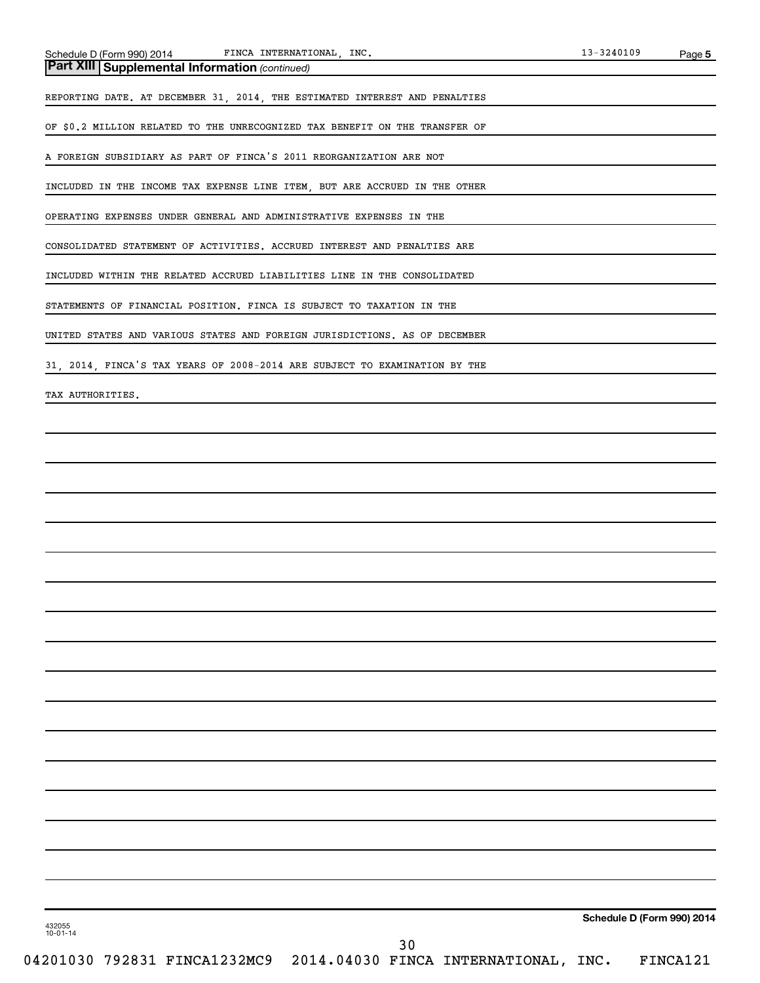*(continued)* **Part XIII Supplemental Information** 

REPORTING DATE. AT DECEMBER 31, 2014, THE ESTIMATED INTEREST AND PENALTIES

OF \$0.2 MILLION RELATED TO THE UNRECOGNIZED TAX BENEFIT ON THE TRANSFER OF

A FOREIGN SUBSIDIARY AS PART OF FINCA'S 2011 REORGANIZATION ARE NOT

INCLUDED IN THE INCOME TAX EXPENSE LINE ITEM, BUT ARE ACCRUED IN THE OTHER

OPERATING EXPENSES UNDER GENERAL AND ADMINISTRATIVE EXPENSES IN THE

CONSOLIDATED STATEMENT OF ACTIVITIES. ACCRUED INTEREST AND PENALTIES ARE

INCLUDED WITHIN THE RELATED ACCRUED LIABILITIES LINE IN THE CONSOLIDATED

STATEMENTS OF FINANCIAL POSITION. FINCA IS SUBJECT TO TAXATION IN THE

UNITED STATES AND VARIOUS STATES AND FOREIGN JURISDICTIONS. AS OF DECEMBER

31, 2014, FINCA'S TAX YEARS OF 2008-2014 ARE SUBJECT TO EXAMINATION BY THE

TAX AUTHORITIES.

**Schedule D (Form 990) 2014**

432055 10-01-14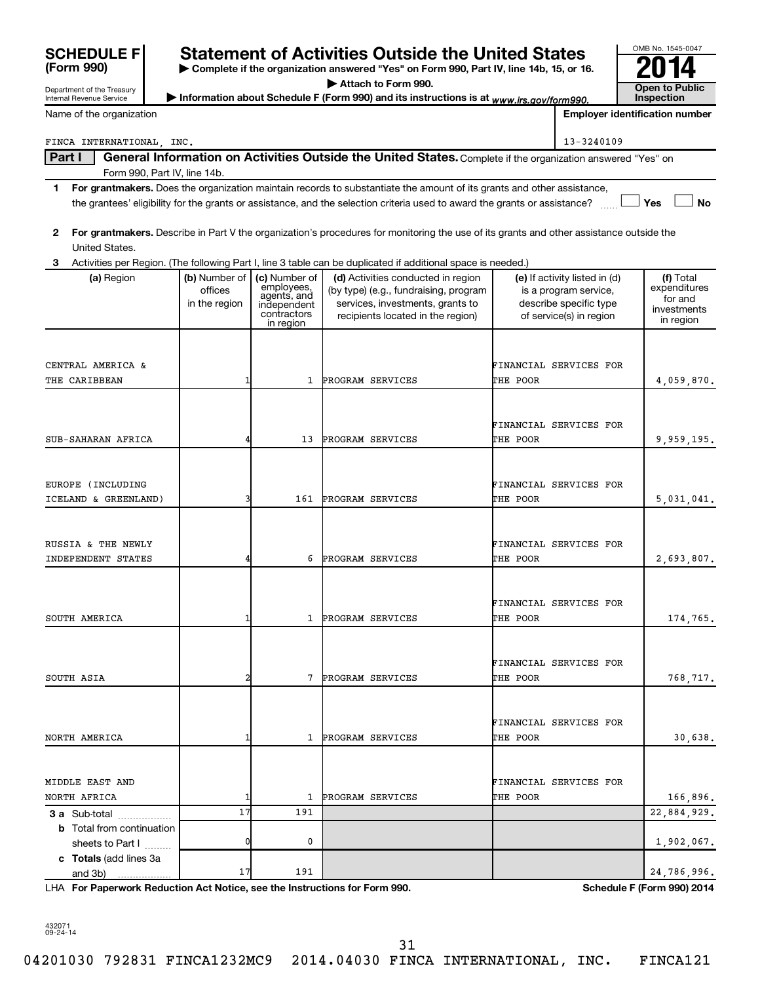| <b>INGITIC OF LITE OF YOU HADDED</b> |               |                            |                                                                                                                                         |          | Linpioyer identification number |                         |
|--------------------------------------|---------------|----------------------------|-----------------------------------------------------------------------------------------------------------------------------------------|----------|---------------------------------|-------------------------|
| FINCA INTERNATIONAL INC.             |               |                            |                                                                                                                                         |          | 13-3240109                      |                         |
| Part I                               |               |                            | General Information on Activities Outside the United States. Complete if the organization answered "Yes" on                             |          |                                 |                         |
| Form 990, Part IV, line 14b.         |               |                            |                                                                                                                                         |          |                                 |                         |
| 1                                    |               |                            | For grantmakers. Does the organization maintain records to substantiate the amount of its grants and other assistance,                  |          |                                 |                         |
|                                      |               |                            | the grantees' eligibility for the grants or assistance, and the selection criteria used to award the grants or assistance?              |          |                                 | <b>No</b><br>Yes        |
| 2                                    |               |                            | For grantmakers. Describe in Part V the organization's procedures for monitoring the use of its grants and other assistance outside the |          |                                 |                         |
| United States.                       |               |                            |                                                                                                                                         |          |                                 |                         |
| 3                                    |               |                            | Activities per Region. (The following Part I, line 3 table can be duplicated if additional space is needed.)                            |          |                                 |                         |
| (a) Region                           | (b) Number of | (c) Number of              | (d) Activities conducted in region                                                                                                      |          | (e) If activity listed in (d)   | (f) Total               |
|                                      | offices       | employees,<br>agents, and  | (by type) (e.g., fundraising, program                                                                                                   |          | is a program service,           | expenditures<br>for and |
|                                      | in the region | independent<br>contractors | services, investments, grants to                                                                                                        |          | describe specific type          | investments             |
|                                      |               | in region                  | recipients located in the region)                                                                                                       |          | of service(s) in region         | in region               |
|                                      |               |                            |                                                                                                                                         |          |                                 |                         |
| CENTRAL AMERICA &                    |               |                            |                                                                                                                                         |          | FINANCIAL SERVICES FOR          |                         |
| THE CARIBBEAN                        | 1             | $\mathbf{1}$               | PROGRAM SERVICES                                                                                                                        | THE POOR |                                 | 4,059,870.              |
|                                      |               |                            |                                                                                                                                         |          |                                 |                         |
|                                      |               |                            |                                                                                                                                         |          |                                 |                         |
|                                      |               |                            |                                                                                                                                         |          | FINANCIAL SERVICES FOR          |                         |
| SUB-SAHARAN AFRICA                   |               | 13                         | PROGRAM SERVICES                                                                                                                        | THE POOR |                                 | 9,959,195.              |
|                                      |               |                            |                                                                                                                                         |          |                                 |                         |
| EUROPE (INCLUDING                    |               |                            |                                                                                                                                         |          | FINANCIAL SERVICES FOR          |                         |
| ICELAND & GREENLAND)                 | ٦             | 161                        | PROGRAM SERVICES                                                                                                                        | THE POOR |                                 | 5,031,041.              |
|                                      |               |                            |                                                                                                                                         |          |                                 |                         |
|                                      |               |                            |                                                                                                                                         |          |                                 |                         |
| RUSSIA & THE NEWLY                   |               |                            |                                                                                                                                         |          | FINANCIAL SERVICES FOR          |                         |
| INDEPENDENT STATES                   |               | 6                          | PROGRAM SERVICES                                                                                                                        | THE POOR |                                 | 2,693,807.              |
|                                      |               |                            |                                                                                                                                         |          |                                 |                         |
|                                      |               |                            |                                                                                                                                         |          | FINANCIAL SERVICES FOR          |                         |
| SOUTH AMERICA                        |               | $\mathbf{1}$               | PROGRAM SERVICES                                                                                                                        | THE POOR |                                 | 174,765.                |
|                                      |               |                            |                                                                                                                                         |          |                                 |                         |
|                                      |               |                            |                                                                                                                                         |          |                                 |                         |
|                                      |               |                            |                                                                                                                                         |          | FINANCIAL SERVICES FOR          |                         |
| SOUTH ASIA                           |               | 7                          | PROGRAM SERVICES                                                                                                                        | THE POOR |                                 | 768,717.                |
|                                      |               |                            |                                                                                                                                         |          |                                 |                         |
|                                      |               |                            |                                                                                                                                         |          | FINANCIAL SERVICES FOR          |                         |
| NORTH AMERICA                        |               | 1                          | PROGRAM SERVICES                                                                                                                        | THE POOR |                                 | 30,638.                 |
|                                      |               |                            |                                                                                                                                         |          |                                 |                         |

**| Complete if the organization answered "Yes" on Form 990, Part IV, line 14b, 15, or 16.** SCHEDULE F<br> **Statement of Activities Outside the United States**<br> **Exactment of the Treasury**<br> **Exactment of the Treasury**<br> **Exactment of the Treasury**<br> **Exactment of the Treasury**<br> **Exaction answered "Yes" on Form 990, Pa** 

**| Attach to Form 990.**

Department of the Treasury Internal Revenue Service Information about Schedule F (Form 990) and its instructions is at *www.irs.gov/form990.* Public line pection

Name of the organization

**(Form 990)**

**Inspection Employer identification number**

OMB No. 1545-0047

**3 a** Sub-total .................. **b** Total from continuation **c Totals**  (add lines 3a **For Paperwork Reduction Act Notice, see the Instructions for Form 990. Schedule F (Form 990) 2014** LHA sheets to Part I  $\ldots$ ... and 3b) MIDDLE EAST AND **FINANCIAL SERVICES FOR** NORTH AFRICA  $1$  1 PROGRAM SERVICES THE POOR 166,896. 17 191 22,884,929. 0 0 0  $1,902,067$ .  $17$  191  $24,786,996$ .

432071 09-24-14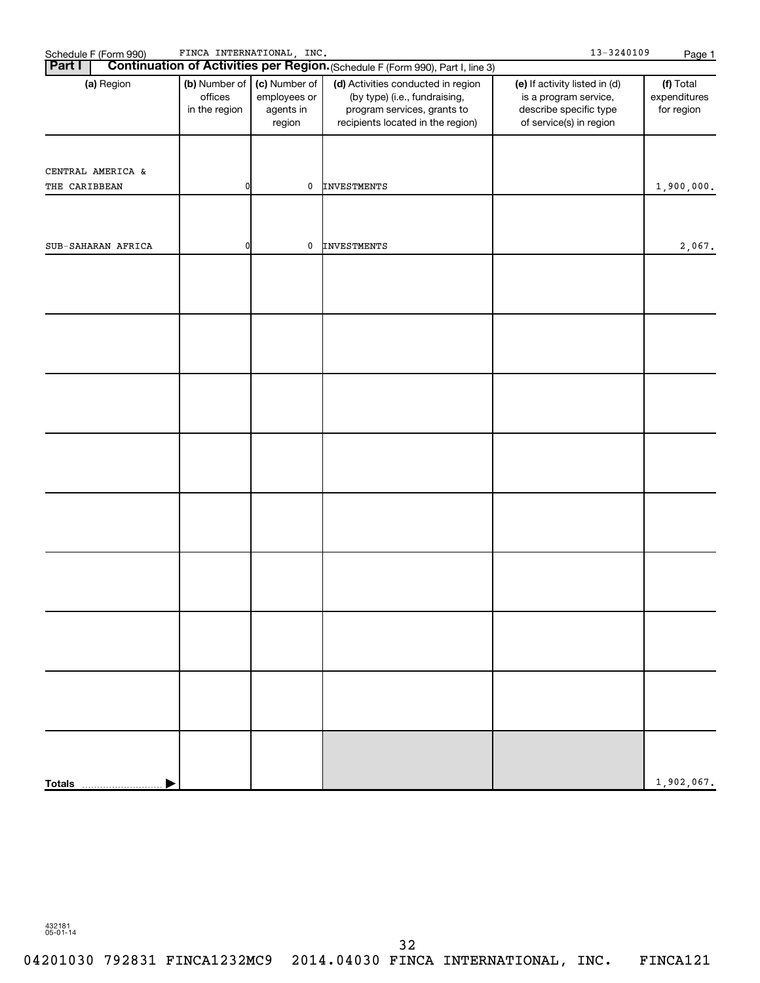| Schedule F (Form 990)<br><b>Part I</b> | $13 - 3240109$<br>Page 1                  |                                                      |                                                                                                                                                                                                                           |                                                                                                             |                                         |
|----------------------------------------|-------------------------------------------|------------------------------------------------------|---------------------------------------------------------------------------------------------------------------------------------------------------------------------------------------------------------------------------|-------------------------------------------------------------------------------------------------------------|-----------------------------------------|
| (a) Region                             | (b) Number of<br>offices<br>in the region | (c) Number of<br>employees or<br>agents in<br>region | Continuation of Activities per Region. (Schedule F (Form 990), Part I, line 3)<br>(d) Activities conducted in region<br>(by type) (i.e., fundraising,<br>program services, grants to<br>recipients located in the region) | (e) If activity listed in (d)<br>is a program service,<br>describe specific type<br>of service(s) in region | (f) Total<br>expenditures<br>for region |
|                                        |                                           |                                                      |                                                                                                                                                                                                                           |                                                                                                             |                                         |
| CENTRAL AMERICA &<br>THE CARIBBEAN     | 0                                         | 0                                                    | <b>INVESTMENTS</b>                                                                                                                                                                                                        |                                                                                                             | 1,900,000.                              |
|                                        |                                           |                                                      |                                                                                                                                                                                                                           |                                                                                                             |                                         |
| SUB-SAHARAN AFRICA                     | 0                                         | 0                                                    | <b>INVESTMENTS</b>                                                                                                                                                                                                        |                                                                                                             | 2,067.                                  |
|                                        |                                           |                                                      |                                                                                                                                                                                                                           |                                                                                                             |                                         |
|                                        |                                           |                                                      |                                                                                                                                                                                                                           |                                                                                                             |                                         |
|                                        |                                           |                                                      |                                                                                                                                                                                                                           |                                                                                                             |                                         |
|                                        |                                           |                                                      |                                                                                                                                                                                                                           |                                                                                                             |                                         |
|                                        |                                           |                                                      |                                                                                                                                                                                                                           |                                                                                                             |                                         |
|                                        |                                           |                                                      |                                                                                                                                                                                                                           |                                                                                                             |                                         |
|                                        |                                           |                                                      |                                                                                                                                                                                                                           |                                                                                                             |                                         |
|                                        |                                           |                                                      |                                                                                                                                                                                                                           |                                                                                                             |                                         |
|                                        |                                           |                                                      |                                                                                                                                                                                                                           |                                                                                                             |                                         |
|                                        |                                           |                                                      |                                                                                                                                                                                                                           |                                                                                                             |                                         |
|                                        |                                           |                                                      |                                                                                                                                                                                                                           |                                                                                                             |                                         |
|                                        |                                           |                                                      |                                                                                                                                                                                                                           |                                                                                                             |                                         |
|                                        |                                           |                                                      |                                                                                                                                                                                                                           |                                                                                                             |                                         |
|                                        |                                           |                                                      |                                                                                                                                                                                                                           |                                                                                                             |                                         |
| <b>Totals</b>                          |                                           |                                                      |                                                                                                                                                                                                                           |                                                                                                             | 1,902,067.                              |

432181 05-01-14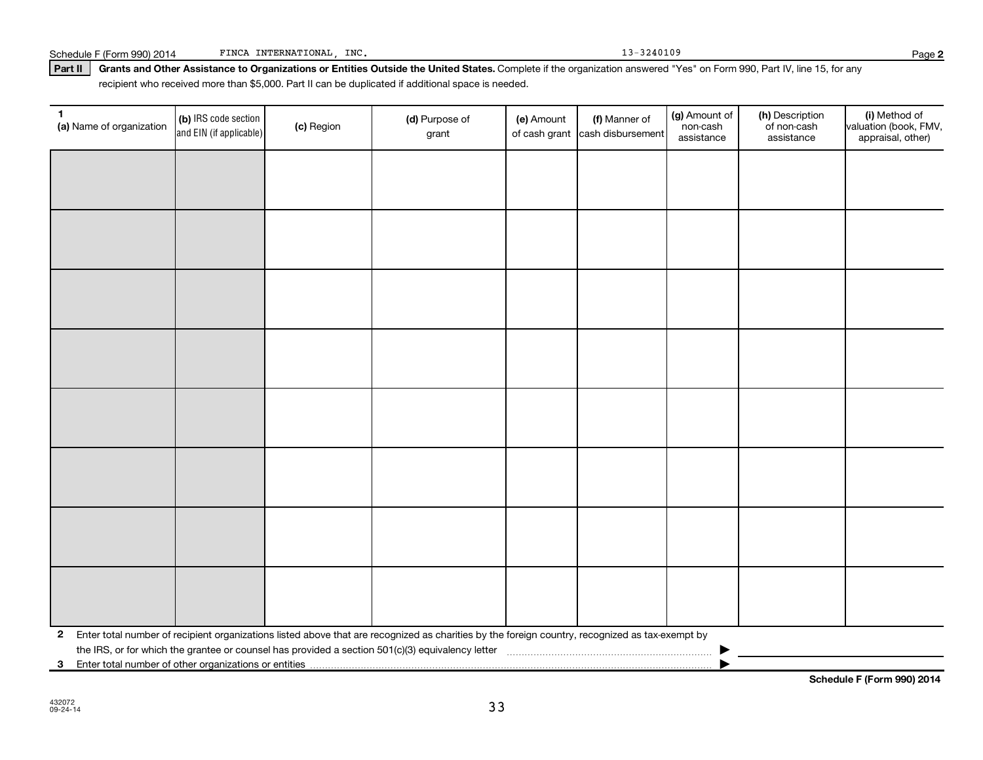(b) IRS code section and EIN (if applicable)

**1** (a) Name of organization  $\begin{bmatrix} \text{(b)} \text{ IRS code section} \end{bmatrix}$  (c) Region (d) Purpose of

| $\mathbf{2}$ |                                                        |  | Enter total number of recipient organizations listed above that are recognized as charities by the foreign country, recognized as tax-exempt by |  |  |  |  |  |  |
|--------------|--------------------------------------------------------|--|-------------------------------------------------------------------------------------------------------------------------------------------------|--|--|--|--|--|--|
|              |                                                        |  |                                                                                                                                                 |  |  |  |  |  |  |
| $\mathbf{3}$ | Enter total number of other organizations or entities. |  |                                                                                                                                                 |  |  |  |  |  |  |

### Part II | Grants and Other Assistance to Organizations or Entities Outside the United States. Complete if the organization answered "Yes" on Form 990, Part IV, line 15, for any recipient who received more than \$5,000. Part II can be duplicated if additional space is needed.

grant

**(a)** Name of organization (b) IRS code section (c) Region (c) Region (d) Purpose of (e) Amount (f) Manner of (g) Amount of (h) Description (i) (a) Name of organization (f) IRS code section (c) Region (d) Purpose of (d) Am

(e) Amount

of cash grant |cash disbursement

(f) Manner of

**Schedule F (Form 990) 2014**

Schedule F (Form 990) 2014 FINCA INTERNATIONAL, INC. 13-3240109 13-3240109

(g) Amount of non-cash assistance

(h) Description of non-cash assistance

**2**

(i) Method of valuation (book, FMV, appraisal, other)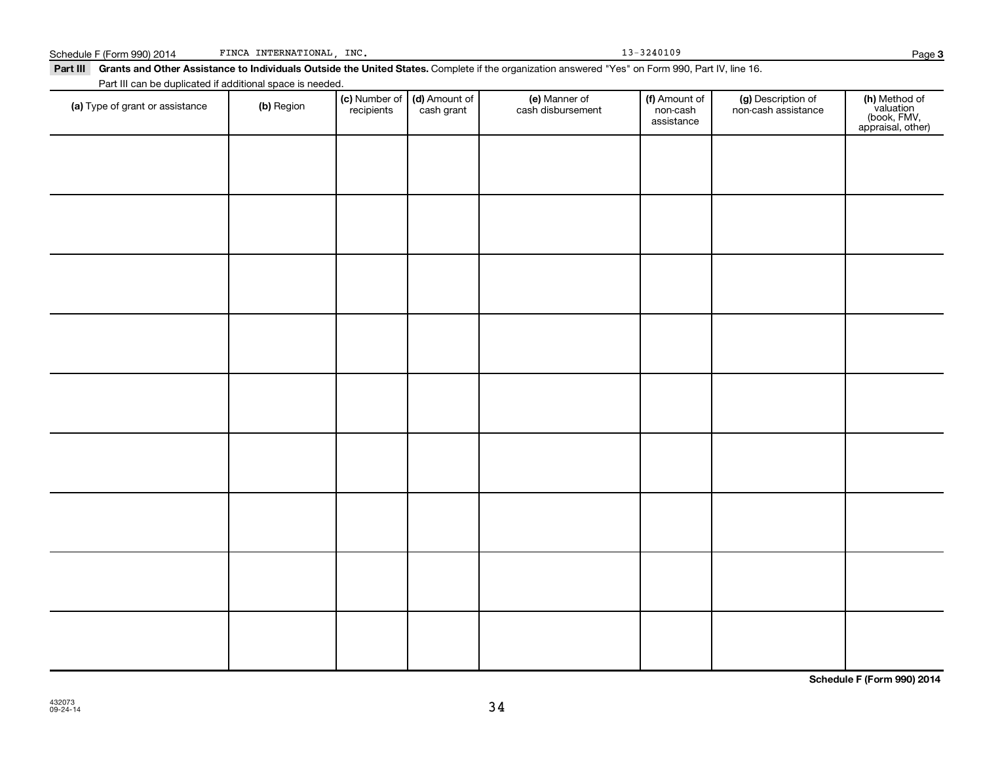| (a) Type of grant or assistance | (b) Region | (c) Number of (d) Amount of recipients cash grant | (e) Manner of<br>cash disbursement | (f) Amount of<br>non-cash<br>assistance | (g) Description of<br>non-cash assistance | (h) Method of<br>valuation<br>(book, FMV,<br>appraisal, other) |
|---------------------------------|------------|---------------------------------------------------|------------------------------------|-----------------------------------------|-------------------------------------------|----------------------------------------------------------------|
|                                 |            |                                                   |                                    |                                         |                                           |                                                                |
|                                 |            |                                                   |                                    |                                         |                                           |                                                                |
|                                 |            |                                                   |                                    |                                         |                                           |                                                                |
|                                 |            |                                                   |                                    |                                         |                                           |                                                                |
|                                 |            |                                                   |                                    |                                         |                                           |                                                                |
|                                 |            |                                                   |                                    |                                         |                                           |                                                                |
|                                 |            |                                                   |                                    |                                         |                                           |                                                                |
|                                 |            |                                                   |                                    |                                         |                                           |                                                                |
|                                 |            |                                                   |                                    |                                         |                                           |                                                                |
|                                 |            |                                                   |                                    |                                         |                                           |                                                                |
|                                 |            |                                                   |                                    |                                         |                                           |                                                                |

#### Schedule F (Form 990) 2014 FINCA INTERNATIONAL, INC. 13-3240109 FINCA INTERNATIONAL, INC.

Part III can be duplicated if additional space is needed.

Part III Grants and Other Assistance to Individuals Outside the United States. Complete if the organization answered "Yes" on Form 990, Part IV, line 16.

**(f)** Amount of

(g) Description of

(e) Manner of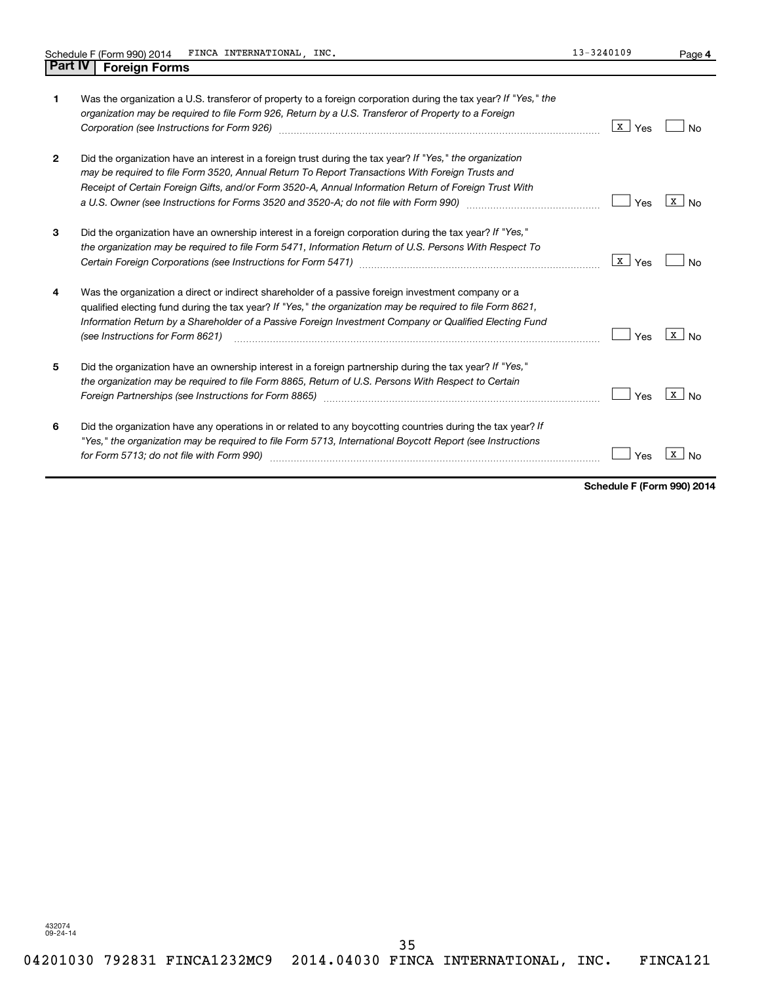| $\mathbf{1}$   | Was the organization a U.S. transferor of property to a foreign corporation during the tax year? If "Yes," the<br>organization may be required to file Form 926, Return by a U.S. Transferor of Property to a Foreign<br>Corporation (see Instructions for Form 926) manufactured control and the control of the control of the control of the control of the control of the control of the control of the control of the control of the control of the | x  <br>Yes | Nο                             |
|----------------|---------------------------------------------------------------------------------------------------------------------------------------------------------------------------------------------------------------------------------------------------------------------------------------------------------------------------------------------------------------------------------------------------------------------------------------------------------|------------|--------------------------------|
| $\overline{2}$ | Did the organization have an interest in a foreign trust during the tax year? If "Yes," the organization<br>may be required to file Form 3520, Annual Return To Report Transactions With Foreign Trusts and<br>Receipt of Certain Foreign Gifts, and/or Form 3520-A, Annual Information Return of Foreign Trust With<br>a U.S. Owner (see Instructions for Forms 3520 and 3520-A; do not file with Form 990) manual controller manual                   | Yes        | x l<br>N <sub>o</sub>          |
| 3              | Did the organization have an ownership interest in a foreign corporation during the tax year? If "Yes,"<br>the organization may be required to file Form 5471, Information Return of U.S. Persons With Respect To                                                                                                                                                                                                                                       | x  <br>Yes | No.                            |
| 4              | Was the organization a direct or indirect shareholder of a passive foreign investment company or a<br>qualified electing fund during the tax year? If "Yes," the organization may be required to file Form 8621,<br>Information Return by a Shareholder of a Passive Foreign Investment Company or Qualified Electing Fund<br>(see Instructions for Form 8621)                                                                                          | Yes        | x l<br>N <sub>o</sub>          |
| 5              | Did the organization have an ownership interest in a foreign partnership during the tax year? If "Yes,"<br>the organization may be required to file Form 8865, Return of U.S. Persons With Respect to Certain<br>Foreign Partnerships (see Instructions for Form 8865) manufactured contains and contained and contained and co                                                                                                                         | Yes        | $\mathbf{X}$<br>N <sub>o</sub> |
| 6              | Did the organization have any operations in or related to any boycotting countries during the tax year? If<br>"Yes," the organization may be required to file Form 5713, International Boycott Report (see Instructions<br>for Form 5713; do not file with Form 990)                                                                                                                                                                                    | Yes        |                                |

**Schedule F (Form 990) 2014**

**4**

432074 09-24-14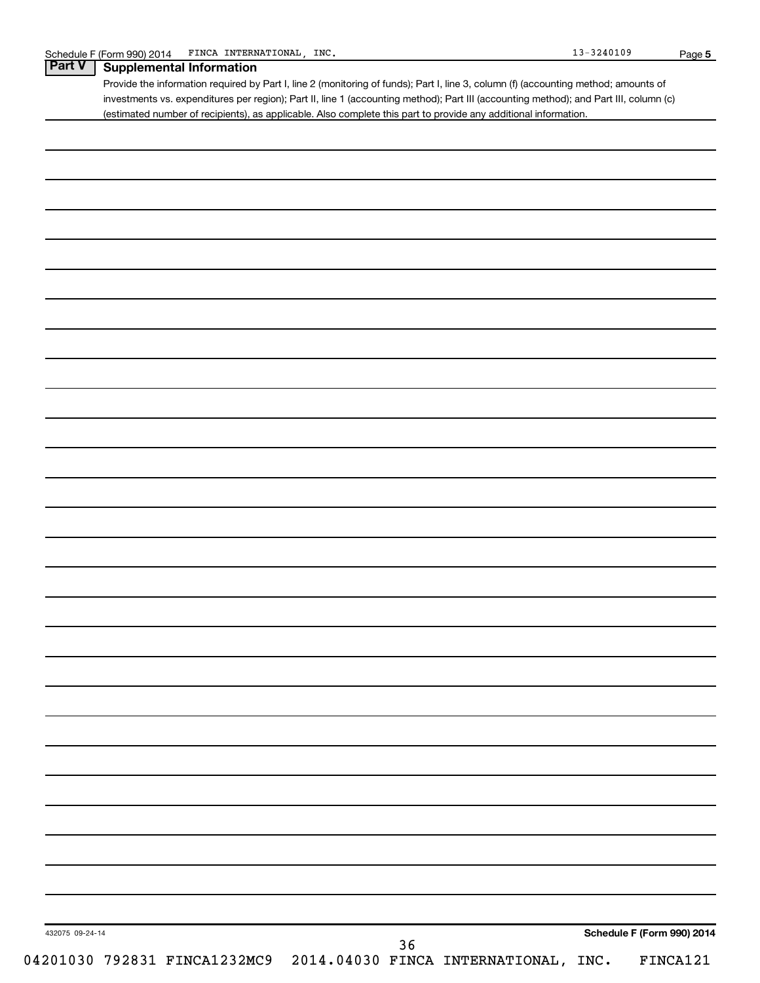|                 | Provide the information required by Part I, line 2 (monitoring of funds); Part I, line 3, column (f) (accounting method; amounts of<br>investments vs. expenditures per region); Part II, line 1 (accounting method); Part III (accounting method); and Part III, column (c) |
|-----------------|------------------------------------------------------------------------------------------------------------------------------------------------------------------------------------------------------------------------------------------------------------------------------|
|                 | (estimated number of recipients), as applicable. Also complete this part to provide any additional information.                                                                                                                                                              |
|                 |                                                                                                                                                                                                                                                                              |
|                 |                                                                                                                                                                                                                                                                              |
|                 |                                                                                                                                                                                                                                                                              |
|                 |                                                                                                                                                                                                                                                                              |
|                 |                                                                                                                                                                                                                                                                              |
|                 |                                                                                                                                                                                                                                                                              |
|                 |                                                                                                                                                                                                                                                                              |
|                 |                                                                                                                                                                                                                                                                              |
|                 |                                                                                                                                                                                                                                                                              |
|                 |                                                                                                                                                                                                                                                                              |
|                 |                                                                                                                                                                                                                                                                              |
|                 |                                                                                                                                                                                                                                                                              |
|                 |                                                                                                                                                                                                                                                                              |
|                 |                                                                                                                                                                                                                                                                              |
|                 |                                                                                                                                                                                                                                                                              |
|                 |                                                                                                                                                                                                                                                                              |
|                 |                                                                                                                                                                                                                                                                              |
|                 |                                                                                                                                                                                                                                                                              |
|                 |                                                                                                                                                                                                                                                                              |
|                 |                                                                                                                                                                                                                                                                              |
|                 |                                                                                                                                                                                                                                                                              |
|                 |                                                                                                                                                                                                                                                                              |
|                 |                                                                                                                                                                                                                                                                              |
|                 |                                                                                                                                                                                                                                                                              |
|                 |                                                                                                                                                                                                                                                                              |
|                 |                                                                                                                                                                                                                                                                              |
|                 |                                                                                                                                                                                                                                                                              |
|                 |                                                                                                                                                                                                                                                                              |
|                 |                                                                                                                                                                                                                                                                              |
|                 |                                                                                                                                                                                                                                                                              |
|                 |                                                                                                                                                                                                                                                                              |
|                 |                                                                                                                                                                                                                                                                              |
|                 |                                                                                                                                                                                                                                                                              |
|                 |                                                                                                                                                                                                                                                                              |
| 432075 09-24-14 | Schedule F (Form 990) 2014                                                                                                                                                                                                                                                   |
|                 | 36<br>04201030 792831 FINCA1232MC9 2014.04030 FINCA INTERNATIONAL, INC.<br>FINCA121                                                                                                                                                                                          |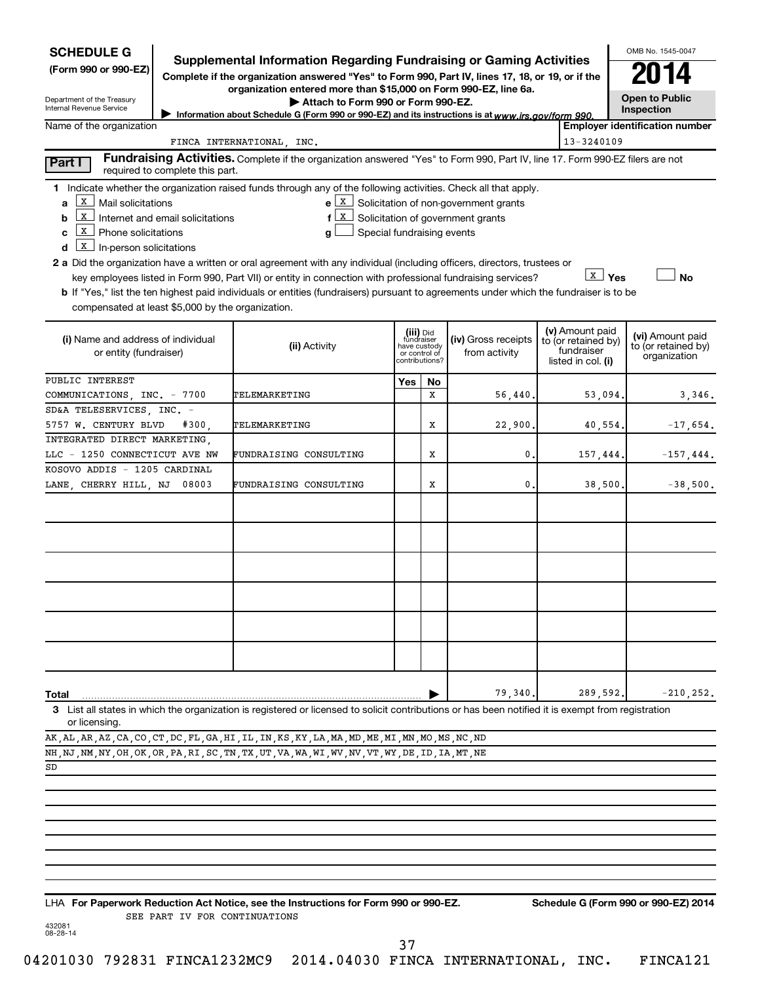| <b>SCHEDULE G</b><br><b>Supplemental Information Regarding Fundraising or Gaming Activities</b><br>(Form 990 or 990-EZ)<br>Complete if the organization answered "Yes" to Form 990, Part IV, lines 17, 18, or 19, or if the<br>Department of the Treasury<br>Internal Revenue Service<br>Information about Schedule G (Form 990 or 990-EZ) and its instructions is at www.irs.gov/form 990. | OMB No. 1545-0047<br>2014<br><b>Open to Public</b><br>Inspection                                                                                                                                                                                                                                                                                                                                                                                                                                                                                |     |                                                                            |                                                                                       |                                                                            |                                                         |
|---------------------------------------------------------------------------------------------------------------------------------------------------------------------------------------------------------------------------------------------------------------------------------------------------------------------------------------------------------------------------------------------|-------------------------------------------------------------------------------------------------------------------------------------------------------------------------------------------------------------------------------------------------------------------------------------------------------------------------------------------------------------------------------------------------------------------------------------------------------------------------------------------------------------------------------------------------|-----|----------------------------------------------------------------------------|---------------------------------------------------------------------------------------|----------------------------------------------------------------------------|---------------------------------------------------------|
| Name of the organization                                                                                                                                                                                                                                                                                                                                                                    |                                                                                                                                                                                                                                                                                                                                                                                                                                                                                                                                                 |     |                                                                            |                                                                                       | 13-3240109                                                                 | <b>Employer identification number</b>                   |
|                                                                                                                                                                                                                                                                                                                                                                                             | FINCA INTERNATIONAL, INC.<br>Fundraising Activities. Complete if the organization answered "Yes" to Form 990, Part IV, line 17. Form 990-EZ filers are not                                                                                                                                                                                                                                                                                                                                                                                      |     |                                                                            |                                                                                       |                                                                            |                                                         |
| Part I<br>required to complete this part.                                                                                                                                                                                                                                                                                                                                                   |                                                                                                                                                                                                                                                                                                                                                                                                                                                                                                                                                 |     |                                                                            |                                                                                       |                                                                            |                                                         |
| $\mathbf{X}$<br>Mail solicitations<br>a<br>  x<br>Internet and email solicitations<br>b<br>  X  <br>Phone solicitations<br>c<br>  X  <br>In-person solicitations<br>d<br>compensated at least \$5,000 by the organization.                                                                                                                                                                  | 1 Indicate whether the organization raised funds through any of the following activities. Check all that apply.<br>X<br>Special fundraising events<br>2 a Did the organization have a written or oral agreement with any individual (including officers, directors, trustees or<br>key employees listed in Form 990, Part VII) or entity in connection with professional fundraising services?<br><b>b</b> If "Yes," list the ten highest paid individuals or entities (fundraisers) pursuant to agreements under which the fundraiser is to be |     |                                                                            | $e \mid X$ Solicitation of non-government grants<br>Solicitation of government grants | $\lfloor x \rfloor$ Yes                                                    | No                                                      |
| (i) Name and address of individual<br>or entity (fundraiser)                                                                                                                                                                                                                                                                                                                                | (ii) Activity                                                                                                                                                                                                                                                                                                                                                                                                                                                                                                                                   |     | (iii) Did<br>fundraiser<br>have custody<br>or control of<br>contributions? | (iv) Gross receipts<br>from activity                                                  | (v) Amount paid<br>to (or retained by)<br>fundraiser<br>listed in col. (i) | (vi) Amount paid<br>to (or retained by)<br>organization |
| PUBLIC INTEREST                                                                                                                                                                                                                                                                                                                                                                             |                                                                                                                                                                                                                                                                                                                                                                                                                                                                                                                                                 | Yes | No                                                                         |                                                                                       |                                                                            |                                                         |
| COMMUNICATIONS, INC. - 7700                                                                                                                                                                                                                                                                                                                                                                 | TELEMARKETING                                                                                                                                                                                                                                                                                                                                                                                                                                                                                                                                   |     | х                                                                          | 56,440.                                                                               | 53,094.                                                                    | 3,346.                                                  |
| SD&A TELESERVICES, INC. -                                                                                                                                                                                                                                                                                                                                                                   |                                                                                                                                                                                                                                                                                                                                                                                                                                                                                                                                                 |     |                                                                            |                                                                                       |                                                                            |                                                         |
| 5757 W. CENTURY BLVD<br>#300.                                                                                                                                                                                                                                                                                                                                                               | TELEMARKETING                                                                                                                                                                                                                                                                                                                                                                                                                                                                                                                                   |     | х                                                                          | 22,900.                                                                               | 40,554.                                                                    | $-17,654.$                                              |
| INTEGRATED DIRECT MARKETING,                                                                                                                                                                                                                                                                                                                                                                |                                                                                                                                                                                                                                                                                                                                                                                                                                                                                                                                                 |     |                                                                            |                                                                                       |                                                                            |                                                         |
| LLC - 1250 CONNECTICUT AVE NW                                                                                                                                                                                                                                                                                                                                                               | FUNDRAISING CONSULTING                                                                                                                                                                                                                                                                                                                                                                                                                                                                                                                          |     | Х                                                                          | 0.                                                                                    | 157,444.                                                                   | $-157, 444.$                                            |
| KOSOVO ADDIS - 1205 CARDINAL<br>LANE, CHERRY HILL, NJ<br>08003                                                                                                                                                                                                                                                                                                                              | FUNDRAISING CONSULTING                                                                                                                                                                                                                                                                                                                                                                                                                                                                                                                          |     | Х                                                                          | 0.                                                                                    | 38,500.                                                                    | $-38,500.$                                              |
|                                                                                                                                                                                                                                                                                                                                                                                             |                                                                                                                                                                                                                                                                                                                                                                                                                                                                                                                                                 |     |                                                                            |                                                                                       |                                                                            |                                                         |
| Total                                                                                                                                                                                                                                                                                                                                                                                       | 3 List all states in which the organization is registered or licensed to solicit contributions or has been notified it is exempt from registration                                                                                                                                                                                                                                                                                                                                                                                              |     |                                                                            | 79,340.                                                                               | 289,592.                                                                   | $-210, 252.$                                            |
| or licensing.                                                                                                                                                                                                                                                                                                                                                                               |                                                                                                                                                                                                                                                                                                                                                                                                                                                                                                                                                 |     |                                                                            |                                                                                       |                                                                            |                                                         |
| AK, AL, AR, AZ, CA, CO, CT, DC, FL, GA, HI, IL, IN, KS, KY, LA, MA, MD, ME, MI, MN, MO, MS, NC, ND<br>NH, NJ, NM, NY, OH, OK, OR, PA, RI, SC, TN, TX, UT, VA, WA, WI, WV, NV, VT, WY, DE, ID, IA, MT, NE                                                                                                                                                                                    |                                                                                                                                                                                                                                                                                                                                                                                                                                                                                                                                                 |     |                                                                            |                                                                                       |                                                                            |                                                         |
| SD                                                                                                                                                                                                                                                                                                                                                                                          |                                                                                                                                                                                                                                                                                                                                                                                                                                                                                                                                                 |     |                                                                            |                                                                                       |                                                                            |                                                         |
|                                                                                                                                                                                                                                                                                                                                                                                             |                                                                                                                                                                                                                                                                                                                                                                                                                                                                                                                                                 |     |                                                                            |                                                                                       |                                                                            |                                                         |
|                                                                                                                                                                                                                                                                                                                                                                                             |                                                                                                                                                                                                                                                                                                                                                                                                                                                                                                                                                 |     |                                                                            |                                                                                       |                                                                            |                                                         |
|                                                                                                                                                                                                                                                                                                                                                                                             |                                                                                                                                                                                                                                                                                                                                                                                                                                                                                                                                                 |     |                                                                            |                                                                                       |                                                                            |                                                         |

**For Paperwork Reduction Act Notice, see the Instructions for Form 990 or 990-EZ. Schedule G (Form 990 or 990-EZ) 2014** LHA SEE PART IV FOR CONTINUATIONS

432081 08-28-14

37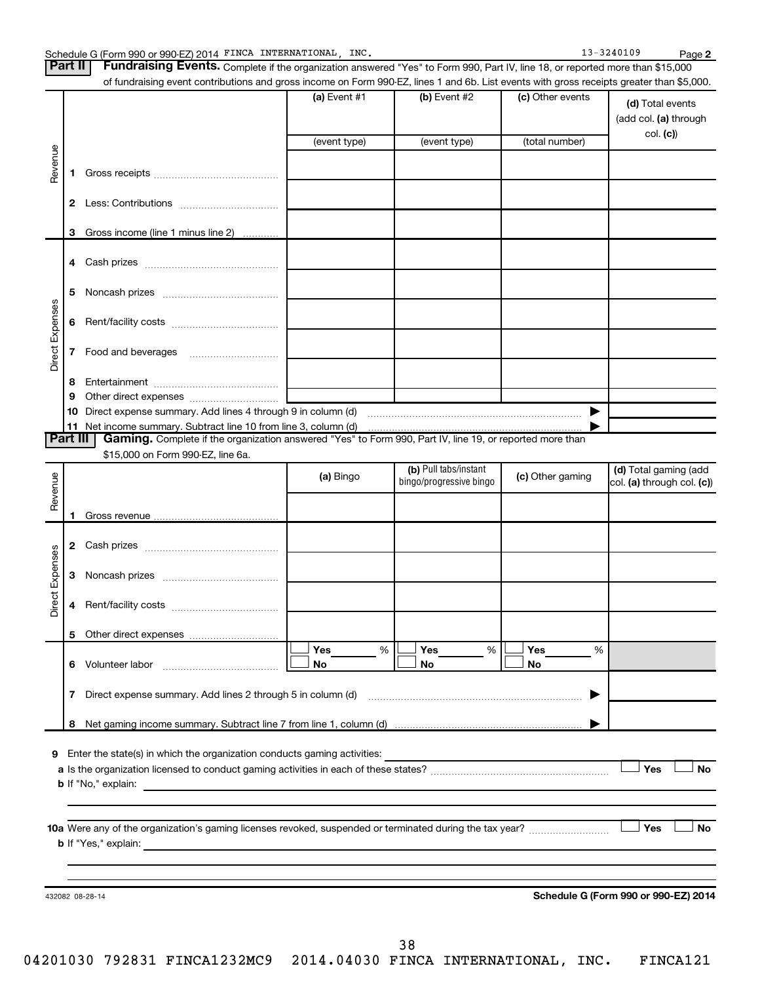Schedule G (Form 990 or 990-EZ) 2014 FINCA INTERNATIONAL, INC. 13 = 13-3240109 Page **2** Part II | Fundraising Events. Complete if the organization answered "Yes" to Form 990, Part IV, line 18, or reported more than \$15,000 of fundraising event contributions and gross income on Form 990-EZ, lines 1 and 6b. List events with gross receipts greater than \$5,000. **(a)** Event #1  $\vert$  **(b)** Event #2 (c) Other events **(d)**  Total events (add col. (a) through col. **(c)**) (event type) (event type) (total number) Revenue **1** Gross receipts ~~~~~~~~~~~~~~ **2** Less: Contributions ~~~~~~~~~~~ **3** Gross income (line 1 minus line 2) . . . . . . . . . . . . **4** Cash prizes ~~~~~~~~~~~~~~~ **5** Noncash prizes ~~~~~~~~~~~~~ Direct Expenses Direct Expenses **6** Rent/facility costs ~~~~~~~~~~~~ **7** Food and beverages **with the Strateger 7 8** Entertainment ~~~~~~~~~~~~~~ **9** Other direct expenses  $\ldots$  **............................ 10** Direct expense summary. Add lines 4 through 9 in column (d) ~~~~~~~~~~~ **11** Net income summary. Subtract line 10 from line 3, column (d) | Part III | Gaming. Complete if the organization answered "Yes" to Form 990, Part IV, line 19, or reported more than \$15,000 on Form 990-EZ, line 6a. (b) Pull tabs/instant (d) Total gaming (add Revenue **(a)** Bingo **a b**ingo/progressive bingo **(c)** Other gaming bingo/progressive bingo col. (a) through col. (c)) Gross revenue **1 2** Cash prizes ~~~~~~~~~~~~~~~ Direct Expenses Direct Expenses **3** Noncash prizes ~~~~~~~~~~~~~ **4** Rent/facility costs ~~~~~~~~~~~~ **5** Other direct expenses  $|\Box$  Yes  $\qquad \%$   $|\Box$  Yes  $\qquad \%$   $|\Box$ **Yes Yes Yes** % % %  $|\Box$  No  $|\Box$  No  $|\Box$ **6** Volunteer labor ~~~~~~~~~~~~~ **No No No 7** Direct expense summary. Add lines 2 through 5 in column (d) ~~~~~~~~~~~~~~~~~~~~~~~~ | **8** Net gaming income summary. Subtract line 7 from line 1, column (d) | **9** Enter the state(s) in which the organization conducts gaming activities:  $\Box$  Yes  $\Box$  No **a** Is the organization licensed to conduct gaming activities in each of these states? ~~~~~~~~~~~~~~~~~~~~ **b** If "No," explain: **10 a Yes No** Were any of the organization's gaming licenses revoked, suspended or terminated during the tax year? ~~~~~~~~~ † † **b** If "Yes," explain: **Schedule G (Form 990 or 990-EZ) 2014** 432082 08-28-14

38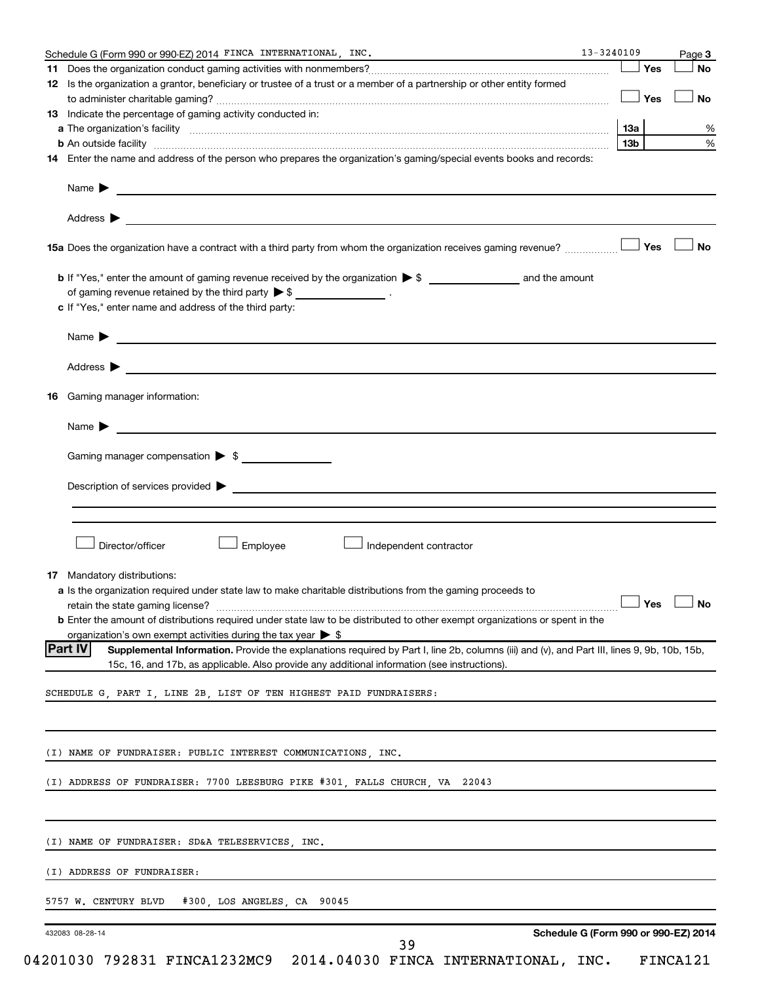| Schedule G (Form 990 or 990-EZ) 2014 FINCA INTERNATIONAL, INC.<br>12 Is the organization a grantor, beneficiary or trustee of a trust or a member of a partnership or other entity formed<br>13 Indicate the percentage of gaming activity conducted in:<br>14 Enter the name and address of the person who prepares the organization's gaming/special events books and records: | Yes<br>Yes | Page 3<br>No |
|----------------------------------------------------------------------------------------------------------------------------------------------------------------------------------------------------------------------------------------------------------------------------------------------------------------------------------------------------------------------------------|------------|--------------|
|                                                                                                                                                                                                                                                                                                                                                                                  |            |              |
|                                                                                                                                                                                                                                                                                                                                                                                  |            |              |
|                                                                                                                                                                                                                                                                                                                                                                                  |            | No           |
|                                                                                                                                                                                                                                                                                                                                                                                  |            |              |
|                                                                                                                                                                                                                                                                                                                                                                                  | 13a        |              |
|                                                                                                                                                                                                                                                                                                                                                                                  | 13b        |              |
|                                                                                                                                                                                                                                                                                                                                                                                  |            |              |
| Name > 2008 - 2008 - 2009 - 2009 - 2009 - 2009 - 2009 - 2009 - 2009 - 2009 - 2009 - 2009 - 2009 - 2009 - 2009 - 2009 - 2009 - 2009 - 2009 - 2009 - 2009 - 2009 - 2009 - 2009 - 2009 - 2009 - 2009 - 2009 - 2009 - 2009 - 2009                                                                                                                                                    |            |              |
|                                                                                                                                                                                                                                                                                                                                                                                  |            |              |
| 15a Does the organization have a contract with a third party from whom the organization receives gaming revenue?                                                                                                                                                                                                                                                                 | Yes        | No           |
|                                                                                                                                                                                                                                                                                                                                                                                  |            |              |
| of gaming revenue retained by the third party $\triangleright$ \$ _________________.                                                                                                                                                                                                                                                                                             |            |              |
| c If "Yes," enter name and address of the third party:                                                                                                                                                                                                                                                                                                                           |            |              |
|                                                                                                                                                                                                                                                                                                                                                                                  |            |              |
| Address > Note and Address > Note and Address > Note and Address > Note and Address > Note and Address + Note and Address + Note and Address + Note and Address + Note and Address + Note and Address + Note and Address + Not                                                                                                                                                   |            |              |
| Gaming manager information:<br>16                                                                                                                                                                                                                                                                                                                                                |            |              |
| Name $\blacktriangleright$<br><u> 1989 - Johann Barbara, martin amerikan basal dan berasal dan berasal dalam basal dan berasal dan berasal dan</u>                                                                                                                                                                                                                               |            |              |
| Gaming manager compensation > \$                                                                                                                                                                                                                                                                                                                                                 |            |              |
|                                                                                                                                                                                                                                                                                                                                                                                  |            |              |
| Description of services provided > example and the contract of the contract of the contract of the contract of                                                                                                                                                                                                                                                                   |            |              |
| Director/officer                                                                                                                                                                                                                                                                                                                                                                 |            |              |
| Employee<br>Independent contractor                                                                                                                                                                                                                                                                                                                                               |            |              |
| Mandatory distributions:<br>17                                                                                                                                                                                                                                                                                                                                                   |            |              |
| a Is the organization required under state law to make charitable distributions from the gaming proceeds to                                                                                                                                                                                                                                                                      |            |              |
| retain the state gaming license? $\Box$ No                                                                                                                                                                                                                                                                                                                                       |            |              |
| <b>b</b> Enter the amount of distributions required under state law to be distributed to other exempt organizations or spent in the                                                                                                                                                                                                                                              |            |              |
| organization's own exempt activities during the tax year $\triangleright$ \$                                                                                                                                                                                                                                                                                                     |            |              |
| <b>Part IV</b><br>Supplemental Information. Provide the explanations required by Part I, line 2b, columns (iii) and (v), and Part III, lines 9, 9b, 10b, 15b,                                                                                                                                                                                                                    |            |              |
| 15c, 16, and 17b, as applicable. Also provide any additional information (see instructions).                                                                                                                                                                                                                                                                                     |            |              |
| SCHEDULE G, PART I, LINE 2B, LIST OF TEN HIGHEST PAID FUNDRAISERS:                                                                                                                                                                                                                                                                                                               |            |              |
|                                                                                                                                                                                                                                                                                                                                                                                  |            |              |
| (I) NAME OF FUNDRAISER: PUBLIC INTEREST COMMUNICATIONS, INC.                                                                                                                                                                                                                                                                                                                     |            |              |
| (I) ADDRESS OF FUNDRAISER: 7700 LEESBURG PIKE #301, FALLS CHURCH, VA 22043                                                                                                                                                                                                                                                                                                       |            |              |
|                                                                                                                                                                                                                                                                                                                                                                                  |            |              |
| (I) NAME OF FUNDRAISER: SD&A TELESERVICES, INC.                                                                                                                                                                                                                                                                                                                                  |            |              |
| (I) ADDRESS OF FUNDRAISER:                                                                                                                                                                                                                                                                                                                                                       |            |              |
| 5757 W. CENTURY BLVD #300, LOS ANGELES, CA 90045                                                                                                                                                                                                                                                                                                                                 |            |              |
|                                                                                                                                                                                                                                                                                                                                                                                  |            |              |
| Schedule G (Form 990 or 990-EZ) 2014<br>432083 08-28-14<br>39                                                                                                                                                                                                                                                                                                                    |            |              |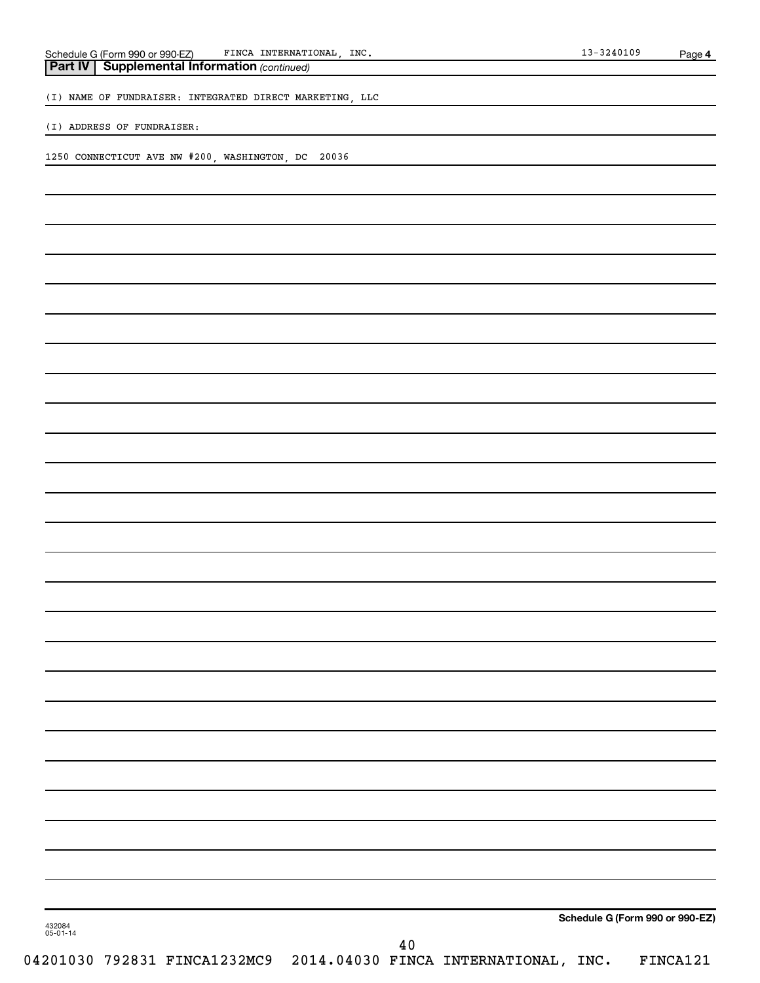| 10100<br>INC.<br>INTERNATIONAL<br>『INCA<br>$-990-EZ$<br>Schedule G<br>Form 990<br>3240109<br>$\sim$<br><b>U</b> U | Page |  |
|-------------------------------------------------------------------------------------------------------------------|------|--|
|-------------------------------------------------------------------------------------------------------------------|------|--|

| Part IV   Supplemental Information (continued) |
|------------------------------------------------|
|                                                |

(I) NAME OF FUNDRAISER: INTEGRATED DIRECT MARKETING, LLC

(I) ADDRESS OF FUNDRAISER:

1250 CONNECTICUT AVE NW #200, WASHINGTON, DC 20036

**Schedule G (Form 990 or 990-EZ)**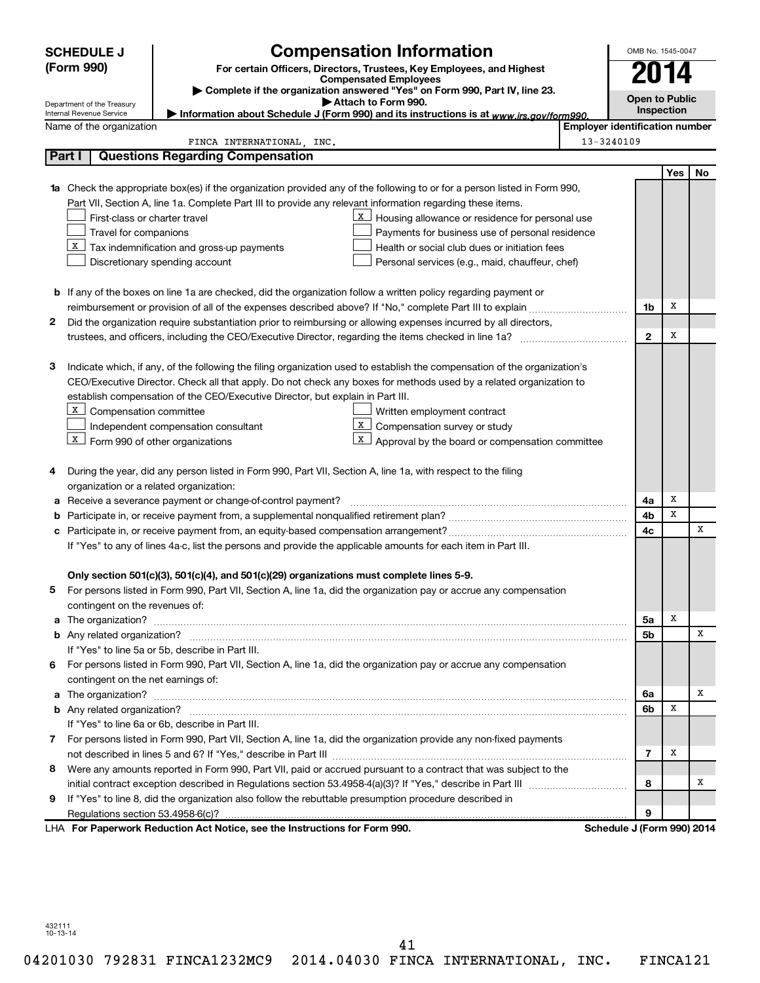|    | <b>SCHEDULE J</b>                                                                                                                                                                                 | <b>Compensation Information</b>                                                                                           |                                                 |                                       |                | OMB No. 1545-0047 |                       |  |  |
|----|---------------------------------------------------------------------------------------------------------------------------------------------------------------------------------------------------|---------------------------------------------------------------------------------------------------------------------------|-------------------------------------------------|---------------------------------------|----------------|-------------------|-----------------------|--|--|
|    | (Form 990)<br>For certain Officers, Directors, Trustees, Key Employees, and Highest<br><b>Compensated Employees</b><br>Complete if the organization answered "Yes" on Form 990, Part IV, line 23. |                                                                                                                           |                                                 |                                       |                | 4                 |                       |  |  |
|    |                                                                                                                                                                                                   |                                                                                                                           |                                                 |                                       |                |                   |                       |  |  |
|    | Attach to Form 990.<br>Department of the Treasury                                                                                                                                                 |                                                                                                                           |                                                 |                                       |                |                   | <b>Open to Public</b> |  |  |
|    | Internal Revenue Service                                                                                                                                                                          | Information about Schedule J (Form 990) and its instructions is at www.irs.gov/form990.                                   |                                                 |                                       |                | Inspection        |                       |  |  |
|    | Name of the organization                                                                                                                                                                          |                                                                                                                           |                                                 | <b>Employer identification number</b> |                |                   |                       |  |  |
|    |                                                                                                                                                                                                   | FINCA INTERNATIONAL, INC.                                                                                                 |                                                 | 13-3240109                            |                |                   |                       |  |  |
|    | Part I                                                                                                                                                                                            | <b>Questions Regarding Compensation</b>                                                                                   |                                                 |                                       |                |                   |                       |  |  |
|    |                                                                                                                                                                                                   |                                                                                                                           |                                                 |                                       |                | Yes               | No                    |  |  |
| 1a |                                                                                                                                                                                                   | Check the appropriate box(es) if the organization provided any of the following to or for a person listed in Form 990,    |                                                 |                                       |                |                   |                       |  |  |
|    |                                                                                                                                                                                                   | Part VII, Section A, line 1a. Complete Part III to provide any relevant information regarding these items.                |                                                 |                                       |                |                   |                       |  |  |
|    | First-class or charter travel                                                                                                                                                                     | X                                                                                                                         | Housing allowance or residence for personal use |                                       |                |                   |                       |  |  |
|    | Travel for companions                                                                                                                                                                             |                                                                                                                           | Payments for business use of personal residence |                                       |                |                   |                       |  |  |
|    |                                                                                                                                                                                                   | $\underline{x}$ Tax indemnification and gross-up payments                                                                 | Health or social club dues or initiation fees   |                                       |                |                   |                       |  |  |
|    |                                                                                                                                                                                                   | Discretionary spending account                                                                                            | Personal services (e.g., maid, chauffeur, chef) |                                       |                |                   |                       |  |  |
|    |                                                                                                                                                                                                   |                                                                                                                           |                                                 |                                       |                |                   |                       |  |  |
|    |                                                                                                                                                                                                   | b If any of the boxes on line 1a are checked, did the organization follow a written policy regarding payment or           |                                                 |                                       |                |                   |                       |  |  |
|    |                                                                                                                                                                                                   |                                                                                                                           |                                                 |                                       | 1b             | х                 |                       |  |  |
| 2  |                                                                                                                                                                                                   | Did the organization require substantiation prior to reimbursing or allowing expenses incurred by all directors,          |                                                 |                                       |                | х                 |                       |  |  |
|    |                                                                                                                                                                                                   |                                                                                                                           |                                                 |                                       | $\mathbf{2}$   |                   |                       |  |  |
|    |                                                                                                                                                                                                   |                                                                                                                           |                                                 |                                       |                |                   |                       |  |  |
| З  |                                                                                                                                                                                                   | Indicate which, if any, of the following the filing organization used to establish the compensation of the organization's |                                                 |                                       |                |                   |                       |  |  |
|    |                                                                                                                                                                                                   | CEO/Executive Director. Check all that apply. Do not check any boxes for methods used by a related organization to        |                                                 |                                       |                |                   |                       |  |  |
|    |                                                                                                                                                                                                   | establish compensation of the CEO/Executive Director, but explain in Part III.                                            |                                                 |                                       |                |                   |                       |  |  |
|    | X Compensation committee                                                                                                                                                                          | Written employment contract                                                                                               | Compensation survey or study                    |                                       |                |                   |                       |  |  |
|    |                                                                                                                                                                                                   | Independent compensation consultant<br>X                                                                                  | Approval by the board or compensation committee |                                       |                |                   |                       |  |  |
|    | $\lfloor x \rfloor$ Form 990 of other organizations                                                                                                                                               |                                                                                                                           |                                                 |                                       |                |                   |                       |  |  |
| 4  |                                                                                                                                                                                                   | During the year, did any person listed in Form 990, Part VII, Section A, line 1a, with respect to the filing              |                                                 |                                       |                |                   |                       |  |  |
|    | organization or a related organization:                                                                                                                                                           |                                                                                                                           |                                                 |                                       |                |                   |                       |  |  |
| а  |                                                                                                                                                                                                   | Receive a severance payment or change-of-control payment?                                                                 |                                                 |                                       | 4a             | х                 |                       |  |  |
| b  |                                                                                                                                                                                                   |                                                                                                                           |                                                 |                                       | 4b             | х                 |                       |  |  |
| с  |                                                                                                                                                                                                   |                                                                                                                           |                                                 |                                       |                |                   | х                     |  |  |
|    | 4c<br>If "Yes" to any of lines 4a-c, list the persons and provide the applicable amounts for each item in Part III.                                                                               |                                                                                                                           |                                                 |                                       |                |                   |                       |  |  |
|    |                                                                                                                                                                                                   |                                                                                                                           |                                                 |                                       |                |                   |                       |  |  |
|    |                                                                                                                                                                                                   | Only section 501(c)(3), 501(c)(4), and 501(c)(29) organizations must complete lines 5-9.                                  |                                                 |                                       |                |                   |                       |  |  |
|    |                                                                                                                                                                                                   | For persons listed in Form 990, Part VII, Section A, line 1a, did the organization pay or accrue any compensation         |                                                 |                                       |                |                   |                       |  |  |
|    | contingent on the revenues of:                                                                                                                                                                    |                                                                                                                           |                                                 |                                       |                |                   |                       |  |  |
|    |                                                                                                                                                                                                   |                                                                                                                           |                                                 |                                       | 5a             | х                 |                       |  |  |
|    |                                                                                                                                                                                                   |                                                                                                                           |                                                 |                                       | 5b             |                   | х                     |  |  |
|    |                                                                                                                                                                                                   | If "Yes" to line 5a or 5b, describe in Part III.                                                                          |                                                 |                                       |                |                   |                       |  |  |
| 6  |                                                                                                                                                                                                   | For persons listed in Form 990, Part VII, Section A, line 1a, did the organization pay or accrue any compensation         |                                                 |                                       |                |                   |                       |  |  |
|    | contingent on the net earnings of:                                                                                                                                                                |                                                                                                                           |                                                 |                                       |                |                   |                       |  |  |
|    |                                                                                                                                                                                                   |                                                                                                                           |                                                 |                                       | 6a             |                   | х                     |  |  |
|    |                                                                                                                                                                                                   |                                                                                                                           |                                                 |                                       |                | х                 |                       |  |  |
|    |                                                                                                                                                                                                   | If "Yes" to line 6a or 6b, describe in Part III.                                                                          |                                                 |                                       | 6b             |                   |                       |  |  |
|    |                                                                                                                                                                                                   | 7 For persons listed in Form 990, Part VII, Section A, line 1a, did the organization provide any non-fixed payments       |                                                 |                                       |                |                   |                       |  |  |
|    |                                                                                                                                                                                                   |                                                                                                                           |                                                 |                                       | $\overline{7}$ | х                 |                       |  |  |
| 8  |                                                                                                                                                                                                   | Were any amounts reported in Form 990, Part VII, paid or accrued pursuant to a contract that was subject to the           |                                                 |                                       |                |                   |                       |  |  |
|    |                                                                                                                                                                                                   |                                                                                                                           |                                                 |                                       | 8              |                   | х                     |  |  |
| 9  |                                                                                                                                                                                                   | If "Yes" to line 8, did the organization also follow the rebuttable presumption procedure described in                    |                                                 |                                       |                |                   |                       |  |  |
|    |                                                                                                                                                                                                   |                                                                                                                           |                                                 |                                       | 9              |                   |                       |  |  |
|    |                                                                                                                                                                                                   | LHA For Paperwork Reduction Act Notice, see the Instructions for Form 990.                                                |                                                 | Schedule J (Form 990) 2014            |                |                   |                       |  |  |

41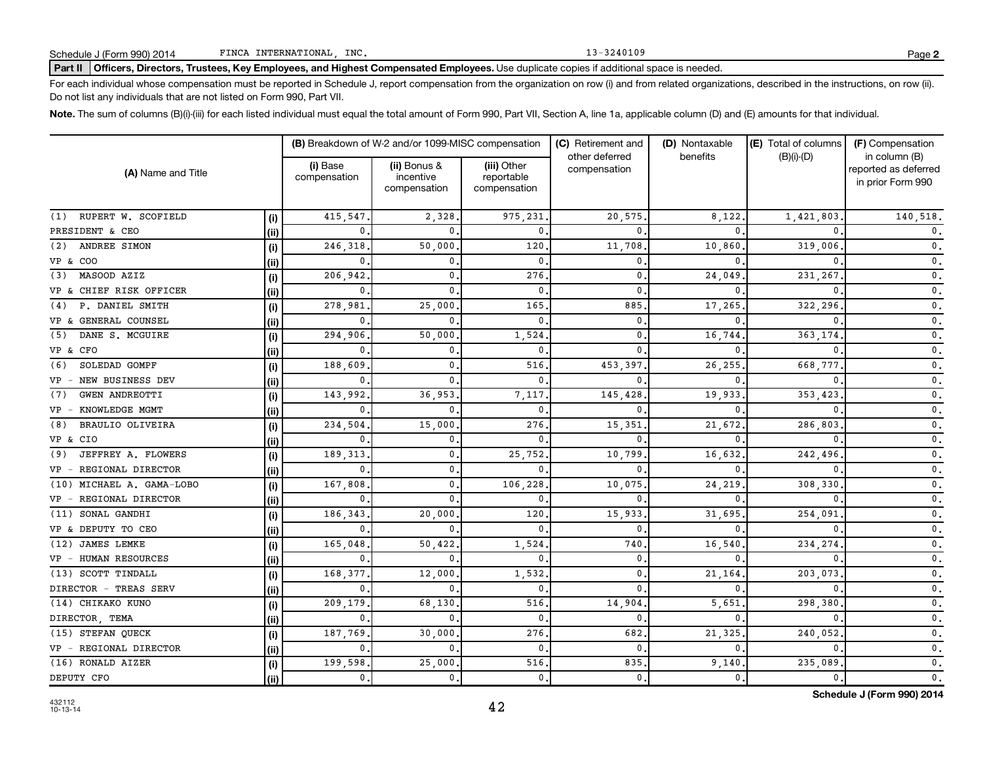Part II | Officers, Directors, Trustees, Key Employees, and Highest Compensated Employees. Use duplicate copies if additional space is needed.

For each individual whose compensation must be reported in Schedule J, report compensation from the organization on row (i) and from related organizations, described in the instructions, on row (ii). Do not list any individuals that are not listed on Form 990, Part VII.

Note. The sum of columns (B)(i)-(iii) for each listed individual must equal the total amount of Form 990, Part VII, Section A, line 1a, applicable column (D) and (E) amounts for that individual.

| (A) Name and Title           |       | (B) Breakdown of W-2 and/or 1099-MISC compensation |                                           |                                           | (C) Retirement and             | (D) Nontaxable | (E) Total of columns | (F) Compensation                                           |
|------------------------------|-------|----------------------------------------------------|-------------------------------------------|-------------------------------------------|--------------------------------|----------------|----------------------|------------------------------------------------------------|
|                              |       | (i) Base<br>compensation                           | (ii) Bonus &<br>incentive<br>compensation | (iii) Other<br>reportable<br>compensation | other deferred<br>compensation | benefits       | $(B)(i)-(D)$         | in column (B)<br>reported as deferred<br>in prior Form 990 |
| (1) RUPERT W. SCOFIELD       | (i)   | 415,547                                            | 2,328                                     | 975,231                                   | 20,575                         | 8,122          | 1,421,803            | 140,518.                                                   |
| PRESIDENT & CEO              | (i)   | 0                                                  | $\Omega$                                  | $\mathbf{0}$ .                            | <sup>n</sup>                   | <sup>n</sup>   |                      | $\mathfrak o$ .                                            |
| ANDREE SIMON<br>(2)          | (i)   | 246,318                                            | 50,000                                    | 120                                       | 11,708                         | 10,860         | 319,006              | $\mathfrak o$ .                                            |
| VP & COO                     | (ii)  | n                                                  | $\mathbf{0}$                              | 0                                         | <sup>0</sup>                   | n              |                      | $\mathfrak o$ .                                            |
| MASOOD AZIZ<br>(3)           | (i)   | 206,942                                            | $\mathbf{0}$                              | 276                                       | $\Omega$                       | 24,049         | 231,267              | $\mathfrak o$ .                                            |
| VP & CHIEF RISK OFFICER      | (iii) | n                                                  | $\Omega$                                  | 0                                         | n                              |                |                      | $\mathbf{0}$ .                                             |
| P. DANIEL SMITH<br>(4)       | (i)   | 278,981                                            | 25,000                                    | 165                                       | 885                            | 17,265         | 322,296              | $\mathfrak o$ .                                            |
| VP & GENERAL COUNSEL         | (ii)  | $\Omega$                                           | $\Omega$                                  | 0                                         | $\Omega$                       | n              |                      | $\mathfrak o$ .                                            |
| DANE S. MCGUIRE<br>(5)       | (i)   | 294,906                                            | 50,000                                    | 1,524                                     | $\Omega$                       | 16,744         | 363,174              | $\mathbf 0$ .                                              |
| VP & CFO                     | (ii)  | 0                                                  | $\mathbf{0}$                              | 0                                         | <sup>0</sup>                   | $\Omega$       |                      | $\mathfrak o$ .                                            |
| SOLEDAD GOMPF<br>(6)         | (i)   | 188,609                                            | $\mathbf{0}$                              | 516                                       | 453,397                        | 26,255         | 668,777              | 0.                                                         |
| NEW BUSINESS DEV<br>$VP -$   | (ii)  | 0                                                  | $\Omega$                                  | 0                                         | <sup>n</sup>                   |                |                      | $\mathfrak o$ .                                            |
| <b>GWEN ANDREOTTI</b><br>(7) | (i)   | 143,992                                            | 36,953                                    | 7,117                                     | 145,428                        | 19,933         | 353,423              | $\mathfrak o$ .                                            |
| KNOWLEDGE MGMT<br>$VP -$     | (ii)  | 0                                                  | $\Omega$                                  | 0                                         | n                              |                |                      | $\mathfrak o$ .                                            |
| BRAULIO OLIVEIRA<br>(8)      | (i)   | 234,504                                            | 15,000                                    | 276                                       | 15,351                         | 21,672         | 286,803              | $\mathbf 0$ .                                              |
| VP & CIO                     | (ii)  | 0                                                  | $\mathbf{0}$                              | 0                                         | <sup>0</sup>                   | $\Omega$       |                      | 0.                                                         |
| JEFFREY A. FLOWERS<br>(9)    | (i)   | 189,313                                            | $\mathbf{0}$                              | 25,752                                    | 10,799                         | 16,632         | 242,496              | $\mathsf{0}\,.$                                            |
| REGIONAL DIRECTOR<br>$VP -$  | (ii)  | $\mathbf{0}$                                       | $\mathbf{0}$ .                            | 0                                         | <sup>0</sup>                   | $\Omega$       |                      | $\mathfrak o$ .                                            |
| (10) MICHAEL A. GAMA-LOBO    | (i)   | 167,808                                            | $\mathbf{0}$                              | 106,228                                   | 10,075                         | 24,219         | 308,330              | $\mathfrak o$ .                                            |
| VP - REGIONAL DIRECTOR       | (ii)  |                                                    |                                           | 0                                         |                                |                |                      | $\mathfrak o$ .                                            |
| (11) SONAL GANDHI            | (i)   | 186,343                                            | 20,000                                    | 120                                       | 15,933                         | 31,695         | 254,091              | $\mathfrak o$ .                                            |
| VP & DEPUTY TO CEO           | (ii)  | $\Omega$                                           |                                           | 0                                         | $\Omega$                       |                |                      | $\mathbf{0}$ .                                             |
| <b>JAMES LEMKE</b><br>(12)   | (i)   | 165,048                                            | 50,422                                    | 1,524                                     | 740                            | 16,540         | 234,274              | $\mathbf{0}$ .                                             |
| VP - HUMAN RESOURCES         | (ii)  | 0                                                  | $\mathbf{0}$                              | 0                                         | 0                              | $\Omega$       |                      | $\mathfrak o$ .                                            |
| (13) SCOTT TINDALL           | (i)   | 168,377                                            | 12,000                                    | 1,532                                     | 0                              | 21,164         | 203,073              | $\mathfrak o$ .                                            |
| DIRECTOR - TREAS SERV        | (ii)  | 0                                                  | $\mathbf{0}$                              | $\mathbf 0$ .                             | $\Omega$                       | 0              |                      | $\mathfrak o$ .                                            |
| (14) CHIKAKO KUNO            | (i)   | 209,179                                            | 68,130                                    | 516                                       | 14,904                         | 5,651          | 298,380              | $\mathbf{0}$ .                                             |
| DIRECTOR, TEMA               | (ii)  | 0                                                  | $\mathbf{0}$                              | 0                                         | $\Omega$                       | 0              |                      | $\mathbf{0}$ .                                             |
| (15) STEFAN QUECK            | (i)   | 187,769                                            | 30,000                                    | 276                                       | 682                            | 21,325         | 240,052              | $\mathbf{0}$ .                                             |
| VP - REGIONAL DIRECTOR       | (ii)  | 0                                                  | $\mathbf{0}$ .                            | 0                                         | $\Omega$                       | $\Omega$       |                      | $\mathbf{0}$ .                                             |
| (16) RONALD AIZER            | (i)   | 199,598                                            | 25,000                                    | 516                                       | 835                            | 9,140          | 235,089              | $\mathfrak o$ .                                            |
| DEPUTY CFO                   | (iii) | 0,                                                 | 0.                                        | $\mathbf 0$ .                             | 0                              | 0.             | 0.                   | $\mathfrak o$ .                                            |

42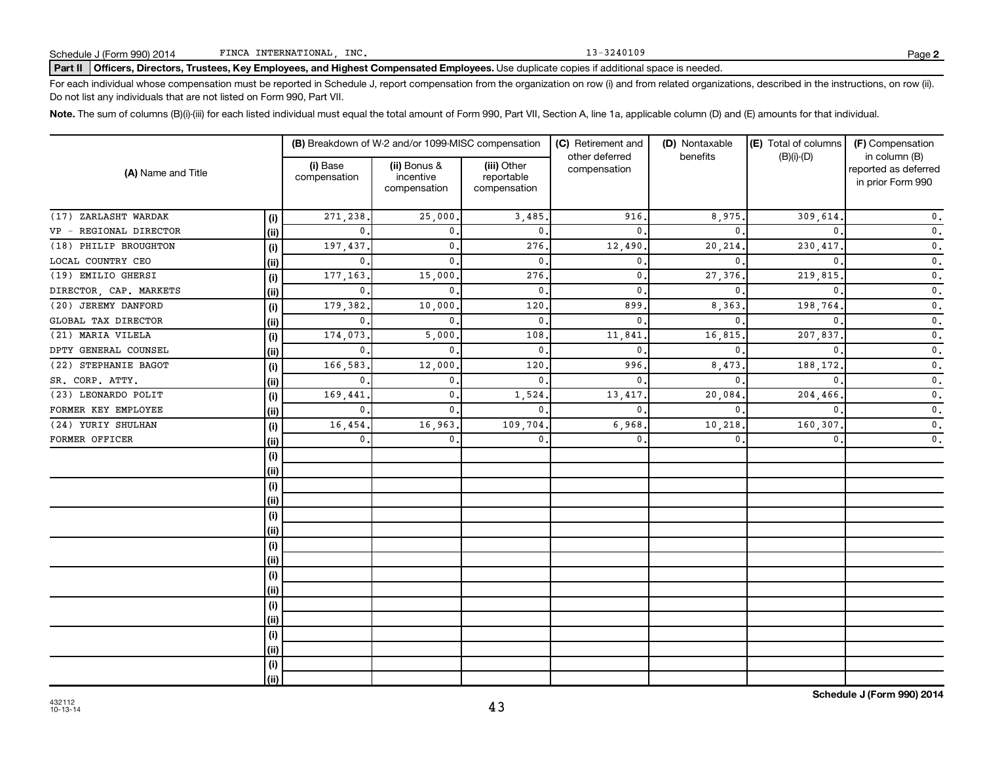Part II | Officers, Directors, Trustees, Key Employees, and Highest Compensated Employees. Use duplicate copies if additional space is needed.

For each individual whose compensation must be reported in Schedule J, report compensation from the organization on row (i) and from related organizations, described in the instructions, on row (ii). Do not list any individuals that are not listed on Form 990, Part VII.

Note. The sum of columns (B)(i)-(iii) for each listed individual must equal the total amount of Form 990, Part VII, Section A, line 1a, applicable column (D) and (E) amounts for that individual.

| (A) Name and Title     |      |                          | (B) Breakdown of W-2 and/or 1099-MISC compensation |                                           | (C) Retirement and             | (D) Nontaxable | (E) Total of columns | (F) Compensation                                           |  |
|------------------------|------|--------------------------|----------------------------------------------------|-------------------------------------------|--------------------------------|----------------|----------------------|------------------------------------------------------------|--|
|                        |      | (i) Base<br>compensation | (ii) Bonus &<br>incentive<br>compensation          | (iii) Other<br>reportable<br>compensation | other deferred<br>compensation | benefits       | $(B)(i)-(D)$         | in column (B)<br>reported as deferred<br>in prior Form 990 |  |
| (17) ZARLASHT WARDAK   | (i)  | 271,238                  | 25,000                                             | 3,485                                     | 916                            | 8,975.         | 309,614              | $\mathfrak o$ .                                            |  |
| VP - REGIONAL DIRECTOR | (ii) | $\Omega$                 | $\mathbf{0}$                                       | $\mathbf{0}$ .                            | $\Omega$                       | $\Omega$       |                      | $\mathfrak o$ .                                            |  |
| (18) PHILIP BROUGHTON  | (i)  | 197,437                  | $\mathbf{0}$                                       | 276                                       | 12,490                         | 20,214         | 230,417              | $\mathfrak o$ .                                            |  |
| LOCAL COUNTRY CEO      | (ii) | $\mathbf 0$              | $\mathbf 0$ .                                      | $\mathbf{0}$                              | 0                              | $\Omega$       | $\Omega$             | $\mathfrak o$ .                                            |  |
| (19) EMILIO GHERSI     | (i)  | 177,163                  | 15,000                                             | 276                                       | 0                              | 27,376         | 219,815              | $\mathfrak o$ .                                            |  |
| DIRECTOR, CAP. MARKETS | (ii) | $\mathbf{0}$             | $\mathbf{0}$ .                                     | $\mathbf{0}$                              | 0                              | $\Omega$       |                      | $\mathfrak o$ .                                            |  |
| (20) JEREMY DANFORD    | (i)  | 179,382                  | 10,000                                             | 120                                       | 899                            | 8,363          | 198,764              | $\mathfrak o$ .                                            |  |
| GLOBAL TAX DIRECTOR    | (ii) | 0                        | $\mathbf 0$ .                                      | $\mathbf{0}$                              | $\mathbf{0}$                   | $\mathbf{0}$   | $\Omega$             | $\mathfrak o$ .                                            |  |
| (21) MARIA VILELA      | (i)  | 174,073                  | 5,000                                              | 108                                       | 11,841                         | 16,815         | 207,837              | $\mathfrak o$ .                                            |  |
| DPTY GENERAL COUNSEL   | (ii) | 0                        | $\mathbf{0}$                                       | $\mathbf{0}$                              | 0                              | $\mathbf 0$    | $\Omega$             | $\mathfrak o$ .                                            |  |
| (22) STEPHANIE BAGOT   | (i)  | 166,583                  | 12,000                                             | 120                                       | 996                            | 8,473          | 188,172              | $\mathfrak o$ .                                            |  |
| SR. CORP. ATTY.        | (ii) | 0                        | $\mathbf{0}$                                       | $\mathbf{0}$                              | 0                              | $\mathbf{0}$   | $\Omega$             | $\mathfrak o$ .                                            |  |
| (23) LEONARDO POLIT    | (i)  | 169,441                  | 0.                                                 | 1,524                                     | 13,417                         | 20,084         | 204,466              | $\mathbf 0$ .                                              |  |
| FORMER KEY EMPLOYEE    | (ii) | 0                        | 0.                                                 | $\mathbf{0}$ .                            | 0                              | $\mathbf{0}$   | $\Omega$             | 0.                                                         |  |
| (24) YURIY SHULHAN     | (i)  | 16,454                   | 16,963                                             | 109,704                                   | 6,968                          | 10,218         | 160,307              | $\mathfrak o$ .                                            |  |
| FORMER OFFICER         | (i)  | $\mathbf{0}$             | 0.                                                 | $\mathbf{0}$                              | $\mathbf{0}$ .                 | $\mathbf{0}$   | $\mathbf 0$ .        | $\mathfrak o$ .                                            |  |
|                        | (i)  |                          |                                                    |                                           |                                |                |                      |                                                            |  |
|                        | (ii) |                          |                                                    |                                           |                                |                |                      |                                                            |  |
|                        | (i)  |                          |                                                    |                                           |                                |                |                      |                                                            |  |
|                        | (ii) |                          |                                                    |                                           |                                |                |                      |                                                            |  |
|                        | (i)  |                          |                                                    |                                           |                                |                |                      |                                                            |  |
|                        | (ii) |                          |                                                    |                                           |                                |                |                      |                                                            |  |
|                        | (i)  |                          |                                                    |                                           |                                |                |                      |                                                            |  |
|                        | (i)  |                          |                                                    |                                           |                                |                |                      |                                                            |  |
|                        | (i)  |                          |                                                    |                                           |                                |                |                      |                                                            |  |
|                        | (ii) |                          |                                                    |                                           |                                |                |                      |                                                            |  |
|                        | (i)  |                          |                                                    |                                           |                                |                |                      |                                                            |  |
|                        | (ii) |                          |                                                    |                                           |                                |                |                      |                                                            |  |
|                        | (i)  |                          |                                                    |                                           |                                |                |                      |                                                            |  |
|                        | (ii) |                          |                                                    |                                           |                                |                |                      |                                                            |  |
|                        | (i)  |                          |                                                    |                                           |                                |                |                      |                                                            |  |
|                        | (ii) |                          |                                                    |                                           |                                |                |                      |                                                            |  |

43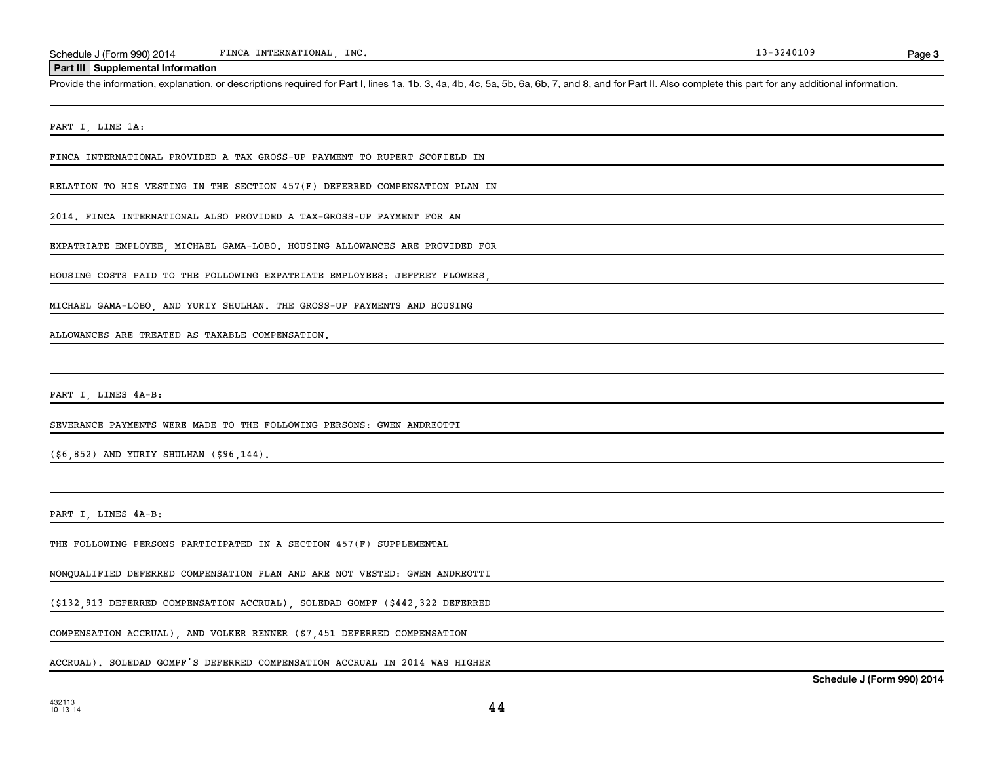### **Part III Supplemental Information**

Provide the information, explanation, or descriptions required for Part I, lines 1a, 1b, 3, 4a, 4b, 4c, 5a, 5b, 6a, 6b, 7, and 8, and for Part II. Also complete this part for any additional information.

PART I, LINE 1A:

FINCA INTERNATIONAL PROVIDED A TAX GROSS-UP PAYMENT TO RUPERT SCOFIELD IN

RELATION TO HIS VESTING IN THE SECTION 457(F) DEFERRED COMPENSATION PLAN IN

2014. FINCA INTERNATIONAL ALSO PROVIDED A TAX-GROSS-UP PAYMENT FOR AN

EXPATRIATE EMPLOYEE, MICHAEL GAMA-LOBO. HOUSING ALLOWANCES ARE PROVIDED FOR

HOUSING COSTS PAID TO THE FOLLOWING EXPATRIATE EMPLOYEES: JEFFREY FLOWERS,

MICHAEL GAMA-LOBO, AND YURIY SHULHAN. THE GROSS-UP PAYMENTS AND HOUSING

ALLOWANCES ARE TREATED AS TAXABLE COMPENSATION.

PART I, LINES 4A-B:

SEVERANCE PAYMENTS WERE MADE TO THE FOLLOWING PERSONS: GWEN ANDREOTTI

(\$6,852) AND YURIY SHULHAN (\$96,144).

PART I, LINES 4A-B:

THE FOLLOWING PERSONS PARTICIPATED IN A SECTION 457(F) SUPPLEMENTAL

NONQUALIFIED DEFERRED COMPENSATION PLAN AND ARE NOT VESTED: GWEN ANDREOTTI

(\$132,913 DEFERRED COMPENSATION ACCRUAL), SOLEDAD GOMPF (\$442,322 DEFERRED

COMPENSATION ACCRUAL), AND VOLKER RENNER (\$7,451 DEFERRED COMPENSATION

ACCRUAL). SOLEDAD GOMPF'S DEFERRED COMPENSATION ACCRUAL IN 2014 WAS HIGHER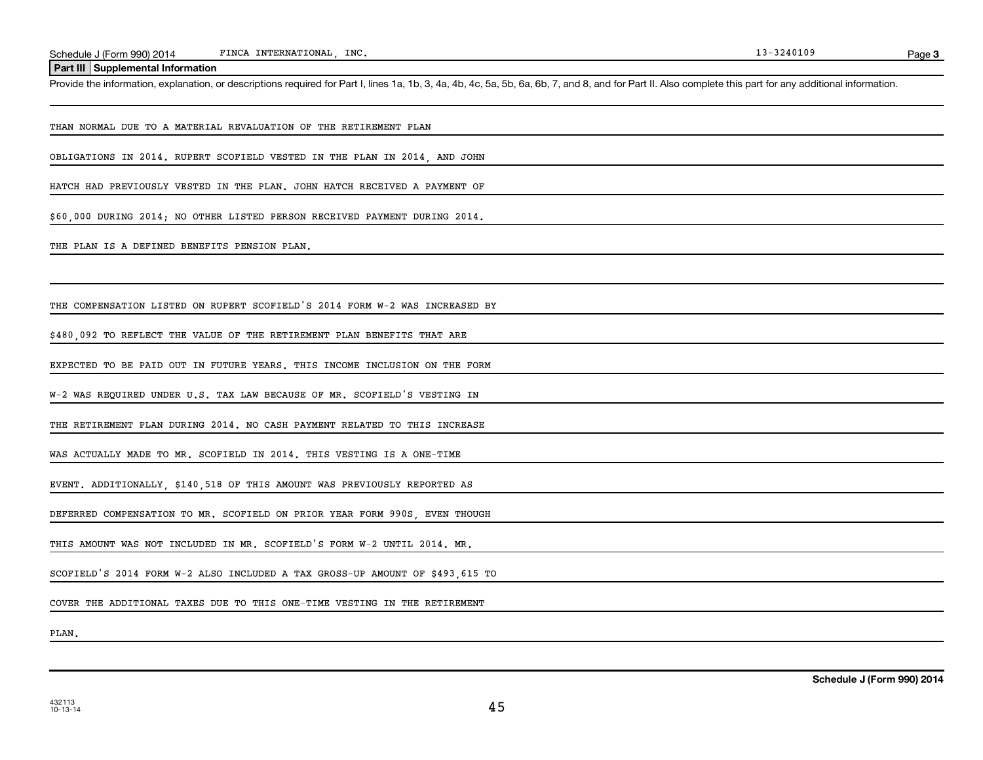**Part III Supplemental Information**

Provide the information, explanation, or descriptions required for Part I, lines 1a, 1b, 3, 4a, 4b, 4c, 5a, 5b, 6a, 6b, 7, and 8, and for Part II. Also complete this part for any additional information.

THAN NORMAL DUE TO A MATERIAL REVALUATION OF THE RETIREMENT PLAN

OBLIGATIONS IN 2014. RUPERT SCOFIELD VESTED IN THE PLAN IN 2014, AND JOHN

HATCH HAD PREVIOUSLY VESTED IN THE PLAN. JOHN HATCH RECEIVED A PAYMENT OF

\$60,000 DURING 2014; NO OTHER LISTED PERSON RECEIVED PAYMENT DURING 2014.

THE PLAN IS A DEFINED BENEFITS PENSION PLAN.

THE COMPENSATION LISTED ON RUPERT SCOFIELD'S 2014 FORM W-2 WAS INCREASED BY

\$480,092 TO REFLECT THE VALUE OF THE RETIREMENT PLAN BENEFITS THAT ARE

EXPECTED TO BE PAID OUT IN FUTURE YEARS. THIS INCOME INCLUSION ON THE FORM

W-2 WAS REQUIRED UNDER U.S. TAX LAW BECAUSE OF MR. SCOFIELD'S VESTING IN

THE RETIREMENT PLAN DURING 2014. NO CASH PAYMENT RELATED TO THIS INCREASE

WAS ACTUALLY MADE TO MR. SCOFIELD IN 2014. THIS VESTING IS A ONE-TIME

EVENT. ADDITIONALLY, \$140,518 OF THIS AMOUNT WAS PREVIOUSLY REPORTED AS

DEFERRED COMPENSATION TO MR. SCOFIELD ON PRIOR YEAR FORM 990S EVEN THOUGH

THIS AMOUNT WAS NOT INCLUDED IN MR. SCOFIELD'S FORM W-2 UNTIL 2014. MR.

SCOFIELD'S 2014 FORM W-2 ALSO INCLUDED A TAX GROSS-UP AMOUNT OF \$493,615 TO

COVER THE ADDITIONAL TAXES DUE TO THIS ONE-TIME VESTING IN THE RETIREMENT

PLAN.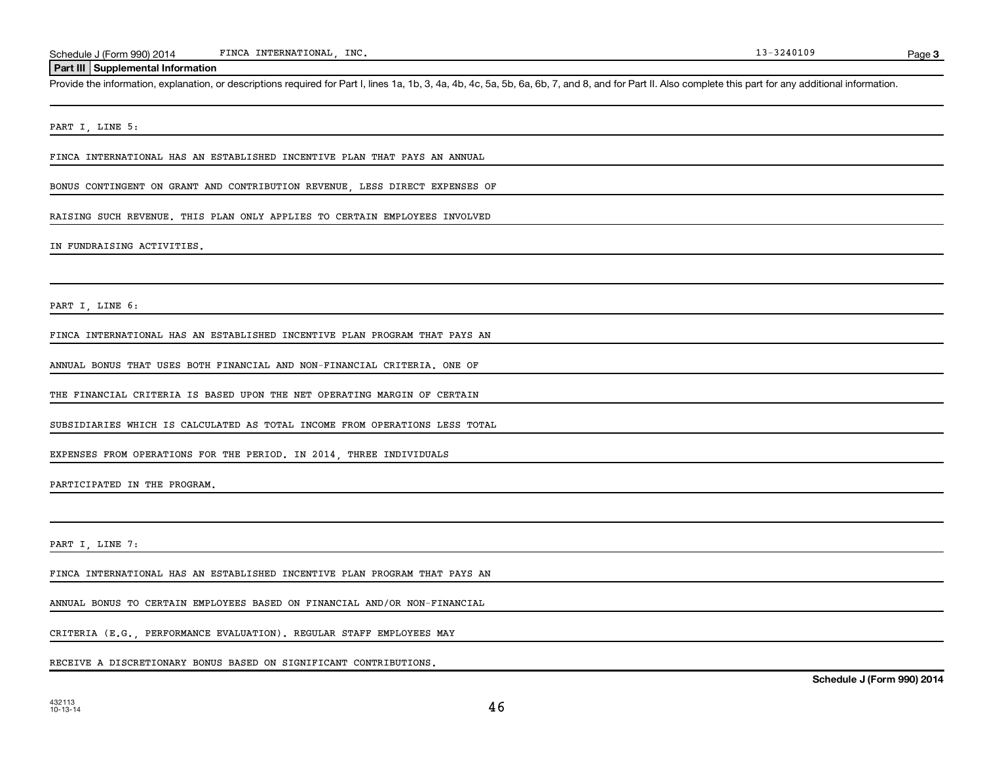### **Part III Supplemental Information**

Provide the information, explanation, or descriptions required for Part I, lines 1a, 1b, 3, 4a, 4b, 4c, 5a, 5b, 6a, 6b, 7, and 8, and for Part II. Also complete this part for any additional information.

PART I, LINE 5:

FINCA INTERNATIONAL HAS AN ESTABLISHED INCENTIVE PLAN THAT PAYS AN ANNUAL

BONUS CONTINGENT ON GRANT AND CONTRIBUTION REVENUE, LESS DIRECT EXPENSES OF

RAISING SUCH REVENUE. THIS PLAN ONLY APPLIES TO CERTAIN EMPLOYEES INVOLVED

IN FUNDRAISING ACTIVITIES.

PART I, LINE 6:

FINCA INTERNATIONAL HAS AN ESTABLISHED INCENTIVE PLAN PROGRAM THAT PAYS AN

ANNUAL BONUS THAT USES BOTH FINANCIAL AND NON-FINANCIAL CRITERIA. ONE OF

THE FINANCIAL CRITERIA IS BASED UPON THE NET OPERATING MARGIN OF CERTAIN

SUBSIDIARIES WHICH IS CALCULATED AS TOTAL INCOME FROM OPERATIONS LESS TOTAL

EXPENSES FROM OPERATIONS FOR THE PERIOD. IN 2014, THREE INDIVIDUALS

PARTICIPATED IN THE PROGRAM.

PART I, LINE 7:

432113 10-13-14

FINCA INTERNATIONAL HAS AN ESTABLISHED INCENTIVE PLAN PROGRAM THAT PAYS AN

ANNUAL BONUS TO CERTAIN EMPLOYEES BASED ON FINANCIAL AND/OR NON-FINANCIAL

CRITERIA (E.G., PERFORMANCE EVALUATION). REGULAR STAFF EMPLOYEES MAY

RECEIVE A DISCRETIONARY BONUS BASED ON SIGNIFICANT CONTRIBUTIONS.

Page 3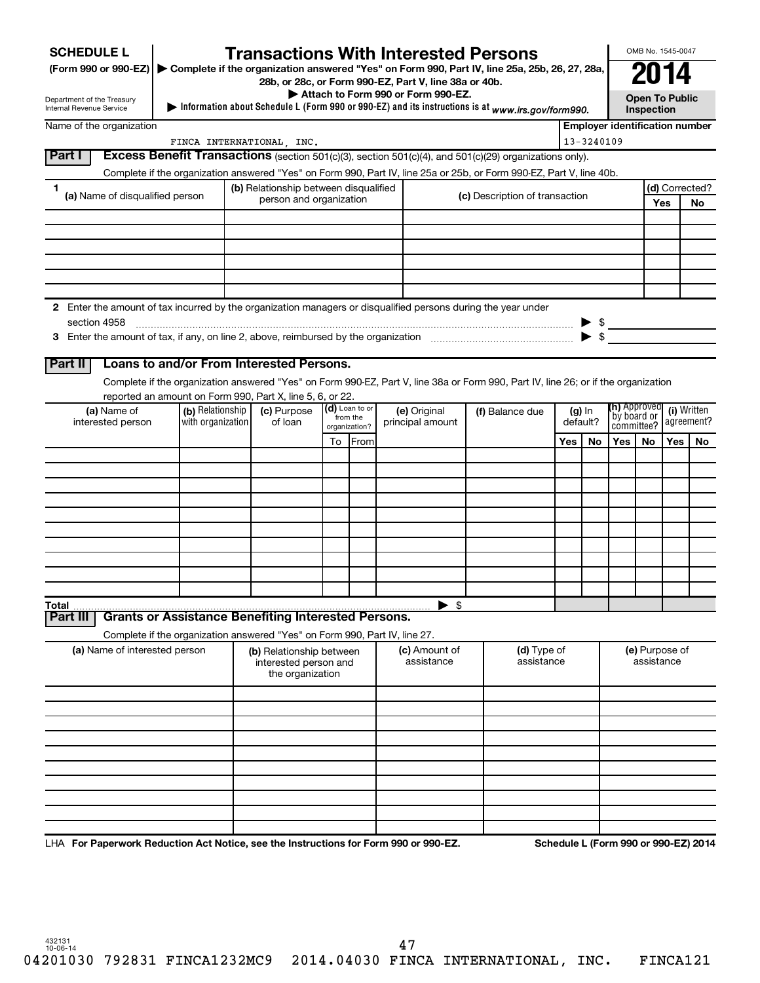| <b>SCHEDULE L</b>                                                                                             |                                                                                                                      |  | <b>Transactions With Interested Persons</b>                      |    |                                                                  |  |                          |      |                                                                                                                                    |                               |                           |                                       | OMB No. 1545-0047                   |     |                |
|---------------------------------------------------------------------------------------------------------------|----------------------------------------------------------------------------------------------------------------------|--|------------------------------------------------------------------|----|------------------------------------------------------------------|--|--------------------------|------|------------------------------------------------------------------------------------------------------------------------------------|-------------------------------|---------------------------|---------------------------------------|-------------------------------------|-----|----------------|
|                                                                                                               | (Form 990 or 990-EZ) > Complete if the organization answered "Yes" on Form 990, Part IV, line 25a, 25b, 26, 27, 28a, |  |                                                                  |    |                                                                  |  |                          | 2014 |                                                                                                                                    |                               |                           |                                       |                                     |     |                |
|                                                                                                               | 28b, or 28c, or Form 990-EZ, Part V, line 38a or 40b.<br>Attach to Form 990 or Form 990-EZ.                          |  |                                                                  |    |                                                                  |  |                          |      |                                                                                                                                    |                               |                           |                                       |                                     |     |                |
| Department of the Treasury<br>Internal Revenue Service                                                        |                                                                                                                      |  |                                                                  |    |                                                                  |  |                          |      | Information about Schedule L (Form 990 or 990-EZ) and its instructions is at www.irs.gov/form990.                                  |                               |                           |                                       | <b>Open To Public</b><br>Inspection |     |                |
| Name of the organization                                                                                      |                                                                                                                      |  |                                                                  |    |                                                                  |  |                          |      |                                                                                                                                    |                               |                           | <b>Employer identification number</b> |                                     |     |                |
|                                                                                                               |                                                                                                                      |  | FINCA INTERNATIONAL, INC.                                        |    |                                                                  |  |                          |      |                                                                                                                                    |                               | 13-3240109                |                                       |                                     |     |                |
| Part I                                                                                                        |                                                                                                                      |  |                                                                  |    |                                                                  |  |                          |      | <b>Excess Benefit Transactions</b> (section 501(c)(3), section 501(c)(4), and $501(c)(29)$ organizations only).                    |                               |                           |                                       |                                     |     |                |
|                                                                                                               |                                                                                                                      |  |                                                                  |    |                                                                  |  |                          |      | Complete if the organization answered "Yes" on Form 990, Part IV, line 25a or 25b, or Form 990-EZ, Part V, line 40b.               |                               |                           |                                       |                                     |     | (d) Corrected? |
| 1.<br>(a) Name of disqualified person                                                                         |                                                                                                                      |  | (b) Relationship between disqualified<br>person and organization |    |                                                                  |  |                          |      | (c) Description of transaction                                                                                                     |                               |                           |                                       |                                     | Yes | <b>No</b>      |
|                                                                                                               |                                                                                                                      |  |                                                                  |    |                                                                  |  |                          |      |                                                                                                                                    |                               |                           |                                       |                                     |     |                |
|                                                                                                               |                                                                                                                      |  |                                                                  |    |                                                                  |  |                          |      |                                                                                                                                    |                               |                           |                                       |                                     |     |                |
|                                                                                                               |                                                                                                                      |  |                                                                  |    |                                                                  |  |                          |      |                                                                                                                                    |                               |                           |                                       |                                     |     |                |
|                                                                                                               |                                                                                                                      |  |                                                                  |    |                                                                  |  |                          |      |                                                                                                                                    |                               |                           |                                       |                                     |     |                |
|                                                                                                               |                                                                                                                      |  |                                                                  |    |                                                                  |  |                          |      |                                                                                                                                    |                               |                           |                                       |                                     |     |                |
| 2 Enter the amount of tax incurred by the organization managers or disqualified persons during the year under |                                                                                                                      |  |                                                                  |    |                                                                  |  |                          |      |                                                                                                                                    |                               |                           |                                       |                                     |     |                |
| section 4958                                                                                                  |                                                                                                                      |  |                                                                  |    |                                                                  |  |                          |      |                                                                                                                                    |                               |                           | $\triangleright$ \$                   |                                     |     |                |
|                                                                                                               |                                                                                                                      |  |                                                                  |    |                                                                  |  |                          |      |                                                                                                                                    |                               | $\blacktriangleright$ s   |                                       |                                     |     |                |
| Part II                                                                                                       | Loans to and/or From Interested Persons.                                                                             |  |                                                                  |    |                                                                  |  |                          |      |                                                                                                                                    |                               |                           |                                       |                                     |     |                |
|                                                                                                               |                                                                                                                      |  |                                                                  |    |                                                                  |  |                          |      | Complete if the organization answered "Yes" on Form 990-EZ, Part V, line 38a or Form 990, Part IV, line 26; or if the organization |                               |                           |                                       |                                     |     |                |
|                                                                                                               | reported an amount on Form 990, Part X, line 5, 6, or 22.                                                            |  |                                                                  |    |                                                                  |  |                          |      |                                                                                                                                    |                               |                           |                                       |                                     |     |                |
| (a) Name of<br>interested person                                                                              | (b) Relationship<br>with organization                                                                                |  | (c) Purpose<br>of loan                                           |    | $(d)$ Loan to or<br>(e) Original<br>from the<br>principal amount |  | (f) Balance due          |      | $(g)$ In<br>default?                                                                                                               | (h) Approved<br>  by board or | (i) Written<br>agreement? |                                       |                                     |     |                |
|                                                                                                               |                                                                                                                      |  |                                                                  | To | organization?<br>From                                            |  | Yes                      |      | No                                                                                                                                 | committee?<br>Yes l           | <b>No</b>                 | Yes                                   | No.                                 |     |                |
|                                                                                                               |                                                                                                                      |  |                                                                  |    |                                                                  |  |                          |      |                                                                                                                                    |                               |                           |                                       |                                     |     |                |
|                                                                                                               |                                                                                                                      |  |                                                                  |    |                                                                  |  |                          |      |                                                                                                                                    |                               |                           |                                       |                                     |     |                |
|                                                                                                               |                                                                                                                      |  |                                                                  |    |                                                                  |  |                          |      |                                                                                                                                    |                               |                           |                                       |                                     |     |                |
|                                                                                                               |                                                                                                                      |  |                                                                  |    |                                                                  |  |                          |      |                                                                                                                                    |                               |                           |                                       |                                     |     |                |
|                                                                                                               |                                                                                                                      |  |                                                                  |    |                                                                  |  |                          |      |                                                                                                                                    |                               |                           |                                       |                                     |     |                |
|                                                                                                               |                                                                                                                      |  |                                                                  |    |                                                                  |  |                          |      |                                                                                                                                    |                               |                           |                                       |                                     |     |                |
|                                                                                                               |                                                                                                                      |  |                                                                  |    |                                                                  |  |                          |      |                                                                                                                                    |                               |                           |                                       |                                     |     |                |
|                                                                                                               |                                                                                                                      |  |                                                                  |    |                                                                  |  |                          |      |                                                                                                                                    |                               |                           |                                       |                                     |     |                |
|                                                                                                               |                                                                                                                      |  |                                                                  |    |                                                                  |  |                          |      |                                                                                                                                    |                               |                           |                                       |                                     |     |                |
| Total<br>Part III                                                                                             | <b>Grants or Assistance Benefiting Interested Persons.</b>                                                           |  |                                                                  |    |                                                                  |  | $\blacktriangleright$ \$ |      |                                                                                                                                    |                               |                           |                                       |                                     |     |                |
|                                                                                                               | Complete if the organization answered "Yes" on Form 990, Part IV, line 27.                                           |  |                                                                  |    |                                                                  |  |                          |      |                                                                                                                                    |                               |                           |                                       |                                     |     |                |
| (a) Name of interested person                                                                                 |                                                                                                                      |  | (b) Relationship between                                         |    |                                                                  |  | (c) Amount of            |      | (d) Type of                                                                                                                        |                               |                           |                                       | (e) Purpose of                      |     |                |
|                                                                                                               |                                                                                                                      |  | interested person and<br>the organization                        |    |                                                                  |  | assistance               |      | assistance                                                                                                                         |                               |                           |                                       | assistance                          |     |                |
|                                                                                                               |                                                                                                                      |  |                                                                  |    |                                                                  |  |                          |      |                                                                                                                                    |                               |                           |                                       |                                     |     |                |
|                                                                                                               |                                                                                                                      |  |                                                                  |    |                                                                  |  |                          |      |                                                                                                                                    |                               |                           |                                       |                                     |     |                |
|                                                                                                               |                                                                                                                      |  |                                                                  |    |                                                                  |  |                          |      |                                                                                                                                    |                               |                           |                                       |                                     |     |                |
|                                                                                                               |                                                                                                                      |  |                                                                  |    |                                                                  |  |                          |      |                                                                                                                                    |                               |                           |                                       |                                     |     |                |
|                                                                                                               |                                                                                                                      |  |                                                                  |    |                                                                  |  |                          |      |                                                                                                                                    |                               |                           |                                       |                                     |     |                |
|                                                                                                               |                                                                                                                      |  |                                                                  |    |                                                                  |  |                          |      |                                                                                                                                    |                               |                           |                                       |                                     |     |                |
|                                                                                                               |                                                                                                                      |  |                                                                  |    |                                                                  |  |                          |      |                                                                                                                                    |                               |                           |                                       |                                     |     |                |
|                                                                                                               |                                                                                                                      |  |                                                                  |    |                                                                  |  |                          |      |                                                                                                                                    |                               |                           |                                       |                                     |     |                |
|                                                                                                               |                                                                                                                      |  |                                                                  |    |                                                                  |  |                          |      |                                                                                                                                    |                               |                           |                                       |                                     |     |                |

LHA For Paperwork Reduction Act Notice, see the Instructions for Form 990 or 990-EZ. Schedule L (Form 990 or 990-EZ) 2014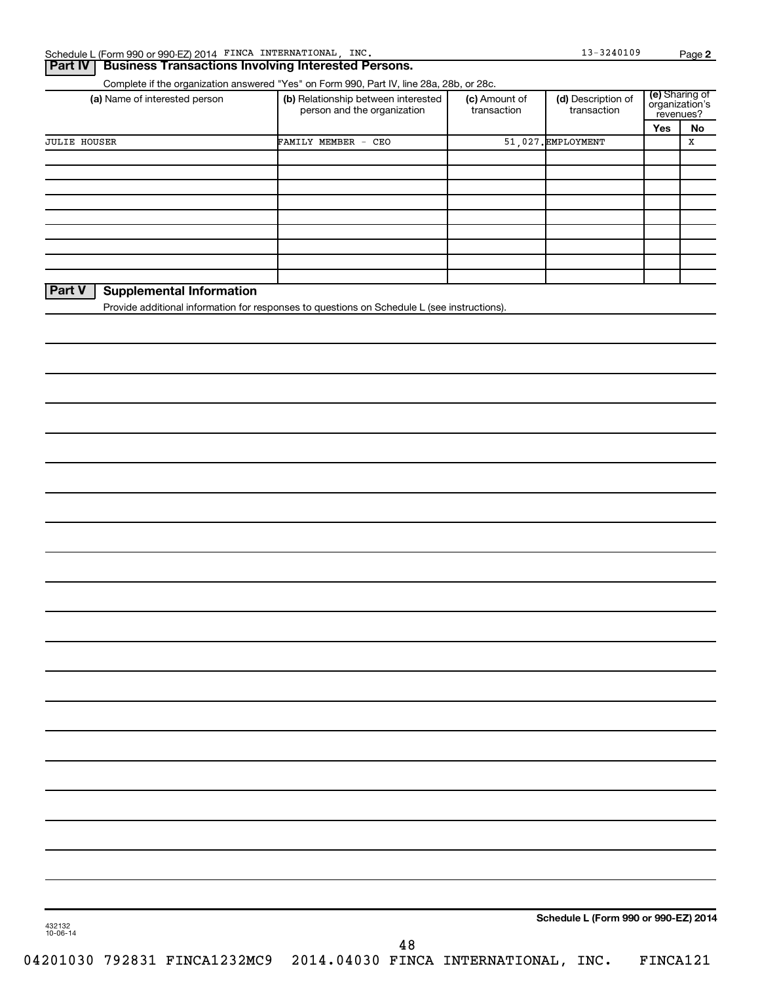### **Part IV Business Transactions Involving Interested Persons.**

Complete if the organization answered "Yes" on Form 990, Part IV, line 28a, 28b, or 28c.

| (a) Name of interested person                                                               | (b) Relationship between interested<br>person and the organization | (c) Amount of<br>transaction | (d) Description of<br>transaction | (e) Sharing of<br>organization's<br>revenues? |    |  |
|---------------------------------------------------------------------------------------------|--------------------------------------------------------------------|------------------------------|-----------------------------------|-----------------------------------------------|----|--|
|                                                                                             |                                                                    |                              |                                   | Yes                                           | No |  |
| <b>JULIE HOUSER</b>                                                                         | FAMILY MEMBER - CEO                                                |                              | 51.027. EMPLOYMENT                |                                               | х  |  |
|                                                                                             |                                                                    |                              |                                   |                                               |    |  |
|                                                                                             |                                                                    |                              |                                   |                                               |    |  |
|                                                                                             |                                                                    |                              |                                   |                                               |    |  |
|                                                                                             |                                                                    |                              |                                   |                                               |    |  |
|                                                                                             |                                                                    |                              |                                   |                                               |    |  |
|                                                                                             |                                                                    |                              |                                   |                                               |    |  |
|                                                                                             |                                                                    |                              |                                   |                                               |    |  |
|                                                                                             |                                                                    |                              |                                   |                                               |    |  |
|                                                                                             |                                                                    |                              |                                   |                                               |    |  |
| <b>Part V</b><br><b>Supplemental Information</b>                                            |                                                                    |                              |                                   |                                               |    |  |
| Provide additional information for responses to questions on Schedule L (see instructions). |                                                                    |                              |                                   |                                               |    |  |
|                                                                                             |                                                                    |                              |                                   |                                               |    |  |

**Schedule L (Form 990 or 990-EZ) 2014**

48

04201030 792831 FINCA1232MC9 2014.04030 FINCA INTERNATIONAL, INC. FINCA121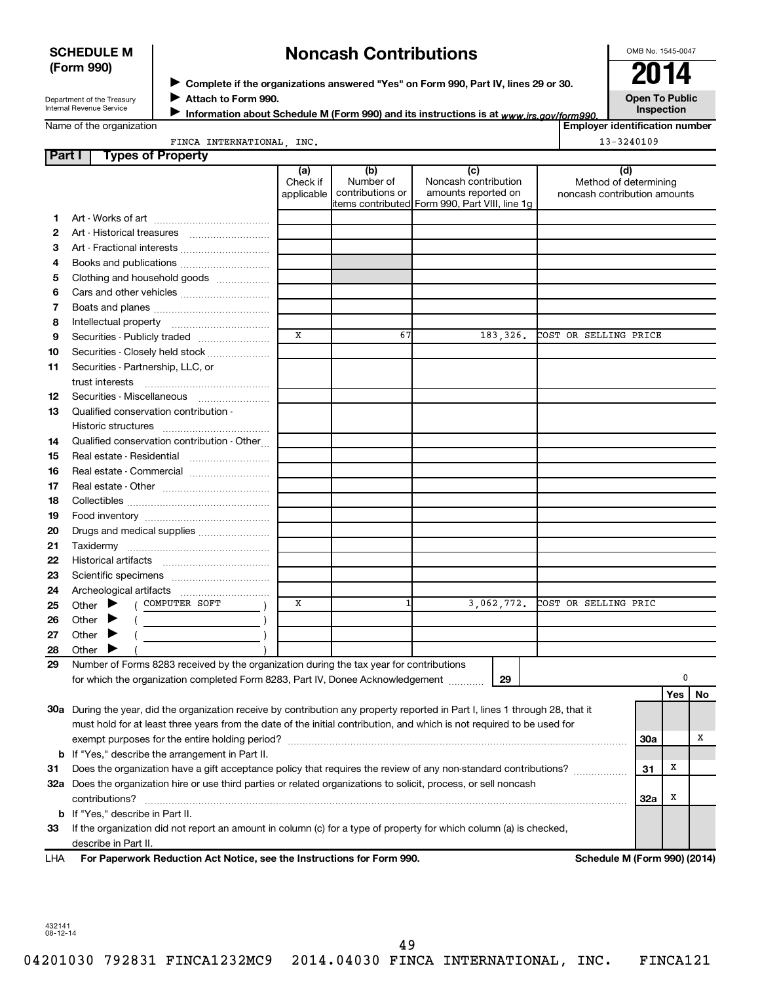### **SCHEDULE M (Form 990)**

# **Noncash Contributions**

OMB No. 1545-0047

Department of the Treasury Internal Revenue Service

◆ Complete if the organizations answered "Yes" on Form 990, Part IV, lines 29 or 30.<br>▶ Complete if the organizations answered "Yes" on Form 990, Part IV, lines 29 or 30. **Attach to Form 990.** J

Information about Schedule M (Form 990) and its instructions is at www.irs.gov/form990.

**Open To Public Inspection**

|  |  | Name of the organization |
|--|--|--------------------------|
|--|--|--------------------------|

FINCA INTERNATIONAL, INC. 13-3240109

| <b>Employer identification number</b> |  |
|---------------------------------------|--|
|                                       |  |

|  |  | <b>NCA INTERNATIONAL</b> | INC. |  |
|--|--|--------------------------|------|--|
|--|--|--------------------------|------|--|

| Part I   | <b>Types of Property</b>                                                                                                              |                               |                                      |                                                                                                      |                                                              |            |     |    |
|----------|---------------------------------------------------------------------------------------------------------------------------------------|-------------------------------|--------------------------------------|------------------------------------------------------------------------------------------------------|--------------------------------------------------------------|------------|-----|----|
|          |                                                                                                                                       | (a)<br>Check if<br>applicable | (b)<br>Number of<br>contributions or | (c)<br>Noncash contribution<br>amounts reported on<br>items contributed Form 990, Part VIII, line 1g | (d)<br>Method of determining<br>noncash contribution amounts |            |     |    |
| 1        |                                                                                                                                       |                               |                                      |                                                                                                      |                                                              |            |     |    |
| 2        |                                                                                                                                       |                               |                                      |                                                                                                      |                                                              |            |     |    |
| з        | Art - Fractional interests                                                                                                            |                               |                                      |                                                                                                      |                                                              |            |     |    |
| 4        | Books and publications                                                                                                                |                               |                                      |                                                                                                      |                                                              |            |     |    |
| 5        | Clothing and household goods                                                                                                          |                               |                                      |                                                                                                      |                                                              |            |     |    |
| 6        |                                                                                                                                       |                               |                                      |                                                                                                      |                                                              |            |     |    |
| 7        |                                                                                                                                       |                               |                                      |                                                                                                      |                                                              |            |     |    |
| 8        |                                                                                                                                       |                               |                                      |                                                                                                      |                                                              |            |     |    |
| 9        | Securities - Publicly traded                                                                                                          | X                             | 67                                   | 183,326.                                                                                             | COST OR SELLING PRICE                                        |            |     |    |
| 10       | Securities - Closely held stock                                                                                                       |                               |                                      |                                                                                                      |                                                              |            |     |    |
| 11       | Securities - Partnership, LLC, or                                                                                                     |                               |                                      |                                                                                                      |                                                              |            |     |    |
|          | trust interests                                                                                                                       |                               |                                      |                                                                                                      |                                                              |            |     |    |
| 12       | Securities - Miscellaneous                                                                                                            |                               |                                      |                                                                                                      |                                                              |            |     |    |
| 13       | Qualified conservation contribution -                                                                                                 |                               |                                      |                                                                                                      |                                                              |            |     |    |
|          |                                                                                                                                       |                               |                                      |                                                                                                      |                                                              |            |     |    |
| 14       | Qualified conservation contribution - Other                                                                                           |                               |                                      |                                                                                                      |                                                              |            |     |    |
| 15       | Real estate - Residential                                                                                                             |                               |                                      |                                                                                                      |                                                              |            |     |    |
| 16       | Real estate - Commercial                                                                                                              |                               |                                      |                                                                                                      |                                                              |            |     |    |
| 17       |                                                                                                                                       |                               |                                      |                                                                                                      |                                                              |            |     |    |
| 18       |                                                                                                                                       |                               |                                      |                                                                                                      |                                                              |            |     |    |
| 19       |                                                                                                                                       |                               |                                      |                                                                                                      |                                                              |            |     |    |
| 20       | Drugs and medical supplies                                                                                                            |                               |                                      |                                                                                                      |                                                              |            |     |    |
| 21       |                                                                                                                                       |                               |                                      |                                                                                                      |                                                              |            |     |    |
| 22       |                                                                                                                                       |                               |                                      |                                                                                                      |                                                              |            |     |    |
| 23       |                                                                                                                                       |                               |                                      |                                                                                                      |                                                              |            |     |    |
| 24       |                                                                                                                                       |                               |                                      |                                                                                                      |                                                              |            |     |    |
| 25       | ( COMPUTER SOFT<br>Other $\blacktriangleright$                                                                                        | х                             | 1                                    | 3,062,772.                                                                                           | COST OR SELLING PRIC                                         |            |     |    |
| 26       | Other $\blacktriangleright$                                                                                                           |                               |                                      |                                                                                                      |                                                              |            |     |    |
|          |                                                                                                                                       |                               |                                      |                                                                                                      |                                                              |            |     |    |
| 27       | Other $\blacktriangleright$                                                                                                           |                               |                                      |                                                                                                      |                                                              |            |     |    |
| 28<br>29 | Other $\blacktriangleright$<br>Number of Forms 8283 received by the organization during the tax year for contributions                |                               |                                      |                                                                                                      |                                                              |            |     |    |
|          | for which the organization completed Form 8283, Part IV, Donee Acknowledgement [10001]                                                |                               |                                      | 29                                                                                                   |                                                              |            | 0   |    |
|          |                                                                                                                                       |                               |                                      |                                                                                                      |                                                              |            | Yes | No |
|          | 30a During the year, did the organization receive by contribution any property reported in Part I, lines 1 through 28, that it        |                               |                                      |                                                                                                      |                                                              |            |     |    |
|          | must hold for at least three years from the date of the initial contribution, and which is not required to be used for                |                               |                                      |                                                                                                      |                                                              |            |     |    |
|          |                                                                                                                                       |                               |                                      |                                                                                                      |                                                              | <b>30a</b> |     | х  |
|          |                                                                                                                                       |                               |                                      |                                                                                                      |                                                              |            |     |    |
|          | <b>b</b> If "Yes," describe the arrangement in Part II.                                                                               |                               |                                      |                                                                                                      |                                                              | 31         | X   |    |
|          | Does the organization have a gift acceptance policy that requires the review of any non-standard contributions?<br>31                 |                               |                                      |                                                                                                      |                                                              |            |     |    |
|          | 32a Does the organization hire or use third parties or related organizations to solicit, process, or sell noncash                     |                               |                                      |                                                                                                      |                                                              |            | X   |    |
|          | contributions?<br><b>b</b> If "Yes," describe in Part II.                                                                             |                               |                                      |                                                                                                      |                                                              | 32a        |     |    |
|          |                                                                                                                                       |                               |                                      |                                                                                                      |                                                              |            |     |    |
| 33       | If the organization did not report an amount in column (c) for a type of property for which column (a) is checked,                    |                               |                                      |                                                                                                      |                                                              |            |     |    |
|          |                                                                                                                                       |                               |                                      |                                                                                                      |                                                              |            |     |    |
| LHA      | describe in Part II.<br>For Paperwork Reduction Act Notice, see the Instructions for Form 990.<br><b>Schedule M (Form 990) (2014)</b> |                               |                                      |                                                                                                      |                                                              |            |     |    |

49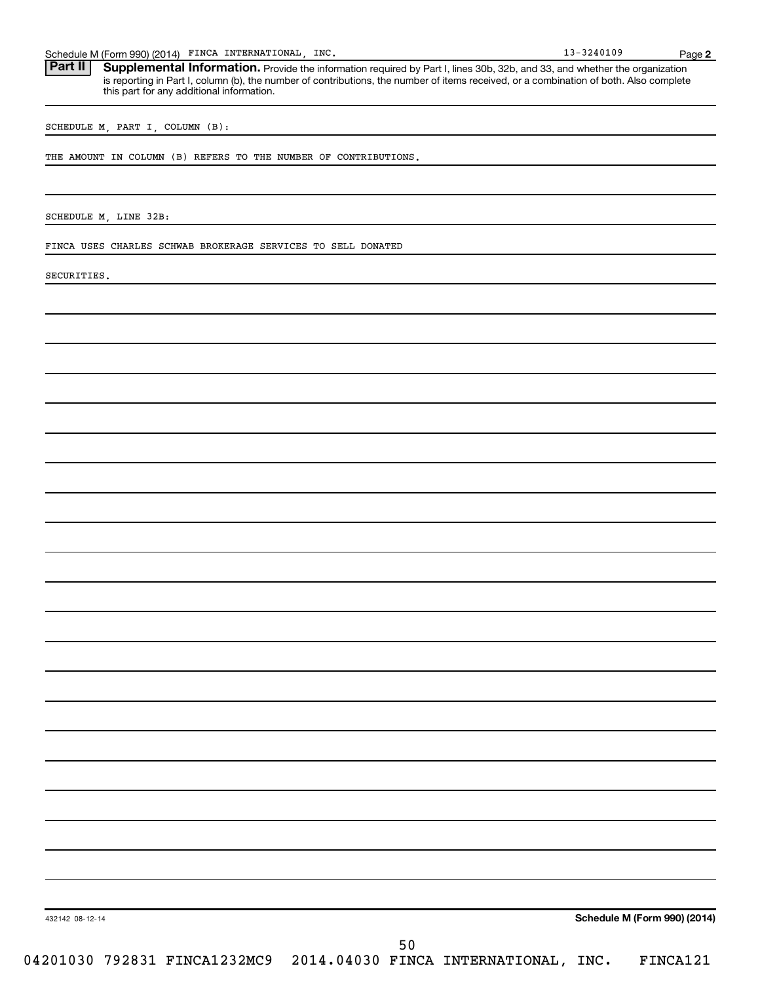Schedule M (Form 990) (2014) FINCA INTERNATIONAL, INC. 18 (1998) 13-3240109 Page

Part II | Supplemental Information. Provide the information required by Part I, lines 30b, 32b, and 33, and whether the organization is reporting in Part I, column (b), the number of contributions, the number of items received, or a combination of both. Also complete this part for any additional information.

SCHEDULE M, PART I, COLUMN (B):

THE AMOUNT IN COLUMN (B) REFERS TO THE NUMBER OF CONTRIBUTIONS.

SCHEDULE M, LINE 32B:

FINCA USES CHARLES SCHWAB BROKERAGE SERVICES TO SELL DONATED

SECURITIES.

**Schedule M (Form 990) (2014)**

**2**

432142 08-12-14

04201030 792831 FINCA1232MC9 2014.04030 FINCA INTERNATIONAL, INC. FINCA121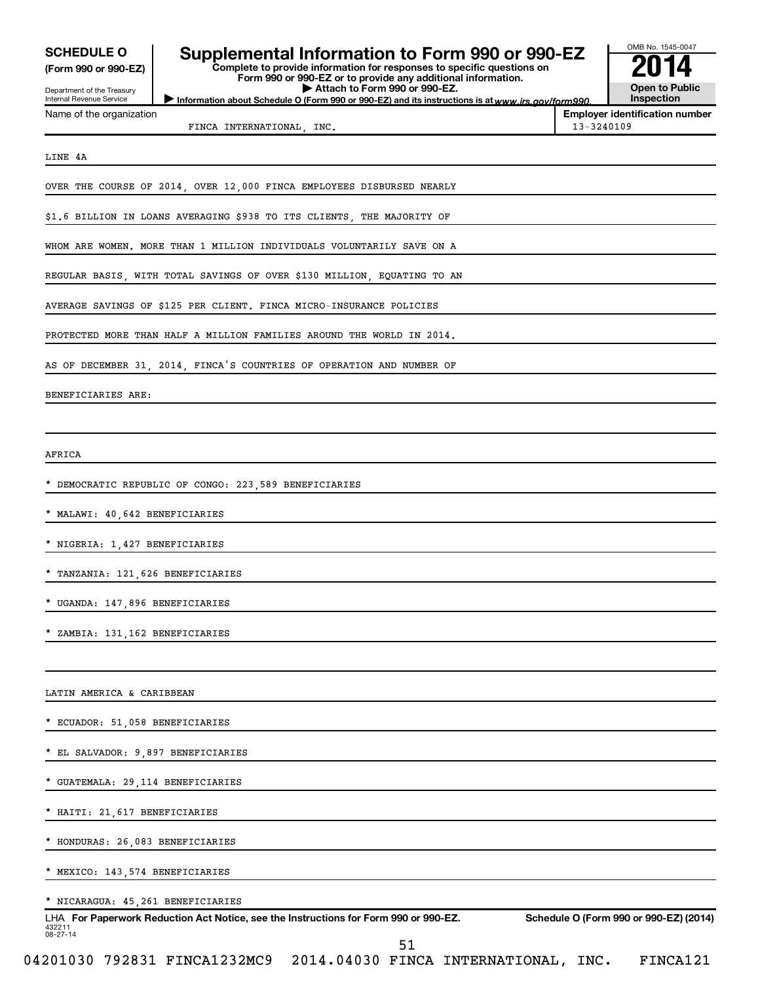| <b>SCHEDULE O</b> |  |  |  |
|-------------------|--|--|--|
|                   |  |  |  |

#### Department of the Treasury Internal Revenue Service

| <b>SCHEDULE O</b>                                                                                                                                                                                                | OMB No. 1545-0047                                                     |  |                                       |
|------------------------------------------------------------------------------------------------------------------------------------------------------------------------------------------------------------------|-----------------------------------------------------------------------|--|---------------------------------------|
| Supplemental Information to Form 990 or 990-EZ<br>Complete to provide information for responses to specific questions on<br>(Form 990 or 990-EZ)<br>Form 990 or 990-EZ or to provide any additional information. |                                                                       |  | 2014                                  |
| Department of the Treasury<br><b>Internal Revenue Service</b>                                                                                                                                                    | <b>Open to Public</b><br>Inspection                                   |  |                                       |
| Name of the organization                                                                                                                                                                                         |                                                                       |  | <b>Employer identification number</b> |
|                                                                                                                                                                                                                  | $13 - 3240109$                                                        |  |                                       |
|                                                                                                                                                                                                                  |                                                                       |  |                                       |
| LINE 4A                                                                                                                                                                                                          |                                                                       |  |                                       |
|                                                                                                                                                                                                                  | OVER THE COURSE OF 2014, OVER 12,000 FINCA EMPLOYEES DISBURSED NEARLY |  |                                       |
|                                                                                                                                                                                                                  | \$1.6 BILLION IN LOANS AVERAGING \$938 TO ITS CLIENTS THE MAJORITY OF |  |                                       |

OMB No. 1545-0047

WHOM ARE WOMEN. MORE THAN 1 MILLION INDIVIDUALS VOLUNTARILY SAVE ON A

REGULAR BASIS, WITH TOTAL SAVINGS OF OVER \$130 MILLION, EQUATING TO AN

AVERAGE SAVINGS OF \$125 PER CLIENT. FINCA MICRO-INSURANCE POLICIES

PROTECTED MORE THAN HALF A MILLION FAMILIES AROUND THE WORLD IN 2014.

AS OF DECEMBER 31, 2014, FINCA'S COUNTRIES OF OPERATION AND NUMBER OF

BENEFICIARIES ARE:

AFRICA

DEMOCRATIC REPUBLIC OF CONGO: 223,589 BENEFICIARIES

\* MALAWI: 40,642 BENEFICIARIES

\* NIGERIA: 1,427 BENEFICIARIES

\* TANZANIA: 121,626 BENEFICIARIES

UGANDA: 147,896 BENEFICIARIES

ZAMBIA: 131,162 BENEFICIARIES

LATIN AMERICA & CARIBBEAN

ECUADOR: 51,058 BENEFICIARIES

EL SALVADOR: 9,897 BENEFICIARIES

\* GUATEMALA: 29,114 BENEFICIARIES

\* HAITI: 21,617 BENEFICIARIES

\* HONDURAS: 26,083 BENEFICIARIES

\* MEXICO: 143,574 BENEFICIARIES

\* NICARAGUA: 45,261 BENEFICIARIES

432211 08-27-14 LHA For Paperwork Reduction Act Notice, see the Instructions for Form 990 or 990-EZ. Schedule O (Form 990 or 990-EZ) (2014)

51

04201030 792831 FINCA1232MC9 2014.04030 FINCA INTERNATIONAL, INC. FINCA121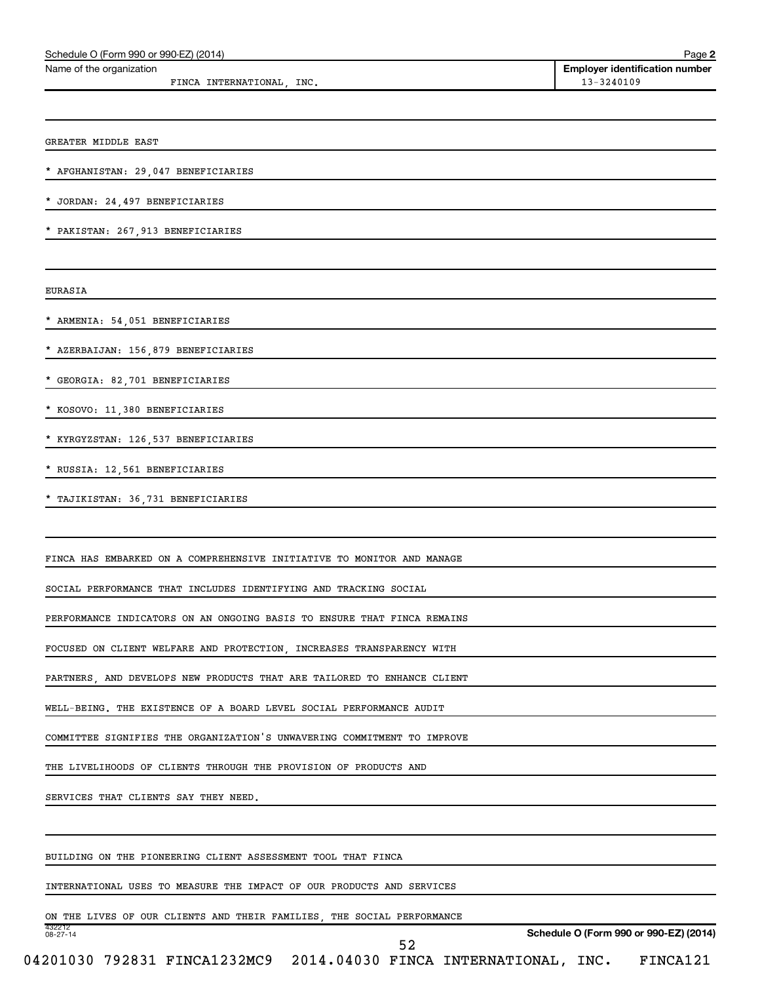| Schedule O (Form 990 or 990-EZ) (2014)                                           | Page 2                                              |
|----------------------------------------------------------------------------------|-----------------------------------------------------|
| Name of the organization<br>FINCA INTERNATIONAL, INC.                            | <b>Employer identification number</b><br>13-3240109 |
|                                                                                  |                                                     |
| GREATER MIDDLE EAST                                                              |                                                     |
| AFGHANISTAN: 29,047 BENEFICIARIES                                                |                                                     |
| JORDAN: 24, 497 BENEFICIARIES                                                    |                                                     |
| PAKISTAN: 267, 913 BENEFICIARIES                                                 |                                                     |
| <b>EURASIA</b>                                                                   |                                                     |
| ARMENIA: 54,051 BENEFICIARIES                                                    |                                                     |
| AZERBAIJAN: 156,879 BENEFICIARIES                                                |                                                     |
| GEORGIA: 82,701 BENEFICIARIES                                                    |                                                     |
| KOSOVO: 11,380 BENEFICIARIES                                                     |                                                     |
| KYRGYZSTAN: 126,537 BENEFICIARIES                                                |                                                     |
| RUSSIA: 12,561 BENEFICIARIES                                                     |                                                     |
| TAJIKISTAN: 36,731 BENEFICIARIES                                                 |                                                     |
|                                                                                  |                                                     |
| FINCA HAS EMBARKED ON A COMPREHENSIVE INITIATIVE TO MONITOR AND MANAGE           |                                                     |
| SOCIAL PERFORMANCE THAT INCLUDES IDENTIFYING AND TRACKING SOCIAL                 |                                                     |
| PERFORMANCE INDICATORS ON AN ONGOING BASIS TO ENSURE THAT FINCA REMAINS          |                                                     |
| FOCUSED ON CLIENT WELFARE AND PROTECTION, INCREASES TRANSPARENCY WITH            |                                                     |
| PARTNERS, AND DEVELOPS NEW PRODUCTS THAT ARE TAILORED TO ENHANCE CLIENT          |                                                     |
| WELL-BEING. THE EXISTENCE OF A BOARD LEVEL SOCIAL PERFORMANCE AUDIT              |                                                     |
| COMMITTEE SIGNIFIES THE ORGANIZATION'S UNWAVERING COMMITMENT TO IMPROVE          |                                                     |
| THE LIVELIHOODS OF CLIENTS THROUGH THE PROVISION OF PRODUCTS AND                 |                                                     |
| SERVICES THAT CLIENTS SAY THEY NEED.                                             |                                                     |
| BUILDING ON THE PIONEERING CLIENT ASSESSMENT TOOL THAT FINCA                     |                                                     |
| INTERNATIONAL USES TO MEASURE THE IMPACT OF OUR PRODUCTS AND SERVICES            |                                                     |
| ON THE LIVES OF OUR CLIENTS AND THEIR FAMILIES, THE SOCIAL PERFORMANCE<br>432212 |                                                     |
| $08 - 27 - 14$<br>52                                                             | Schedule O (Form 990 or 990-EZ) (2014)              |
| 04201030 792831 FINCA1232MC9 2014.04030 FINCA INTERNATIONAL, INC.                | FINCA121                                            |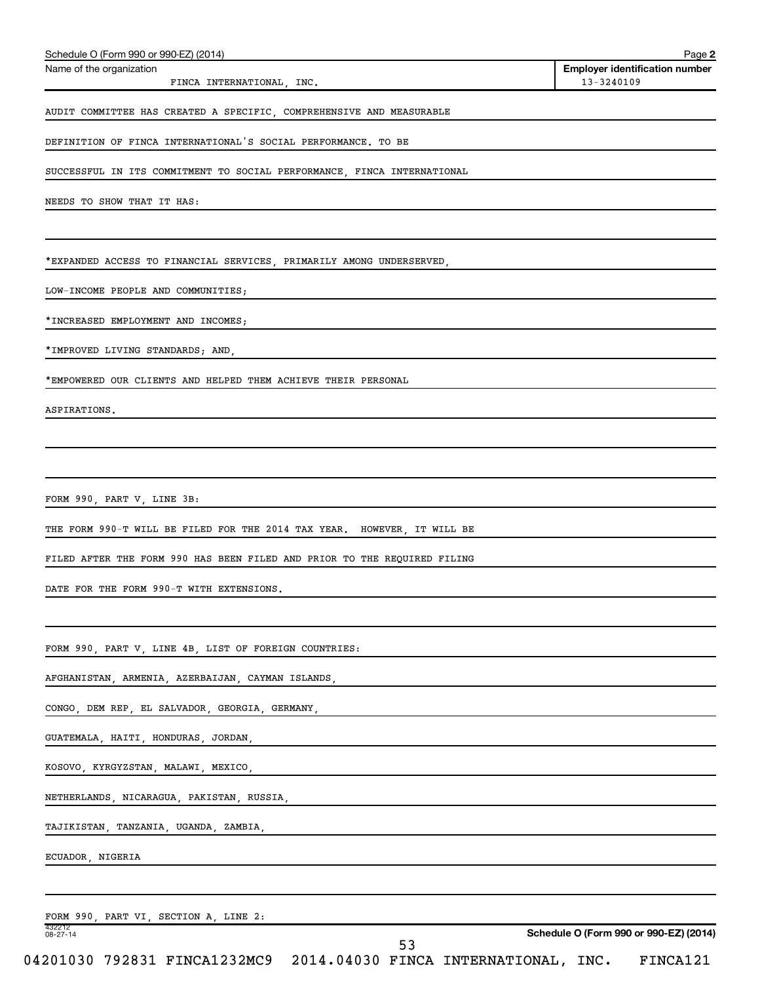| Schedule O (Form 990 or 990-EZ) (2014)<br>Name of the organization         | Page 2<br><b>Employer identification number</b> |
|----------------------------------------------------------------------------|-------------------------------------------------|
| FINCA INTERNATIONAL, INC.                                                  | 13-3240109                                      |
| AUDIT COMMITTEE HAS CREATED A SPECIFIC, COMPREHENSIVE AND MEASURABLE       |                                                 |
| DEFINITION OF FINCA INTERNATIONAL'S SOCIAL PERFORMANCE. TO BE              |                                                 |
| SUCCESSFUL IN ITS COMMITMENT TO SOCIAL PERFORMANCE, FINCA INTERNATIONAL    |                                                 |
| NEEDS TO SHOW THAT IT HAS:                                                 |                                                 |
|                                                                            |                                                 |
| *EXPANDED ACCESS TO FINANCIAL SERVICES, PRIMARILY AMONG UNDERSERVED,       |                                                 |
| LOW-INCOME PEOPLE AND COMMUNITIES;                                         |                                                 |
| *INCREASED EMPLOYMENT AND INCOMES;                                         |                                                 |
| *IMPROVED LIVING STANDARDS; AND,                                           |                                                 |
| *EMPOWERED OUR CLIENTS AND HELPED THEM ACHIEVE THEIR PERSONAL              |                                                 |
| ASPIRATIONS.                                                               |                                                 |
|                                                                            |                                                 |
|                                                                            |                                                 |
| FORM 990, PART V, LINE 3B:                                                 |                                                 |
| THE FORM 990-T WILL BE FILED FOR THE 2014 TAX YEAR. HOWEVER, IT WILL BE    |                                                 |
| FILED AFTER THE FORM 990 HAS BEEN FILED AND PRIOR TO THE REQUIRED FILING   |                                                 |
| DATE FOR THE FORM 990-T WITH EXTENSIONS.                                   |                                                 |
|                                                                            |                                                 |
| FORM 990, PART V, LINE 4B, LIST OF FOREIGN COUNTRIES:                      |                                                 |
| AFGHANISTAN, ARMENIA, AZERBAIJAN, CAYMAN ISLANDS,                          |                                                 |
| CONGO, DEM REP, EL SALVADOR, GEORGIA, GERMANY,                             |                                                 |
| GUATEMALA, HAITI, HONDURAS, JORDAN,                                        |                                                 |
| KOSOVO, KYRGYZSTAN, MALAWI, MEXICO,                                        |                                                 |
| NETHERLANDS, NICARAGUA, PAKISTAN, RUSSIA,                                  |                                                 |
| TAJIKISTAN, TANZANIA, UGANDA, ZAMBIA,                                      |                                                 |
| ECUADOR, NIGERIA                                                           |                                                 |
|                                                                            |                                                 |
| FORM 990, PART VI, SECTION A, LINE 2:<br>432212<br>$08 - 27 - 14$          | Schedule O (Form 990 or 990-EZ) (2014)          |
| 53<br>04201030 792831 FINCA1232MC9<br>2014.04030 FINCA INTERNATIONAL, INC. | FINCA121                                        |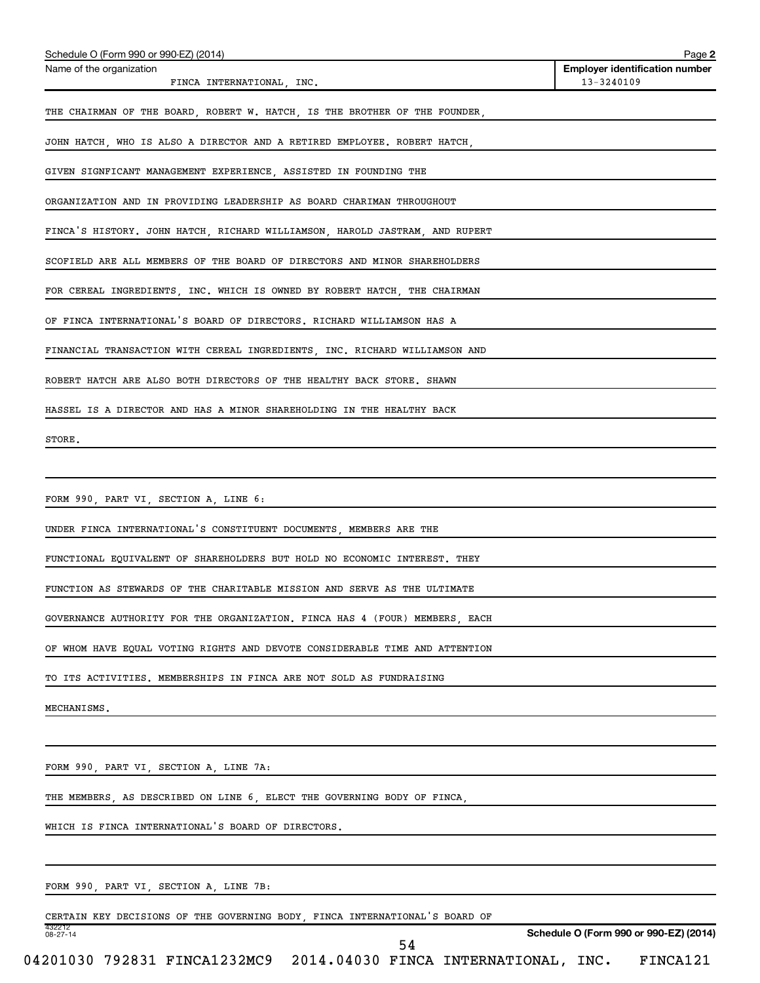| Schedule O (Form 990 or 990-EZ) (2014)                                      | Page 2                                              |
|-----------------------------------------------------------------------------|-----------------------------------------------------|
| Name of the organization<br>FINCA INTERNATIONAL, INC.                       | <b>Employer identification number</b><br>13-3240109 |
| THE CHAIRMAN OF THE BOARD, ROBERT W. HATCH, IS THE BROTHER OF THE FOUNDER,  |                                                     |
| JOHN HATCH, WHO IS ALSO A DIRECTOR AND A RETIRED EMPLOYEE. ROBERT HATCH,    |                                                     |
| GIVEN SIGNFICANT MANAGEMENT EXPERIENCE, ASSISTED IN FOUNDING THE            |                                                     |
| ORGANIZATION AND IN PROVIDING LEADERSHIP AS BOARD CHARIMAN THROUGHOUT       |                                                     |
| FINCA'S HISTORY. JOHN HATCH, RICHARD WILLIAMSON, HAROLD JASTRAM, AND RUPERT |                                                     |
| SCOFIELD ARE ALL MEMBERS OF THE BOARD OF DIRECTORS AND MINOR SHAREHOLDERS   |                                                     |
| FOR CEREAL INGREDIENTS, INC. WHICH IS OWNED BY ROBERT HATCH, THE CHAIRMAN   |                                                     |
| OF FINCA INTERNATIONAL'S BOARD OF DIRECTORS. RICHARD WILLIAMSON HAS A       |                                                     |
| FINANCIAL TRANSACTION WITH CEREAL INGREDIENTS, INC. RICHARD WILLIAMSON AND  |                                                     |
| ROBERT HATCH ARE ALSO BOTH DIRECTORS OF THE HEALTHY BACK STORE. SHAWN       |                                                     |
| HASSEL IS A DIRECTOR AND HAS A MINOR SHAREHOLDING IN THE HEALTHY BACK       |                                                     |
| STORE.                                                                      |                                                     |
|                                                                             |                                                     |
| FORM 990, PART VI, SECTION A, LINE 6:                                       |                                                     |
| UNDER FINCA INTERNATIONAL'S CONSTITUENT DOCUMENTS MEMBERS ARE THE           |                                                     |
| FUNCTIONAL EQUIVALENT OF SHAREHOLDERS BUT HOLD NO ECONOMIC INTEREST. THEY   |                                                     |
| FUNCTION AS STEWARDS OF THE CHARITABLE MISSION AND SERVE AS THE ULTIMATE    |                                                     |
| GOVERNANCE AUTHORITY FOR THE ORGANIZATION. FINCA HAS 4 (FOUR) MEMBERS, EACH |                                                     |
| OF WHOM HAVE EQUAL VOTING RIGHTS AND DEVOTE CONSIDERABLE TIME AND ATTENTION |                                                     |
| TO ITS ACTIVITIES. MEMBERSHIPS IN FINCA ARE NOT SOLD AS FUNDRAISING         |                                                     |
| MECHANISMS.                                                                 |                                                     |
|                                                                             |                                                     |
| FORM 990, PART VI, SECTION A, LINE 7A:                                      |                                                     |
| THE MEMBERS, AS DESCRIBED ON LINE 6, ELECT THE GOVERNING BODY OF FINCA,     |                                                     |
| WHICH IS FINCA INTERNATIONAL'S BOARD OF DIRECTORS.                          |                                                     |
|                                                                             |                                                     |
| FORM 990, PART VI, SECTION A, LINE 7B:                                      |                                                     |
| CERTAIN KEY DECISIONS OF THE GOVERNING BODY, FINCA INTERNATIONAL'S BOARD OF |                                                     |
| 432212<br>08-27-14                                                          | Schedule O (Form 990 or 990-EZ) (2014)              |

04201030 792831 FINCA1232MC9 2014.04030 FINCA INTERNATIONAL, INC. FINCA121 54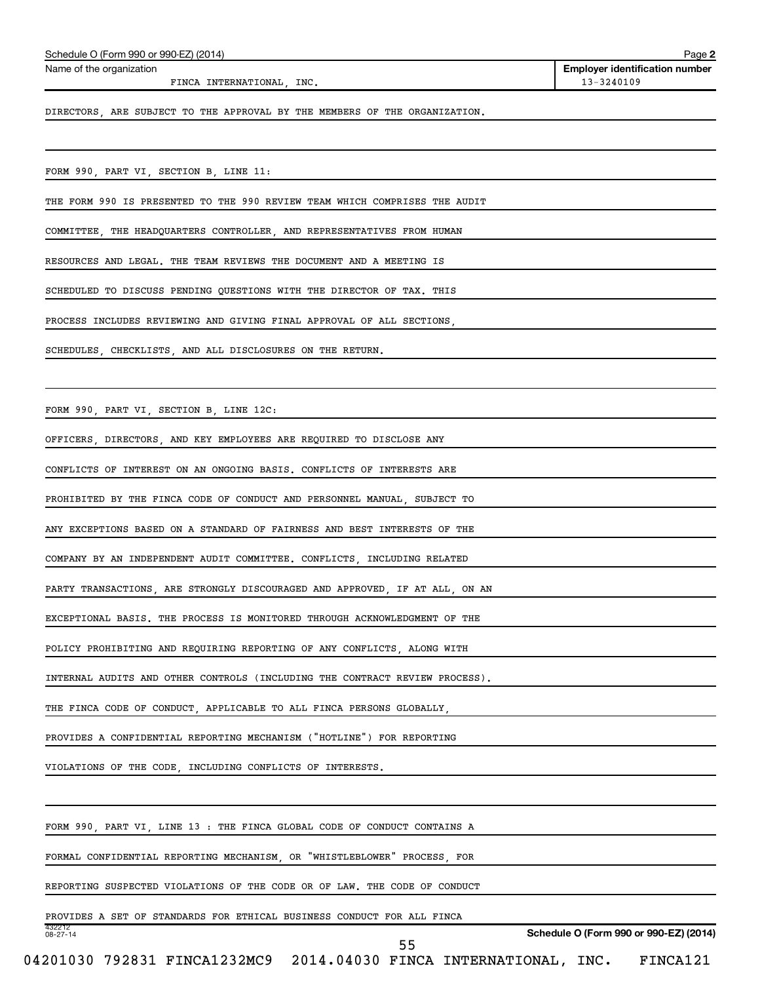| FINCA INTERNATIONAL, INC.                                                        | 13-3240109                             |
|----------------------------------------------------------------------------------|----------------------------------------|
| DIRECTORS, ARE SUBJECT TO THE APPROVAL BY THE MEMBERS OF THE ORGANIZATION.       |                                        |
| FORM 990, PART VI, SECTION B, LINE 11:                                           |                                        |
| THE FORM 990 IS PRESENTED TO THE 990 REVIEW TEAM WHICH COMPRISES THE AUDIT       |                                        |
| COMMITTEE, THE HEADQUARTERS CONTROLLER, AND REPRESENTATIVES FROM HUMAN           |                                        |
| RESOURCES AND LEGAL. THE TEAM REVIEWS THE DOCUMENT AND A MEETING IS              |                                        |
| SCHEDULED TO DISCUSS PENDING QUESTIONS WITH THE DIRECTOR OF TAX. THIS            |                                        |
| PROCESS INCLUDES REVIEWING AND GIVING FINAL APPROVAL OF ALL SECTIONS,            |                                        |
| SCHEDULES, CHECKLISTS, AND ALL DISCLOSURES ON THE RETURN.                        |                                        |
| FORM 990, PART VI, SECTION B, LINE 12C:                                          |                                        |
| OFFICERS, DIRECTORS, AND KEY EMPLOYEES ARE REQUIRED TO DISCLOSE ANY              |                                        |
| CONFLICTS OF INTEREST ON AN ONGOING BASIS. CONFLICTS OF INTERESTS ARE            |                                        |
| PROHIBITED BY THE FINCA CODE OF CONDUCT AND PERSONNEL MANUAL, SUBJECT TO         |                                        |
| ANY EXCEPTIONS BASED ON A STANDARD OF FAIRNESS AND BEST INTERESTS OF THE         |                                        |
| COMPANY BY AN INDEPENDENT AUDIT COMMITTEE. CONFLICTS, INCLUDING RELATED          |                                        |
| PARTY TRANSACTIONS, ARE STRONGLY DISCOURAGED AND APPROVED, IF AT ALL, ON AN      |                                        |
| EXCEPTIONAL BASIS. THE PROCESS IS MONITORED THROUGH ACKNOWLEDGMENT OF THE        |                                        |
| POLICY PROHIBITING AND REQUIRING REPORTING OF ANY CONFLICTS, ALONG WITH          |                                        |
| INTERNAL AUDITS AND OTHER CONTROLS (INCLUDING THE CONTRACT REVIEW PROCESS).      |                                        |
| THE FINCA CODE OF CONDUCT, APPLICABLE TO ALL FINCA PERSONS GLOBALLY,             |                                        |
| PROVIDES A CONFIDENTIAL REPORTING MECHANISM ("HOTLINE") FOR REPORTING            |                                        |
| VIOLATIONS OF THE CODE, INCLUDING CONFLICTS OF INTERESTS.                        |                                        |
| FORM 990, PART VI, LINE 13 : THE FINCA GLOBAL CODE OF CONDUCT CONTAINS A         |                                        |
| FORMAL CONFIDENTIAL REPORTING MECHANISM, OR "WHISTLEBLOWER" PROCESS, FOR         |                                        |
| REPORTING SUSPECTED VIOLATIONS OF THE CODE OR OF LAW. THE CODE OF CONDUCT        |                                        |
| PROVIDES A SET OF STANDARDS FOR ETHICAL BUSINESS CONDUCT FOR ALL FINCA<br>432212 |                                        |
| $08 - 27 - 14$<br>55                                                             | Schedule O (Form 990 or 990-EZ) (2014) |

Schedule O (Form 990 or 990-EZ) (2014)

Name of the organization

**Employer identification number**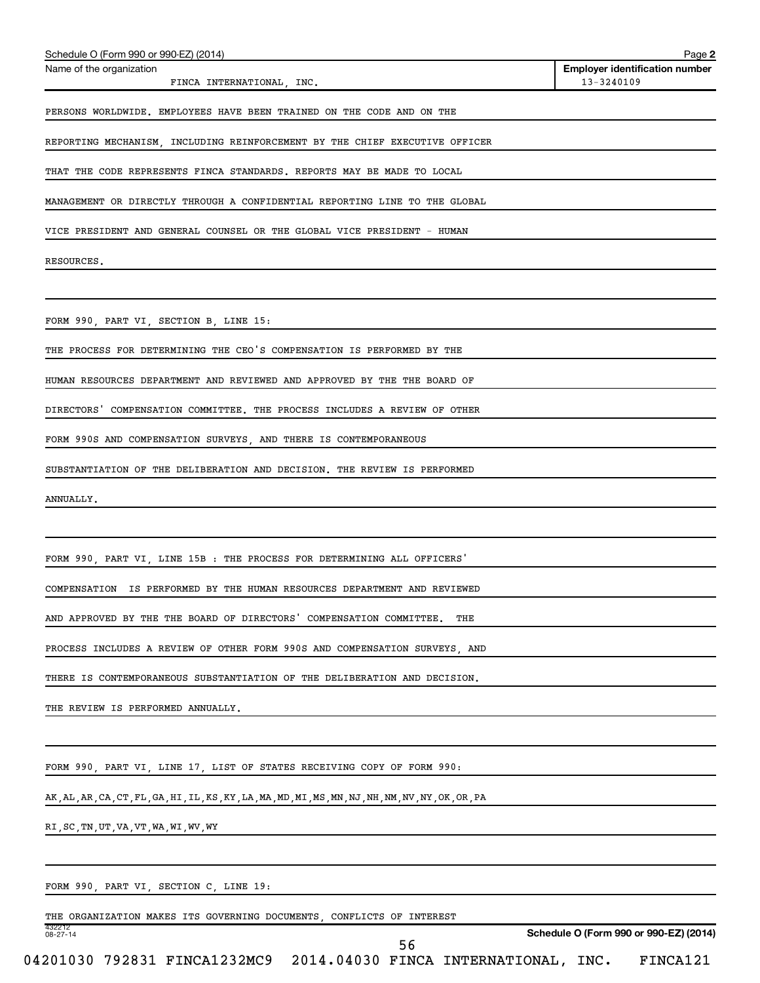| Schedule O (Form 990 or 990-EZ) (2014)                                                             | Page 2                                              |
|----------------------------------------------------------------------------------------------------|-----------------------------------------------------|
| Name of the organization<br>FINCA INTERNATIONAL, INC.                                              | <b>Employer identification number</b><br>13-3240109 |
| PERSONS WORLDWIDE. EMPLOYEES HAVE BEEN TRAINED ON THE CODE AND ON THE                              |                                                     |
| REPORTING MECHANISM, INCLUDING REINFORCEMENT BY THE CHIEF EXECUTIVE OFFICER                        |                                                     |
| THAT THE CODE REPRESENTS FINCA STANDARDS. REPORTS MAY BE MADE TO LOCAL                             |                                                     |
| MANAGEMENT OR DIRECTLY THROUGH A CONFIDENTIAL REPORTING LINE TO THE GLOBAL                         |                                                     |
| VICE PRESIDENT AND GENERAL COUNSEL OR THE GLOBAL VICE PRESIDENT - HUMAN                            |                                                     |
| RESOURCES.                                                                                         |                                                     |
|                                                                                                    |                                                     |
| FORM 990, PART VI, SECTION B, LINE 15:                                                             |                                                     |
| THE PROCESS FOR DETERMINING THE CEO'S COMPENSATION IS PERFORMED BY THE                             |                                                     |
| HUMAN RESOURCES DEPARTMENT AND REVIEWED AND APPROVED BY THE THE BOARD OF                           |                                                     |
| DIRECTORS' COMPENSATION COMMITTEE. THE PROCESS INCLUDES A REVIEW OF OTHER                          |                                                     |
| FORM 990S AND COMPENSATION SURVEYS, AND THERE IS CONTEMPORANEOUS                                   |                                                     |
| SUBSTANTIATION OF THE DELIBERATION AND DECISION. THE REVIEW IS PERFORMED                           |                                                     |
| ANNUALLY.                                                                                          |                                                     |
|                                                                                                    |                                                     |
| FORM 990, PART VI, LINE 15B : THE PROCESS FOR DETERMINING ALL OFFICERS'                            |                                                     |
| COMPENSATION IS PERFORMED BY THE HUMAN RESOURCES DEPARTMENT AND REVIEWED                           |                                                     |
| AND APPROVED BY THE THE BOARD OF DIRECTORS' COMPENSATION COMMITTEE.<br>THE                         |                                                     |
| PROCESS INCLUDES A REVIEW OF OTHER FORM 990S AND COMPENSATION SURVEYS, AND                         |                                                     |
| THERE IS CONTEMPORANEOUS SUBSTANTIATION OF THE DELIBERATION AND DECISION.                          |                                                     |
| THE REVIEW IS PERFORMED ANNUALLY.                                                                  |                                                     |
|                                                                                                    |                                                     |
| FORM 990, PART VI, LINE 17, LIST OF STATES RECEIVING COPY OF FORM 990:                             |                                                     |
| AK, AL, AR, CA, CT, FL, GA, HI, IL, KS, KY, LA, MA, MD, MI, MS, MN, NJ, NH, NM, NV, NY, OK, OR, PA |                                                     |
| RI, SC, TN, UT, VA, VT, WA, WI, WV, WY                                                             |                                                     |
|                                                                                                    |                                                     |
| FORM 990, PART VI, SECTION C, LINE 19:                                                             |                                                     |
| THE ORGANIZATION MAKES ITS GOVERNING DOCUMENTS, CONFLICTS OF INTEREST<br>432212                    |                                                     |
| 08-27-14                                                                                           | Schedule O (Form 990 or 990-EZ) (2014)              |

04201030 792831 FINCA1232MC9 2014.04030 FINCA INTERNATIONAL, INC. FINCA121 56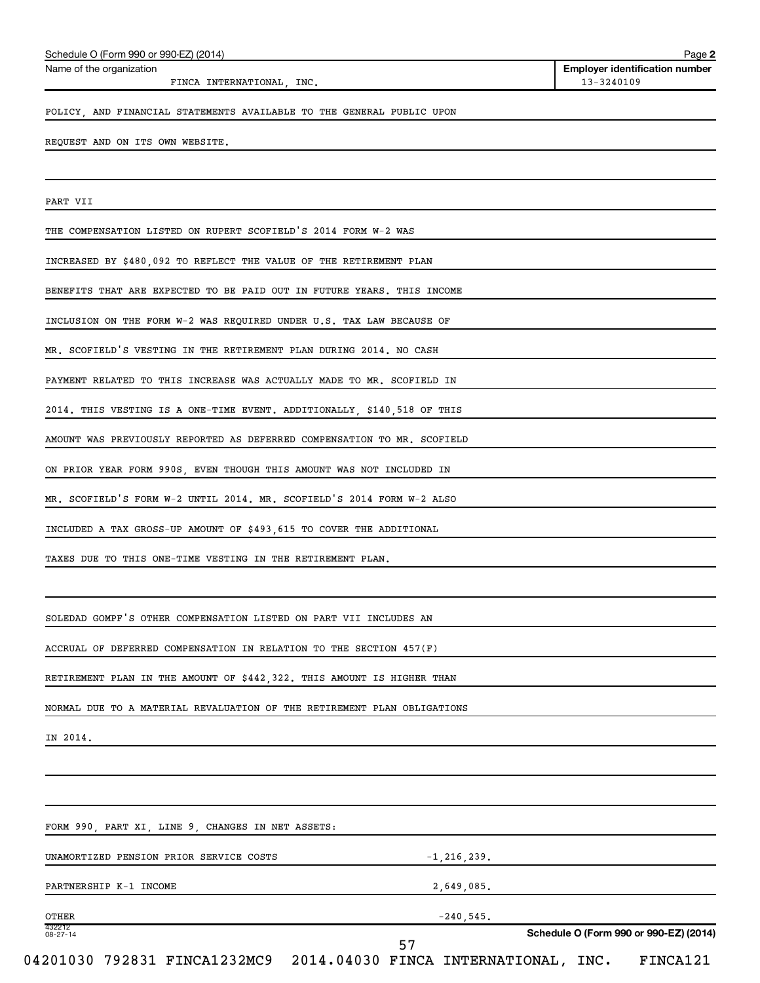| FINCA INTERNATIONAL, INC.                                               | 13-3240109                             |
|-------------------------------------------------------------------------|----------------------------------------|
| POLICY, AND FINANCIAL STATEMENTS AVAILABLE TO THE GENERAL PUBLIC UPON   |                                        |
| REQUEST AND ON ITS OWN WEBSITE.                                         |                                        |
|                                                                         |                                        |
| PART VII                                                                |                                        |
| THE COMPENSATION LISTED ON RUPERT SCOFIELD'S 2014 FORM W-2 WAS          |                                        |
| INCREASED BY \$480,092 TO REFLECT THE VALUE OF THE RETIREMENT PLAN      |                                        |
| BENEFITS THAT ARE EXPECTED TO BE PAID OUT IN FUTURE YEARS. THIS INCOME  |                                        |
| INCLUSION ON THE FORM W-2 WAS REQUIRED UNDER U.S. TAX LAW BECAUSE OF    |                                        |
| MR. SCOFIELD'S VESTING IN THE RETIREMENT PLAN DURING 2014. NO CASH      |                                        |
| PAYMENT RELATED TO THIS INCREASE WAS ACTUALLY MADE TO MR. SCOFIELD IN   |                                        |
| 2014. THIS VESTING IS A ONE-TIME EVENT. ADDITIONALLY, \$140,518 OF THIS |                                        |
| AMOUNT WAS PREVIOUSLY REPORTED AS DEFERRED COMPENSATION TO MR. SCOFIELD |                                        |
| ON PRIOR YEAR FORM 990S, EVEN THOUGH THIS AMOUNT WAS NOT INCLUDED IN    |                                        |
| MR. SCOFIELD'S FORM W-2 UNTIL 2014. MR. SCOFIELD'S 2014 FORM W-2 ALSO   |                                        |
| INCLUDED A TAX GROSS-UP AMOUNT OF \$493,615 TO COVER THE ADDITIONAL     |                                        |
| TAXES DUE TO THIS ONE-TIME VESTING IN THE RETIREMENT PLAN.              |                                        |
|                                                                         |                                        |
| SOLEDAD GOMPF'S OTHER COMPENSATION LISTED ON PART VII INCLUDES AN       |                                        |
| ACCRUAL OF DEFERRED COMPENSATION IN RELATION TO THE SECTION 457(F)      |                                        |
| RETIREMENT PLAN IN THE AMOUNT OF \$442,322. THIS AMOUNT IS HIGHER THAN  |                                        |
| NORMAL DUE TO A MATERIAL REVALUATION OF THE RETIREMENT PLAN OBLIGATIONS |                                        |
| IN 2014.                                                                |                                        |
|                                                                         |                                        |
|                                                                         |                                        |
| FORM 990, PART XI, LINE 9, CHANGES IN NET ASSETS:                       |                                        |
| UNAMORTIZED PENSION PRIOR SERVICE COSTS<br>$-1, 216, 239.$              |                                        |
| PARTNERSHIP K-1 INCOME<br>2,649,085.                                    |                                        |
| $-240,545.$<br>OTHER<br>432212                                          |                                        |
| 08-27-14<br>57                                                          | Schedule O (Form 990 or 990-EZ) (2014) |

Schedule O (Form 990 or 990-EZ) (2014)

Name of the organization

**2**

**Employer identification number**<br>13-3240109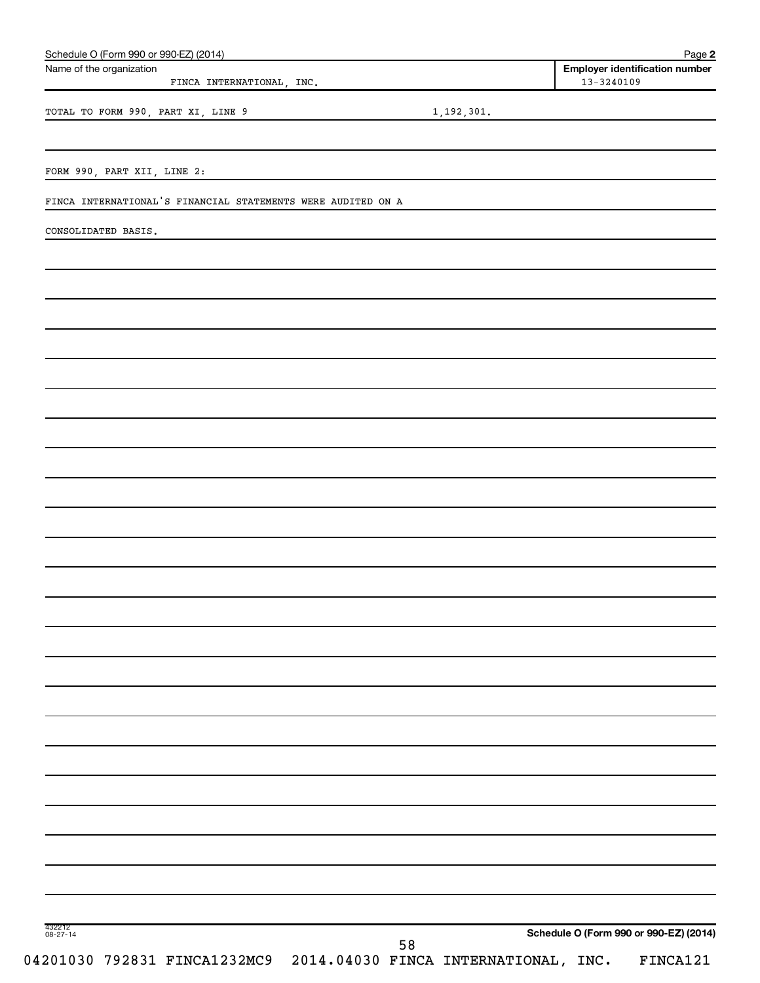| Schedule O (Form 990 or 990-EZ) (2014)<br>Name of the organization |            | Page 2<br><b>Employer identification number</b> |
|--------------------------------------------------------------------|------------|-------------------------------------------------|
| FINCA INTERNATIONAL, INC.                                          |            | 13-3240109                                      |
| TOTAL TO FORM 990, PART XI, LINE 9                                 | 1,192,301. |                                                 |
|                                                                    |            |                                                 |
| FORM 990, PART XII, LINE 2:                                        |            |                                                 |
| FINCA INTERNATIONAL'S FINANCIAL STATEMENTS WERE AUDITED ON A       |            |                                                 |
| CONSOLIDATED BASIS.                                                |            |                                                 |
|                                                                    |            |                                                 |
|                                                                    |            |                                                 |
|                                                                    |            |                                                 |
|                                                                    |            |                                                 |
|                                                                    |            |                                                 |
|                                                                    |            |                                                 |
|                                                                    |            |                                                 |
|                                                                    |            |                                                 |
|                                                                    |            |                                                 |
|                                                                    |            |                                                 |
|                                                                    |            |                                                 |
|                                                                    |            |                                                 |
|                                                                    |            |                                                 |
|                                                                    |            |                                                 |
|                                                                    |            |                                                 |
|                                                                    |            |                                                 |
|                                                                    |            |                                                 |
|                                                                    |            |                                                 |
|                                                                    |            |                                                 |
|                                                                    |            |                                                 |
|                                                                    |            |                                                 |
|                                                                    |            |                                                 |
|                                                                    |            |                                                 |
|                                                                    |            |                                                 |
| 432212<br>08-27-14                                                 |            | Schedule O (Form 990 or 990-EZ) (2014)          |
| 04201030 792831 FINCA1232MC9 2014.04030 FINCA INTERNATIONAL, INC.  | 58         | FINCA121                                        |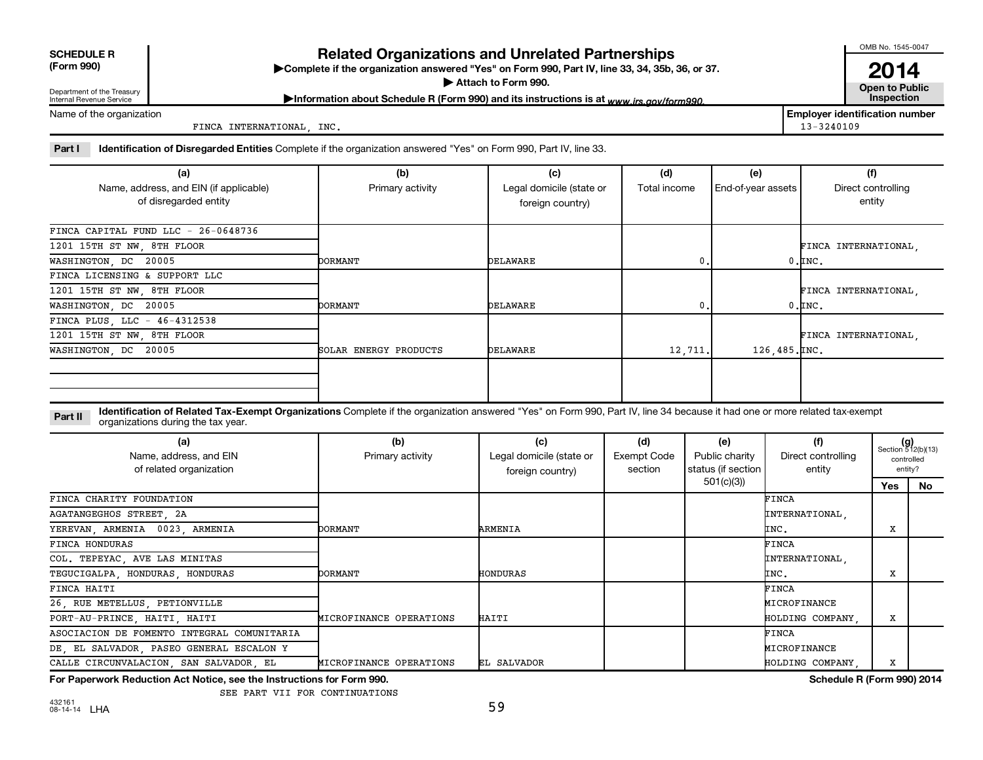| <b>SCHEDULE R</b> |
|-------------------|
|                   |

# **Related Organizations and Unrelated Partnerships**

**(Form 990) Complete if the organization answered "Yes" on Form 990, Part IV, line 33, 34, 35b, 36, or 37.** |

▶ Attach to Form 990. **Open to Public** 

OMB No. 1545-0047

**2014**<br>Open to Public

Department of the Treasury Internal Revenue Service

Information about Schedule R (Form 990) and its instructions is at www.irs.gov/form990.

Name of the organization

FINCA INTERNATIONAL, INC. 13-3240109

**Employer identification number**

Part I ldentification of Disregarded Entities Complete if the organization answered "Yes" on Form 990, Part IV, line 33.

| (a)                                    | (b)<br>(c)            |                                          | (d)     | (e)                | (f)                  |
|----------------------------------------|-----------------------|------------------------------------------|---------|--------------------|----------------------|
| Name, address, and EIN (if applicable) | Primary activity      | Legal domicile (state or<br>Total income |         | End-of-year assets | Direct controlling   |
| of disregarded entity                  |                       | foreign country)                         |         |                    | entity               |
|                                        |                       |                                          |         |                    |                      |
| FINCA CAPITAL FUND LLC - 26-0648736    |                       |                                          |         |                    |                      |
| 1201 15TH ST NW, 8TH FLOOR             |                       |                                          |         |                    | FINCA INTERNATIONAL, |
| WASHINGTON, DC 20005                   | <b>DORMANT</b>        | DELAWARE                                 | 0.      |                    | $0.\mathsf{INC}$ .   |
| FINCA LICENSING & SUPPORT LLC          |                       |                                          |         |                    |                      |
| 1201 15TH ST NW, 8TH FLOOR             |                       |                                          |         |                    | FINCA INTERNATIONAL, |
| WASHINGTON, DC 20005                   | <b>DORMANT</b>        | DELAWARE                                 | 0.      |                    | $0.\mathsf{INC}$ .   |
| FINCA PLUS, LLC - 46-4312538           |                       |                                          |         |                    |                      |
| 1201 15TH ST NW, 8TH FLOOR             |                       |                                          |         |                    | FINCA INTERNATIONAL. |
| WASHINGTON, DC 20005                   | SOLAR ENERGY PRODUCTS | DELAWARE                                 | 12,711. | 126,485.INC.       |                      |
|                                        |                       |                                          |         |                    |                      |
|                                        |                       |                                          |         |                    |                      |
|                                        |                       |                                          |         |                    |                      |

**Part II** Identification of Related Tax-Exempt Organizations Complete if the organization answered "Yes" on Form 990, Part IV, line 34 because it had one or more related tax-exempt<br>Complete it is a seriest of the two wears organizations during the tax year.

| (a)<br>Name, address, and EIN<br>of related organization | (b)<br>Primary activity | (c)<br>Legal domicile (state or<br>foreign country) | (d)<br>Exempt Code<br>section | (e)<br>Public charity<br>status (if section | (f)<br>Direct controlling<br>entity |     | $(g)$<br>Section 512(b)(13)<br>controlled<br>entity? |
|----------------------------------------------------------|-------------------------|-----------------------------------------------------|-------------------------------|---------------------------------------------|-------------------------------------|-----|------------------------------------------------------|
|                                                          |                         |                                                     |                               | 501(c)(3))                                  |                                     | Yes | No                                                   |
| FINCA CHARITY FOUNDATION                                 |                         |                                                     |                               |                                             | FINCA                               |     |                                                      |
| AGATANGEGHOS STREET, 2A                                  |                         |                                                     |                               |                                             | INTERNATIONAL,                      |     |                                                      |
| YEREVAN, ARMENIA 0023, ARMENIA                           | DORMANT                 | ARMENIA                                             |                               |                                             | INC.                                | X   |                                                      |
| FINCA HONDURAS                                           |                         |                                                     |                               |                                             | FINCA                               |     |                                                      |
| COL. TEPEYAC, AVE LAS MINITAS                            |                         |                                                     |                               |                                             | INTERNATIONAL,                      |     |                                                      |
| TEGUCIGALPA, HONDURAS, HONDURAS                          | DORMANT                 | <b>HONDURAS</b>                                     |                               |                                             | INC.                                | X   |                                                      |
| FINCA HAITI                                              |                         |                                                     |                               |                                             | FINCA                               |     |                                                      |
| 26, RUE METELLUS, PETIONVILLE                            |                         |                                                     |                               |                                             | MICROFINANCE                        |     |                                                      |
| PORT-AU-PRINCE, HAITI, HAITI                             | MICROFINANCE OPERATIONS | HAITI                                               |                               |                                             | HOLDING COMPANY,                    | X   |                                                      |
| ASOCIACION DE FOMENTO INTEGRAL COMUNITARIA               |                         |                                                     |                               |                                             | FINCA                               |     |                                                      |
| DE, EL SALVADOR, PASEO GENERAL ESCALON Y                 |                         |                                                     |                               |                                             | MICROFINANCE                        |     |                                                      |
| CALLE CIRCUNVALACION, SAN SALVADOR, EL                   | MICROFINANCE OPERATIONS | EL SALVADOR                                         |                               |                                             | HOLDING COMPANY.                    | x   |                                                      |

**For Paperwork Reduction Act Notice, see the Instructions for Form 990. Schedule R (Form 990) 2014**

SEE PART VII FOR CONTINUATIONS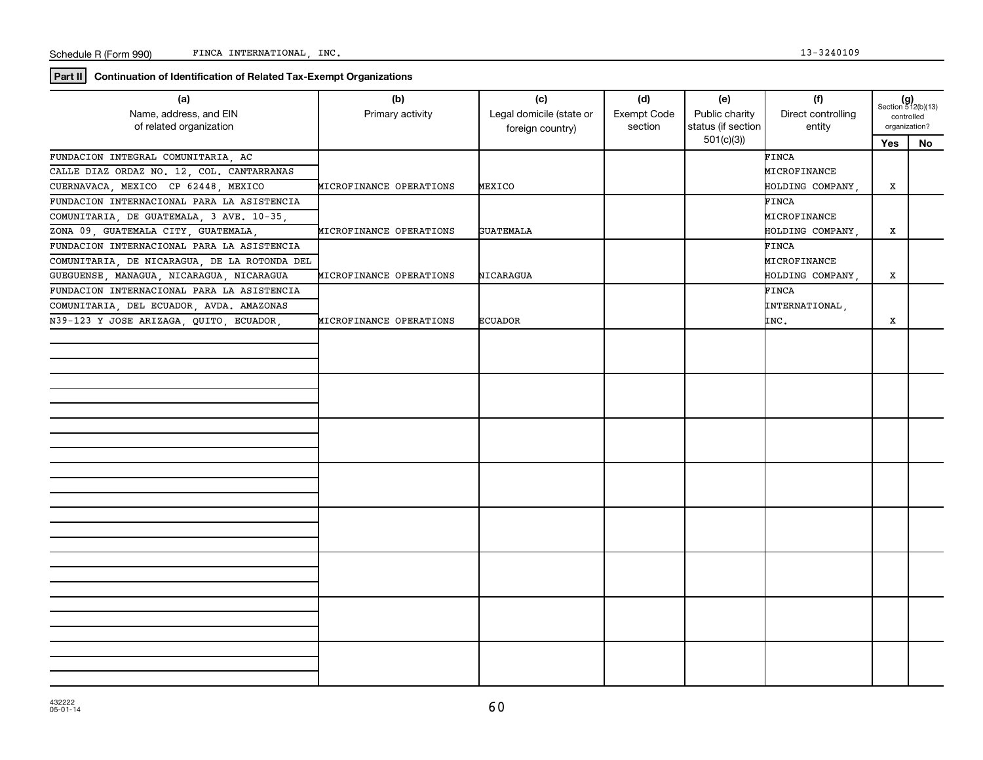**Part II Continuation of Identification of Related Tax-Exempt Organizations**

| (a)<br>Name, address, and EIN<br>of related organization | (b)<br>Primary activity | (c)<br>Legal domicile (state or<br>foreign country) | (d)<br>Exempt Code<br>section | (e)<br>Public charity<br>status (if section | (f)<br>Direct controlling<br>entity | $(g)$<br>Section 512(b)(13)<br>controlled<br>organization? |    |
|----------------------------------------------------------|-------------------------|-----------------------------------------------------|-------------------------------|---------------------------------------------|-------------------------------------|------------------------------------------------------------|----|
|                                                          |                         |                                                     |                               | 501(c)(3)                                   |                                     | <b>Yes</b>                                                 | No |
| FUNDACION INTEGRAL COMUNITARIA, AC                       |                         |                                                     |                               |                                             | FINCA                               |                                                            |    |
| CALLE DIAZ ORDAZ NO. 12, COL. CANTARRANAS                |                         |                                                     |                               |                                             | MICROFINANCE                        |                                                            |    |
| CUERNAVACA, MEXICO CP 62448, MEXICO                      | MICROFINANCE OPERATIONS | MEXICO                                              |                               |                                             | HOLDING COMPANY,                    | x                                                          |    |
| FUNDACION INTERNACIONAL PARA LA ASISTENCIA               |                         |                                                     |                               |                                             | FINCA                               |                                                            |    |
| COMUNITARIA, DE GUATEMALA, 3 AVE. 10-35,                 |                         |                                                     |                               |                                             | MICROFINANCE                        |                                                            |    |
| ZONA 09, GUATEMALA CITY, GUATEMALA,                      | MICROFINANCE OPERATIONS | <b>GUATEMALA</b>                                    |                               |                                             | HOLDING COMPANY,                    | x                                                          |    |
| FUNDACION INTERNACIONAL PARA LA ASISTENCIA               |                         |                                                     |                               |                                             | FINCA                               |                                                            |    |
| COMUNITARIA, DE NICARAGUA, DE LA ROTONDA DEL             |                         |                                                     |                               |                                             | MICROFINANCE                        |                                                            |    |
| GUEGUENSE, MANAGUA, NICARAGUA, NICARAGUA                 | MICROFINANCE OPERATIONS | NICARAGUA                                           |                               |                                             | HOLDING COMPANY,                    | x                                                          |    |
| FUNDACION INTERNACIONAL PARA LA ASISTENCIA               |                         |                                                     |                               |                                             | FINCA                               |                                                            |    |
| COMUNITARIA, DEL ECUADOR, AVDA. AMAZONAS                 |                         |                                                     |                               |                                             | INTERNATIONAL,                      |                                                            |    |
| N39-123 Y JOSE ARIZAGA, QUITO, ECUADOR,                  | MICROFINANCE OPERATIONS | <b>ECUADOR</b>                                      |                               |                                             | INC.                                | X                                                          |    |
|                                                          |                         |                                                     |                               |                                             |                                     |                                                            |    |
|                                                          |                         |                                                     |                               |                                             |                                     |                                                            |    |
|                                                          |                         |                                                     |                               |                                             |                                     |                                                            |    |
|                                                          |                         |                                                     |                               |                                             |                                     |                                                            |    |
|                                                          |                         |                                                     |                               |                                             |                                     |                                                            |    |
|                                                          |                         |                                                     |                               |                                             |                                     |                                                            |    |
|                                                          |                         |                                                     |                               |                                             |                                     |                                                            |    |
|                                                          |                         |                                                     |                               |                                             |                                     |                                                            |    |
|                                                          |                         |                                                     |                               |                                             |                                     |                                                            |    |
|                                                          |                         |                                                     |                               |                                             |                                     |                                                            |    |
|                                                          |                         |                                                     |                               |                                             |                                     |                                                            |    |
|                                                          |                         |                                                     |                               |                                             |                                     |                                                            |    |
|                                                          |                         |                                                     |                               |                                             |                                     |                                                            |    |
|                                                          |                         |                                                     |                               |                                             |                                     |                                                            |    |
|                                                          |                         |                                                     |                               |                                             |                                     |                                                            |    |
|                                                          |                         |                                                     |                               |                                             |                                     |                                                            |    |
|                                                          |                         |                                                     |                               |                                             |                                     |                                                            |    |
|                                                          |                         |                                                     |                               |                                             |                                     |                                                            |    |
|                                                          |                         |                                                     |                               |                                             |                                     |                                                            |    |
|                                                          |                         |                                                     |                               |                                             |                                     |                                                            |    |
|                                                          |                         |                                                     |                               |                                             |                                     |                                                            |    |
|                                                          |                         |                                                     |                               |                                             |                                     |                                                            |    |
|                                                          |                         |                                                     |                               |                                             |                                     |                                                            |    |
|                                                          |                         |                                                     |                               |                                             |                                     |                                                            |    |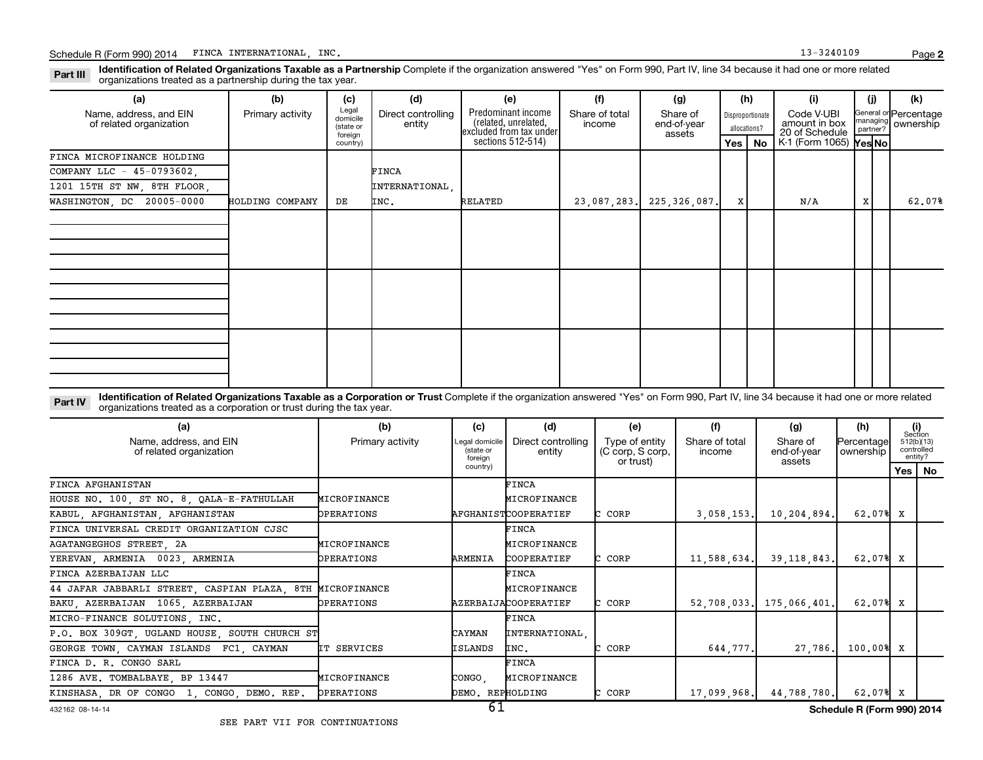Part III Identification of Related Organizations Taxable as a Partnership Complete if the organization answered "Yes" on Form 990, Part IV, line 34 because it had one or more related<br>Read to the organizations tracted as a organizations treated as a partnership during the tax year.

| (a)                                               | (b)              | (c)                                                   | (d)                          | (e)                                                                                        | (f)                      | (g)                               |         | (h)                                    | (i)                                                                                           | (i) | (k)                                         |
|---------------------------------------------------|------------------|-------------------------------------------------------|------------------------------|--------------------------------------------------------------------------------------------|--------------------------|-----------------------------------|---------|----------------------------------------|-----------------------------------------------------------------------------------------------|-----|---------------------------------------------|
| Name, address, and EIN<br>of related organization | Primary activity | Legal<br>domicile<br>(state or<br>foreign<br>country) | Direct controlling<br>entity | Predominant income<br>(related, unrelated,<br>excluded from tax under<br>sections 512-514) | Share of total<br>income | Share of<br>end-of-year<br>assets | Yes $ $ | Disproportionate<br>allocations?<br>No | Code V-UBI<br>amount in box<br>20 of Schedule<br>$K1$ (Form 1065) $\textsf{Yes} \textsf{No} $ |     | General or Percentage<br>managing ownership |
| FINCA MICROFINANCE HOLDING                        |                  |                                                       |                              |                                                                                            |                          |                                   |         |                                        |                                                                                               |     |                                             |
| COMPANY LLC - 45-0793602,                         |                  |                                                       | FINCA                        |                                                                                            |                          |                                   |         |                                        |                                                                                               |     |                                             |
| 1201 15TH ST NW, 8TH FLOOR,                       |                  |                                                       | INTERNATIONAL,               |                                                                                            |                          |                                   |         |                                        |                                                                                               |     |                                             |
| WASHINGTON, DC 20005-0000                         | HOLDING COMPANY  | DE                                                    | INC.                         | RELATED                                                                                    |                          | 23,087,283. 225,326,087.          | x       |                                        | N/A                                                                                           | X   | 62.07%                                      |
|                                                   |                  |                                                       |                              |                                                                                            |                          |                                   |         |                                        |                                                                                               |     |                                             |
|                                                   |                  |                                                       |                              |                                                                                            |                          |                                   |         |                                        |                                                                                               |     |                                             |
|                                                   |                  |                                                       |                              |                                                                                            |                          |                                   |         |                                        |                                                                                               |     |                                             |
|                                                   |                  |                                                       |                              |                                                                                            |                          |                                   |         |                                        |                                                                                               |     |                                             |
|                                                   |                  |                                                       |                              |                                                                                            |                          |                                   |         |                                        |                                                                                               |     |                                             |
|                                                   |                  |                                                       |                              |                                                                                            |                          |                                   |         |                                        |                                                                                               |     |                                             |

Part IV Identification of Related Organizations Taxable as a Corporation or Trust Complete if the organization answered "Yes" on Form 990, Part IV, line 34 because it had one or more related<br>Comparison tracted as a comprat organizations treated as a corporation or trust during the tax year.

| (a)                                                       | (b)               | (c)                                    | (d)                          | (e)                                             | (f)                      | (g)                               | (h)                     | (i)<br>Section |                       |
|-----------------------------------------------------------|-------------------|----------------------------------------|------------------------------|-------------------------------------------------|--------------------------|-----------------------------------|-------------------------|----------------|-----------------------|
| Name, address, and EIN<br>of related organization         | Primary activity  | Legal domicile<br>(state or<br>foreian | Direct controlling<br>entity | Type of entity<br>(C corp, S corp,<br>or trust) | Share of total<br>income | Share of<br>end-of-year<br>assets | Percentage<br>ownership | 512(b)(13)     | controlled<br>entity? |
|                                                           |                   | country)                               |                              |                                                 |                          |                                   |                         |                | Yes   No              |
| FINCA AFGHANISTAN                                         |                   |                                        | <b>FINCA</b>                 |                                                 |                          |                                   |                         |                |                       |
| HOUSE NO. 100, ST NO. 8, QALA-E-FATHULLAH                 | MICROFINANCE      |                                        | MICROFINANCE                 |                                                 |                          |                                   |                         |                |                       |
| KABUL, AFGHANISTAN, AFGHANISTAN                           | <b>OPERATIONS</b> |                                        | AFGHANISTCOOPERATIEF         | C CORP                                          | 3,058,153.               | 10, 204, 894.                     | 62.07% X                |                |                       |
| FINCA UNIVERSAL CREDIT ORGANIZATION CJSC                  |                   |                                        | <b>FINCA</b>                 |                                                 |                          |                                   |                         |                |                       |
| AGATANGEGHOS STREET, 2A                                   | MICROFINANCE      |                                        | MICROFINANCE                 |                                                 |                          |                                   |                         |                |                       |
| YEREVAN, ARMENIA 0023, ARMENIA                            | <b>OPERATIONS</b> | ARMENIA                                | <b>COOPERATIEF</b>           | C CORP                                          | 11,588,634.              | 39.118.843.                       | 62.07% X                |                |                       |
| FINCA AZERBAIJAN LLC                                      |                   |                                        | FINCA                        |                                                 |                          |                                   |                         |                |                       |
| 44 JAFAR JABBARLI STREET, CASPIAN PLAZA, 8TH MICROFINANCE |                   |                                        | MICROFINANCE                 |                                                 |                          |                                   |                         |                |                       |
| BAKU, AZERBAIJAN 1065, AZERBAIJAN                         | <b>OPERATIONS</b> |                                        | AZERBAIJACOOPERATIEF         | C CORP                                          |                          | 52,708,033. 175,066,401.          | 62.07% X                |                |                       |
| MICRO-FINANCE SOLUTIONS, INC.                             |                   |                                        | <b>FINCA</b>                 |                                                 |                          |                                   |                         |                |                       |
| P.O. BOX 309GT, UGLAND HOUSE, SOUTH CHURCH ST             |                   | CAYMAN                                 | INTERNATIONAL                |                                                 |                          |                                   |                         |                |                       |
| GEORGE TOWN, CAYMAN ISLANDS FC1, CAYMAN                   | IT SERVICES       | <b>ISLANDS</b>                         | INC.                         | CORP                                            | 644,777.                 | 27,786.                           | $100,00$ 8 X            |                |                       |
| FINCA D. R. CONGO SARL                                    |                   |                                        | FINCA                        |                                                 |                          |                                   |                         |                |                       |
| 1286 AVE. TOMBALBAYE, BP 13447                            | MICROFINANCE      | CONGO,                                 | MICROFINANCE                 |                                                 |                          |                                   |                         |                |                       |
| KINSHASA, DR OF CONGO 1, CONGO, DEMO. REP.                | OPERATIONS        | DEMO. REPHOLDING                       |                              | C CORP                                          | 17,099,968.              | 44,788,780.                       | 62.07% X                |                |                       |

#### 432162 08-14-14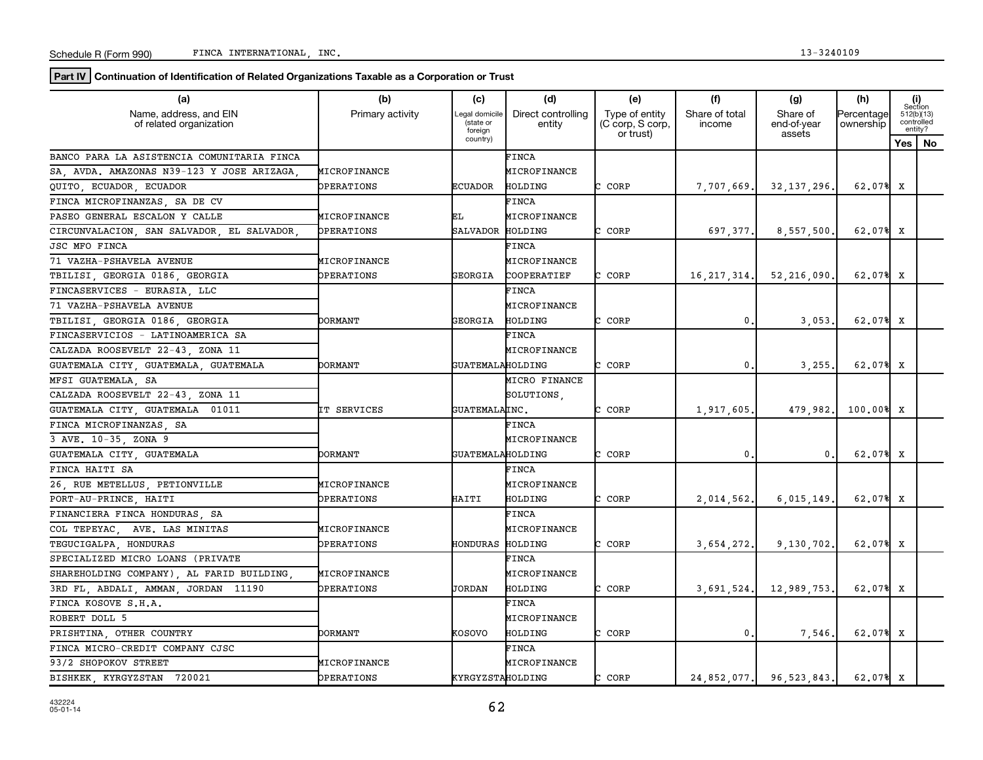**Part IV** Continuation of Identification of Related Organizations Taxable as a Corporation or Trust

| (a)                                               | (b)               | (c)                                   | (d)                          | (e)                                             | (f)                      | (g)                               | (h)                     |   | (i)<br>Section                      |
|---------------------------------------------------|-------------------|---------------------------------------|------------------------------|-------------------------------------------------|--------------------------|-----------------------------------|-------------------------|---|-------------------------------------|
| Name, address, and EIN<br>of related organization | Primary activity  | egal domicile<br>(state or<br>foreign | Direct controlling<br>entity | Type of entity<br>(C corp, S corp,<br>or trust) | Share of total<br>income | Share of<br>end-of-year<br>assets | Percentage<br>ownership |   | 512(b)(13)<br>controlled<br>entity? |
|                                                   |                   | country)                              |                              |                                                 |                          |                                   |                         |   | Yes   No                            |
| BANCO PARA LA ASISTENCIA COMUNITARIA FINCA        |                   |                                       | <b>FINCA</b>                 |                                                 |                          |                                   |                         |   |                                     |
| SA, AVDA. AMAZONAS N39-123 Y JOSE ARIZAGA         | MICROFINANCE      |                                       | MICROFINANCE                 |                                                 |                          |                                   |                         |   |                                     |
| QUITO ECUADOR ECUADOR                             | OPERATIONS        | <b>ECUADOR</b>                        | HOLDING                      | CORP                                            | 7,707,669,               | 32, 137, 296                      | 62.07% X                |   |                                     |
| FINCA MICROFINANZAS, SA DE CV                     |                   |                                       | FINCA                        |                                                 |                          |                                   |                         |   |                                     |
| PASEO GENERAL ESCALON Y CALLE                     | MICROFINANCE      | ЕL                                    | MICROFINANCE                 |                                                 |                          |                                   |                         |   |                                     |
| CIRCUNVALACION, SAN SALVADOR, EL SALVADOR,        | <b>OPERATIONS</b> | SALVADOR                              | HOLDING                      | CORP                                            | 697,377.                 | 8,557,500                         | 62.07% X                |   |                                     |
| <b>JSC MFO FINCA</b>                              |                   |                                       | <b>FINCA</b>                 |                                                 |                          |                                   |                         |   |                                     |
| 71 VAZHA-PSHAVELA AVENUE                          | MICROFINANCE      |                                       | MICROFINANCE                 |                                                 |                          |                                   |                         |   |                                     |
| TBILISI, GEORGIA 0186, GEORGIA                    | OPERATIONS        | GEORGIA                               | COOPERATIEF                  | CORP                                            | 16, 217, 314.            | 52,216,090                        | 62.07% X                |   |                                     |
| FINCASERVICES - EURASIA, LLC                      |                   |                                       | FINCA                        |                                                 |                          |                                   |                         |   |                                     |
| 71 VAZHA-PSHAVELA AVENUE                          |                   |                                       | MICROFINANCE                 |                                                 |                          |                                   |                         |   |                                     |
| TBILISI, GEORGIA 0186, GEORGIA                    | <b>DORMANT</b>    | GEORGIA                               | HOLDING                      | CORP                                            | $\mathbf{0}$ .           | 3,053                             | 62.07% X                |   |                                     |
| FINCASERVICIOS - LATINOAMERICA SA                 |                   |                                       | FINCA                        |                                                 |                          |                                   |                         |   |                                     |
| CALZADA ROOSEVELT 22-43, ZONA 11                  |                   |                                       | MICROFINANCE                 |                                                 |                          |                                   |                         |   |                                     |
| GUATEMALA CITY GUATEMALA GUATEMALA                | <b>DORMANT</b>    | GUATEMALAHOLDING                      |                              | CORP                                            | 0.                       | 3,255                             | 62.07% X                |   |                                     |
| MFSI GUATEMALA, SA                                |                   |                                       | MICRO FINANCE                |                                                 |                          |                                   |                         |   |                                     |
| CALZADA ROOSEVELT 22-43, ZONA 11                  |                   |                                       | SOLUTIONS.                   |                                                 |                          |                                   |                         |   |                                     |
| GUATEMALA CITY, GUATEMALA 01011                   | IT SERVICES       | <b>GUATEMALAINC.</b>                  |                              | CORP                                            | 1,917,605                | 479.982                           | 100,00원                 | x |                                     |
| FINCA MICROFINANZAS, SA                           |                   |                                       | FINCA                        |                                                 |                          |                                   |                         |   |                                     |
| 3 AVE. 10-35, ZONA 9                              |                   |                                       | MICROFINANCE                 |                                                 |                          |                                   |                         |   |                                     |
| GUATEMALA CITY, GUATEMALA                         | <b>DORMANT</b>    | <b>GUATEMALAHOLDING</b>               |                              | CORP                                            | 0.                       | $\mathbf 0$                       | 62.07% X                |   |                                     |
| FINCA HAITI SA                                    |                   |                                       | FINCA                        |                                                 |                          |                                   |                         |   |                                     |
| 26, RUE METELLUS, PETIONVILLE                     | MICROFINANCE      |                                       | MICROFINANCE                 |                                                 |                          |                                   |                         |   |                                     |
| PORT-AU-PRINCE, HAITI                             | OPERATIONS        | HAITI                                 | HOLDING                      | CORP                                            | 2,014,562.               | 6,015,149                         | 62.07% X                |   |                                     |
| FINANCIERA FINCA HONDURAS, SA                     |                   |                                       | FINCA                        |                                                 |                          |                                   |                         |   |                                     |
| COL TEPEYAC, AVE. LAS MINITAS                     | MICROFINANCE      |                                       | MICROFINANCE                 |                                                 |                          |                                   |                         |   |                                     |
| TEGUCIGALPA, HONDURAS                             | <b>DPERATIONS</b> | HONDURAS HOLDING                      |                              | CORP                                            | 3,654,272.               | 9,130,702                         | 62.07% X                |   |                                     |
| SPECIALIZED MICRO LOANS (PRIVATE                  |                   |                                       | FINCA                        |                                                 |                          |                                   |                         |   |                                     |
| SHAREHOLDING COMPANY) AL FARID BUILDING           | MICROFINANCE      |                                       | MICROFINANCE                 |                                                 |                          |                                   |                         |   |                                     |
| 3RD FL, ABDALI, AMMAN, JORDAN 11190               | <b>OPERATIONS</b> | JORDAN                                | HOLDING                      | CORP                                            | 3,691,524.               | 12,989,753                        | 62.07% X                |   |                                     |
| FINCA KOSOVE S.H.A.                               |                   |                                       | FINCA                        |                                                 |                          |                                   |                         |   |                                     |
| ROBERT DOLL 5                                     |                   |                                       | MICROFINANCE                 |                                                 |                          |                                   |                         |   |                                     |
| PRISHTINA, OTHER COUNTRY                          | <b>DORMANT</b>    | KOSOVO                                | HOLDING                      | CORP                                            | $\mathbf 0$              | 7,546                             | 62.07% X                |   |                                     |
| FINCA MICRO-CREDIT COMPANY CJSC                   |                   |                                       | <b>FINCA</b>                 |                                                 |                          |                                   |                         |   |                                     |
| 93/2 SHOPOKOV STREET                              | MICROFINANCE      |                                       | MICROFINANCE                 |                                                 |                          |                                   |                         |   |                                     |
| BISHKEK, KYRGYZSTAN 720021                        | OPERATIONS        | KYRGYZSTAHOLDING                      |                              | CORP                                            |                          | 24,852,077. 96,523,843.           | 62.07% X                |   |                                     |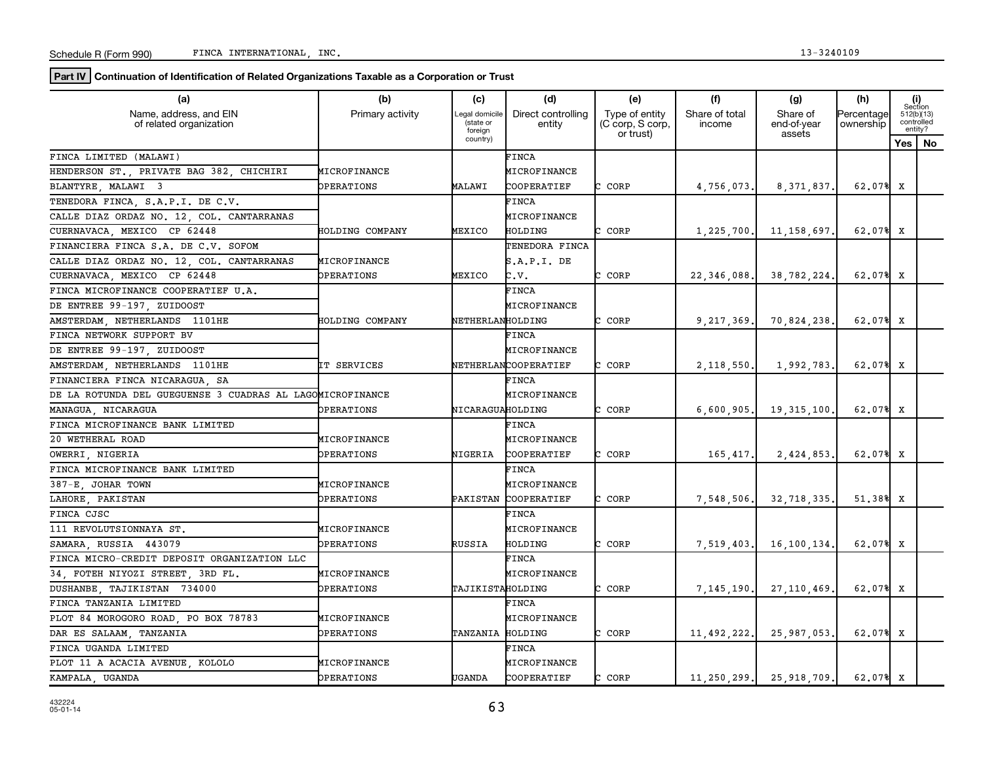**Part IV** Continuation of Identification of Related Organizations Taxable as a Corporation or Trust

| (a)                                                       | (b)               | (c)                                    | (d)                          | (e)                                             | (f)                      | (g)                               | (h)                     | (i)<br>Section                      |
|-----------------------------------------------------------|-------------------|----------------------------------------|------------------------------|-------------------------------------------------|--------------------------|-----------------------------------|-------------------------|-------------------------------------|
| Name, address, and EIN<br>of related organization         | Primary activity  | Legal domicile<br>(state or<br>foreign | Direct controlling<br>entity | Type of entity<br>(C corp, S corp,<br>or trust) | Share of total<br>income | Share of<br>end-of-year<br>assets | Percentage<br>ownership | 512(b)(13)<br>controlled<br>entity? |
|                                                           |                   | country)                               |                              |                                                 |                          |                                   |                         | Yes   No                            |
| FINCA LIMITED (MALAWI)                                    |                   |                                        | FINCA                        |                                                 |                          |                                   |                         |                                     |
| HENDERSON ST., PRIVATE BAG 382, CHICHIRI                  | MICROFINANCE      |                                        | MICROFINANCE                 |                                                 |                          |                                   |                         |                                     |
| BLANTYRE, MALAWI 3                                        | <b>DPERATIONS</b> | MALAWI                                 | COOPERATIEF                  | CORP                                            | 4,756,073.               | 8, 371, 837,                      | 62.07% X                |                                     |
| TENEDORA FINCA, S.A.P.I. DE C.V.                          |                   |                                        | FINCA                        |                                                 |                          |                                   |                         |                                     |
| CALLE DIAZ ORDAZ NO. 12, COL. CANTARRANAS                 |                   |                                        | MICROFINANCE                 |                                                 |                          |                                   |                         |                                     |
| CUERNAVACA, MEXICO CP 62448                               | HOLDING COMPANY   | MEXICO                                 | HOLDING                      | C CORP                                          | 1,225,700.               | 11,158,697                        | 62.07% X                |                                     |
| FINANCIERA FINCA S.A. DE C.V. SOFOM                       |                   |                                        | TENEDORA FINCA               |                                                 |                          |                                   |                         |                                     |
| CALLE DIAZ ORDAZ NO. 12, COL. CANTARRANAS                 | MICROFINANCE      |                                        | S.A.P.I.DE                   |                                                 |                          |                                   |                         |                                     |
| CUERNAVACA, MEXICO CP 62448                               | <b>DPERATIONS</b> | MEXICO                                 | C.V.                         | C CORP                                          | 22, 346, 088.            | 38,782,224                        | 62.07% X                |                                     |
| FINCA MICROFINANCE COOPERATIEF U.A.                       |                   |                                        | FINCA                        |                                                 |                          |                                   |                         |                                     |
| DE ENTREE 99-197, ZUIDOOST                                |                   |                                        | MICROFINANCE                 |                                                 |                          |                                   |                         |                                     |
| AMSTERDAM NETHERLANDS 1101HE                              | HOLDING COMPANY   | NETHERLANHOLDING                       |                              | C CORP                                          | 9,217,369.               | 70,824,238                        | 62.07% X                |                                     |
| FINCA NETWORK SUPPORT BV                                  |                   |                                        | FINCA                        |                                                 |                          |                                   |                         |                                     |
| DE ENTREE 99-197, ZUIDOOST                                |                   |                                        | MICROFINANCE                 |                                                 |                          |                                   |                         |                                     |
| AMSTERDAM, NETHERLANDS 1101HE                             | IT SERVICES       |                                        | NETHERLANCOOPERATIEF         | C CORP                                          | 2,118,550.               | 1,992,783                         | 62.07% X                |                                     |
| FINANCIERA FINCA NICARAGUA, SA                            |                   |                                        | FINCA                        |                                                 |                          |                                   |                         |                                     |
| DE LA ROTUNDA DEL GUEGUENSE 3 CUADRAS AL LAGOMICROFINANCE |                   |                                        | MICROFINANCE                 |                                                 |                          |                                   |                         |                                     |
| MANAGUA, NICARAGUA                                        | <b>DPERATIONS</b> | NICARAGUAHOLDING                       |                              | CORP                                            | 6,600,905,               | 19,315,100                        | 62.07% X                |                                     |
| FINCA MICROFINANCE BANK LIMITED                           |                   |                                        | FINCA                        |                                                 |                          |                                   |                         |                                     |
| 20 WETHERAL ROAD                                          | MICROFINANCE      |                                        | MICROFINANCE                 |                                                 |                          |                                   |                         |                                     |
| OWERRI, NIGERIA                                           | <b>OPERATIONS</b> | NIGERIA                                | COOPERATIEF                  | CORP<br>r.                                      | 165, 417.                | 2,424,853                         | 62.07% X                |                                     |
| FINCA MICROFINANCE BANK LIMITED                           |                   |                                        | <b>FINCA</b>                 |                                                 |                          |                                   |                         |                                     |
| 387-E JOHAR TOWN                                          | MICROFINANCE      |                                        | MICROFINANCE                 |                                                 |                          |                                   |                         |                                     |
| LAHORE PAKISTAN                                           | <b>DPERATIONS</b> | PAKISTAN                               | COOPERATIEF                  | C CORP                                          | 7,548,506.               | 32,718,335                        | 51.38% X                |                                     |
| FINCA CJSC                                                |                   |                                        | FINCA                        |                                                 |                          |                                   |                         |                                     |
| 111 REVOLUTSIONNAYA ST.                                   | MICROFINANCE      |                                        | MICROFINANCE                 |                                                 |                          |                                   |                         |                                     |
| SAMARA, RUSSIA 443079                                     | OPERATIONS        | RUSSIA                                 | HOLDING                      | CORP                                            | 7,519,403.               | 16,100,134                        | 62.07% X                |                                     |
| FINCA MICRO-CREDIT DEPOSIT ORGANIZATION LLC               |                   |                                        | FINCA                        |                                                 |                          |                                   |                         |                                     |
| 34, FOTEH NIYOZI STREET, 3RD FL.                          | MICROFINANCE      |                                        | MICROFINANCE                 |                                                 |                          |                                   |                         |                                     |
| DUSHANBE, TAJIKISTAN 734000                               | <b>DPERATIONS</b> | TAJIKISTAHOLDING                       |                              | C CORP                                          | 7, 145, 190.             | 27,110,469                        | 62.07% X                |                                     |
| FINCA TANZANIA LIMITED                                    |                   |                                        | FINCA                        |                                                 |                          |                                   |                         |                                     |
| PLOT 84 MOROGORO ROAD, PO BOX 78783                       | MICROFINANCE      |                                        | MICROFINANCE                 |                                                 |                          |                                   |                         |                                     |
| DAR ES SALAAM, TANZANIA                                   | <b>DPERATIONS</b> | TANZANIA HOLDING                       |                              | C CORP                                          | 11,492,222.              | 25,987,053                        | 62.07% X                |                                     |
| FINCA UGANDA LIMITED                                      |                   |                                        | FINCA                        |                                                 |                          |                                   |                         |                                     |
| PLOT 11 A ACACIA AVENUE, KOLOLO                           | MICROFINANCE      |                                        | MICROFINANCE                 |                                                 |                          |                                   |                         |                                     |
| KAMPALA, UGANDA                                           | OPERATIONS        | UGANDA                                 | COOPERATIEF                  | CORP<br>c                                       |                          | $11, 250, 299$ , 25, 918, 709.    | 62.07% X                |                                     |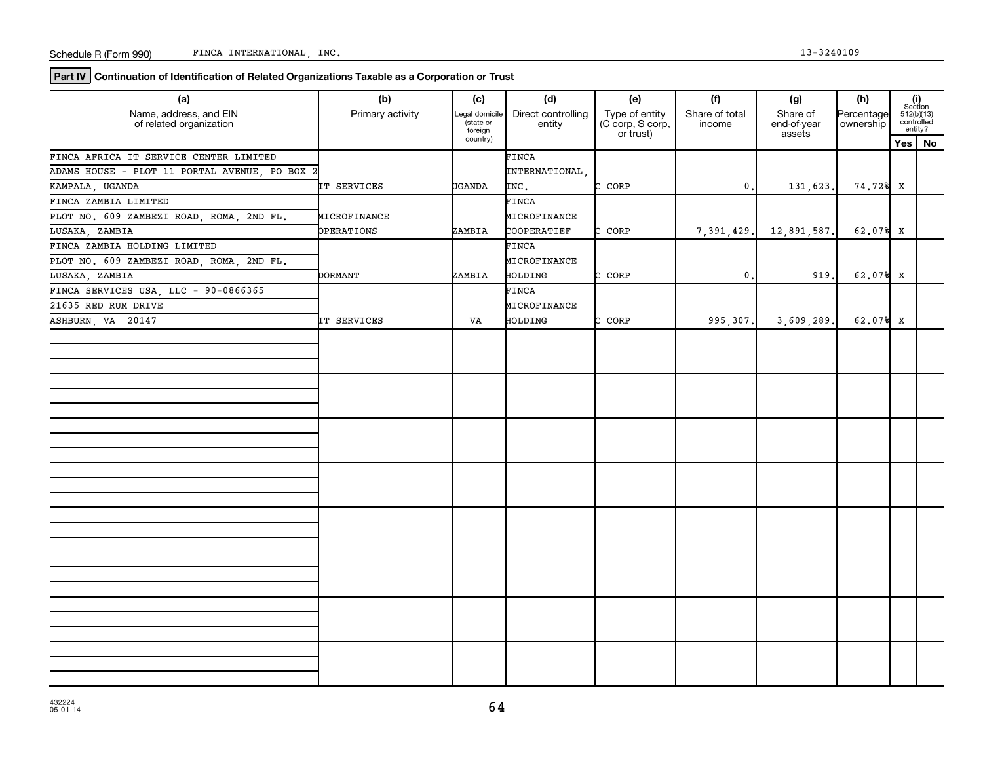**Part IV Continuation of Identification of Related Organizations Taxable as a Corporation or Trust**

| (a)                                               | (b)                | (c)                                    | (d)                          | (e)                                             | (f)                      | (g)                               | (h)                     |                                                                                                              |           |
|---------------------------------------------------|--------------------|----------------------------------------|------------------------------|-------------------------------------------------|--------------------------|-----------------------------------|-------------------------|--------------------------------------------------------------------------------------------------------------|-----------|
| Name, address, and EIN<br>of related organization | Primary activity   | Legal domicile<br>(state or<br>foreign | Direct controlling<br>entity | Type of entity<br>(C corp, S corp,<br>or trust) | Share of total<br>income | Share of<br>end-of-year<br>assets | Percentage<br>ownership | $\begin{array}{c} \textbf{(i)}\\ \text{Section}\\ 512 \text{(b)} \text{(13)}\\ \text{controlled}\end{array}$ | entity?   |
|                                                   |                    | country)                               |                              |                                                 |                          |                                   |                         | Yes                                                                                                          | <b>No</b> |
| FINCA AFRICA IT SERVICE CENTER LIMITED            |                    |                                        | FINCA                        |                                                 |                          |                                   |                         |                                                                                                              |           |
| ADAMS HOUSE - PLOT 11 PORTAL AVENUE, PO BOX 2     |                    |                                        | INTERNATIONAL                |                                                 |                          |                                   |                         |                                                                                                              |           |
| KAMPALA, UGANDA                                   | <b>IT SERVICES</b> | <b>UGANDA</b>                          | INC.                         | C CORP                                          | $\mathbf{0}$ .           | 131,623.                          | 74.72% X                |                                                                                                              |           |
| FINCA ZAMBIA LIMITED                              |                    |                                        | FINCA                        |                                                 |                          |                                   |                         |                                                                                                              |           |
| PLOT NO. 609 ZAMBEZI ROAD, ROMA, 2ND FL.          | MICROFINANCE       |                                        | MICROFINANCE                 |                                                 |                          |                                   |                         |                                                                                                              |           |
| LUSAKA, ZAMBIA                                    | OPERATIONS         | ZAMBIA                                 | COOPERATIEF                  | C CORP                                          | 7,391,429.               | 12,891,587.                       | 62.07% X                |                                                                                                              |           |
| FINCA ZAMBIA HOLDING LIMITED                      |                    |                                        | FINCA                        |                                                 |                          |                                   |                         |                                                                                                              |           |
| PLOT NO. 609 ZAMBEZI ROAD, ROMA, 2ND FL.          |                    |                                        | MICROFINANCE                 |                                                 |                          |                                   |                         |                                                                                                              |           |
| LUSAKA, ZAMBIA                                    | <b>DORMANT</b>     | ZAMBIA                                 | HOLDING                      | C CORP                                          | $\mathfrak o$ .          | 919.                              | $62.07%$ X              |                                                                                                              |           |
| FINCA SERVICES USA, LLC - 90-0866365              |                    |                                        | <b>FINCA</b>                 |                                                 |                          |                                   |                         |                                                                                                              |           |
| 21635 RED RUM DRIVE                               |                    |                                        | MICROFINANCE                 |                                                 |                          |                                   |                         |                                                                                                              |           |
| ASHBURN, VA 20147                                 | IT SERVICES        | VA                                     | HOLDING                      | C CORP                                          | 995,307.                 | 3,609,289.                        | 62.07% X                |                                                                                                              |           |
|                                                   |                    |                                        |                              |                                                 |                          |                                   |                         |                                                                                                              |           |
|                                                   |                    |                                        |                              |                                                 |                          |                                   |                         |                                                                                                              |           |
|                                                   |                    |                                        |                              |                                                 |                          |                                   |                         |                                                                                                              |           |
|                                                   |                    |                                        |                              |                                                 |                          |                                   |                         |                                                                                                              |           |
|                                                   |                    |                                        |                              |                                                 |                          |                                   |                         |                                                                                                              |           |
|                                                   |                    |                                        |                              |                                                 |                          |                                   |                         |                                                                                                              |           |
|                                                   |                    |                                        |                              |                                                 |                          |                                   |                         |                                                                                                              |           |
|                                                   |                    |                                        |                              |                                                 |                          |                                   |                         |                                                                                                              |           |
|                                                   |                    |                                        |                              |                                                 |                          |                                   |                         |                                                                                                              |           |
|                                                   |                    |                                        |                              |                                                 |                          |                                   |                         |                                                                                                              |           |
|                                                   |                    |                                        |                              |                                                 |                          |                                   |                         |                                                                                                              |           |
|                                                   |                    |                                        |                              |                                                 |                          |                                   |                         |                                                                                                              |           |
|                                                   |                    |                                        |                              |                                                 |                          |                                   |                         |                                                                                                              |           |
|                                                   |                    |                                        |                              |                                                 |                          |                                   |                         |                                                                                                              |           |
|                                                   |                    |                                        |                              |                                                 |                          |                                   |                         |                                                                                                              |           |
|                                                   |                    |                                        |                              |                                                 |                          |                                   |                         |                                                                                                              |           |
|                                                   |                    |                                        |                              |                                                 |                          |                                   |                         |                                                                                                              |           |
|                                                   |                    |                                        |                              |                                                 |                          |                                   |                         |                                                                                                              |           |
|                                                   |                    |                                        |                              |                                                 |                          |                                   |                         |                                                                                                              |           |
|                                                   |                    |                                        |                              |                                                 |                          |                                   |                         |                                                                                                              |           |
|                                                   |                    |                                        |                              |                                                 |                          |                                   |                         |                                                                                                              |           |
|                                                   |                    |                                        |                              |                                                 |                          |                                   |                         |                                                                                                              |           |
|                                                   |                    |                                        |                              |                                                 |                          |                                   |                         |                                                                                                              |           |
|                                                   |                    |                                        |                              |                                                 |                          |                                   |                         |                                                                                                              |           |
|                                                   |                    |                                        |                              |                                                 |                          |                                   |                         |                                                                                                              |           |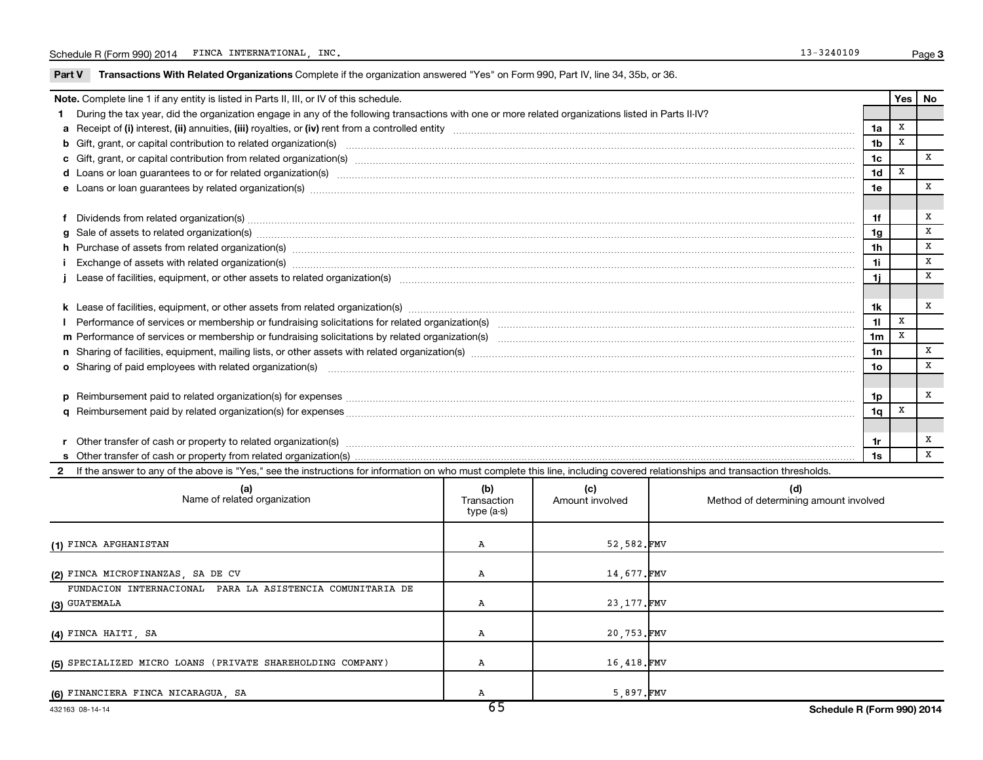Part V Transactions With Related Organizations Complete if the organization answered "Yes" on Form 990, Part IV, line 34, 35b, or 36.

|                                                                                                                                                                                              | Note. Complete line 1 if any entity is listed in Parts II, III, or IV of this schedule.                                                                                                                                              |  |                                    |              |                | Yes         | <b>No</b> |  |  |  |
|----------------------------------------------------------------------------------------------------------------------------------------------------------------------------------------------|--------------------------------------------------------------------------------------------------------------------------------------------------------------------------------------------------------------------------------------|--|------------------------------------|--------------|----------------|-------------|-----------|--|--|--|
|                                                                                                                                                                                              | During the tax year, did the organization engage in any of the following transactions with one or more related organizations listed in Parts II-IV?                                                                                  |  |                                    |              |                |             |           |  |  |  |
|                                                                                                                                                                                              |                                                                                                                                                                                                                                      |  |                                    |              | 1a             | х           |           |  |  |  |
|                                                                                                                                                                                              |                                                                                                                                                                                                                                      |  |                                    |              | 1 <sub>b</sub> | x           |           |  |  |  |
|                                                                                                                                                                                              | c Gift, grant, or capital contribution from related organization(s) manufaction contains and contribution from related organization(s) manufaction contains and contribution from related organization(s) manufaction contains<br>1c |  |                                    |              |                |             |           |  |  |  |
|                                                                                                                                                                                              | d Loans or loan guarantees to or for related organization(s) www.communities.com/www.communities.com/www.communities.com/www.communities.com/www.communities.com/www.communities.com/www.communities.com/www.communities.com/w       |  |                                    |              | 1 <sub>d</sub> | X           |           |  |  |  |
|                                                                                                                                                                                              | e Loans or loan guarantees by related organization(s) www.assess.com/minimum/minimum/minimum/minimum/minimum/minimum/minimum/minimum/minimum/minimum/minimum/minimum/minimum/minimum/minimum/minimum/minimum/minimum/minimum/m       |  |                                    |              | 1e             |             | x         |  |  |  |
|                                                                                                                                                                                              |                                                                                                                                                                                                                                      |  |                                    |              |                |             |           |  |  |  |
|                                                                                                                                                                                              | Dividends from related organization(s) CONSECTED AND TO ANNOUNCED A Dividends from related organization(s)                                                                                                                           |  |                                    |              | 1f             |             | X         |  |  |  |
|                                                                                                                                                                                              |                                                                                                                                                                                                                                      |  |                                    |              | 1g             |             | X         |  |  |  |
|                                                                                                                                                                                              | h Purchase of assets from related organization(s) manufactured and content to content and content of assets from related organization(s)                                                                                             |  |                                    |              | 1h             |             | X         |  |  |  |
|                                                                                                                                                                                              |                                                                                                                                                                                                                                      |  |                                    |              | 1i             |             | X         |  |  |  |
|                                                                                                                                                                                              |                                                                                                                                                                                                                                      |  |                                    |              | 1j             |             | x         |  |  |  |
|                                                                                                                                                                                              |                                                                                                                                                                                                                                      |  |                                    |              |                |             |           |  |  |  |
|                                                                                                                                                                                              |                                                                                                                                                                                                                                      |  |                                    |              | 1k             |             | x         |  |  |  |
|                                                                                                                                                                                              | Performance of services or membership or fundraising solicitations for related organization(s) manufaction manufactured content and the services or membership or fundraising solicitations for related organization(s) manufa       |  |                                    |              | 11             | $\mathbf x$ |           |  |  |  |
|                                                                                                                                                                                              |                                                                                                                                                                                                                                      |  |                                    |              | 1 <sub>m</sub> | X           |           |  |  |  |
|                                                                                                                                                                                              |                                                                                                                                                                                                                                      |  |                                    |              | 1n             |             | X         |  |  |  |
|                                                                                                                                                                                              | o Sharing of paid employees with related organization(s) <i>maching machines are machines are machines are machines with related organization</i> (s)                                                                                |  |                                    |              | 1o             |             | X         |  |  |  |
|                                                                                                                                                                                              |                                                                                                                                                                                                                                      |  |                                    |              |                |             |           |  |  |  |
|                                                                                                                                                                                              |                                                                                                                                                                                                                                      |  |                                    |              | 1p             |             | x         |  |  |  |
|                                                                                                                                                                                              |                                                                                                                                                                                                                                      |  |                                    |              | 1q             | X           |           |  |  |  |
|                                                                                                                                                                                              |                                                                                                                                                                                                                                      |  |                                    |              |                |             |           |  |  |  |
|                                                                                                                                                                                              | Other transfer of cash or property to related organization(s) with the content of the content of the content of the content of the content of the content of the content of the content of the content of the content of the c       |  |                                    |              | 1r             |             | x         |  |  |  |
| 1s                                                                                                                                                                                           |                                                                                                                                                                                                                                      |  |                                    |              |                |             | x         |  |  |  |
| If the answer to any of the above is "Yes," see the instructions for information on who must complete this line, including covered relationships and transaction thresholds.<br>$\mathbf{2}$ |                                                                                                                                                                                                                                      |  |                                    |              |                |             |           |  |  |  |
|                                                                                                                                                                                              | $\sim$ $\sim$ $\sim$<br>$\sqrt{a}$                                                                                                                                                                                                   |  | $\sim$ $\sim$ $\sim$ $\sim$ $\sim$ | $\mathbf{H}$ |                |             |           |  |  |  |

|                                                                            | $c_{\rm E}$                      |                        | - - - - - -                                  |
|----------------------------------------------------------------------------|----------------------------------|------------------------|----------------------------------------------|
| (6) FINANCIERA FINCA NICARAGUA, SA                                         | А                                | 5,897.FMV              |                                              |
| (5) SPECIALIZED MICRO LOANS (PRIVATE SHAREHOLDING COMPANY)                 | А                                | 16,418.FMV             |                                              |
| (4) FINCA HAITI, SA                                                        | Α                                | 20,753.FMV             |                                              |
| FUNDACION INTERNACIONAL PARA LA ASISTENCIA COMUNITARIA DE<br>(3) GUATEMALA | Α                                | 23, 177. FMV           |                                              |
| (2) FINCA MICROFINANZAS, SA DE CV                                          | Α                                | 14,677.FMV             |                                              |
| (1) FINCA AFGHANISTAN                                                      | Α                                | 52,582.FMV             |                                              |
| (a)<br>Name of related organization                                        | (b)<br>Transaction<br>type (a-s) | (c)<br>Amount involved | (d)<br>Method of determining amount involved |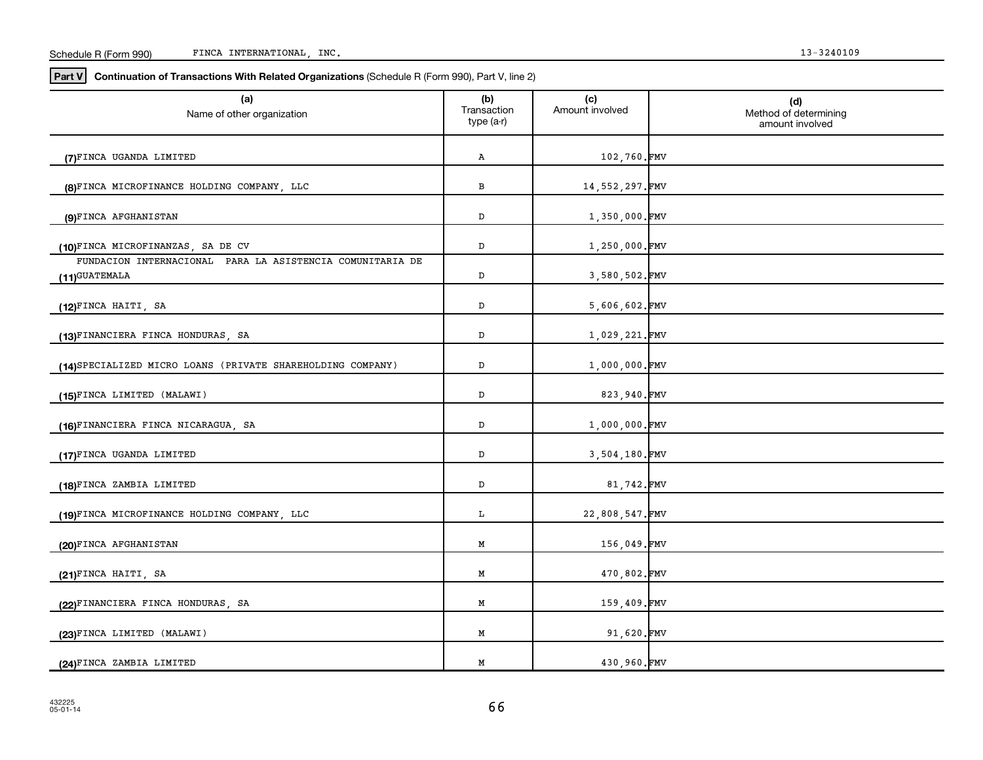| R (Form 990)<br>Schedule | INC.<br>INTERNATIONAL<br><b>FINO</b><br>בשטוב: | 3240109 |
|--------------------------|------------------------------------------------|---------|
|--------------------------|------------------------------------------------|---------|

**Part V Continuation of Transactions With Related Organizations**  (Schedule R (Form 990), Part V, line 2)

| (a)<br>Name of other organization                                          | (b)<br>Transaction<br>type (a-r) | (c)<br>Amount involved | (d)<br>Method of determining<br>amount involved |
|----------------------------------------------------------------------------|----------------------------------|------------------------|-------------------------------------------------|
| (7)FINCA UGANDA LIMITED                                                    | Α                                | 102,760.FMV            |                                                 |
| (8)FINCA MICROFINANCE HOLDING COMPANY, LLC                                 | в                                | 14,552,297.FMV         |                                                 |
| (9)FINCA AFGHANISTAN                                                       | D                                | 1,350,000.FMV          |                                                 |
| (10)FINCA MICROFINANZAS, SA DE CV                                          | D                                | 1,250,000.FMV          |                                                 |
| FUNDACION INTERNACIONAL PARA LA ASISTENCIA COMUNITARIA DE<br>(11)GUATEMALA | D                                | 3,580,502.FMV          |                                                 |
| (12)FINCA HAITI, SA                                                        | D                                | 5,606,602.FMV          |                                                 |
| (13)FINANCIERA FINCA HONDURAS, SA                                          | ${\tt D}$                        | 1,029,221.FMV          |                                                 |
| (14) SPECIALIZED MICRO LOANS (PRIVATE SHAREHOLDING COMPANY)                | D                                | 1,000,000.FMV          |                                                 |
| (15)FINCA LIMITED (MALAWI)                                                 | D                                | 823,940.FMV            |                                                 |
| (16)FINANCIERA FINCA NICARAGUA, SA                                         | D                                | 1,000,000.FMV          |                                                 |
| (17)FINCA UGANDA LIMITED                                                   | $\mathbb D$                      | 3,504,180.FMV          |                                                 |
| (18)FINCA ZAMBIA LIMITED                                                   | $\mathbb D$                      | 81,742.FMV             |                                                 |
|                                                                            | L                                |                        |                                                 |
| (19)FINCA MICROFINANCE HOLDING COMPANY, LLC                                |                                  | 22,808,547.FMV         |                                                 |
| (20)FINCA AFGHANISTAN                                                      | M                                | 156,049.FMV            |                                                 |
| (21)FINCA HAITI, SA                                                        | М                                | 470,802.FMV            |                                                 |
| (22)FINANCIERA FINCA HONDURAS, SA                                          | М                                | 159,409.FMV            |                                                 |
| (23)FINCA LIMITED (MALAWI)                                                 | Μ                                | 91,620.FMV             |                                                 |
| (24)FINCA ZAMBIA LIMITED                                                   | М                                | 430,960.FMV            |                                                 |

66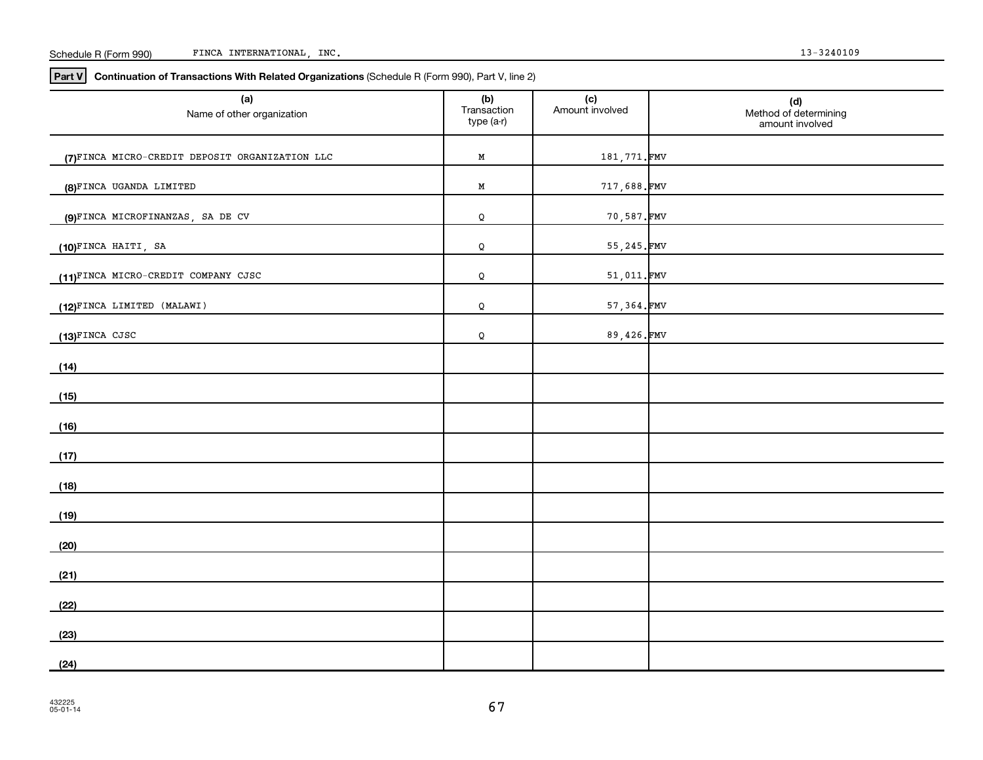#### Schedule R (Form 990) FINCA INTERNATIONAL, INC. 13-3240109

**Part V Continuation of Transactions With Related Organizations**  (Schedule R (Form 990), Part V, line 2)

| (a)<br>Name of other organization              | (b)<br>Transaction<br>type (a-r) | (c)<br>Amount involved | (d)<br>Method of determining<br>amount involved |
|------------------------------------------------|----------------------------------|------------------------|-------------------------------------------------|
| (7)FINCA MICRO-CREDIT DEPOSIT ORGANIZATION LLC | $\mathbf M$                      | 181,771.FMV            |                                                 |
| (8) FINCA UGANDA LIMITED                       | $\mathbf M$                      | 717,688.FMV            |                                                 |
| (9)FINCA MICROFINANZAS, SA DE CV               | Q                                | 70,587.FMV             |                                                 |
| (10)FINCA HAITI, SA                            | Q                                | 55, 245.FMV            |                                                 |
| (11)FINCA MICRO-CREDIT COMPANY CJSC            | Q                                | 51,011.FMV             |                                                 |
| (12)FINCA LIMITED (MALAWI)                     | Q                                | 57,364.FMV             |                                                 |
| (13)FINCA CJSC                                 | Q                                | 89,426.FMV             |                                                 |
| (14)                                           |                                  |                        |                                                 |
| (15)                                           |                                  |                        |                                                 |
| (16)                                           |                                  |                        |                                                 |
| (17)                                           |                                  |                        |                                                 |
| (18)                                           |                                  |                        |                                                 |
| (19)                                           |                                  |                        |                                                 |
| (20)                                           |                                  |                        |                                                 |
| (21)                                           |                                  |                        |                                                 |
| (22)                                           |                                  |                        |                                                 |
| (23)                                           |                                  |                        |                                                 |
| (24)                                           |                                  |                        |                                                 |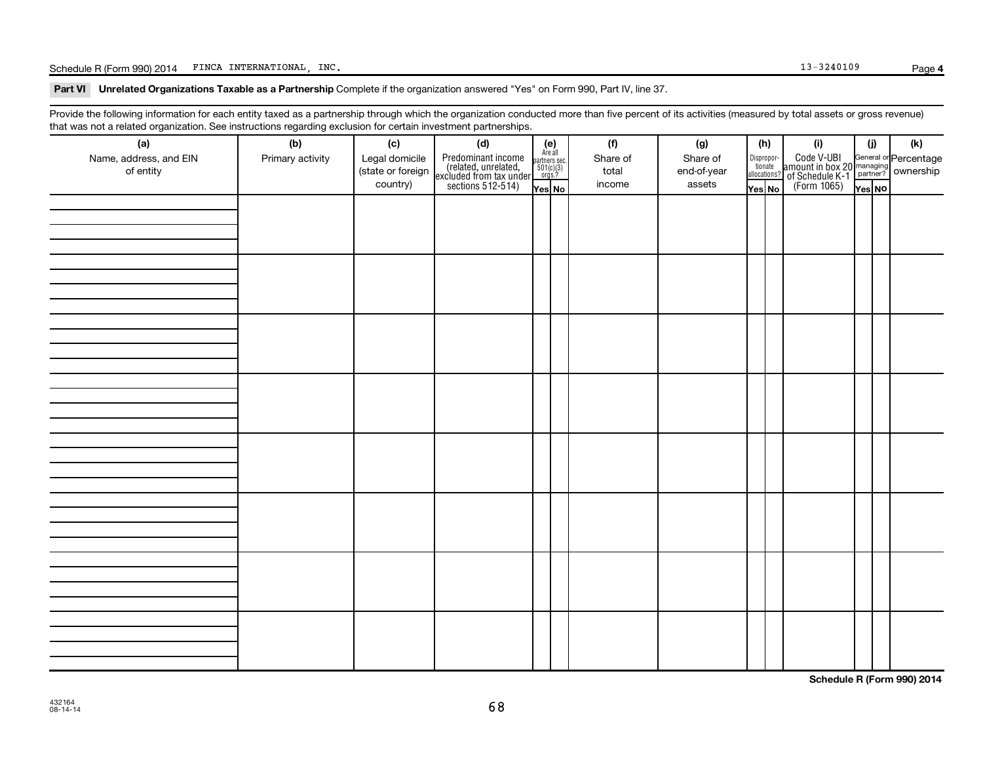Schedule R (Form 990) 2014 FINCA INTERNATIONAL, INC. The contract of the contract of the contract of the contract of the contract of the contract of the contract of the contract of the contract of the contract of the contr

Part VI Unrelated Organizations Taxable as a Partnership Complete if the organization answered "Yes" on Form 990, Part IV, line 37.

Provide the following information for each entity taxed as a partnership through which the organization conducted more than five percent of its activities (measured by total assets or gross revenue) that was not a related organization. See instructions regarding exclusion for certain investment partnerships.

| that was not a related erganization. Occ included for regarding excludion for cortain investment partnerships.<br>(a) | (b)              |  |  | (f)      | (g)         |        | (h) | (i)                                                                                                                | (i)    | (k) |
|-----------------------------------------------------------------------------------------------------------------------|------------------|--|--|----------|-------------|--------|-----|--------------------------------------------------------------------------------------------------------------------|--------|-----|
| Name, address, and EIN                                                                                                | Primary activity |  |  | Share of | Share of    |        |     |                                                                                                                    |        |     |
| of entity                                                                                                             |                  |  |  | total    | end-of-year |        |     | Disproport Code V-UBI<br>amount in box 20 managing<br>allocations? of Schedule K-1<br>Yes No (Form 1065)<br>Yes No |        |     |
|                                                                                                                       |                  |  |  | income   | assets      | Yes No |     |                                                                                                                    | Yes NO |     |
|                                                                                                                       |                  |  |  |          |             |        |     |                                                                                                                    |        |     |
|                                                                                                                       |                  |  |  |          |             |        |     |                                                                                                                    |        |     |
|                                                                                                                       |                  |  |  |          |             |        |     |                                                                                                                    |        |     |
|                                                                                                                       |                  |  |  |          |             |        |     |                                                                                                                    |        |     |
|                                                                                                                       |                  |  |  |          |             |        |     |                                                                                                                    |        |     |
|                                                                                                                       |                  |  |  |          |             |        |     |                                                                                                                    |        |     |
|                                                                                                                       |                  |  |  |          |             |        |     |                                                                                                                    |        |     |
|                                                                                                                       |                  |  |  |          |             |        |     |                                                                                                                    |        |     |
|                                                                                                                       |                  |  |  |          |             |        |     |                                                                                                                    |        |     |
|                                                                                                                       |                  |  |  |          |             |        |     |                                                                                                                    |        |     |
|                                                                                                                       |                  |  |  |          |             |        |     |                                                                                                                    |        |     |
|                                                                                                                       |                  |  |  |          |             |        |     |                                                                                                                    |        |     |
|                                                                                                                       |                  |  |  |          |             |        |     |                                                                                                                    |        |     |
|                                                                                                                       |                  |  |  |          |             |        |     |                                                                                                                    |        |     |
|                                                                                                                       |                  |  |  |          |             |        |     |                                                                                                                    |        |     |
|                                                                                                                       |                  |  |  |          |             |        |     |                                                                                                                    |        |     |
|                                                                                                                       |                  |  |  |          |             |        |     |                                                                                                                    |        |     |
|                                                                                                                       |                  |  |  |          |             |        |     |                                                                                                                    |        |     |
|                                                                                                                       |                  |  |  |          |             |        |     |                                                                                                                    |        |     |
|                                                                                                                       |                  |  |  |          |             |        |     |                                                                                                                    |        |     |
|                                                                                                                       |                  |  |  |          |             |        |     |                                                                                                                    |        |     |
|                                                                                                                       |                  |  |  |          |             |        |     |                                                                                                                    |        |     |
|                                                                                                                       |                  |  |  |          |             |        |     |                                                                                                                    |        |     |
|                                                                                                                       |                  |  |  |          |             |        |     |                                                                                                                    |        |     |
|                                                                                                                       |                  |  |  |          |             |        |     |                                                                                                                    |        |     |
|                                                                                                                       |                  |  |  |          |             |        |     |                                                                                                                    |        |     |
|                                                                                                                       |                  |  |  |          |             |        |     |                                                                                                                    |        |     |
|                                                                                                                       |                  |  |  |          |             |        |     |                                                                                                                    |        |     |
|                                                                                                                       |                  |  |  |          |             |        |     |                                                                                                                    |        |     |
|                                                                                                                       |                  |  |  |          |             |        |     |                                                                                                                    |        |     |
|                                                                                                                       |                  |  |  |          |             |        |     |                                                                                                                    |        |     |
|                                                                                                                       |                  |  |  |          |             |        |     |                                                                                                                    |        |     |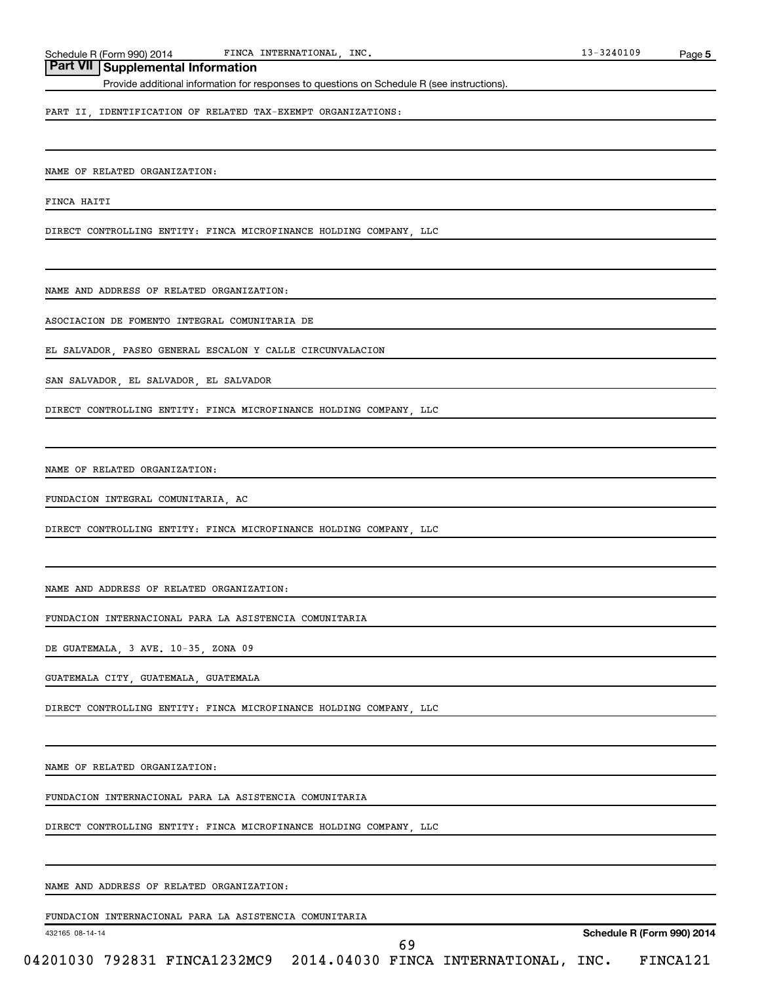Schedule R (Form 990) 2014 FINCA INTERNATIONAL, INC. The extended of the state of the state of the state of the state of the state of the state of the state of the state of the state of the state of the state of the state FINCA INTERNATIONAL,

## **Part VII Supplemental Information**

Provide additional information for responses to questions on Schedule R (see instructions).

PART II, IDENTIFICATION OF RELATED TAX-EXEMPT ORGANIZATIONS:

NAME OF RELATED ORGANIZATION:

FINCA HAITI

DIRECT CONTROLLING ENTITY: FINCA MICROFINANCE HOLDING COMPANY, LLC

NAME AND ADDRESS OF RELATED ORGANIZATION:

ASOCIACION DE FOMENTO INTEGRAL COMUNITARIA DE

EL SALVADOR, PASEO GENERAL ESCALON Y CALLE CIRCUNVALACION

SAN SALVADOR, EL SALVADOR, EL SALVADOR

DIRECT CONTROLLING ENTITY: FINCA MICROFINANCE HOLDING COMPANY, LLC

NAME OF RELATED ORGANIZATION:

FUNDACION INTEGRAL COMUNITARIA, AC

DIRECT CONTROLLING ENTITY: FINCA MICROFINANCE HOLDING COMPANY, LLC

NAME AND ADDRESS OF RELATED ORGANIZATION:

FUNDACION INTERNACIONAL PARA LA ASISTENCIA COMUNITARIA

DE GUATEMALA, 3 AVE. 10-35, ZONA 09

GUATEMALA CITY, GUATEMALA, GUATEMALA

DIRECT CONTROLLING ENTITY: FINCA MICROFINANCE HOLDING COMPANY, LLC

NAME OF RELATED ORGANIZATION:

FUNDACION INTERNACIONAL PARA LA ASISTENCIA COMUNITARIA

DIRECT CONTROLLING ENTITY: FINCA MICROFINANCE HOLDING COMPANY, LLC

NAME AND ADDRESS OF RELATED ORGANIZATION:

FUNDACION INTERNACIONAL PARA LA ASISTENCIA COMUNITARIA

432165 08-14-14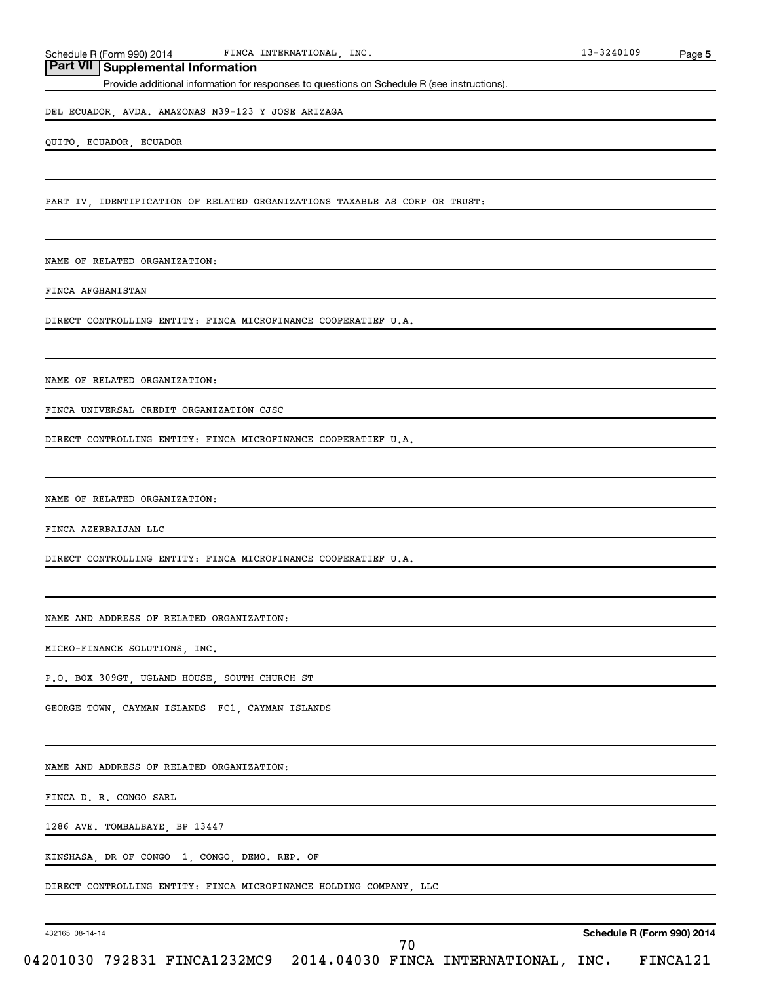Schedule R (Form 990) 2014 FINCA INTERNATIONAL, INC. 13-3240109 FINCA INTERNATIONAL,

## **Part VII Supplemental Information**

Provide additional information for responses to questions on Schedule R (see instructions).

DEL ECUADOR, AVDA. AMAZONAS N39-123 Y JOSE ARIZAGA

QUITO, ECUADOR, ECUADOR

PART IV, IDENTIFICATION OF RELATED ORGANIZATIONS TAXABLE AS CORP OR TRUST:

NAME OF RELATED ORGANIZATION:

FINCA AFGHANISTAN

DIRECT CONTROLLING ENTITY: FINCA MICROFINANCE COOPERATIEF U.A.

NAME OF RELATED ORGANIZATION:

FINCA UNIVERSAL CREDIT ORGANIZATION CJSC

DIRECT CONTROLLING ENTITY: FINCA MICROFINANCE COOPERATIEF U.A.

NAME OF RELATED ORGANIZATION:

FINCA AZERBAIJAN LLC

DIRECT CONTROLLING ENTITY: FINCA MICROFINANCE COOPERATIEF U.A.

NAME AND ADDRESS OF RELATED ORGANIZATION:

MICRO-FINANCE SOLUTIONS, INC.

P.O. BOX 309GT, UGLAND HOUSE, SOUTH CHURCH ST

GEORGE TOWN, CAYMAN ISLANDS FC1, CAYMAN ISLANDS

NAME AND ADDRESS OF RELATED ORGANIZATION:

FINCA D. R. CONGO SARL

1286 AVE. TOMBALBAYE, BP 13447

KINSHASA, DR OF CONGO 1, CONGO, DEMO. REP. OF

DIRECT CONTROLLING ENTITY: FINCA MICROFINANCE HOLDING COMPANY, LLC

432165 08-14-14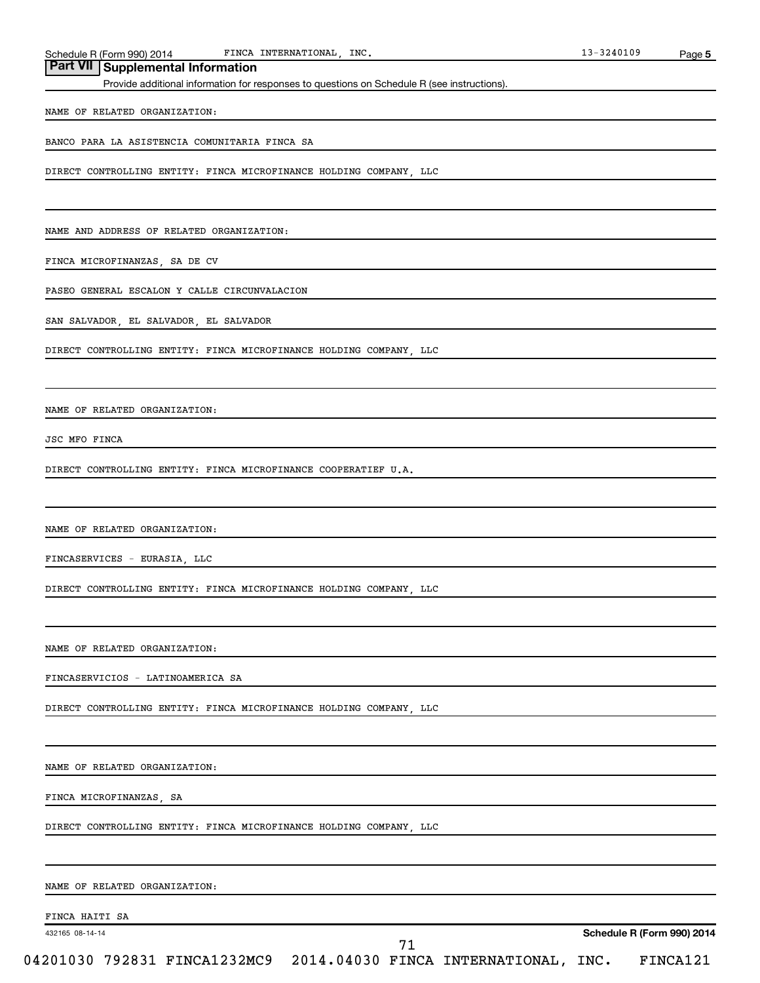Schedule R (Form 990) 2014 FINCA INTERNATIONAL, INC. 13-3240109 FINCA INTERNATIONAL,

## **Part VII Supplemental Information**

Provide additional information for responses to questions on Schedule R (see instructions).

#### NAME OF RELATED ORGANIZATION:

BANCO PARA LA ASISTENCIA COMUNITARIA FINCA SA

DIRECT CONTROLLING ENTITY: FINCA MICROFINANCE HOLDING COMPANY, LLC

NAME AND ADDRESS OF RELATED ORGANIZATION:

FINCA MICROFINANZAS, SA DE CV

PASEO GENERAL ESCALON Y CALLE CIRCUNVALACION

SAN SALVADOR, EL SALVADOR, EL SALVADOR

DIRECT CONTROLLING ENTITY: FINCA MICROFINANCE HOLDING COMPANY, LLC

NAME OF RELATED ORGANIZATION:

JSC MFO FINCA

DIRECT CONTROLLING ENTITY: FINCA MICROFINANCE COOPERATIEF U.A.

NAME OF RELATED ORGANIZATION:

FINCASERVICES - EURASIA, LLC

DIRECT CONTROLLING ENTITY: FINCA MICROFINANCE HOLDING COMPANY, LLC

NAME OF RELATED ORGANIZATION:

FINCASERVICIOS - LATINOAMERICA SA

DIRECT CONTROLLING ENTITY: FINCA MICROFINANCE HOLDING COMPANY, LLC

NAME OF RELATED ORGANIZATION:

FINCA MICROFINANZAS, SA

DIRECT CONTROLLING ENTITY: FINCA MICROFINANCE HOLDING COMPANY, LLC

NAME OF RELATED ORGANIZATION:

FINCA HAITI SA

432165 08-14-14

71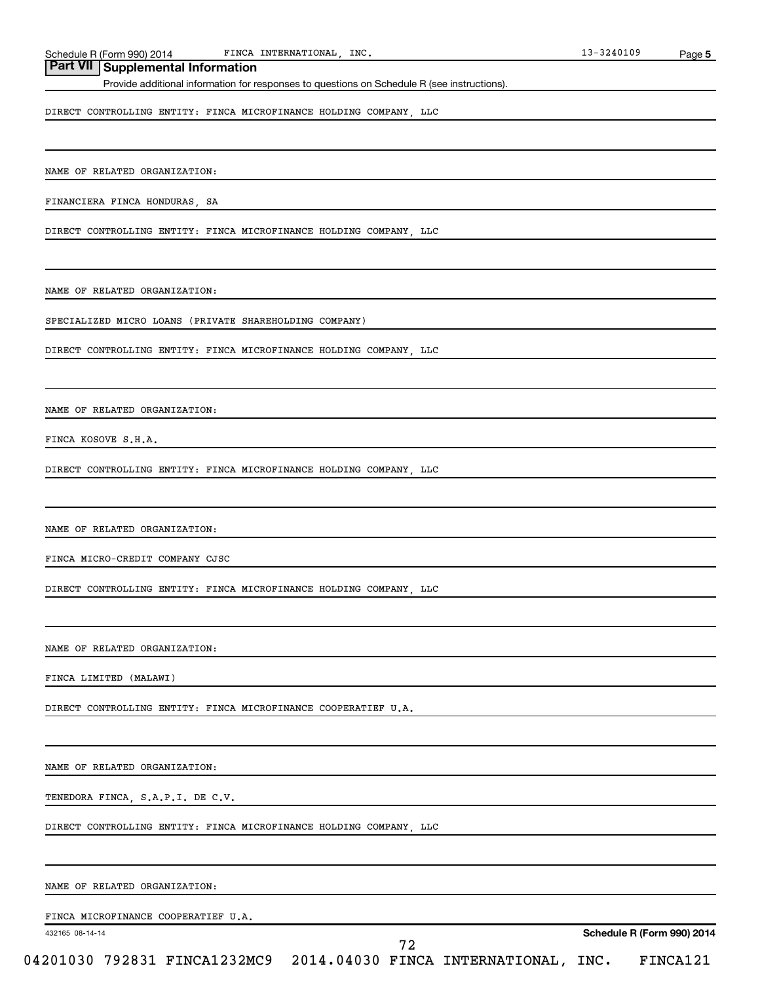Schedule R (Form 990) 2014 FINCA INTERNATIONAL, INC. 13-3240109 FINCA INTERNATIONAL,

## **Part VII Supplemental Information**

Provide additional information for responses to questions on Schedule R (see instructions).

DIRECT CONTROLLING ENTITY: FINCA MICROFINANCE HOLDING COMPANY, LLC

NAME OF RELATED ORGANIZATION:

FINANCIERA FINCA HONDURAS, SA

DIRECT CONTROLLING ENTITY: FINCA MICROFINANCE HOLDING COMPANY, LLC

NAME OF RELATED ORGANIZATION:

SPECIALIZED MICRO LOANS (PRIVATE SHAREHOLDING COMPANY)

DIRECT CONTROLLING ENTITY: FINCA MICROFINANCE HOLDING COMPANY, LLC

NAME OF RELATED ORGANIZATION:

FINCA KOSOVE S.H.A.

DIRECT CONTROLLING ENTITY: FINCA MICROFINANCE HOLDING COMPANY, LLC

NAME OF RELATED ORGANIZATION:

FINCA MICRO-CREDIT COMPANY CJSC

DIRECT CONTROLLING ENTITY: FINCA MICROFINANCE HOLDING COMPANY, LLC

NAME OF RELATED ORGANIZATION:

FINCA LIMITED (MALAWI)

DIRECT CONTROLLING ENTITY: FINCA MICROFINANCE COOPERATIEF U.A.

NAME OF RELATED ORGANIZATION:

TENEDORA FINCA, S.A.P.I. DE C.V.

DIRECT CONTROLLING ENTITY: FINCA MICROFINANCE HOLDING COMPANY, LLC

NAME OF RELATED ORGANIZATION:

FINCA MICROFINANCE COOPERATIEF U.A.

432165 08-14-14

72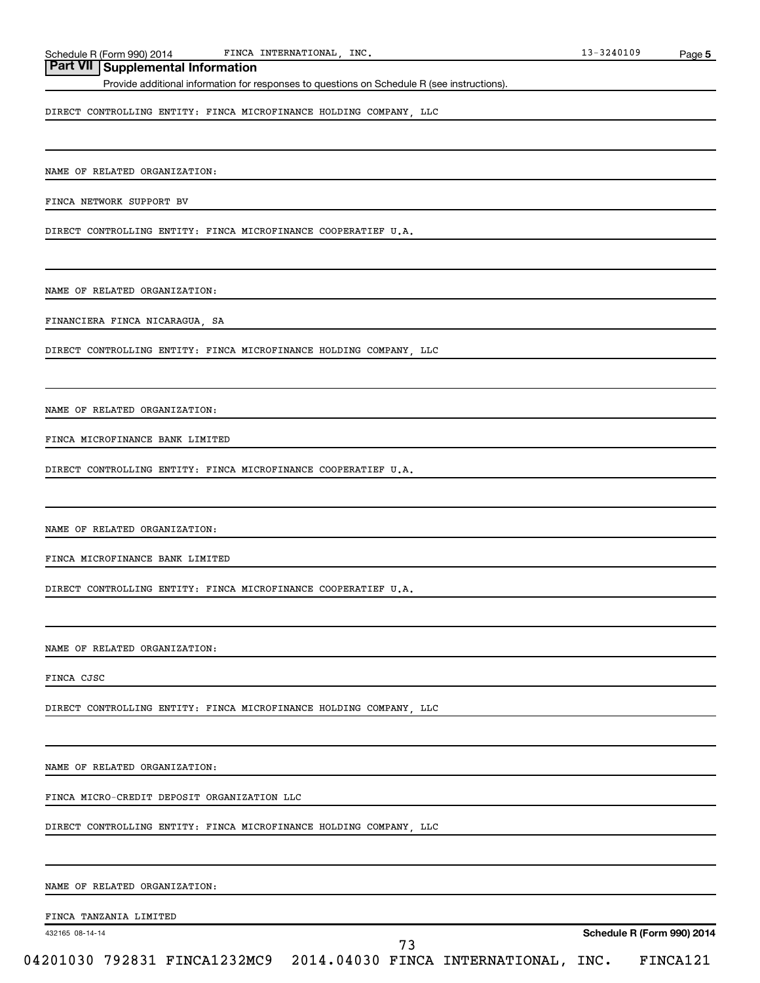Schedule R (Form 990) 2014 FINCA INTERNATIONAL, INC. 13-3240109 FINCA INTERNATIONAL,

## **Part VII Supplemental Information**

Provide additional information for responses to questions on Schedule R (see instructions).

DIRECT CONTROLLING ENTITY: FINCA MICROFINANCE HOLDING COMPANY, LLC

NAME OF RELATED ORGANIZATION:

FINCA NETWORK SUPPORT BV

DIRECT CONTROLLING ENTITY: FINCA MICROFINANCE COOPERATIEF U.A.

NAME OF RELATED ORGANIZATION:

FINANCIERA FINCA NICARAGUA, SA

DIRECT CONTROLLING ENTITY: FINCA MICROFINANCE HOLDING COMPANY, LLC

NAME OF RELATED ORGANIZATION:

FINCA MICROFINANCE BANK LIMITED

DIRECT CONTROLLING ENTITY: FINCA MICROFINANCE COOPERATIEF U.A.

NAME OF RELATED ORGANIZATION:

FINCA MICROFINANCE BANK LIMITED

DIRECT CONTROLLING ENTITY: FINCA MICROFINANCE COOPERATIEF U.A.

NAME OF RELATED ORGANIZATION:

FINCA CJSC

DIRECT CONTROLLING ENTITY: FINCA MICROFINANCE HOLDING COMPANY, LLC

NAME OF RELATED ORGANIZATION:

FINCA MICRO-CREDIT DEPOSIT ORGANIZATION LLC

DIRECT CONTROLLING ENTITY: FINCA MICROFINANCE HOLDING COMPANY, LLC

NAME OF RELATED ORGANIZATION:

FINCA TANZANIA LIMITED

432165 08-14-14

**Schedule R (Form 990) 2014**

04201030 792831 FINCA1232MC9 2014.04030 FINCA INTERNATIONAL, INC. FINCA121